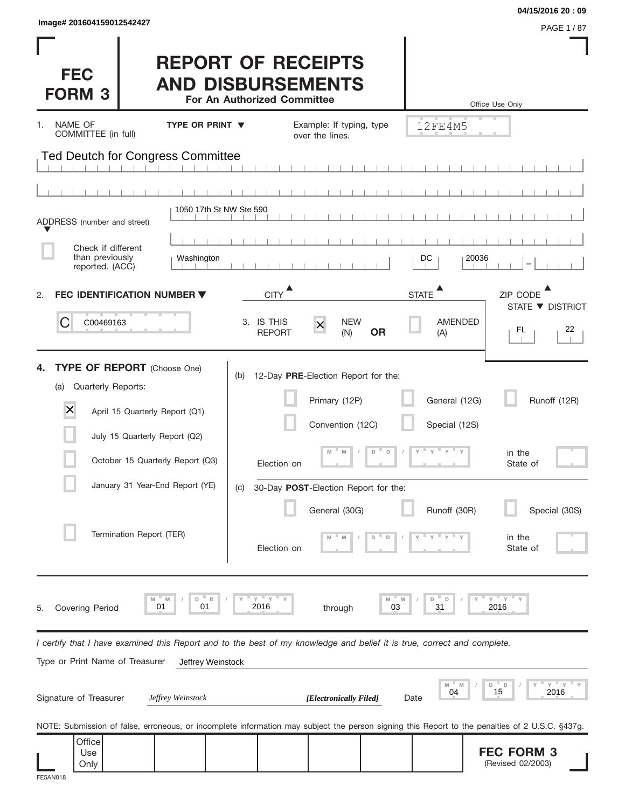| Image# 201604159012542427 |  |  |  |
|---------------------------|--|--|--|
|                           |  |  |  |

(Revised 02/2003)

| Image# 201604159012542427                                                               |                                                                                                                                                                              |                                                                                      |                                                                                                                            |             |                                           | 04/15/2016 20:09<br>PAGE 1/87                                                                                                                                       |
|-----------------------------------------------------------------------------------------|------------------------------------------------------------------------------------------------------------------------------------------------------------------------------|--------------------------------------------------------------------------------------|----------------------------------------------------------------------------------------------------------------------------|-------------|-------------------------------------------|---------------------------------------------------------------------------------------------------------------------------------------------------------------------|
| <b>FEC</b><br><b>FORM 3</b>                                                             |                                                                                                                                                                              | <b>REPORT OF RECEIPTS</b><br><b>AND DISBURSEMENTS</b><br>For An Authorized Committee |                                                                                                                            |             |                                           | Office Use Only                                                                                                                                                     |
| NAME OF<br>1.<br>COMMITTEE (in full)                                                    | <b>TYPE OR PRINT V</b>                                                                                                                                                       |                                                                                      | Example: If typing, type<br>over the lines.                                                                                |             | 12FE4M5                                   |                                                                                                                                                                     |
|                                                                                         | Ted Deutch for Congress Committee                                                                                                                                            |                                                                                      |                                                                                                                            |             |                                           |                                                                                                                                                                     |
|                                                                                         |                                                                                                                                                                              |                                                                                      |                                                                                                                            |             |                                           |                                                                                                                                                                     |
| ADDRESS (number and street)<br>Check if different<br>than previously<br>reported. (ACC) | 1050 17th St NW Ste 590<br>Washington                                                                                                                                        |                                                                                      |                                                                                                                            |             | DC                                        | 20036                                                                                                                                                               |
| 2.                                                                                      | <b>FEC IDENTIFICATION NUMBER ▼</b>                                                                                                                                           | <b>CITY</b>                                                                          |                                                                                                                            |             | <b>STATE</b>                              | ZIP CODE<br>STATE ▼ DISTRICT                                                                                                                                        |
| C<br>C00469163                                                                          |                                                                                                                                                                              | 3. IS THIS<br><b>REPORT</b>                                                          | <b>NEW</b><br>$\times$<br>(N)                                                                                              | <b>OR</b>   | <b>AMENDED</b><br>(A)                     | 22<br>FL.                                                                                                                                                           |
| 4.<br>Quarterly Reports:<br>(a)<br>$\times$                                             | <b>TYPE OF REPORT</b> (Choose One)<br>April 15 Quarterly Report (Q1)<br>July 15 Quarterly Report (Q2)<br>October 15 Quarterly Report (Q3)<br>January 31 Year-End Report (YE) | (b)<br>Election on<br>(C)                                                            | 12-Day PRE-Election Report for the:<br>Primary (12P)<br>Convention (12C)<br>M<br>M<br>30-Day POST-Election Report for the: | $\Box$<br>D | General (12G)<br>Special (12S)<br>$Y = Y$ | Runoff (12R)<br>in the<br>State of                                                                                                                                  |
|                                                                                         | Termination Report (TER)                                                                                                                                                     | Election on                                                                          | General (30G)                                                                                                              | D           | Runoff (30R)                              | Special (30S)<br>in the<br>State of                                                                                                                                 |
| <b>Covering Period</b><br>5.                                                            | M<br>D<br>$\mathsf D$<br>M<br>01<br>01                                                                                                                                       | $Y$ $Y$<br>2016                                                                      | through                                                                                                                    | M<br>03     | D<br>D<br>31                              | " Y<br>Υ<br>2016                                                                                                                                                    |
|                                                                                         | I certify that I have examined this Report and to the best of my knowledge and belief it is true, correct and complete.                                                      |                                                                                      |                                                                                                                            |             |                                           |                                                                                                                                                                     |
| Type or Print Name of Treasurer<br>Signature of Treasurer                               | Jeffrey Weinstock<br>Jeffrey Weinstock                                                                                                                                       |                                                                                      | [Electronically Filed]                                                                                                     |             | M<br>04<br>Date                           | Y<br>D<br>D<br>15<br>2016                                                                                                                                           |
| Office<br>Use                                                                           |                                                                                                                                                                              |                                                                                      |                                                                                                                            |             |                                           | NOTE: Submission of false, erroneous, or incomplete information may subject the person signing this Report to the penalties of 2 U.S.C. §437g.<br><b>FEC FORM 3</b> |

| -5AN01 | '8 |
|--------|----|

Use Only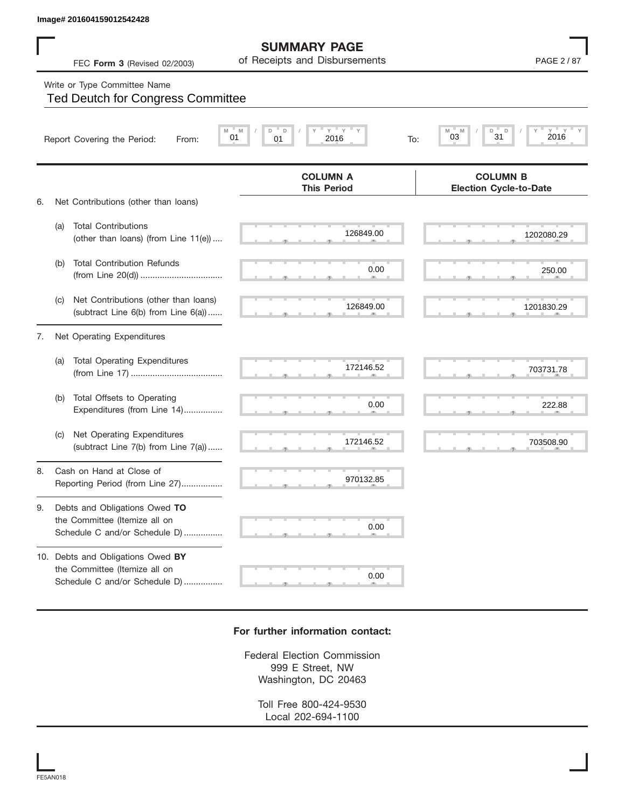## Write or Type Committee Name

|    | Image# 201604159012542428                                                                           |                                                      |                                                          |
|----|-----------------------------------------------------------------------------------------------------|------------------------------------------------------|----------------------------------------------------------|
|    | FEC Form 3 (Revised 02/2003)                                                                        | <b>SUMMARY PAGE</b><br>of Receipts and Disbursements | PAGE 2 / 87                                              |
|    | Write or Type Committee Name<br><b>Ted Deutch for Congress Committee</b>                            |                                                      |                                                          |
|    | Report Covering the Period:<br>From:                                                                | $Y$ $Y$<br>D<br>D<br>M<br>01<br>01<br>2016<br>To:    | $Y = Y$<br>D<br>D<br>$Y =$<br>M<br>M<br>2016<br>31<br>03 |
| 6. | Net Contributions (other than loans)                                                                | <b>COLUMN A</b><br><b>This Period</b>                | <b>COLUMN B</b><br><b>Election Cycle-to-Date</b>         |
|    | <b>Total Contributions</b><br>(a)<br>(other than loans) (from Line 11(e))                           | 126849.00                                            | 1202080.29                                               |
|    | <b>Total Contribution Refunds</b><br>(b)                                                            | 0.00                                                 | 250.00                                                   |
|    | Net Contributions (other than loans)<br>(C)<br>(subtract Line 6(b) from Line 6(a))                  | 126849.00                                            | 1201830.29                                               |
| 7. | Net Operating Expenditures                                                                          |                                                      |                                                          |
|    | <b>Total Operating Expenditures</b><br>(a)                                                          | 172146.52                                            | 703731.78                                                |
|    | Total Offsets to Operating<br>(b)<br>Expenditures (from Line 14)                                    | 0.00                                                 | 222.88                                                   |
|    | Net Operating Expenditures<br>(C)<br>(subtract Line 7(b) from Line 7(a))                            | 172146.52                                            | 703508.90                                                |
| 8. | Cash on Hand at Close of<br>Reporting Period (from Line 27)                                         | 970132.85                                            |                                                          |
| 9. | Debts and Obligations Owed TO<br>the Committee (Itemize all on<br>Schedule C and/or Schedule D)     | 0.00                                                 |                                                          |
|    | 10. Debts and Obligations Owed BY<br>the Committee (Itemize all on<br>Schedule C and/or Schedule D) | 0.00                                                 |                                                          |

## **For further information contact:**

Federal Election Commission 999 E Street, NW Washington, DC 20463

> Toll Free 800-424-9530 Local 202-694-1100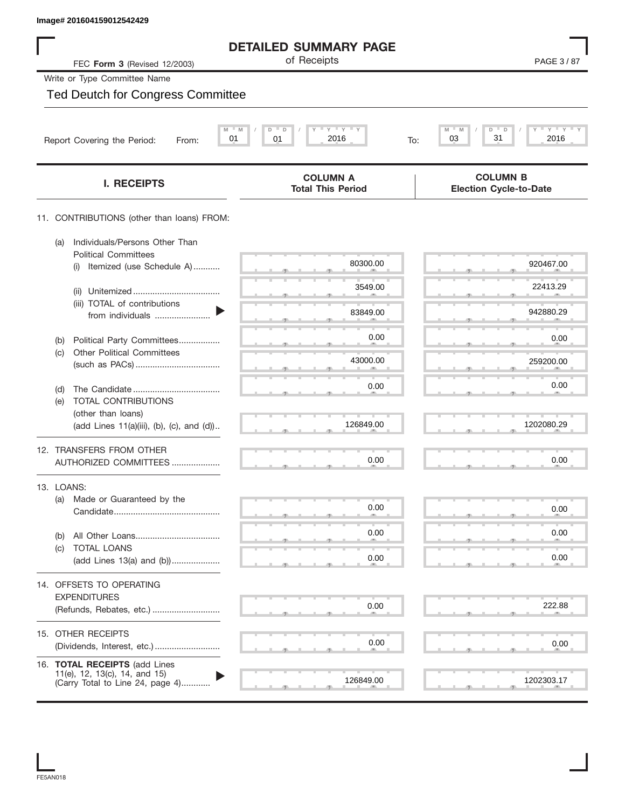|            | Image# 201604159012542429                                                                          |                                                                              |                                                  |
|------------|----------------------------------------------------------------------------------------------------|------------------------------------------------------------------------------|--------------------------------------------------|
|            |                                                                                                    | <b>DETAILED SUMMARY PAGE</b>                                                 |                                                  |
|            | FEC Form 3 (Revised 12/2003)                                                                       | of Receipts                                                                  | PAGE 3/87                                        |
|            | Write or Type Committee Name                                                                       |                                                                              |                                                  |
|            | <b>Ted Deutch for Congress Committee</b>                                                           |                                                                              |                                                  |
|            | M<br>Report Covering the Period:<br>From:                                                          | $-\gamma + \gamma + \gamma$<br>- M<br>D<br>$\Box$<br>01<br>2016<br>01<br>To: | M<br>M<br>D<br>D<br>Υ<br>Y<br>31<br>03<br>2016   |
|            | <b>I. RECEIPTS</b>                                                                                 | <b>COLUMN A</b><br><b>Total This Period</b>                                  | <b>COLUMN B</b><br><b>Election Cycle-to-Date</b> |
|            | 11. CONTRIBUTIONS (other than loans) FROM:                                                         |                                                                              |                                                  |
| (a)        | Individuals/Persons Other Than<br><b>Political Committees</b>                                      |                                                                              |                                                  |
|            | Itemized (use Schedule A)<br>(i)                                                                   | 80300.00                                                                     | 920467.00                                        |
|            | (ii)                                                                                               | 3549.00                                                                      | 22413.29                                         |
|            | (iii) TOTAL of contributions<br>from individuals                                                   | 83849.00                                                                     | 942880.29                                        |
| (b)        | Political Party Committees                                                                         | 0.00                                                                         | 0.00                                             |
| (C)        | <b>Other Political Committees</b>                                                                  | 43000.00                                                                     | 259200.00                                        |
| (d)        |                                                                                                    | 0.00                                                                         | 0.00                                             |
| (e)        | TOTAL CONTRIBUTIONS                                                                                |                                                                              |                                                  |
|            | (other than loans)<br>(add Lines 11(a)(iii), (b), (c), and (d))                                    | 126849.00                                                                    | 1202080.29                                       |
|            | 12. TRANSFERS FROM OTHER                                                                           |                                                                              |                                                  |
|            | AUTHORIZED COMMITTEES                                                                              | 0.00                                                                         | 0.00                                             |
| 13. LOANS: |                                                                                                    |                                                                              |                                                  |
| (a)        | Made or Guaranteed by the                                                                          | 0.00                                                                         | 0.00                                             |
| (b)        |                                                                                                    | 0.00                                                                         | 0.00                                             |
| (C)        | <b>TOTAL LOANS</b><br>(add Lines 13(a) and (b))                                                    | 0.00                                                                         | 0.00                                             |
|            |                                                                                                    |                                                                              |                                                  |
|            | 14. OFFSETS TO OPERATING                                                                           |                                                                              |                                                  |
|            | <b>EXPENDITURES</b><br>(Refunds, Rebates, etc.)                                                    | 0.00                                                                         | 222.88                                           |
|            |                                                                                                    |                                                                              |                                                  |
|            | 15. OTHER RECEIPTS                                                                                 | 0.00                                                                         | 0.00                                             |
|            |                                                                                                    |                                                                              |                                                  |
|            | 16. TOTAL RECEIPTS (add Lines<br>11(e), 12, 13(c), 14, and 15)<br>(Carry Total to Line 24, page 4) | 126849.00                                                                    | 1202303.17                                       |
|            |                                                                                                    |                                                                              |                                                  |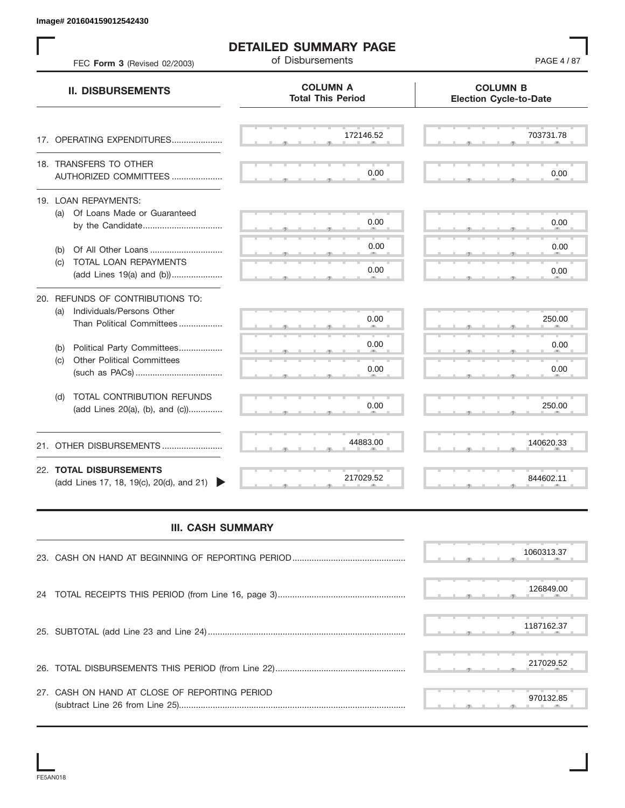| FEC Form 3 (Revised 02/2003)                                                                      | <b>DETAILED SUMMARY PAGE</b><br>of Disbursements | PAGE 4/87                                        |
|---------------------------------------------------------------------------------------------------|--------------------------------------------------|--------------------------------------------------|
| <b>II. DISBURSEMENTS</b>                                                                          | <b>COLUMN A</b><br><b>Total This Period</b>      | <b>COLUMN B</b><br><b>Election Cycle-to-Date</b> |
| 17. OPERATING EXPENDITURES                                                                        | 172146.52                                        | 703731.78                                        |
| 18. TRANSFERS TO OTHER<br>AUTHORIZED COMMITTEES                                                   | 0.00                                             | 0.00                                             |
| 19. LOAN REPAYMENTS:<br>(a) Of Loans Made or Guaranteed<br>by the Candidate                       | 0.00                                             | 0.00                                             |
| (b)                                                                                               | 0.00                                             | 0.00                                             |
| TOTAL LOAN REPAYMENTS<br>(C)<br>(add Lines 19(a) and (b))                                         | 0.00                                             | 0.00                                             |
| 20. REFUNDS OF CONTRIBUTIONS TO:<br>Individuals/Persons Other<br>(a)<br>Than Political Committees | 0.00                                             | 250.00                                           |
| Political Party Committees<br>(b)                                                                 | 0.00                                             | 0.00                                             |
| <b>Other Political Committees</b><br>(C)                                                          | 0.00                                             | 0.00                                             |
| TOTAL CONTRIBUTION REFUNDS<br>(d)<br>(add Lines 20(a), (b), and (c))                              | 0.00                                             | 250.00                                           |
| 21. OTHER DISBURSEMENTS                                                                           | 44883.00                                         | 140620.33                                        |
| 22. TOTAL DISBURSEMENTS<br>(add Lines 17, 18, 19(c), 20(d), and 21)                               | 217029.52                                        | 844602.11                                        |
| <b>III. CASH SUMMARY</b>                                                                          |                                                  |                                                  |
|                                                                                                   |                                                  | 1060313.37                                       |
| 24                                                                                                |                                                  | 126849.00                                        |
|                                                                                                   |                                                  | 1187162.37                                       |
|                                                                                                   |                                                  | 217029.52                                        |
| 27. CASH ON HAND AT CLOSE OF REPORTING PERIOD                                                     |                                                  | 970132.85                                        |

## **III. CASH SUMMARY**

|                                               | 1060313.37 |
|-----------------------------------------------|------------|
|                                               | 126849.00  |
|                                               | 1187162.37 |
|                                               | 217029.52  |
| 27. CASH ON HAND AT CLOSE OF REPORTING PERIOD | 970132.85  |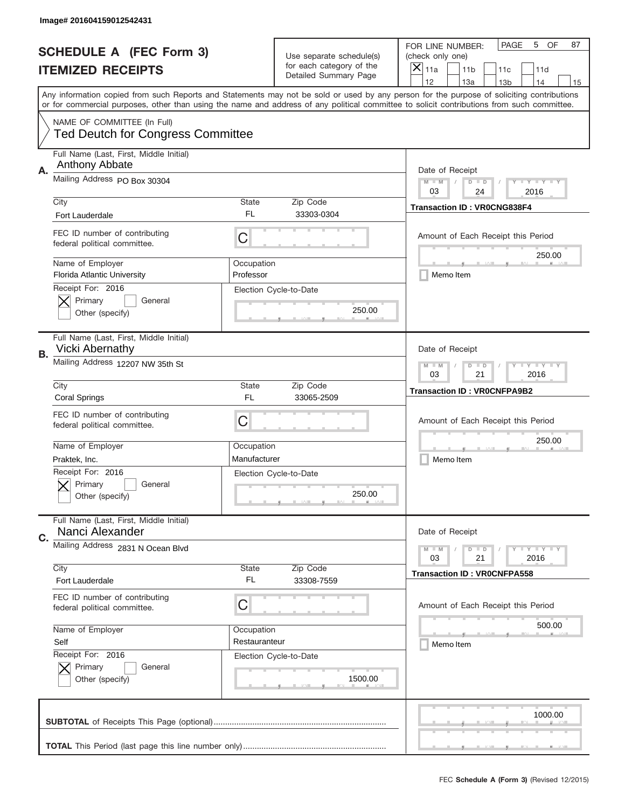|    | Image# 201604159012542431                                               |                         |                                                   |                                                                                                                                                                                       |
|----|-------------------------------------------------------------------------|-------------------------|---------------------------------------------------|---------------------------------------------------------------------------------------------------------------------------------------------------------------------------------------|
|    | <b>SCHEDULE A (FEC Form 3)</b>                                          |                         | Use separate schedule(s)                          | PAGE<br>OF<br>5<br>87<br>FOR LINE NUMBER:<br>(check only one)                                                                                                                         |
|    | <b>ITEMIZED RECEIPTS</b>                                                |                         | for each category of the<br>Detailed Summary Page | ×<br>11a<br>11 <sub>b</sub><br>11c<br>11d                                                                                                                                             |
|    |                                                                         |                         |                                                   | 12<br>13a<br>14<br>13 <sub>b</sub><br>15<br>Any information copied from such Reports and Statements may not be sold or used by any person for the purpose of soliciting contributions |
|    |                                                                         |                         |                                                   | or for commercial purposes, other than using the name and address of any political committee to solicit contributions from such committee.                                            |
|    | NAME OF COMMITTEE (In Full)<br><b>Ted Deutch for Congress Committee</b> |                         |                                                   |                                                                                                                                                                                       |
| Α. | Full Name (Last, First, Middle Initial)<br>Anthony Abbate               |                         |                                                   | Date of Receipt                                                                                                                                                                       |
|    | Mailing Address PO Box 30304                                            |                         |                                                   | $M - M$<br><b>LYLYLY</b><br>$D$ $D$<br>03<br>24<br>2016                                                                                                                               |
|    | City<br>Fort Lauderdale                                                 | State<br>FL             | Zip Code<br>33303-0304                            | <b>Transaction ID: VR0CNG838F4</b>                                                                                                                                                    |
|    | FEC ID number of contributing<br>federal political committee.           | C                       |                                                   | Amount of Each Receipt this Period                                                                                                                                                    |
|    | Name of Employer<br><b>Florida Atlantic University</b>                  | Occupation<br>Professor |                                                   | 250.00<br>Memo Item                                                                                                                                                                   |
|    | Receipt For: 2016<br>Primary<br>General<br>Other (specify)              |                         | Election Cycle-to-Date<br>250.00                  |                                                                                                                                                                                       |
| В. | Full Name (Last, First, Middle Initial)<br><b>Vicki Abernathy</b>       |                         |                                                   | Date of Receipt                                                                                                                                                                       |
|    | Mailing Address 12207 NW 35th St                                        |                         |                                                   | $M$ M<br><b>LEYTEY LEY</b><br>$D$ $D$<br>03<br>21<br>2016                                                                                                                             |
|    | City<br><b>Coral Springs</b>                                            | State<br>FL             | Zip Code<br>33065-2509                            | <b>Transaction ID: VROCNFPA9B2</b>                                                                                                                                                    |
|    | FEC ID number of contributing<br>federal political committee.           | C                       |                                                   | Amount of Each Receipt this Period                                                                                                                                                    |
|    | Name of Employer                                                        | Occupation              |                                                   | 250.00                                                                                                                                                                                |
|    | Praktek, Inc.                                                           | Manufacturer            |                                                   | Memo Item                                                                                                                                                                             |
|    | Receipt For: 2016<br>General<br>Primary<br>Other (specify)              |                         | Election Cycle-to-Date<br>250.00                  |                                                                                                                                                                                       |
| C. | Full Name (Last, First, Middle Initial)<br>Nanci Alexander              |                         |                                                   | Date of Receipt                                                                                                                                                                       |
|    | Mailing Address 2831 N Ocean Blvd                                       |                         |                                                   | <b>LYLYLY</b><br>$M - M$<br>$D$ $D$<br>2016<br>03<br>21                                                                                                                               |
|    | City<br>Fort Lauderdale                                                 | State<br>FL             | Zip Code<br>33308-7559                            | <b>Transaction ID: VR0CNFPA558</b>                                                                                                                                                    |
|    | FEC ID number of contributing<br>federal political committee.           | C                       |                                                   | Amount of Each Receipt this Period                                                                                                                                                    |
|    | Name of Employer                                                        | Occupation              |                                                   | 500.00                                                                                                                                                                                |
|    | Self                                                                    | Restauranteur           |                                                   | Memo Item                                                                                                                                                                             |
|    | Receipt For: 2016<br>Primary<br>General<br>Other (specify)              |                         | Election Cycle-to-Date<br>1500.00                 |                                                                                                                                                                                       |
|    |                                                                         |                         |                                                   | 1000.00                                                                                                                                                                               |
|    |                                                                         |                         |                                                   |                                                                                                                                                                                       |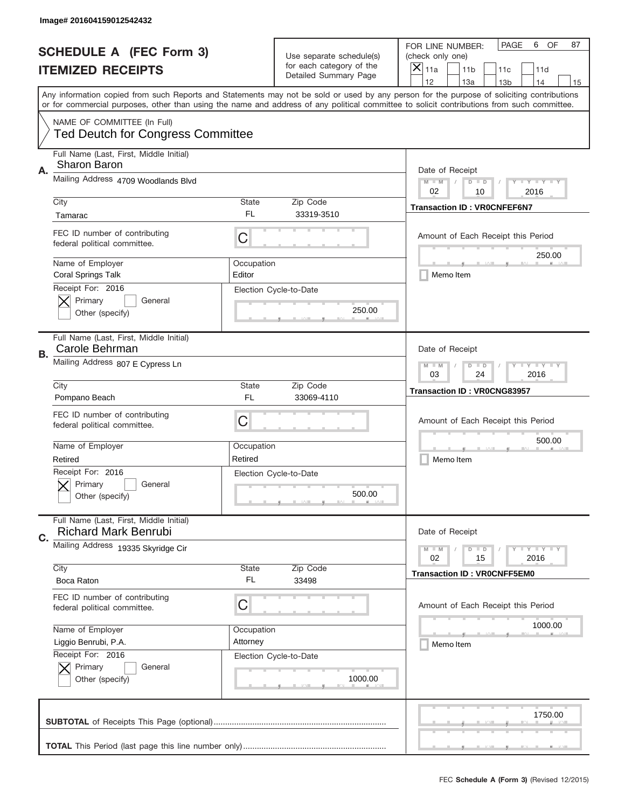|    | Image# 201604159012542432                                              |              |                                                   |                                                                                                                                                                                                                                                                                         |
|----|------------------------------------------------------------------------|--------------|---------------------------------------------------|-----------------------------------------------------------------------------------------------------------------------------------------------------------------------------------------------------------------------------------------------------------------------------------------|
|    | <b>SCHEDULE A (FEC Form 3)</b>                                         |              | Use separate schedule(s)                          | PAGE<br>OF<br>6<br>87<br>FOR LINE NUMBER:<br>(check only one)                                                                                                                                                                                                                           |
|    | <b>ITEMIZED RECEIPTS</b>                                               |              | for each category of the<br>Detailed Summary Page | ×<br>11a<br>11 <sub>b</sub><br>11c<br>11d                                                                                                                                                                                                                                               |
|    |                                                                        |              |                                                   | 12<br>13a<br>14<br>13 <sub>b</sub><br>15                                                                                                                                                                                                                                                |
|    |                                                                        |              |                                                   | Any information copied from such Reports and Statements may not be sold or used by any person for the purpose of soliciting contributions<br>or for commercial purposes, other than using the name and address of any political committee to solicit contributions from such committee. |
|    | NAME OF COMMITTEE (In Full)                                            |              |                                                   |                                                                                                                                                                                                                                                                                         |
|    | <b>Ted Deutch for Congress Committee</b>                               |              |                                                   |                                                                                                                                                                                                                                                                                         |
| Α. | Full Name (Last, First, Middle Initial)<br><b>Sharon Baron</b>         |              |                                                   | Date of Receipt                                                                                                                                                                                                                                                                         |
|    | Mailing Address 4709 Woodlands Blvd                                    |              |                                                   | $M - M$<br><b>LYLYLY</b><br>$D$ $D$<br>02<br>10<br>2016                                                                                                                                                                                                                                 |
|    | City                                                                   | State        | Zip Code                                          | <b>Transaction ID: VR0CNFEF6N7</b>                                                                                                                                                                                                                                                      |
|    | Tamarac                                                                | FL           | 33319-3510                                        |                                                                                                                                                                                                                                                                                         |
|    | FEC ID number of contributing<br>federal political committee.          | C            |                                                   | Amount of Each Receipt this Period                                                                                                                                                                                                                                                      |
|    | Name of Employer                                                       | Occupation   |                                                   | 250.00                                                                                                                                                                                                                                                                                  |
|    | Coral Springs Talk                                                     | Editor       |                                                   | Memo Item                                                                                                                                                                                                                                                                               |
|    | Receipt For: 2016                                                      |              | Election Cycle-to-Date                            |                                                                                                                                                                                                                                                                                         |
|    | Primary<br>General                                                     |              |                                                   |                                                                                                                                                                                                                                                                                         |
|    | Other (specify)                                                        |              | 250.00                                            |                                                                                                                                                                                                                                                                                         |
|    | Full Name (Last, First, Middle Initial)<br>Carole Behrman              |              |                                                   | Date of Receipt                                                                                                                                                                                                                                                                         |
| В. | Mailing Address 807 E Cypress Ln                                       |              |                                                   |                                                                                                                                                                                                                                                                                         |
|    |                                                                        |              |                                                   | $M$ M<br><b>LEYTEY LEY</b><br>$D$ $D$<br>03<br>24<br>2016                                                                                                                                                                                                                               |
|    | City                                                                   | State        | Zip Code                                          | <b>Transaction ID: VR0CNG83957</b>                                                                                                                                                                                                                                                      |
|    | Pompano Beach                                                          | FL           | 33069-4110                                        |                                                                                                                                                                                                                                                                                         |
|    | FEC ID number of contributing                                          |              |                                                   | Amount of Each Receipt this Period                                                                                                                                                                                                                                                      |
|    | federal political committee.                                           | C            |                                                   |                                                                                                                                                                                                                                                                                         |
|    | Name of Employer                                                       | Occupation   |                                                   | 500.00                                                                                                                                                                                                                                                                                  |
|    |                                                                        |              |                                                   |                                                                                                                                                                                                                                                                                         |
|    | Retired                                                                | Retired      |                                                   |                                                                                                                                                                                                                                                                                         |
|    | Receipt For: 2016                                                      |              | Election Cycle-to-Date                            | Memo Item                                                                                                                                                                                                                                                                               |
|    | General<br>Primary                                                     |              |                                                   |                                                                                                                                                                                                                                                                                         |
|    | Other (specify)                                                        |              | 500.00                                            |                                                                                                                                                                                                                                                                                         |
|    |                                                                        |              |                                                   |                                                                                                                                                                                                                                                                                         |
| C. | Full Name (Last, First, Middle Initial)<br><b>Richard Mark Benrubi</b> |              |                                                   | Date of Receipt                                                                                                                                                                                                                                                                         |
|    | Mailing Address 19335 Skyridge Cir                                     |              |                                                   | <b>LEY LEY LEY</b><br>$M - M$<br>$D$ $D$                                                                                                                                                                                                                                                |
|    | City                                                                   | <b>State</b> | Zip Code                                          | 02<br>2016<br>15                                                                                                                                                                                                                                                                        |
|    | Boca Raton                                                             | FL           | 33498                                             | <b>Transaction ID: VROCNFF5EM0</b>                                                                                                                                                                                                                                                      |
|    | FEC ID number of contributing                                          |              |                                                   |                                                                                                                                                                                                                                                                                         |
|    | federal political committee.                                           | C            |                                                   | Amount of Each Receipt this Period                                                                                                                                                                                                                                                      |
|    |                                                                        |              |                                                   | 1000.00                                                                                                                                                                                                                                                                                 |
|    | Name of Employer                                                       | Occupation   |                                                   |                                                                                                                                                                                                                                                                                         |
|    | Liggio Benrubi, P.A.                                                   | Attorney     |                                                   | Memo Item                                                                                                                                                                                                                                                                               |
|    | Receipt For: 2016<br>Primary<br>General                                |              | Election Cycle-to-Date                            |                                                                                                                                                                                                                                                                                         |
|    | Other (specify)                                                        |              | 1000.00                                           |                                                                                                                                                                                                                                                                                         |
|    |                                                                        |              |                                                   |                                                                                                                                                                                                                                                                                         |
|    |                                                                        |              |                                                   | 1750.00                                                                                                                                                                                                                                                                                 |
|    |                                                                        |              |                                                   |                                                                                                                                                                                                                                                                                         |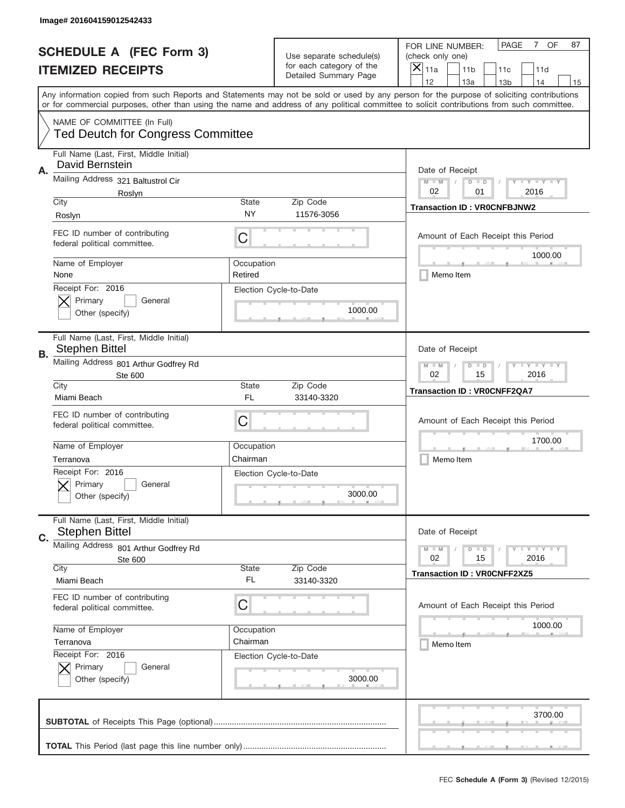|    | Image# 201604159012542433                                               |                       |                                                   |                                                                                                                                                                                                                                                                                                                                     |
|----|-------------------------------------------------------------------------|-----------------------|---------------------------------------------------|-------------------------------------------------------------------------------------------------------------------------------------------------------------------------------------------------------------------------------------------------------------------------------------------------------------------------------------|
|    | <b>SCHEDULE A (FEC Form 3)</b>                                          |                       | Use separate schedule(s)                          | OF<br><b>PAGE</b><br>$7^{\circ}$<br>87<br>FOR LINE NUMBER:<br>(check only one)                                                                                                                                                                                                                                                      |
|    | <b>ITEMIZED RECEIPTS</b>                                                |                       | for each category of the<br>Detailed Summary Page | ×<br>11a<br>11 <sub>b</sub><br>11c<br>11d                                                                                                                                                                                                                                                                                           |
|    |                                                                         |                       |                                                   | 12<br>13a<br>14<br>13 <sub>b</sub><br>15<br>Any information copied from such Reports and Statements may not be sold or used by any person for the purpose of soliciting contributions<br>or for commercial purposes, other than using the name and address of any political committee to solicit contributions from such committee. |
|    | NAME OF COMMITTEE (In Full)<br><b>Ted Deutch for Congress Committee</b> |                       |                                                   |                                                                                                                                                                                                                                                                                                                                     |
| Α. | Full Name (Last, First, Middle Initial)<br>David Bernstein              |                       |                                                   | Date of Receipt                                                                                                                                                                                                                                                                                                                     |
|    | Mailing Address 321 Baltustrol Cir<br>Roslyn                            |                       |                                                   | $M - M$<br><b>LYLYLY</b><br>$D$ $D$<br>02<br>01<br>2016                                                                                                                                                                                                                                                                             |
|    | City<br>Roslyn                                                          | State<br>NY           | Zip Code<br>11576-3056                            | <b>Transaction ID: VR0CNFBJNW2</b>                                                                                                                                                                                                                                                                                                  |
|    | FEC ID number of contributing<br>federal political committee.           | C                     |                                                   | Amount of Each Receipt this Period<br>1000.00                                                                                                                                                                                                                                                                                       |
|    | Name of Employer<br>None                                                | Occupation<br>Retired |                                                   | Memo Item                                                                                                                                                                                                                                                                                                                           |
|    | Receipt For: 2016<br>Primary<br>General<br>Other (specify)              |                       | Election Cycle-to-Date<br>1000.00                 |                                                                                                                                                                                                                                                                                                                                     |
| В. | Full Name (Last, First, Middle Initial)<br><b>Stephen Bittel</b>        |                       |                                                   | Date of Receipt                                                                                                                                                                                                                                                                                                                     |
|    | Mailing Address 801 Arthur Godfrey Rd<br>Ste 600                        |                       |                                                   | $M - M$<br><b>LYLYLY</b><br>$D$ $D$<br>02<br>15<br>2016                                                                                                                                                                                                                                                                             |
|    | City<br>Miami Beach                                                     | State<br>FL           | Zip Code<br>33140-3320                            | <b>Transaction ID: VROCNFF2QA7</b>                                                                                                                                                                                                                                                                                                  |
|    | FEC ID number of contributing<br>federal political committee.           | C                     |                                                   | Amount of Each Receipt this Period                                                                                                                                                                                                                                                                                                  |
|    | Name of Employer                                                        | Occupation            |                                                   | 1700.00                                                                                                                                                                                                                                                                                                                             |
|    | Terranova                                                               | Chairman              |                                                   | Memo Item                                                                                                                                                                                                                                                                                                                           |
|    | Receipt For: 2016<br>Primary<br>General<br>Other (specify)              |                       | Election Cycle-to-Date<br>3000.00                 |                                                                                                                                                                                                                                                                                                                                     |
| C. | Full Name (Last, First, Middle Initial)<br><b>Stephen Bittel</b>        |                       |                                                   | Date of Receipt                                                                                                                                                                                                                                                                                                                     |
|    | Mailing Address 801 Arthur Godfrey Rd                                   |                       |                                                   | <b>LEY LEY LEY</b><br>$M - M$<br>$D$ $D$                                                                                                                                                                                                                                                                                            |
|    | Ste 600<br>City                                                         | State                 | Zip Code                                          | 02<br>2016<br>15                                                                                                                                                                                                                                                                                                                    |
|    | Miami Beach                                                             | FL                    | 33140-3320                                        | <b>Transaction ID: VROCNFF2XZ5</b>                                                                                                                                                                                                                                                                                                  |
|    | FEC ID number of contributing<br>federal political committee.           | С                     |                                                   | Amount of Each Receipt this Period                                                                                                                                                                                                                                                                                                  |
|    | Name of Employer                                                        | Occupation            |                                                   | 1000.00                                                                                                                                                                                                                                                                                                                             |
|    | Terranova<br>Receipt For: 2016                                          | Chairman              |                                                   | Memo Item                                                                                                                                                                                                                                                                                                                           |
|    | Primary<br>General<br>Other (specify)                                   |                       | Election Cycle-to-Date<br>3000.00                 |                                                                                                                                                                                                                                                                                                                                     |
|    |                                                                         |                       |                                                   | 3700.00                                                                                                                                                                                                                                                                                                                             |
|    |                                                                         |                       |                                                   |                                                                                                                                                                                                                                                                                                                                     |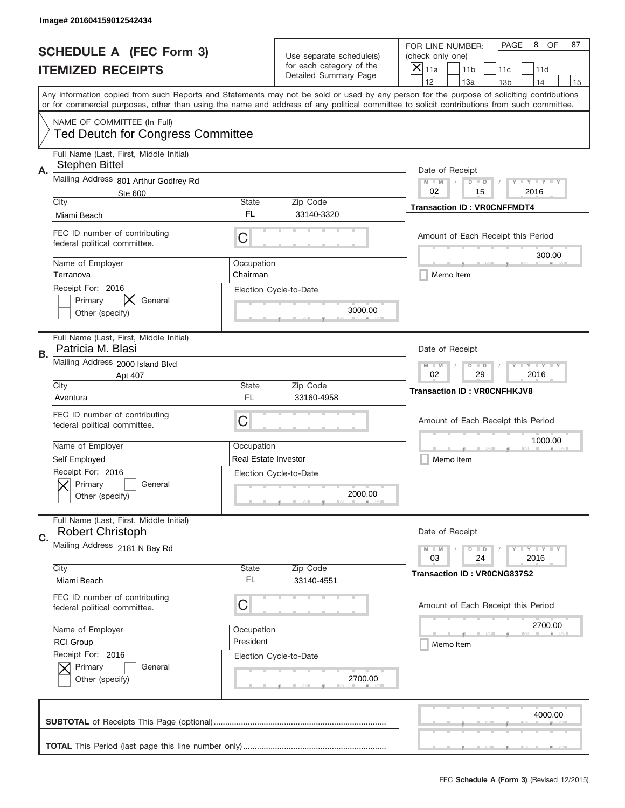|    | Image# 201604159012542434                                               |                             |                                                   |                                                                                                                                                                                                                                                                                                                                     |
|----|-------------------------------------------------------------------------|-----------------------------|---------------------------------------------------|-------------------------------------------------------------------------------------------------------------------------------------------------------------------------------------------------------------------------------------------------------------------------------------------------------------------------------------|
|    | <b>SCHEDULE A (FEC Form 3)</b>                                          |                             | Use separate schedule(s)                          | PAGE<br>OF<br>8<br>87<br>FOR LINE NUMBER:<br>(check only one)                                                                                                                                                                                                                                                                       |
|    | <b>ITEMIZED RECEIPTS</b>                                                |                             | for each category of the<br>Detailed Summary Page | ×<br>11a<br>11 <sub>b</sub><br>11c<br>11d                                                                                                                                                                                                                                                                                           |
|    |                                                                         |                             |                                                   | 12<br>13a<br>14<br>13 <sub>b</sub><br>15<br>Any information copied from such Reports and Statements may not be sold or used by any person for the purpose of soliciting contributions<br>or for commercial purposes, other than using the name and address of any political committee to solicit contributions from such committee. |
|    | NAME OF COMMITTEE (In Full)<br><b>Ted Deutch for Congress Committee</b> |                             |                                                   |                                                                                                                                                                                                                                                                                                                                     |
| Α. | Full Name (Last, First, Middle Initial)<br><b>Stephen Bittel</b>        |                             |                                                   | Date of Receipt                                                                                                                                                                                                                                                                                                                     |
|    | Mailing Address 801 Arthur Godfrey Rd<br>Ste 600                        |                             |                                                   | $M - M$<br><b>LYLYLY</b><br>$D$ $D$<br>02<br>15<br>2016                                                                                                                                                                                                                                                                             |
|    | City<br>Miami Beach                                                     | State<br>FL                 | Zip Code<br>33140-3320                            | <b>Transaction ID: VR0CNFFMDT4</b>                                                                                                                                                                                                                                                                                                  |
|    | FEC ID number of contributing<br>federal political committee.           | C                           |                                                   | Amount of Each Receipt this Period<br>300.00                                                                                                                                                                                                                                                                                        |
|    | Name of Employer<br>Terranova                                           | Occupation<br>Chairman      |                                                   | Memo Item                                                                                                                                                                                                                                                                                                                           |
|    | Receipt For: 2016<br>Primary<br>General<br>Other (specify)              |                             | Election Cycle-to-Date<br>3000.00                 |                                                                                                                                                                                                                                                                                                                                     |
| В. | Full Name (Last, First, Middle Initial)<br>Patricia M. Blasi            |                             |                                                   | Date of Receipt                                                                                                                                                                                                                                                                                                                     |
|    | Mailing Address 2000 Island Blvd<br>Apt 407                             |                             |                                                   | $M - M$<br><b>LEYTEY LEY</b><br>$D$ $D$<br>02<br>29<br>2016                                                                                                                                                                                                                                                                         |
|    | City<br>Aventura                                                        | State<br>FL                 | Zip Code<br>33160-4958                            | <b>Transaction ID: VROCNFHKJV8</b>                                                                                                                                                                                                                                                                                                  |
|    | FEC ID number of contributing<br>federal political committee.           | C                           |                                                   | Amount of Each Receipt this Period                                                                                                                                                                                                                                                                                                  |
|    | Name of Employer                                                        | Occupation                  |                                                   | 1000.00                                                                                                                                                                                                                                                                                                                             |
|    | Self Employed                                                           | <b>Real Estate Investor</b> |                                                   | Memo Item                                                                                                                                                                                                                                                                                                                           |
|    |                                                                         |                             |                                                   |                                                                                                                                                                                                                                                                                                                                     |
|    | Receipt For: 2016<br>General<br>Primary<br>Other (specify)              |                             | Election Cycle-to-Date<br>2000.00                 |                                                                                                                                                                                                                                                                                                                                     |
| C. | Full Name (Last, First, Middle Initial)<br><b>Robert Christoph</b>      |                             |                                                   | Date of Receipt                                                                                                                                                                                                                                                                                                                     |
|    | Mailing Address 2181 N Bay Rd                                           |                             |                                                   | <b>LYLYLY</b><br>$M - M$<br>$D$ $D$<br>2016<br>03<br>24                                                                                                                                                                                                                                                                             |
|    | City<br>Miami Beach                                                     | State<br>FL                 | Zip Code<br>33140-4551                            | <b>Transaction ID: VR0CNG837S2</b>                                                                                                                                                                                                                                                                                                  |
|    | FEC ID number of contributing<br>federal political committee.           | C                           |                                                   | Amount of Each Receipt this Period                                                                                                                                                                                                                                                                                                  |
|    | Name of Employer                                                        | Occupation                  |                                                   | 2700.00                                                                                                                                                                                                                                                                                                                             |
|    | <b>RCI Group</b>                                                        | President                   |                                                   | Memo Item                                                                                                                                                                                                                                                                                                                           |
|    | Receipt For: 2016<br>Primary<br>General<br>Other (specify)              |                             | Election Cycle-to-Date<br>2700.00                 |                                                                                                                                                                                                                                                                                                                                     |
|    |                                                                         |                             |                                                   | 4000.00                                                                                                                                                                                                                                                                                                                             |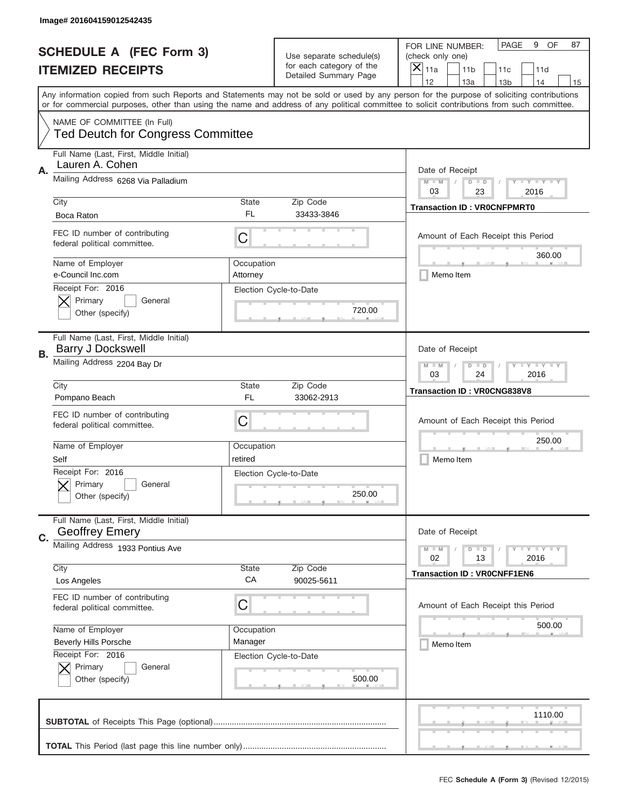|    | Image# 201604159012542435                                               |                        |                                                   |                                                                                                                                                                                                                                                                                                                                     |
|----|-------------------------------------------------------------------------|------------------------|---------------------------------------------------|-------------------------------------------------------------------------------------------------------------------------------------------------------------------------------------------------------------------------------------------------------------------------------------------------------------------------------------|
|    | <b>SCHEDULE A (FEC Form 3)</b>                                          |                        | Use separate schedule(s)                          | OF<br>PAGE<br>9<br>87<br>FOR LINE NUMBER:<br>(check only one)                                                                                                                                                                                                                                                                       |
|    | <b>ITEMIZED RECEIPTS</b>                                                |                        | for each category of the<br>Detailed Summary Page | ×<br>11a<br>11 <sub>b</sub><br>11c<br>11d                                                                                                                                                                                                                                                                                           |
|    |                                                                         |                        |                                                   | 12<br>13a<br>14<br>13 <sub>b</sub><br>15<br>Any information copied from such Reports and Statements may not be sold or used by any person for the purpose of soliciting contributions<br>or for commercial purposes, other than using the name and address of any political committee to solicit contributions from such committee. |
|    | NAME OF COMMITTEE (In Full)<br><b>Ted Deutch for Congress Committee</b> |                        |                                                   |                                                                                                                                                                                                                                                                                                                                     |
| Α. | Full Name (Last, First, Middle Initial)<br>Lauren A. Cohen              |                        |                                                   | Date of Receipt                                                                                                                                                                                                                                                                                                                     |
|    | Mailing Address 6268 Via Palladium                                      |                        |                                                   | $M - M$<br><b>LYLYLY</b><br>$D$ $D$<br>03<br>23<br>2016                                                                                                                                                                                                                                                                             |
|    | City<br>Boca Raton                                                      | State<br>FL            | Zip Code<br>33433-3846                            | <b>Transaction ID: VR0CNFPMRT0</b>                                                                                                                                                                                                                                                                                                  |
|    | FEC ID number of contributing<br>federal political committee.           | C                      |                                                   | Amount of Each Receipt this Period<br>360.00                                                                                                                                                                                                                                                                                        |
|    | Name of Employer<br>e-Council Inc.com                                   | Occupation<br>Attorney |                                                   | Memo Item                                                                                                                                                                                                                                                                                                                           |
|    | Receipt For: 2016<br>Primary<br>General<br>Other (specify)              |                        | Election Cycle-to-Date<br>720.00                  |                                                                                                                                                                                                                                                                                                                                     |
| В. | Full Name (Last, First, Middle Initial)<br><b>Barry J Dockswell</b>     |                        |                                                   | Date of Receipt                                                                                                                                                                                                                                                                                                                     |
|    | Mailing Address 2204 Bay Dr                                             |                        |                                                   | <b>LEYTEY LEY</b><br>$M - M$<br>$D$ $D$<br>03<br>24<br>2016                                                                                                                                                                                                                                                                         |
|    | City<br>Pompano Beach                                                   | State<br>FL            | Zip Code<br>33062-2913                            | <b>Transaction ID: VR0CNG838V8</b>                                                                                                                                                                                                                                                                                                  |
|    | FEC ID number of contributing<br>federal political committee.           | C                      |                                                   | Amount of Each Receipt this Period                                                                                                                                                                                                                                                                                                  |
|    | Name of Employer<br>Self                                                | Occupation<br>retired  |                                                   | 250.00<br>Memo Item                                                                                                                                                                                                                                                                                                                 |
|    | Receipt For: 2016<br>General<br>Primary<br>Other (specify)              |                        | Election Cycle-to-Date<br>250.00                  |                                                                                                                                                                                                                                                                                                                                     |
| C. | Full Name (Last, First, Middle Initial)<br><b>Geoffrey Emery</b>        |                        |                                                   | Date of Receipt                                                                                                                                                                                                                                                                                                                     |
|    | Mailing Address 1933 Pontius Ave                                        |                        |                                                   | <b>LEY LEY LEY</b><br>$M - M$<br>$D$ $D$<br>02<br>13<br>2016                                                                                                                                                                                                                                                                        |
|    | City<br>Los Angeles                                                     | State<br>CA            | Zip Code<br>90025-5611                            | <b>Transaction ID: VROCNFF1EN6</b>                                                                                                                                                                                                                                                                                                  |
|    | FEC ID number of contributing<br>federal political committee.           | C                      |                                                   | Amount of Each Receipt this Period                                                                                                                                                                                                                                                                                                  |
|    | Name of Employer                                                        | Occupation             |                                                   | 500.00                                                                                                                                                                                                                                                                                                                              |
|    | <b>Beverly Hills Porsche</b><br>Receipt For: 2016                       | Manager                | Election Cycle-to-Date                            | Memo Item                                                                                                                                                                                                                                                                                                                           |
|    | Primary<br>General<br>Other (specify)                                   |                        | 500.00                                            |                                                                                                                                                                                                                                                                                                                                     |
|    |                                                                         |                        |                                                   | 1110.00                                                                                                                                                                                                                                                                                                                             |
|    |                                                                         |                        |                                                   |                                                                                                                                                                                                                                                                                                                                     |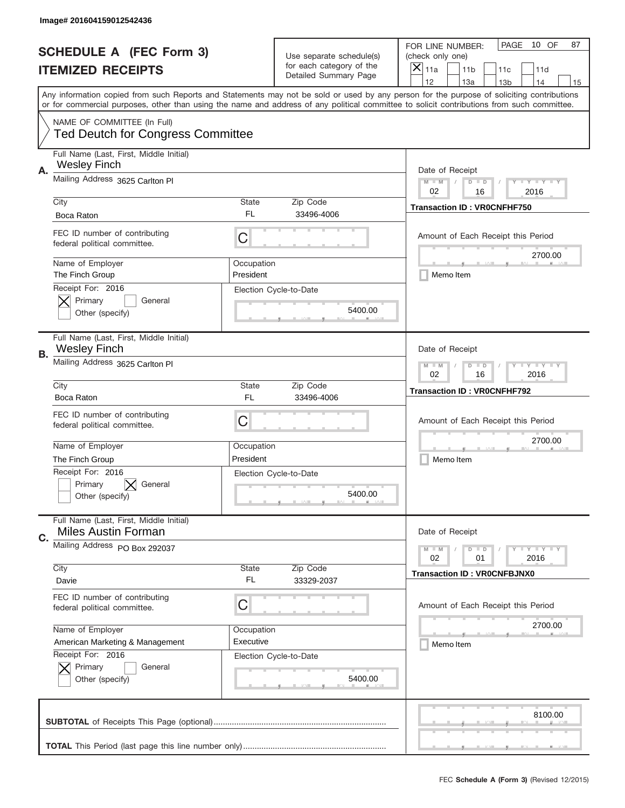|    | Image# 201604159012542436                                               |                         |                                                   |                                                                                                                                                                                                                                                                                         |
|----|-------------------------------------------------------------------------|-------------------------|---------------------------------------------------|-----------------------------------------------------------------------------------------------------------------------------------------------------------------------------------------------------------------------------------------------------------------------------------------|
|    | <b>SCHEDULE A (FEC Form 3)</b>                                          |                         | Use separate schedule(s)                          | PAGE<br>10 OF<br>87<br>FOR LINE NUMBER:<br>(check only one)                                                                                                                                                                                                                             |
|    | <b>ITEMIZED RECEIPTS</b>                                                |                         | for each category of the<br>Detailed Summary Page | ×<br>11a<br>11 <sub>b</sub><br>11c<br>11d                                                                                                                                                                                                                                               |
|    |                                                                         |                         |                                                   | 12<br>13a<br>14<br>13 <sub>b</sub><br>15                                                                                                                                                                                                                                                |
|    |                                                                         |                         |                                                   | Any information copied from such Reports and Statements may not be sold or used by any person for the purpose of soliciting contributions<br>or for commercial purposes, other than using the name and address of any political committee to solicit contributions from such committee. |
|    | NAME OF COMMITTEE (In Full)<br><b>Ted Deutch for Congress Committee</b> |                         |                                                   |                                                                                                                                                                                                                                                                                         |
|    | Full Name (Last, First, Middle Initial)<br><b>Wesley Finch</b>          |                         |                                                   |                                                                                                                                                                                                                                                                                         |
| Α. | Mailing Address 3625 Carlton PI                                         |                         |                                                   | Date of Receipt<br>$M - M$<br>$T - Y = -Y$<br>$D$ $D$<br>02<br>16<br>2016                                                                                                                                                                                                               |
|    | City                                                                    | <b>State</b>            | Zip Code                                          | <b>Transaction ID: VROCNFHF750</b>                                                                                                                                                                                                                                                      |
|    | Boca Raton                                                              | FL                      | 33496-4006                                        |                                                                                                                                                                                                                                                                                         |
|    | FEC ID number of contributing<br>federal political committee.           | C                       |                                                   | Amount of Each Receipt this Period<br>2700.00                                                                                                                                                                                                                                           |
|    | Name of Employer<br>The Finch Group                                     | Occupation<br>President |                                                   | Memo Item                                                                                                                                                                                                                                                                               |
|    | Receipt For: 2016                                                       |                         | Election Cycle-to-Date                            |                                                                                                                                                                                                                                                                                         |
|    | Primary<br>General<br>Other (specify)                                   |                         | 5400.00                                           |                                                                                                                                                                                                                                                                                         |
|    |                                                                         |                         |                                                   |                                                                                                                                                                                                                                                                                         |
| В. | Full Name (Last, First, Middle Initial)<br><b>Wesley Finch</b>          |                         |                                                   | Date of Receipt                                                                                                                                                                                                                                                                         |
|    | Mailing Address 3625 Carlton PI                                         |                         |                                                   | <b>LY LY LY</b><br>$M$ $M$<br>$D$ $D$<br>02<br>16<br>2016                                                                                                                                                                                                                               |
|    | City                                                                    | <b>State</b>            | Zip Code                                          | <b>Transaction ID: VROCNFHF792</b>                                                                                                                                                                                                                                                      |
|    | Boca Raton                                                              | FL.                     | 33496-4006                                        |                                                                                                                                                                                                                                                                                         |
|    | FEC ID number of contributing<br>federal political committee.           | C                       |                                                   | Amount of Each Receipt this Period                                                                                                                                                                                                                                                      |
|    | Name of Employer                                                        | Occupation              |                                                   | 2700.00                                                                                                                                                                                                                                                                                 |
|    | The Finch Group                                                         | President               |                                                   | Memo Item                                                                                                                                                                                                                                                                               |
|    | Receipt For: 2016                                                       |                         | Election Cycle-to-Date                            |                                                                                                                                                                                                                                                                                         |
|    | General<br>Primary                                                      |                         |                                                   |                                                                                                                                                                                                                                                                                         |
|    | Other (specify)                                                         |                         | 5400.00                                           |                                                                                                                                                                                                                                                                                         |
| C. | Full Name (Last, First, Middle Initial)<br><b>Miles Austin Forman</b>   |                         |                                                   | Date of Receipt                                                                                                                                                                                                                                                                         |
|    | Mailing Address PO Box 292037                                           |                         |                                                   | <b>LY LY LY</b><br>$M - M$<br>$D$ $D$<br>2016<br>02<br>01                                                                                                                                                                                                                               |
|    | City                                                                    | State                   | Zip Code                                          | <b>Transaction ID: VROCNFBJNX0</b>                                                                                                                                                                                                                                                      |
|    | Davie                                                                   | FL.                     | 33329-2037                                        |                                                                                                                                                                                                                                                                                         |
|    | FEC ID number of contributing<br>federal political committee.           | C                       |                                                   | Amount of Each Receipt this Period                                                                                                                                                                                                                                                      |
|    | Name of Employer                                                        | Occupation              |                                                   | 2700.00                                                                                                                                                                                                                                                                                 |
|    | American Marketing & Management                                         | Executive               |                                                   | Memo Item                                                                                                                                                                                                                                                                               |
|    | Receipt For: 2016                                                       |                         | Election Cycle-to-Date                            |                                                                                                                                                                                                                                                                                         |
|    | Primary<br>General<br>Other (specify)                                   |                         | 5400.00                                           |                                                                                                                                                                                                                                                                                         |
|    |                                                                         |                         |                                                   |                                                                                                                                                                                                                                                                                         |
|    |                                                                         |                         |                                                   | 8100.00                                                                                                                                                                                                                                                                                 |
|    |                                                                         |                         |                                                   |                                                                                                                                                                                                                                                                                         |
|    |                                                                         |                         |                                                   | __                                                                                                                                                                                                                                                                                      |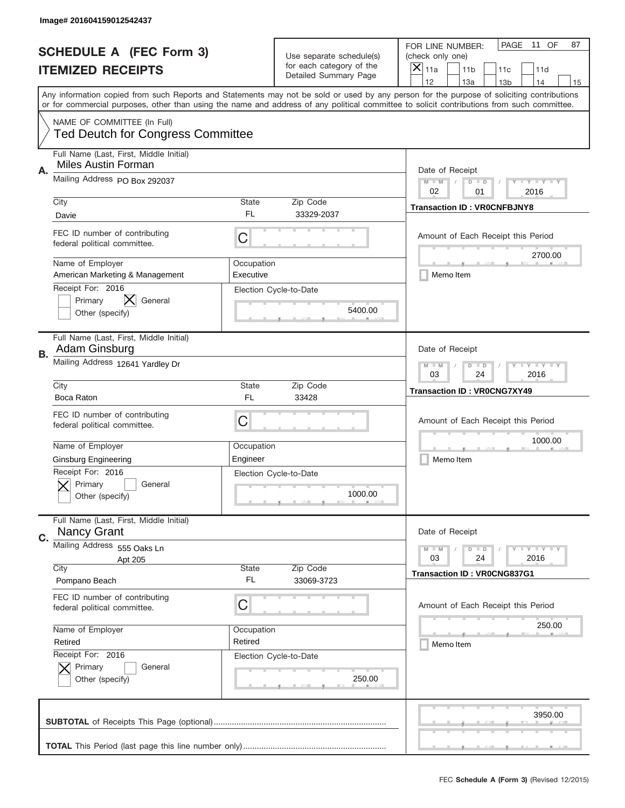|    | Image# 201604159012542437                                               |                                                           |                                                   |                                                                                                                                                                                       |
|----|-------------------------------------------------------------------------|-----------------------------------------------------------|---------------------------------------------------|---------------------------------------------------------------------------------------------------------------------------------------------------------------------------------------|
|    | <b>SCHEDULE A (FEC Form 3)</b>                                          |                                                           | Use separate schedule(s)                          | PAGE<br>11 OF<br>87<br>FOR LINE NUMBER:<br>(check only one)                                                                                                                           |
|    | <b>ITEMIZED RECEIPTS</b>                                                |                                                           | for each category of the<br>Detailed Summary Page | $\boldsymbol{\times}$<br>11a<br>11 <sub>b</sub><br>11c<br>11d                                                                                                                         |
|    |                                                                         |                                                           |                                                   | 12<br>13a<br>14<br>13 <sub>b</sub><br>15<br>Any information copied from such Reports and Statements may not be sold or used by any person for the purpose of soliciting contributions |
|    |                                                                         |                                                           |                                                   | or for commercial purposes, other than using the name and address of any political committee to solicit contributions from such committee.                                            |
|    | NAME OF COMMITTEE (In Full)<br><b>Ted Deutch for Congress Committee</b> |                                                           |                                                   |                                                                                                                                                                                       |
| Α. | Full Name (Last, First, Middle Initial)<br><b>Miles Austin Forman</b>   |                                                           |                                                   | Date of Receipt                                                                                                                                                                       |
|    | Mailing Address PO Box 292037                                           |                                                           |                                                   | <b>LYLYLY</b><br>$M - M$<br>$D$ $D$<br>02<br>01<br>2016                                                                                                                               |
|    | City<br>Davie                                                           | <b>State</b><br>FL.                                       | Zip Code<br>33329-2037                            | <b>Transaction ID: VROCNFBJNY8</b>                                                                                                                                                    |
|    | FEC ID number of contributing<br>federal political committee.           | C                                                         |                                                   | Amount of Each Receipt this Period                                                                                                                                                    |
|    | Name of Employer<br>American Marketing & Management                     | Occupation<br>Executive                                   |                                                   | 2700.00<br>Memo Item                                                                                                                                                                  |
|    | Receipt For: 2016<br>Primary<br>General<br>Other (specify)              |                                                           | Election Cycle-to-Date<br>5400.00                 |                                                                                                                                                                                       |
| В. | Full Name (Last, First, Middle Initial)<br>Adam Ginsburg                |                                                           |                                                   | Date of Receipt                                                                                                                                                                       |
|    | Mailing Address 12641 Yardley Dr                                        | <b>LY LY LY</b><br>$M - M$<br>$D$ $D$<br>03<br>24<br>2016 |                                                   |                                                                                                                                                                                       |
|    | City<br>Boca Raton                                                      | <b>State</b><br>FL.                                       | Zip Code<br>33428                                 | <b>Transaction ID: VR0CNG7XY49</b>                                                                                                                                                    |
|    | FEC ID number of contributing<br>federal political committee.           | C                                                         |                                                   | Amount of Each Receipt this Period                                                                                                                                                    |
|    | Name of Employer                                                        | Occupation                                                |                                                   | 1000.00                                                                                                                                                                               |
|    | <b>Ginsburg Engineering</b>                                             | Engineer                                                  |                                                   | Memo Item                                                                                                                                                                             |
|    | Receipt For: 2016<br>General<br>Primary<br>Other (specify)              |                                                           | Election Cycle-to-Date<br>1000.00                 |                                                                                                                                                                                       |
| C. | Full Name (Last, First, Middle Initial)<br><b>Nancy Grant</b>           |                                                           |                                                   | Date of Receipt                                                                                                                                                                       |
|    | Mailing Address 555 Oaks Ln<br>Apt 205                                  |                                                           |                                                   | <b>LY LY LY</b><br>$M - M$<br>$D$ $D$<br>24<br>2016<br>03                                                                                                                             |
|    | City                                                                    | State                                                     | Zip Code                                          | <b>Transaction ID: VR0CNG837G1</b>                                                                                                                                                    |
|    | Pompano Beach                                                           | FL.                                                       | 33069-3723                                        |                                                                                                                                                                                       |
|    | FEC ID number of contributing<br>federal political committee.           | С                                                         |                                                   | Amount of Each Receipt this Period                                                                                                                                                    |
|    | Name of Employer                                                        | Occupation                                                |                                                   | 250.00                                                                                                                                                                                |
|    | Retired                                                                 | Retired                                                   |                                                   | Memo Item                                                                                                                                                                             |
|    | Receipt For: 2016<br>Primary<br>General<br>Other (specify)              |                                                           | Election Cycle-to-Date<br>250.00                  |                                                                                                                                                                                       |
|    |                                                                         |                                                           |                                                   | 3950.00                                                                                                                                                                               |
|    |                                                                         |                                                           |                                                   |                                                                                                                                                                                       |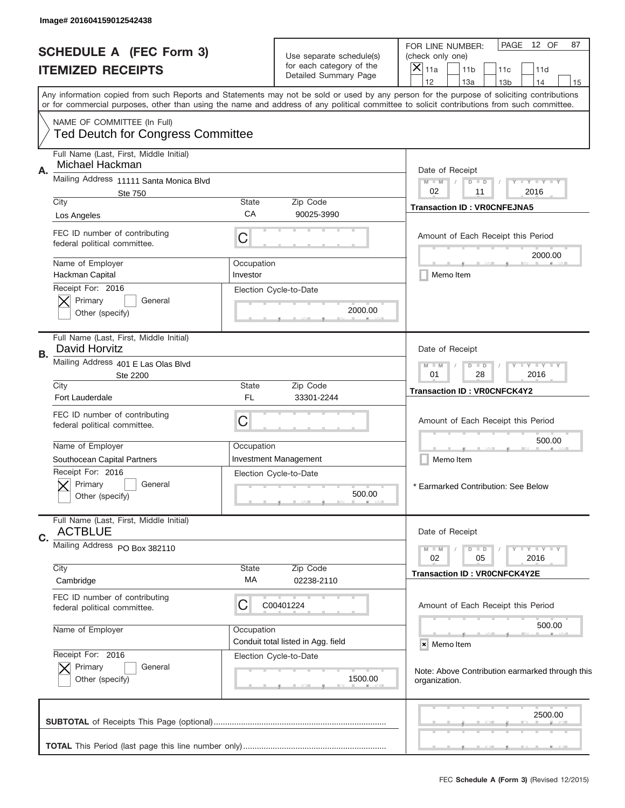|                                | Image# 201604159012542438                                               |                                                            |                                                   |                                                                                                                                                                                                                                                                                         |
|--------------------------------|-------------------------------------------------------------------------|------------------------------------------------------------|---------------------------------------------------|-----------------------------------------------------------------------------------------------------------------------------------------------------------------------------------------------------------------------------------------------------------------------------------------|
|                                |                                                                         |                                                            |                                                   | PAGE<br>12 OF<br>87<br>FOR LINE NUMBER:                                                                                                                                                                                                                                                 |
| <b>SCHEDULE A (FEC Form 3)</b> |                                                                         |                                                            | Use separate schedule(s)                          | (check only one)                                                                                                                                                                                                                                                                        |
|                                | <b>ITEMIZED RECEIPTS</b>                                                |                                                            | for each category of the<br>Detailed Summary Page | $\boldsymbol{\times}$<br>11a<br>11 <sub>b</sub><br>11d<br>11c                                                                                                                                                                                                                           |
|                                |                                                                         |                                                            |                                                   | 12<br>13a<br>14<br>13 <sub>b</sub><br>15                                                                                                                                                                                                                                                |
|                                |                                                                         |                                                            |                                                   | Any information copied from such Reports and Statements may not be sold or used by any person for the purpose of soliciting contributions<br>or for commercial purposes, other than using the name and address of any political committee to solicit contributions from such committee. |
|                                | NAME OF COMMITTEE (In Full)<br><b>Ted Deutch for Congress Committee</b> |                                                            |                                                   |                                                                                                                                                                                                                                                                                         |
|                                | Full Name (Last, First, Middle Initial)<br>Michael Hackman              |                                                            |                                                   |                                                                                                                                                                                                                                                                                         |
| Α.                             | Mailing Address 11111 Santa Monica Blvd                                 |                                                            |                                                   | Date of Receipt<br>Y TY TY TY<br>$M$ $M$<br>$D$ $D$                                                                                                                                                                                                                                     |
|                                | <b>Ste 750</b>                                                          |                                                            |                                                   | 02<br>2016<br>11                                                                                                                                                                                                                                                                        |
|                                | City                                                                    | <b>State</b><br>CA                                         | Zip Code<br>90025-3990                            | <b>Transaction ID: VROCNFEJNA5</b>                                                                                                                                                                                                                                                      |
|                                | Los Angeles                                                             |                                                            |                                                   |                                                                                                                                                                                                                                                                                         |
|                                | FEC ID number of contributing<br>federal political committee.           | C                                                          |                                                   | Amount of Each Receipt this Period                                                                                                                                                                                                                                                      |
|                                | Name of Employer                                                        | Occupation                                                 |                                                   | 2000.00                                                                                                                                                                                                                                                                                 |
|                                | Hackman Capital                                                         | Investor                                                   |                                                   | Memo Item                                                                                                                                                                                                                                                                               |
|                                | Receipt For: 2016<br>Primary<br>General                                 |                                                            | Election Cycle-to-Date                            |                                                                                                                                                                                                                                                                                         |
|                                | Other (specify)                                                         |                                                            | 2000.00                                           |                                                                                                                                                                                                                                                                                         |
|                                |                                                                         |                                                            |                                                   |                                                                                                                                                                                                                                                                                         |
| В.                             | Full Name (Last, First, Middle Initial)<br>David Horvitz                | Date of Receipt                                            |                                                   |                                                                                                                                                                                                                                                                                         |
|                                | Mailing Address 401 E Las Olas Blvd<br>Ste 2200                         | <b>TEY LY LY</b><br>$D$ $D$<br>$M - M$<br>01<br>28<br>2016 |                                                   |                                                                                                                                                                                                                                                                                         |
|                                | City<br>Fort Lauderdale                                                 | <b>State</b><br>FL                                         | Zip Code<br>33301-2244                            | Transaction ID: VR0CNFCK4Y2                                                                                                                                                                                                                                                             |
|                                | FEC ID number of contributing<br>federal political committee.           | C                                                          |                                                   | Amount of Each Receipt this Period                                                                                                                                                                                                                                                      |
|                                |                                                                         |                                                            |                                                   | 500.00                                                                                                                                                                                                                                                                                  |
|                                | Name of Employer                                                        | Occupation                                                 |                                                   |                                                                                                                                                                                                                                                                                         |
|                                | Southocean Capital Partners                                             |                                                            | <b>Investment Management</b>                      | Memo Item                                                                                                                                                                                                                                                                               |
|                                | Receipt For: 2016<br>Primary<br>General<br>Other (specify)              |                                                            | Election Cycle-to-Date<br>500.00                  | * Earmarked Contribution: See Below                                                                                                                                                                                                                                                     |
|                                | Full Name (Last, First, Middle Initial)<br><b>ACTBLUE</b>               |                                                            |                                                   | Date of Receipt                                                                                                                                                                                                                                                                         |
| C.                             | Mailing Address PO Box 382110                                           |                                                            |                                                   | $D$ $D$<br><b>LYLYLY</b><br>$M - M$                                                                                                                                                                                                                                                     |
|                                |                                                                         |                                                            |                                                   | 02<br>2016<br>05                                                                                                                                                                                                                                                                        |
|                                | City<br>Cambridge                                                       | <b>State</b><br>МA                                         | Zip Code<br>02238-2110                            | <b>Transaction ID: VR0CNFCK4Y2E</b>                                                                                                                                                                                                                                                     |
|                                | FEC ID number of contributing                                           |                                                            |                                                   |                                                                                                                                                                                                                                                                                         |
|                                | federal political committee.                                            | С                                                          | C00401224                                         | Amount of Each Receipt this Period                                                                                                                                                                                                                                                      |
|                                | Name of Employer                                                        | Occupation                                                 |                                                   | 500.00                                                                                                                                                                                                                                                                                  |
|                                |                                                                         |                                                            | Conduit total listed in Agg. field                | × Memo Item                                                                                                                                                                                                                                                                             |
|                                | Receipt For: 2016                                                       |                                                            | Election Cycle-to-Date                            |                                                                                                                                                                                                                                                                                         |
|                                | Primary<br>General<br>Other (specify)                                   |                                                            | 1500.00                                           | Note: Above Contribution earmarked through this<br>organization.                                                                                                                                                                                                                        |
|                                |                                                                         |                                                            |                                                   | 2500.00                                                                                                                                                                                                                                                                                 |
|                                |                                                                         |                                                            |                                                   |                                                                                                                                                                                                                                                                                         |
|                                |                                                                         |                                                            |                                                   | __                                                                                                                                                                                                                                                                                      |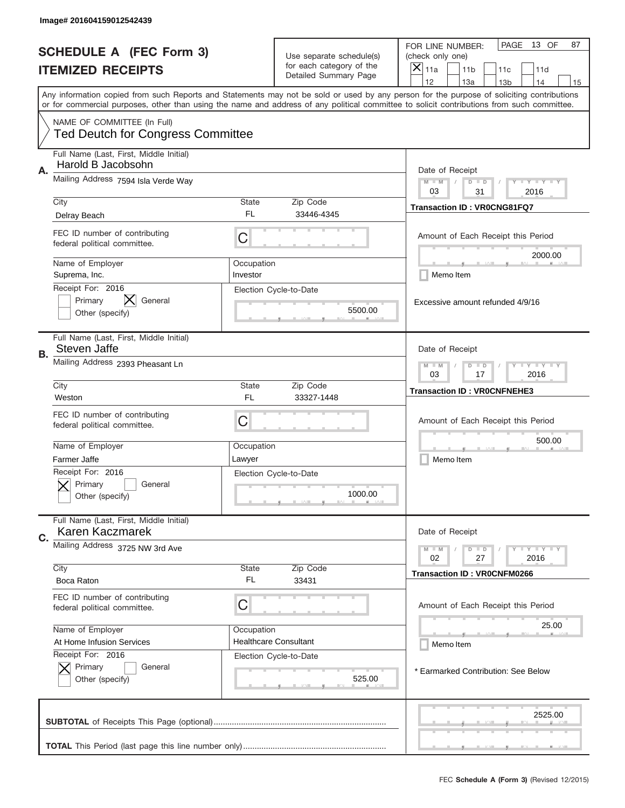|    | Image# 201604159012542439                                               |                                                       |                                                   |                                                                                                                                                                                                                                                                                                                                     |
|----|-------------------------------------------------------------------------|-------------------------------------------------------|---------------------------------------------------|-------------------------------------------------------------------------------------------------------------------------------------------------------------------------------------------------------------------------------------------------------------------------------------------------------------------------------------|
|    | <b>SCHEDULE A (FEC Form 3)</b>                                          |                                                       | Use separate schedule(s)                          | PAGE<br>13 OF<br>87<br>FOR LINE NUMBER:<br>(check only one)                                                                                                                                                                                                                                                                         |
|    | <b>ITEMIZED RECEIPTS</b>                                                |                                                       | for each category of the<br>Detailed Summary Page | ×<br>11a<br>11 <sub>b</sub><br>11c<br>11d                                                                                                                                                                                                                                                                                           |
|    |                                                                         |                                                       |                                                   | 12<br>13a<br>14<br>13 <sub>b</sub><br>15<br>Any information copied from such Reports and Statements may not be sold or used by any person for the purpose of soliciting contributions<br>or for commercial purposes, other than using the name and address of any political committee to solicit contributions from such committee. |
|    | NAME OF COMMITTEE (In Full)<br><b>Ted Deutch for Congress Committee</b> |                                                       |                                                   |                                                                                                                                                                                                                                                                                                                                     |
| Α. | Full Name (Last, First, Middle Initial)<br>Harold B Jacobsohn           |                                                       |                                                   | Date of Receipt                                                                                                                                                                                                                                                                                                                     |
|    | Mailing Address 7594 Isla Verde Way                                     |                                                       |                                                   | $M - M$<br><b>LEY LEY LEY</b><br>$D$ $D$<br>03<br>31<br>2016                                                                                                                                                                                                                                                                        |
|    | City<br>Delray Beach                                                    | State<br>FL                                           | Zip Code<br>33446-4345                            | <b>Transaction ID: VR0CNG81FQ7</b>                                                                                                                                                                                                                                                                                                  |
|    | FEC ID number of contributing<br>federal political committee.           | C                                                     |                                                   | Amount of Each Receipt this Period<br>2000.00                                                                                                                                                                                                                                                                                       |
|    | Name of Employer<br>Suprema, Inc.                                       | Occupation<br>Investor                                |                                                   | Memo Item                                                                                                                                                                                                                                                                                                                           |
|    | Receipt For: 2016<br>Primary<br>General<br>Other (specify)              |                                                       | Election Cycle-to-Date<br>5500.00                 | Excessive amount refunded 4/9/16                                                                                                                                                                                                                                                                                                    |
| В. | Full Name (Last, First, Middle Initial)<br><b>Steven Jaffe</b>          |                                                       |                                                   | Date of Receipt                                                                                                                                                                                                                                                                                                                     |
|    | Mailing Address 2393 Pheasant Ln                                        | $M$ M<br><b>LYLYLY</b><br>$D$ $D$<br>03<br>17<br>2016 |                                                   |                                                                                                                                                                                                                                                                                                                                     |
|    | City<br>Weston                                                          | State<br>FL                                           | Zip Code<br>33327-1448                            | <b>Transaction ID: VROCNFNEHE3</b>                                                                                                                                                                                                                                                                                                  |
|    | FEC ID number of contributing<br>federal political committee.           | C                                                     |                                                   | Amount of Each Receipt this Period                                                                                                                                                                                                                                                                                                  |
|    | Name of Employer<br>Farmer Jaffe                                        | Occupation<br>Lawyer                                  |                                                   | 500.00<br>Memo Item                                                                                                                                                                                                                                                                                                                 |
|    | Receipt For: 2016<br>Primary<br>General<br>Other (specify)              |                                                       | Election Cycle-to-Date<br>1000.00                 |                                                                                                                                                                                                                                                                                                                                     |
| C. | Full Name (Last, First, Middle Initial)<br>Karen Kaczmarek              |                                                       |                                                   | Date of Receipt                                                                                                                                                                                                                                                                                                                     |
|    | Mailing Address 3725 NW 3rd Ave                                         |                                                       |                                                   | <b>LEY LEY LEY</b><br>$M - M$<br>$D$ $D$<br>02<br>2016<br>27                                                                                                                                                                                                                                                                        |
|    | City<br>Boca Raton                                                      | State<br>FL                                           | Zip Code<br>33431                                 | <b>Transaction ID: VROCNFM0266</b>                                                                                                                                                                                                                                                                                                  |
|    | FEC ID number of contributing<br>federal political committee.           | C                                                     |                                                   | Amount of Each Receipt this Period                                                                                                                                                                                                                                                                                                  |
|    | Name of Employer                                                        | Occupation                                            |                                                   | 25.00                                                                                                                                                                                                                                                                                                                               |
|    | At Home Infusion Services<br>Receipt For: 2016                          |                                                       | <b>Healthcare Consultant</b>                      | Memo Item                                                                                                                                                                                                                                                                                                                           |
|    | Primary<br>General<br>Other (specify)                                   |                                                       | Election Cycle-to-Date<br>525.00                  | * Earmarked Contribution: See Below                                                                                                                                                                                                                                                                                                 |
|    |                                                                         |                                                       |                                                   | 2525.00                                                                                                                                                                                                                                                                                                                             |
|    |                                                                         |                                                       |                                                   |                                                                                                                                                                                                                                                                                                                                     |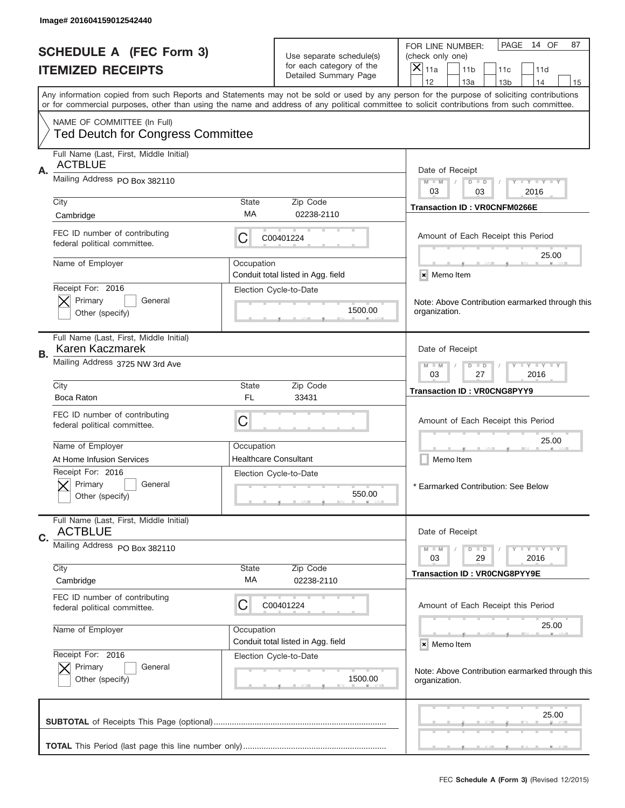ш

| Image# 201604159012542440                                               |                                  |                                                      |                                                                                                                                                                                                                                                                                         |
|-------------------------------------------------------------------------|----------------------------------|------------------------------------------------------|-----------------------------------------------------------------------------------------------------------------------------------------------------------------------------------------------------------------------------------------------------------------------------------------|
| <b>SCHEDULE A (FEC Form 3)</b>                                          |                                  |                                                      | PAGE<br>14 OF<br>87<br>FOR LINE NUMBER:                                                                                                                                                                                                                                                 |
|                                                                         |                                  | Use separate schedule(s)<br>for each category of the | (check only one)                                                                                                                                                                                                                                                                        |
| <b>ITEMIZED RECEIPTS</b>                                                |                                  | Detailed Summary Page                                | $\boldsymbol{\times}$<br>11a<br>11 <sub>b</sub><br>11d<br>11c                                                                                                                                                                                                                           |
|                                                                         |                                  |                                                      | 12<br>13a<br>14<br>13 <sub>b</sub><br>15                                                                                                                                                                                                                                                |
|                                                                         |                                  |                                                      | Any information copied from such Reports and Statements may not be sold or used by any person for the purpose of soliciting contributions<br>or for commercial purposes, other than using the name and address of any political committee to solicit contributions from such committee. |
| NAME OF COMMITTEE (In Full)<br><b>Ted Deutch for Congress Committee</b> |                                  |                                                      |                                                                                                                                                                                                                                                                                         |
|                                                                         |                                  |                                                      |                                                                                                                                                                                                                                                                                         |
| Full Name (Last, First, Middle Initial)<br><b>ACTBLUE</b><br>Α.         |                                  |                                                      | Date of Receipt                                                                                                                                                                                                                                                                         |
| Mailing Address PO Box 382110                                           |                                  |                                                      | $M - M$<br>$D$ $D$<br>Y FY FY FY<br>$\sqrt{2}$<br>03<br>03<br>2016                                                                                                                                                                                                                      |
| City                                                                    | <b>State</b>                     | Zip Code                                             | <b>Transaction ID: VROCNFM0266E</b>                                                                                                                                                                                                                                                     |
| Cambridge                                                               | МA                               | 02238-2110                                           |                                                                                                                                                                                                                                                                                         |
| FEC ID number of contributing<br>federal political committee.           | С                                | C00401224                                            | Amount of Each Receipt this Period                                                                                                                                                                                                                                                      |
|                                                                         | Occupation                       |                                                      | 25.00                                                                                                                                                                                                                                                                                   |
| Name of Employer                                                        |                                  | Conduit total listed in Agg. field                   | × Memo Item                                                                                                                                                                                                                                                                             |
| Receipt For: 2016                                                       |                                  | Election Cycle-to-Date                               |                                                                                                                                                                                                                                                                                         |
| Primary<br>General                                                      |                                  |                                                      | Note: Above Contribution earmarked through this                                                                                                                                                                                                                                         |
| Other (specify)                                                         |                                  | 1500.00                                              | organization.                                                                                                                                                                                                                                                                           |
| Full Name (Last, First, Middle Initial)<br>Karen Kaczmarek              |                                  |                                                      | Date of Receipt                                                                                                                                                                                                                                                                         |
| В.<br>Mailing Address 3725 NW 3rd Ave                                   | Y LY LY LY<br>$M - M$<br>$D$ $D$ |                                                      |                                                                                                                                                                                                                                                                                         |
|                                                                         | 03<br>27<br>2016                 |                                                      |                                                                                                                                                                                                                                                                                         |
| City<br>Boca Raton                                                      | <b>State</b><br>FL               | Zip Code<br>33431                                    | Transaction ID: VR0CNG8PYY9                                                                                                                                                                                                                                                             |
|                                                                         |                                  |                                                      |                                                                                                                                                                                                                                                                                         |
| FEC ID number of contributing<br>federal political committee.           | C                                |                                                      | Amount of Each Receipt this Period                                                                                                                                                                                                                                                      |
|                                                                         |                                  |                                                      | 25.00                                                                                                                                                                                                                                                                                   |
| Name of Employer                                                        | Occupation                       |                                                      |                                                                                                                                                                                                                                                                                         |
| At Home Infusion Services                                               | <b>Healthcare Consultant</b>     |                                                      | Memo Item                                                                                                                                                                                                                                                                               |
| Receipt For: 2016<br>Primary<br>General<br>Other (specify)              |                                  | Election Cycle-to-Date<br>550.00                     | * Earmarked Contribution: See Below                                                                                                                                                                                                                                                     |
| Full Name (Last, First, Middle Initial)<br><b>ACTBLUE</b><br>C.         | Date of Receipt                  |                                                      |                                                                                                                                                                                                                                                                                         |
| Mailing Address PO Box 382110                                           |                                  |                                                      | <b>LYLYLY</b><br>$M - M$<br>$D$ $D$                                                                                                                                                                                                                                                     |
| City                                                                    | <b>State</b>                     | Zip Code                                             | 29<br>2016<br>03                                                                                                                                                                                                                                                                        |
| Cambridge                                                               | МA                               | 02238-2110                                           | Transaction ID: VR0CNG8PYY9E                                                                                                                                                                                                                                                            |
|                                                                         |                                  |                                                      |                                                                                                                                                                                                                                                                                         |
| FEC ID number of contributing                                           | С                                | C00401224                                            | Amount of Each Receipt this Period                                                                                                                                                                                                                                                      |
| federal political committee.                                            |                                  |                                                      |                                                                                                                                                                                                                                                                                         |
| Name of Employer                                                        | Occupation                       |                                                      | 25.00                                                                                                                                                                                                                                                                                   |
|                                                                         |                                  | Conduit total listed in Agg. field                   | × Memo Item                                                                                                                                                                                                                                                                             |
| Receipt For: 2016                                                       |                                  | Election Cycle-to-Date                               |                                                                                                                                                                                                                                                                                         |
| Primary<br>General                                                      |                                  |                                                      |                                                                                                                                                                                                                                                                                         |
| Other (specify)                                                         |                                  | 1500.00                                              | Note: Above Contribution earmarked through this<br>organization.                                                                                                                                                                                                                        |
|                                                                         |                                  |                                                      | 25.00                                                                                                                                                                                                                                                                                   |
|                                                                         |                                  |                                                      |                                                                                                                                                                                                                                                                                         |
|                                                                         |                                  |                                                      |                                                                                                                                                                                                                                                                                         |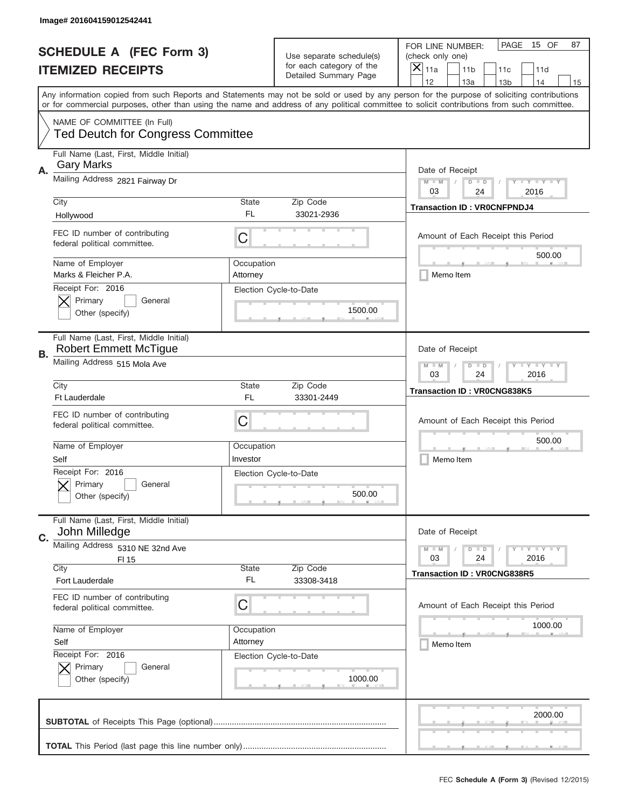|                          | Image# 201604159012542441                                               |                                                           |                                                   |                                                                                                                                                                                                                                                                                         |
|--------------------------|-------------------------------------------------------------------------|-----------------------------------------------------------|---------------------------------------------------|-----------------------------------------------------------------------------------------------------------------------------------------------------------------------------------------------------------------------------------------------------------------------------------------|
|                          | <b>SCHEDULE A (FEC Form 3)</b>                                          |                                                           | Use separate schedule(s)                          | PAGE<br>15 OF<br>87<br>FOR LINE NUMBER:<br>(check only one)                                                                                                                                                                                                                             |
| <b>ITEMIZED RECEIPTS</b> |                                                                         |                                                           | for each category of the<br>Detailed Summary Page | ×<br>11a<br>11 <sub>b</sub><br>11c<br>11d                                                                                                                                                                                                                                               |
|                          |                                                                         |                                                           |                                                   | 12<br>13a<br>13 <sub>b</sub><br>14<br>15                                                                                                                                                                                                                                                |
|                          |                                                                         |                                                           |                                                   | Any information copied from such Reports and Statements may not be sold or used by any person for the purpose of soliciting contributions<br>or for commercial purposes, other than using the name and address of any political committee to solicit contributions from such committee. |
|                          | NAME OF COMMITTEE (In Full)<br><b>Ted Deutch for Congress Committee</b> |                                                           |                                                   |                                                                                                                                                                                                                                                                                         |
|                          | Full Name (Last, First, Middle Initial)<br><b>Gary Marks</b>            |                                                           |                                                   |                                                                                                                                                                                                                                                                                         |
| Α.                       | Mailing Address 2821 Fairway Dr                                         |                                                           |                                                   | Date of Receipt<br>$M$ $M$<br>Y I Y I Y I Y<br>$D$ $D$<br>03<br>24<br>2016                                                                                                                                                                                                              |
|                          | City<br>Hollywood                                                       | State<br>FL                                               | Zip Code<br>33021-2936                            | <b>Transaction ID: VROCNFPNDJ4</b>                                                                                                                                                                                                                                                      |
|                          | FEC ID number of contributing<br>federal political committee.           | C                                                         |                                                   | Amount of Each Receipt this Period<br>500.00                                                                                                                                                                                                                                            |
|                          | Name of Employer<br>Marks & Fleicher P.A.                               | Occupation<br>Attorney                                    |                                                   | Memo Item                                                                                                                                                                                                                                                                               |
|                          | Receipt For: 2016<br>Primary<br>General<br>Other (specify)              |                                                           | Election Cycle-to-Date<br>1500.00                 |                                                                                                                                                                                                                                                                                         |
| В.                       | Full Name (Last, First, Middle Initial)<br><b>Robert Emmett McTigue</b> |                                                           |                                                   | Date of Receipt                                                                                                                                                                                                                                                                         |
|                          | Mailing Address 515 Mola Ave                                            | <b>TAYLY LY</b><br>$M$ $M$<br>$D$ $D$<br>03<br>24<br>2016 |                                                   |                                                                                                                                                                                                                                                                                         |
|                          | City<br>Ft Lauderdale                                                   | State<br><b>FL</b>                                        | Zip Code<br>33301-2449                            | <b>Transaction ID: VR0CNG838K5</b>                                                                                                                                                                                                                                                      |
|                          | FEC ID number of contributing<br>federal political committee.           | $\mathsf C$                                               |                                                   | Amount of Each Receipt this Period                                                                                                                                                                                                                                                      |
|                          | Name of Employer<br>Self                                                | Occupation<br>Investor                                    |                                                   | 500.00<br>Memo Item                                                                                                                                                                                                                                                                     |
|                          | Receipt For: 2016<br>General<br>Primary<br>Other (specify)              |                                                           | Election Cycle-to-Date<br>500.00                  |                                                                                                                                                                                                                                                                                         |
| C.                       | Full Name (Last, First, Middle Initial)<br>John Milledge                |                                                           |                                                   | Date of Receipt                                                                                                                                                                                                                                                                         |
|                          | Mailing Address 5310 NE 32nd Ave<br>FI 15                               |                                                           |                                                   | Y TY TY TY<br>$M - M$<br>$D$ $D$<br>2016<br>03<br>24                                                                                                                                                                                                                                    |
|                          | City<br>Fort Lauderdale                                                 | State<br>FL                                               | Zip Code<br>33308-3418                            | <b>Transaction ID: VR0CNG838R5</b>                                                                                                                                                                                                                                                      |
|                          | FEC ID number of contributing<br>federal political committee.           | C                                                         |                                                   | Amount of Each Receipt this Period                                                                                                                                                                                                                                                      |
|                          | Name of Employer<br>Self                                                | Occupation<br>Attorney                                    |                                                   | 1000.00<br>Memo Item                                                                                                                                                                                                                                                                    |
|                          | Receipt For: 2016<br>Primary<br>General<br>Other (specify)              |                                                           | Election Cycle-to-Date<br>1000.00                 |                                                                                                                                                                                                                                                                                         |
|                          |                                                                         |                                                           |                                                   | 2000.00                                                                                                                                                                                                                                                                                 |
|                          |                                                                         |                                                           |                                                   |                                                                                                                                                                                                                                                                                         |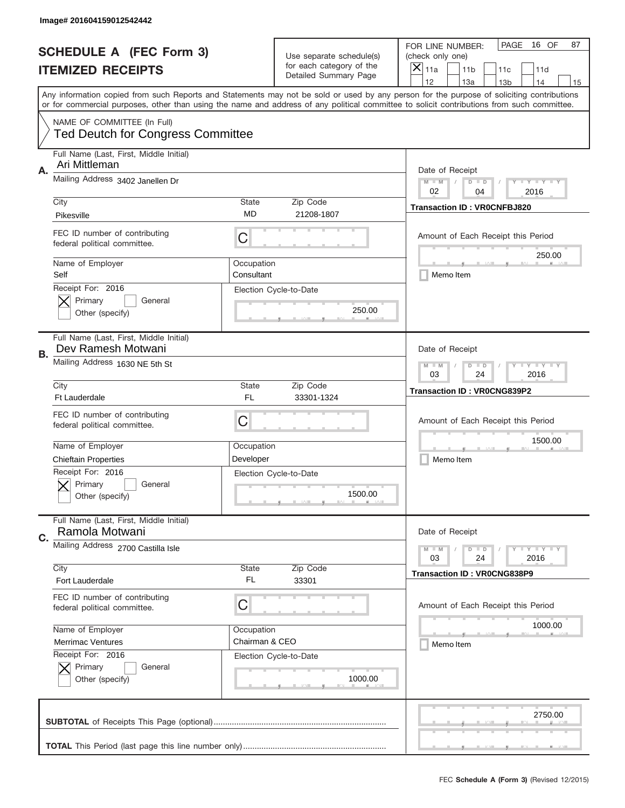|    | Image# 201604159012542442                                     |                                       |                                                   |                                                                                                                                                                                                                                                                                         |
|----|---------------------------------------------------------------|---------------------------------------|---------------------------------------------------|-----------------------------------------------------------------------------------------------------------------------------------------------------------------------------------------------------------------------------------------------------------------------------------------|
|    | <b>SCHEDULE A (FEC Form 3)</b>                                |                                       | Use separate schedule(s)                          | PAGE<br>16 OF<br>87<br>FOR LINE NUMBER:<br>(check only one)                                                                                                                                                                                                                             |
|    | <b>ITEMIZED RECEIPTS</b>                                      |                                       | for each category of the<br>Detailed Summary Page | ×<br>11a<br>11 <sub>b</sub><br>11c<br>11d                                                                                                                                                                                                                                               |
|    |                                                               |                                       |                                                   | 12<br>13a<br>14<br>13 <sub>b</sub><br>15                                                                                                                                                                                                                                                |
|    |                                                               |                                       |                                                   | Any information copied from such Reports and Statements may not be sold or used by any person for the purpose of soliciting contributions<br>or for commercial purposes, other than using the name and address of any political committee to solicit contributions from such committee. |
|    | NAME OF COMMITTEE (In Full)                                   |                                       |                                                   |                                                                                                                                                                                                                                                                                         |
|    | <b>Ted Deutch for Congress Committee</b>                      |                                       |                                                   |                                                                                                                                                                                                                                                                                         |
| Α. | Full Name (Last, First, Middle Initial)<br>Ari Mittleman      |                                       |                                                   | Date of Receipt                                                                                                                                                                                                                                                                         |
|    | Mailing Address 3402 Janellen Dr                              |                                       |                                                   | $M - M$<br><b>LYLYLY</b><br>$D$ $D$<br>02<br>04<br>2016                                                                                                                                                                                                                                 |
|    | City                                                          | State                                 | Zip Code                                          | <b>Transaction ID: VR0CNFBJ820</b>                                                                                                                                                                                                                                                      |
|    | Pikesville                                                    | MD                                    | 21208-1807                                        |                                                                                                                                                                                                                                                                                         |
|    | FEC ID number of contributing<br>federal political committee. | C                                     |                                                   | Amount of Each Receipt this Period                                                                                                                                                                                                                                                      |
|    | Name of Employer<br>Self                                      | Occupation<br>Consultant              |                                                   | 250.00<br>Memo Item                                                                                                                                                                                                                                                                     |
|    | Receipt For: 2016                                             |                                       | Election Cycle-to-Date                            |                                                                                                                                                                                                                                                                                         |
|    | Primary<br>General                                            |                                       | 250.00                                            |                                                                                                                                                                                                                                                                                         |
|    | Other (specify)                                               |                                       |                                                   |                                                                                                                                                                                                                                                                                         |
| В. | Full Name (Last, First, Middle Initial)<br>Dev Ramesh Motwani |                                       |                                                   | Date of Receipt                                                                                                                                                                                                                                                                         |
|    | Mailing Address 1630 NE 5th St                                | $M$ M<br><b>LEYTEY LEY</b><br>$D$ $D$ |                                                   |                                                                                                                                                                                                                                                                                         |
|    |                                                               | 03<br>24<br>2016                      |                                                   |                                                                                                                                                                                                                                                                                         |
|    | City<br>Ft Lauderdale                                         | State<br>FL                           | Zip Code<br>33301-1324                            | <b>Transaction ID: VR0CNG839P2</b>                                                                                                                                                                                                                                                      |
|    |                                                               |                                       |                                                   |                                                                                                                                                                                                                                                                                         |
|    |                                                               |                                       |                                                   |                                                                                                                                                                                                                                                                                         |
|    | FEC ID number of contributing                                 | C                                     |                                                   | Amount of Each Receipt this Period                                                                                                                                                                                                                                                      |
|    | federal political committee.                                  |                                       |                                                   |                                                                                                                                                                                                                                                                                         |
|    | Name of Employer                                              | Occupation                            |                                                   | 1500.00                                                                                                                                                                                                                                                                                 |
|    | <b>Chieftain Properties</b>                                   | Developer                             |                                                   | Memo Item                                                                                                                                                                                                                                                                               |
|    | Receipt For: 2016                                             |                                       | Election Cycle-to-Date                            |                                                                                                                                                                                                                                                                                         |
|    | Primary<br>General                                            |                                       | 1500.00                                           |                                                                                                                                                                                                                                                                                         |
|    | Other (specify)                                               |                                       |                                                   |                                                                                                                                                                                                                                                                                         |
|    | Full Name (Last, First, Middle Initial)<br>Ramola Motwani     |                                       |                                                   | Date of Receipt                                                                                                                                                                                                                                                                         |
| C. | Mailing Address 2700 Castilla Isle                            |                                       |                                                   | <b>LEY LEY LEY</b><br>$M - M$<br>$D$ $D$                                                                                                                                                                                                                                                |
|    |                                                               |                                       |                                                   | 03<br>2016<br>24                                                                                                                                                                                                                                                                        |
|    | City                                                          | <b>State</b><br>FL                    | Zip Code                                          | <b>Transaction ID: VR0CNG838P9</b>                                                                                                                                                                                                                                                      |
|    | Fort Lauderdale                                               |                                       | 33301                                             |                                                                                                                                                                                                                                                                                         |
|    | FEC ID number of contributing<br>federal political committee. | C                                     |                                                   | Amount of Each Receipt this Period                                                                                                                                                                                                                                                      |
|    |                                                               |                                       |                                                   |                                                                                                                                                                                                                                                                                         |
|    | Name of Employer                                              | Occupation                            |                                                   | 1000.00                                                                                                                                                                                                                                                                                 |
|    | <b>Merrimac Ventures</b>                                      | Chairman & CEO                        |                                                   | Memo Item                                                                                                                                                                                                                                                                               |
|    | Receipt For: 2016<br>Primary<br>General                       |                                       | Election Cycle-to-Date                            |                                                                                                                                                                                                                                                                                         |
|    | Other (specify)                                               |                                       | 1000.00                                           |                                                                                                                                                                                                                                                                                         |
|    |                                                               |                                       |                                                   |                                                                                                                                                                                                                                                                                         |
|    |                                                               |                                       |                                                   | 2750.00                                                                                                                                                                                                                                                                                 |
|    |                                                               |                                       |                                                   |                                                                                                                                                                                                                                                                                         |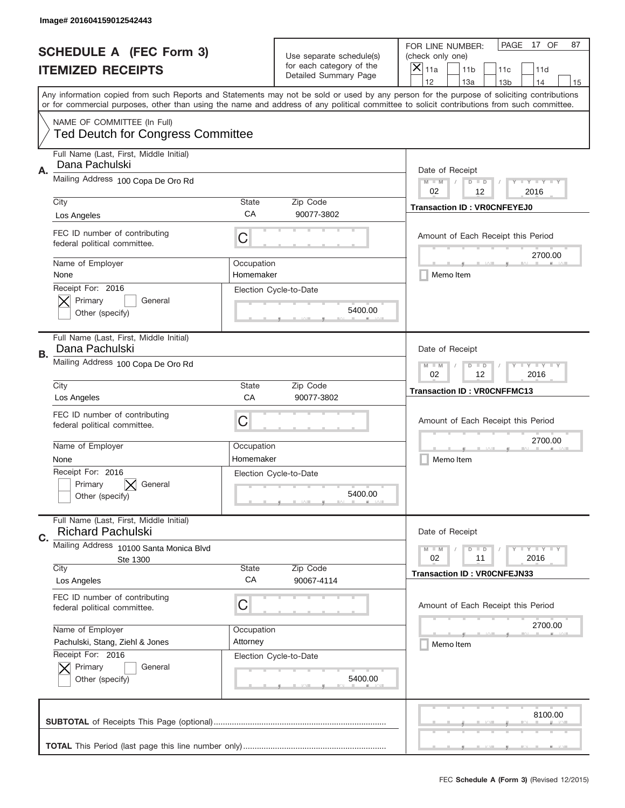|    | Image# 201604159012542443                                               |                                                       |                                                   |                                                                                                                                                                                                                                                                                         |
|----|-------------------------------------------------------------------------|-------------------------------------------------------|---------------------------------------------------|-----------------------------------------------------------------------------------------------------------------------------------------------------------------------------------------------------------------------------------------------------------------------------------------|
|    | <b>SCHEDULE A (FEC Form 3)</b>                                          |                                                       | Use separate schedule(s)                          | PAGE<br>17 OF<br>87<br>FOR LINE NUMBER:<br>(check only one)                                                                                                                                                                                                                             |
|    | <b>ITEMIZED RECEIPTS</b>                                                |                                                       | for each category of the<br>Detailed Summary Page | ×<br>11a<br>11 <sub>b</sub><br>11c<br>11d                                                                                                                                                                                                                                               |
|    |                                                                         |                                                       |                                                   | 12<br>13a<br>14<br>13 <sub>b</sub><br>15                                                                                                                                                                                                                                                |
|    |                                                                         |                                                       |                                                   | Any information copied from such Reports and Statements may not be sold or used by any person for the purpose of soliciting contributions<br>or for commercial purposes, other than using the name and address of any political committee to solicit contributions from such committee. |
|    | NAME OF COMMITTEE (In Full)<br><b>Ted Deutch for Congress Committee</b> |                                                       |                                                   |                                                                                                                                                                                                                                                                                         |
|    |                                                                         |                                                       |                                                   |                                                                                                                                                                                                                                                                                         |
| Α. | Full Name (Last, First, Middle Initial)<br>Dana Pachulski               |                                                       |                                                   | Date of Receipt                                                                                                                                                                                                                                                                         |
|    | Mailing Address 100 Copa De Oro Rd                                      |                                                       |                                                   | $M - M$<br><b>LYLYLY</b><br>$D$ $D$<br>02<br>12<br>2016                                                                                                                                                                                                                                 |
|    | City                                                                    | State                                                 | Zip Code                                          | <b>Transaction ID: VROCNFEYEJ0</b>                                                                                                                                                                                                                                                      |
|    | Los Angeles                                                             | CA                                                    | 90077-3802                                        |                                                                                                                                                                                                                                                                                         |
|    | FEC ID number of contributing<br>federal political committee.           | C                                                     |                                                   | Amount of Each Receipt this Period<br>2700.00                                                                                                                                                                                                                                           |
|    | Name of Employer<br>None                                                | Occupation<br>Homemaker                               |                                                   | Memo Item                                                                                                                                                                                                                                                                               |
|    | Receipt For: 2016                                                       |                                                       | Election Cycle-to-Date                            |                                                                                                                                                                                                                                                                                         |
|    | Primary<br>General                                                      |                                                       |                                                   |                                                                                                                                                                                                                                                                                         |
|    | Other (specify)                                                         |                                                       | 5400.00                                           |                                                                                                                                                                                                                                                                                         |
|    |                                                                         |                                                       |                                                   |                                                                                                                                                                                                                                                                                         |
| В. | Full Name (Last, First, Middle Initial)<br>Dana Pachulski               |                                                       |                                                   | Date of Receipt                                                                                                                                                                                                                                                                         |
|    | Mailing Address 100 Copa De Oro Rd                                      | $M$ M<br><b>LYLYLY</b><br>$D$ $D$<br>02<br>12<br>2016 |                                                   |                                                                                                                                                                                                                                                                                         |
|    | City                                                                    | State                                                 | Zip Code                                          | <b>Transaction ID: VROCNFFMC13</b>                                                                                                                                                                                                                                                      |
|    | Los Angeles                                                             | CA                                                    | 90077-3802                                        |                                                                                                                                                                                                                                                                                         |
|    | FEC ID number of contributing                                           | C                                                     |                                                   | Amount of Each Receipt this Period                                                                                                                                                                                                                                                      |
|    | federal political committee.                                            |                                                       |                                                   |                                                                                                                                                                                                                                                                                         |
|    | Name of Employer                                                        | Occupation                                            |                                                   | 2700.00                                                                                                                                                                                                                                                                                 |
|    | None                                                                    | Homemaker                                             |                                                   | Memo Item                                                                                                                                                                                                                                                                               |
|    | Receipt For: 2016                                                       |                                                       | Election Cycle-to-Date                            |                                                                                                                                                                                                                                                                                         |
|    | General<br>Primary                                                      |                                                       | 5400.00                                           |                                                                                                                                                                                                                                                                                         |
|    | Other (specify)                                                         |                                                       |                                                   |                                                                                                                                                                                                                                                                                         |
|    | Full Name (Last, First, Middle Initial)<br><b>Richard Pachulski</b>     |                                                       |                                                   | Date of Receipt                                                                                                                                                                                                                                                                         |
| C. | Mailing Address 10100 Santa Monica Blvd                                 |                                                       |                                                   | <b>LYLYLY</b><br>$M - M$<br>$D$ $D$                                                                                                                                                                                                                                                     |
|    | Ste 1300                                                                |                                                       |                                                   | 02<br>2016<br>11                                                                                                                                                                                                                                                                        |
|    | City                                                                    | State                                                 | Zip Code                                          | <b>Transaction ID: VROCNFEJN33</b>                                                                                                                                                                                                                                                      |
|    | Los Angeles                                                             | CA                                                    | 90067-4114                                        |                                                                                                                                                                                                                                                                                         |
|    | FEC ID number of contributing                                           | C                                                     |                                                   |                                                                                                                                                                                                                                                                                         |
|    | federal political committee.                                            |                                                       |                                                   | Amount of Each Receipt this Period                                                                                                                                                                                                                                                      |
|    | Name of Employer                                                        | Occupation                                            |                                                   | 2700.00                                                                                                                                                                                                                                                                                 |
|    | Pachulski, Stang, Ziehl & Jones                                         | Attorney                                              |                                                   | Memo Item                                                                                                                                                                                                                                                                               |
|    | Receipt For: 2016                                                       |                                                       | Election Cycle-to-Date                            |                                                                                                                                                                                                                                                                                         |
|    | Primary<br>General                                                      |                                                       |                                                   |                                                                                                                                                                                                                                                                                         |
|    | Other (specify)                                                         |                                                       | 5400.00                                           |                                                                                                                                                                                                                                                                                         |
|    |                                                                         |                                                       |                                                   |                                                                                                                                                                                                                                                                                         |
|    |                                                                         |                                                       |                                                   | 8100.00                                                                                                                                                                                                                                                                                 |
|    |                                                                         |                                                       |                                                   |                                                                                                                                                                                                                                                                                         |
|    |                                                                         |                                                       |                                                   |                                                                                                                                                                                                                                                                                         |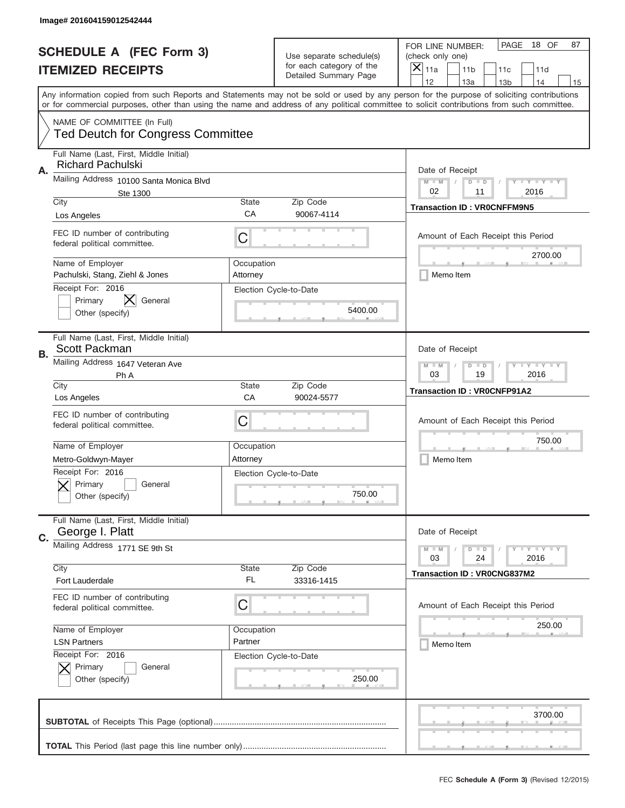|    | Image# 201604159012542444                                               |                                                           |                                                   |                                                                                                                                                                                                                                                                                                                                     |
|----|-------------------------------------------------------------------------|-----------------------------------------------------------|---------------------------------------------------|-------------------------------------------------------------------------------------------------------------------------------------------------------------------------------------------------------------------------------------------------------------------------------------------------------------------------------------|
|    | <b>SCHEDULE A (FEC Form 3)</b>                                          |                                                           | Use separate schedule(s)                          | PAGE<br>18 OF<br>87<br>FOR LINE NUMBER:<br>(check only one)                                                                                                                                                                                                                                                                         |
|    | <b>ITEMIZED RECEIPTS</b>                                                |                                                           | for each category of the<br>Detailed Summary Page | ×<br>11a<br>11 <sub>b</sub><br>11c<br>11d                                                                                                                                                                                                                                                                                           |
|    |                                                                         |                                                           |                                                   | 12<br>13a<br>14<br>13 <sub>b</sub><br>15<br>Any information copied from such Reports and Statements may not be sold or used by any person for the purpose of soliciting contributions<br>or for commercial purposes, other than using the name and address of any political committee to solicit contributions from such committee. |
|    | NAME OF COMMITTEE (In Full)<br><b>Ted Deutch for Congress Committee</b> |                                                           |                                                   |                                                                                                                                                                                                                                                                                                                                     |
| Α. | Full Name (Last, First, Middle Initial)<br><b>Richard Pachulski</b>     |                                                           |                                                   | Date of Receipt                                                                                                                                                                                                                                                                                                                     |
|    | Mailing Address 10100 Santa Monica Blvd                                 |                                                           |                                                   | $M - M$<br><b>LEY LEY LEY</b><br>$D$ $D$                                                                                                                                                                                                                                                                                            |
|    | Ste 1300<br>City                                                        | State                                                     | Zip Code                                          | 02<br>11<br>2016                                                                                                                                                                                                                                                                                                                    |
|    | Los Angeles                                                             | CA                                                        | 90067-4114                                        | <b>Transaction ID: VROCNFFM9N5</b>                                                                                                                                                                                                                                                                                                  |
|    | FEC ID number of contributing<br>federal political committee.           | C                                                         |                                                   | Amount of Each Receipt this Period                                                                                                                                                                                                                                                                                                  |
|    | Name of Employer<br>Pachulski, Stang, Ziehl & Jones                     | Occupation<br>Attorney                                    |                                                   | 2700.00<br>Memo Item                                                                                                                                                                                                                                                                                                                |
|    | Receipt For: 2016<br>Primary<br>General<br>Other (specify)              |                                                           | Election Cycle-to-Date<br>5400.00                 |                                                                                                                                                                                                                                                                                                                                     |
| В. | Full Name (Last, First, Middle Initial)<br>Scott Packman                |                                                           |                                                   | Date of Receipt                                                                                                                                                                                                                                                                                                                     |
|    | Mailing Address 1647 Veteran Ave<br>Ph A                                | $M$ M<br><b>LEYTEY LEY</b><br>$D$ $D$<br>03<br>19<br>2016 |                                                   |                                                                                                                                                                                                                                                                                                                                     |
|    | City<br>Los Angeles                                                     | State<br>CA                                               | Zip Code<br>90024-5577                            | <b>Transaction ID: VR0CNFP91A2</b>                                                                                                                                                                                                                                                                                                  |
|    | FEC ID number of contributing<br>federal political committee.           | C                                                         |                                                   | Amount of Each Receipt this Period                                                                                                                                                                                                                                                                                                  |
|    |                                                                         |                                                           |                                                   |                                                                                                                                                                                                                                                                                                                                     |
|    | Name of Employer                                                        | Occupation                                                |                                                   | 750.00                                                                                                                                                                                                                                                                                                                              |
|    | Metro-Goldwyn-Mayer                                                     | Attorney                                                  |                                                   | Memo Item                                                                                                                                                                                                                                                                                                                           |
|    | Receipt For: 2016<br>General<br>Primary<br>Other (specify)              |                                                           | Election Cycle-to-Date<br>750.00                  |                                                                                                                                                                                                                                                                                                                                     |
| C. | Full Name (Last, First, Middle Initial)<br>George I. Platt              |                                                           |                                                   | Date of Receipt                                                                                                                                                                                                                                                                                                                     |
|    | Mailing Address 1771 SE 9th St                                          |                                                           |                                                   | <b>LYLYLY</b><br>$M - M$<br>$D$ $D$<br>2016<br>03<br>24                                                                                                                                                                                                                                                                             |
|    | City<br>Fort Lauderdale                                                 | State<br>FL                                               | Zip Code<br>33316-1415                            | <b>Transaction ID: VR0CNG837M2</b>                                                                                                                                                                                                                                                                                                  |
|    | FEC ID number of contributing<br>federal political committee.           | C                                                         |                                                   | Amount of Each Receipt this Period                                                                                                                                                                                                                                                                                                  |
|    | Name of Employer                                                        | Occupation                                                |                                                   | 250.00                                                                                                                                                                                                                                                                                                                              |
|    | <b>LSN Partners</b>                                                     | Partner                                                   |                                                   | Memo Item                                                                                                                                                                                                                                                                                                                           |
|    | Receipt For: 2016<br>Primary<br>General<br>Other (specify)              |                                                           | Election Cycle-to-Date<br>250.00                  |                                                                                                                                                                                                                                                                                                                                     |
|    |                                                                         |                                                           |                                                   | 3700.00                                                                                                                                                                                                                                                                                                                             |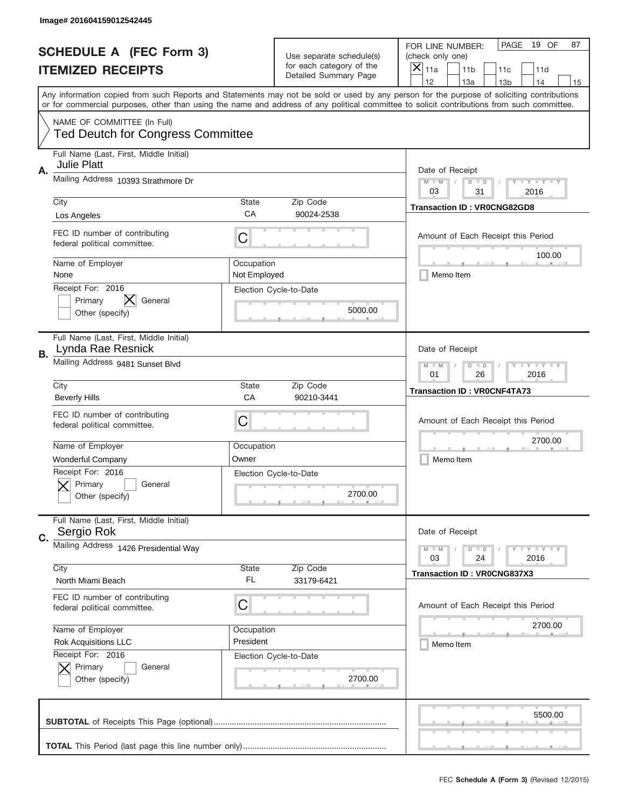|                          | Image# 201604159012542445                                               |                                                             |                                                   |                                                                                                                                                                                                                                                                                         |  |
|--------------------------|-------------------------------------------------------------------------|-------------------------------------------------------------|---------------------------------------------------|-----------------------------------------------------------------------------------------------------------------------------------------------------------------------------------------------------------------------------------------------------------------------------------------|--|
|                          | <b>SCHEDULE A (FEC Form 3)</b>                                          |                                                             | Use separate schedule(s)                          | PAGE<br>19 OF<br>87<br>FOR LINE NUMBER:<br>(check only one)                                                                                                                                                                                                                             |  |
| <b>ITEMIZED RECEIPTS</b> |                                                                         |                                                             | for each category of the<br>Detailed Summary Page | ×<br>11a<br>11 <sub>b</sub><br>11c<br>11d                                                                                                                                                                                                                                               |  |
|                          |                                                                         |                                                             |                                                   | 12<br>13a<br>14<br>13 <sub>b</sub><br>15                                                                                                                                                                                                                                                |  |
|                          |                                                                         |                                                             |                                                   | Any information copied from such Reports and Statements may not be sold or used by any person for the purpose of soliciting contributions<br>or for commercial purposes, other than using the name and address of any political committee to solicit contributions from such committee. |  |
|                          |                                                                         |                                                             |                                                   |                                                                                                                                                                                                                                                                                         |  |
|                          | NAME OF COMMITTEE (In Full)<br><b>Ted Deutch for Congress Committee</b> |                                                             |                                                   |                                                                                                                                                                                                                                                                                         |  |
| Α.                       | Full Name (Last, First, Middle Initial)<br><b>Julie Platt</b>           |                                                             |                                                   | Date of Receipt                                                                                                                                                                                                                                                                         |  |
|                          | Mailing Address 10393 Strathmore Dr                                     |                                                             |                                                   | $M - M$<br><b>LY LY LY</b><br>$D$ $D$<br>03<br>31<br>2016                                                                                                                                                                                                                               |  |
|                          | City                                                                    | State                                                       | Zip Code                                          | <b>Transaction ID: VR0CNG82GD8</b>                                                                                                                                                                                                                                                      |  |
|                          | Los Angeles                                                             | CA                                                          | 90024-2538                                        |                                                                                                                                                                                                                                                                                         |  |
|                          | FEC ID number of contributing<br>federal political committee.           | C                                                           |                                                   | Amount of Each Receipt this Period<br>100.00                                                                                                                                                                                                                                            |  |
|                          | Name of Employer<br>None                                                | Occupation<br>Not Employed                                  |                                                   | Memo Item                                                                                                                                                                                                                                                                               |  |
|                          | Receipt For: 2016<br>Primary<br>General<br>Other (specify)              |                                                             | Election Cycle-to-Date<br>5000.00                 |                                                                                                                                                                                                                                                                                         |  |
|                          |                                                                         |                                                             |                                                   |                                                                                                                                                                                                                                                                                         |  |
| В.                       | Full Name (Last, First, Middle Initial)<br>Lynda Rae Resnick            |                                                             |                                                   | Date of Receipt                                                                                                                                                                                                                                                                         |  |
|                          | Mailing Address 9481 Sunset Blvd                                        | <b>LEYTEY LEY</b><br>$M - M$<br>$D$ $D$<br>01<br>26<br>2016 |                                                   |                                                                                                                                                                                                                                                                                         |  |
|                          | City                                                                    | State                                                       | Zip Code                                          | <b>Transaction ID: VR0CNF4TA73</b>                                                                                                                                                                                                                                                      |  |
|                          | <b>Beverly Hills</b>                                                    | CA                                                          | 90210-3441                                        |                                                                                                                                                                                                                                                                                         |  |
|                          | FEC ID number of contributing<br>federal political committee.           | C                                                           |                                                   | Amount of Each Receipt this Period                                                                                                                                                                                                                                                      |  |
|                          | Name of Employer                                                        | Occupation                                                  |                                                   | 2700.00                                                                                                                                                                                                                                                                                 |  |
|                          | <b>Wonderful Company</b>                                                | Owner                                                       |                                                   | Memo Item                                                                                                                                                                                                                                                                               |  |
|                          | Receipt For: 2016<br>General<br>Primary<br>Other (specify)              |                                                             | Election Cycle-to-Date<br>2700.00                 |                                                                                                                                                                                                                                                                                         |  |
| C.                       | Full Name (Last, First, Middle Initial)<br>Sergio Rok                   |                                                             |                                                   | Date of Receipt                                                                                                                                                                                                                                                                         |  |
|                          | Mailing Address 1426 Presidential Way                                   |                                                             |                                                   | <b>LEY LEY LEY</b><br>$M - M$<br>$D$ $D$                                                                                                                                                                                                                                                |  |
|                          | City                                                                    | <b>State</b>                                                | Zip Code                                          | 2016<br>03<br>24                                                                                                                                                                                                                                                                        |  |
|                          | North Miami Beach                                                       | FL                                                          | 33179-6421                                        | <b>Transaction ID: VR0CNG837X3</b>                                                                                                                                                                                                                                                      |  |
|                          | FEC ID number of contributing                                           |                                                             |                                                   |                                                                                                                                                                                                                                                                                         |  |
|                          | federal political committee.                                            | C                                                           |                                                   | Amount of Each Receipt this Period                                                                                                                                                                                                                                                      |  |
|                          | Name of Employer                                                        | Occupation                                                  |                                                   | 2700.00                                                                                                                                                                                                                                                                                 |  |
|                          | <b>Rok Acquisitions LLC</b>                                             | President                                                   |                                                   | Memo Item                                                                                                                                                                                                                                                                               |  |
|                          | Receipt For: 2016                                                       |                                                             | Election Cycle-to-Date                            |                                                                                                                                                                                                                                                                                         |  |
|                          | Primary<br>General<br>Other (specify)                                   |                                                             | 2700.00                                           |                                                                                                                                                                                                                                                                                         |  |
|                          |                                                                         |                                                             |                                                   | 5500.00                                                                                                                                                                                                                                                                                 |  |
|                          |                                                                         |                                                             |                                                   |                                                                                                                                                                                                                                                                                         |  |
|                          |                                                                         |                                                             |                                                   |                                                                                                                                                                                                                                                                                         |  |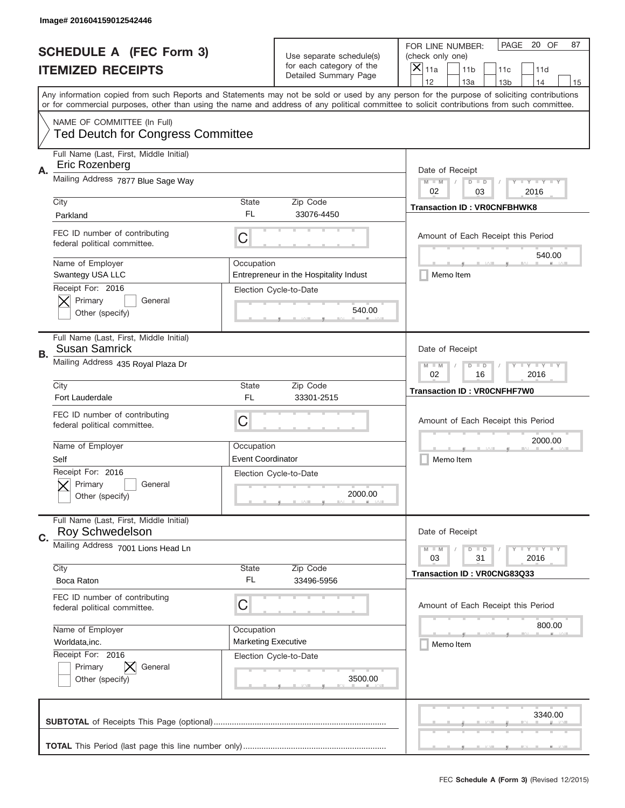|    | Image# 201604159012542446                                               |                                                             |                                                   |                                                                                                                                                                                                                                                                                                                                     |
|----|-------------------------------------------------------------------------|-------------------------------------------------------------|---------------------------------------------------|-------------------------------------------------------------------------------------------------------------------------------------------------------------------------------------------------------------------------------------------------------------------------------------------------------------------------------------|
|    | <b>SCHEDULE A (FEC Form 3)</b>                                          |                                                             | Use separate schedule(s)                          | PAGE<br>20 OF<br>87<br>FOR LINE NUMBER:<br>(check only one)                                                                                                                                                                                                                                                                         |
|    | <b>ITEMIZED RECEIPTS</b>                                                |                                                             | for each category of the<br>Detailed Summary Page | ×<br>11a<br>11 <sub>b</sub><br>11c<br>11d                                                                                                                                                                                                                                                                                           |
|    |                                                                         |                                                             |                                                   | 12<br>13a<br>14<br>13 <sub>b</sub><br>15<br>Any information copied from such Reports and Statements may not be sold or used by any person for the purpose of soliciting contributions<br>or for commercial purposes, other than using the name and address of any political committee to solicit contributions from such committee. |
|    | NAME OF COMMITTEE (In Full)<br><b>Ted Deutch for Congress Committee</b> |                                                             |                                                   |                                                                                                                                                                                                                                                                                                                                     |
| Α. | Full Name (Last, First, Middle Initial)<br>Eric Rozenberg               |                                                             |                                                   | Date of Receipt                                                                                                                                                                                                                                                                                                                     |
|    | Mailing Address 7877 Blue Sage Way                                      |                                                             |                                                   | $M - M$<br><b>LEY LEY LEY</b><br>$D$ $D$<br>02<br>03<br>2016                                                                                                                                                                                                                                                                        |
|    | City<br>Parkland                                                        | State<br>FL                                                 | Zip Code<br>33076-4450                            | <b>Transaction ID: VROCNFBHWK8</b>                                                                                                                                                                                                                                                                                                  |
|    | FEC ID number of contributing<br>federal political committee.           | C                                                           |                                                   | Amount of Each Receipt this Period<br>540.00                                                                                                                                                                                                                                                                                        |
|    | Name of Employer<br>Swantegy USA LLC                                    | Occupation                                                  | Entrepreneur in the Hospitality Indust            | Memo Item                                                                                                                                                                                                                                                                                                                           |
|    | Receipt For: 2016<br>Primary<br>General<br>Other (specify)              |                                                             | Election Cycle-to-Date<br>540.00                  |                                                                                                                                                                                                                                                                                                                                     |
| В. | Full Name (Last, First, Middle Initial)<br><b>Susan Samrick</b>         |                                                             |                                                   | Date of Receipt                                                                                                                                                                                                                                                                                                                     |
|    | Mailing Address 435 Royal Plaza Dr                                      | $M - M$<br><b>LEYTEY LEY</b><br>$D$ $D$<br>02<br>16<br>2016 |                                                   |                                                                                                                                                                                                                                                                                                                                     |
|    | City<br>Fort Lauderdale                                                 | State<br>FL                                                 | Zip Code<br>33301-2515                            | <b>Transaction ID: VR0CNFHF7W0</b>                                                                                                                                                                                                                                                                                                  |
|    | FEC ID number of contributing<br>federal political committee.           | C                                                           |                                                   | Amount of Each Receipt this Period                                                                                                                                                                                                                                                                                                  |
|    | Name of Employer<br>Self                                                | Occupation<br><b>Event Coordinator</b>                      |                                                   | 2000.00<br>Memo Item                                                                                                                                                                                                                                                                                                                |
|    | Receipt For: 2016<br>General<br>Primary<br>Other (specify)              |                                                             | Election Cycle-to-Date<br>2000.00                 |                                                                                                                                                                                                                                                                                                                                     |
| C. | Full Name (Last, First, Middle Initial)<br><b>Roy Schwedelson</b>       |                                                             |                                                   | Date of Receipt                                                                                                                                                                                                                                                                                                                     |
|    | Mailing Address 7001 Lions Head Ln                                      |                                                             |                                                   | <b>LEY LEY LEY</b><br>$M - M$<br>$D$ $D$<br>2016<br>03<br>31                                                                                                                                                                                                                                                                        |
|    | City<br>Boca Raton                                                      | <b>State</b><br>FL                                          | Zip Code<br>33496-5956                            | Transaction ID: VR0CNG83Q33                                                                                                                                                                                                                                                                                                         |
|    | FEC ID number of contributing<br>federal political committee.           | C                                                           |                                                   | Amount of Each Receipt this Period                                                                                                                                                                                                                                                                                                  |
|    | Name of Employer<br>Worldata, inc.                                      | Occupation<br><b>Marketing Executive</b>                    |                                                   | 800.00<br>Memo Item                                                                                                                                                                                                                                                                                                                 |
|    | Receipt For: 2016<br>Primary<br>General<br>Other (specify)              |                                                             | Election Cycle-to-Date<br>3500.00                 |                                                                                                                                                                                                                                                                                                                                     |
|    |                                                                         |                                                             |                                                   |                                                                                                                                                                                                                                                                                                                                     |
|    |                                                                         |                                                             |                                                   | 3340.00                                                                                                                                                                                                                                                                                                                             |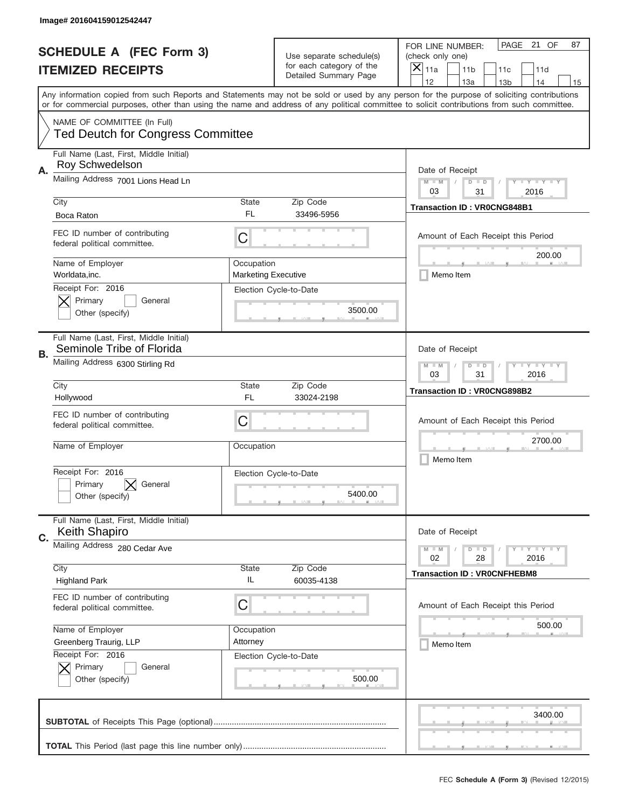|                          | Image# 201604159012542447                                               |                                                             |                                                   |                                                                                                                                                                                                                                                                                                                                     |
|--------------------------|-------------------------------------------------------------------------|-------------------------------------------------------------|---------------------------------------------------|-------------------------------------------------------------------------------------------------------------------------------------------------------------------------------------------------------------------------------------------------------------------------------------------------------------------------------------|
|                          | <b>SCHEDULE A (FEC Form 3)</b>                                          |                                                             | Use separate schedule(s)                          | PAGE 21 OF<br>87<br>FOR LINE NUMBER:<br>(check only one)                                                                                                                                                                                                                                                                            |
| <b>ITEMIZED RECEIPTS</b> |                                                                         |                                                             | for each category of the<br>Detailed Summary Page | ×<br>11a<br>11 <sub>b</sub><br>11c<br>11d                                                                                                                                                                                                                                                                                           |
|                          |                                                                         |                                                             |                                                   | 12<br>13a<br>14<br>13 <sub>b</sub><br>15<br>Any information copied from such Reports and Statements may not be sold or used by any person for the purpose of soliciting contributions<br>or for commercial purposes, other than using the name and address of any political committee to solicit contributions from such committee. |
|                          | NAME OF COMMITTEE (In Full)<br><b>Ted Deutch for Congress Committee</b> |                                                             |                                                   |                                                                                                                                                                                                                                                                                                                                     |
|                          |                                                                         |                                                             |                                                   |                                                                                                                                                                                                                                                                                                                                     |
| Α.                       | Full Name (Last, First, Middle Initial)<br>Roy Schwedelson              |                                                             |                                                   | Date of Receipt                                                                                                                                                                                                                                                                                                                     |
|                          | Mailing Address 7001 Lions Head Ln                                      |                                                             |                                                   | $M - M$<br><b>LEY LEY LEY</b><br>$D$ $D$<br>03<br>31<br>2016                                                                                                                                                                                                                                                                        |
|                          | City                                                                    | State                                                       | Zip Code                                          |                                                                                                                                                                                                                                                                                                                                     |
|                          | Boca Raton                                                              | FL                                                          | 33496-5956                                        | <b>Transaction ID: VR0CNG848B1</b>                                                                                                                                                                                                                                                                                                  |
|                          | FEC ID number of contributing<br>federal political committee.           | C                                                           |                                                   | Amount of Each Receipt this Period<br>200.00                                                                                                                                                                                                                                                                                        |
|                          | Name of Employer<br>Worldata, inc.                                      | Occupation<br><b>Marketing Executive</b>                    |                                                   | Memo Item                                                                                                                                                                                                                                                                                                                           |
|                          | Receipt For: 2016<br>Primary<br>General<br>Other (specify)              |                                                             | Election Cycle-to-Date<br>3500.00                 |                                                                                                                                                                                                                                                                                                                                     |
| В.                       | Full Name (Last, First, Middle Initial)<br>Seminole Tribe of Florida    |                                                             |                                                   | Date of Receipt                                                                                                                                                                                                                                                                                                                     |
|                          | Mailing Address 6300 Stirling Rd                                        | <b>LEYTEY LEY</b><br>$M - M$<br>$D$ $D$<br>03<br>31<br>2016 |                                                   |                                                                                                                                                                                                                                                                                                                                     |
|                          | City<br>Hollywood                                                       | State<br>FL                                                 | Zip Code<br>33024-2198                            | <b>Transaction ID: VR0CNG898B2</b>                                                                                                                                                                                                                                                                                                  |
|                          | FEC ID number of contributing<br>federal political committee.           | C                                                           |                                                   | Amount of Each Receipt this Period                                                                                                                                                                                                                                                                                                  |
|                          | Name of Employer                                                        | Occupation                                                  |                                                   | 2700.00<br>Memo Item                                                                                                                                                                                                                                                                                                                |
|                          | Receipt For: 2016<br>General<br>Primary<br>Other (specify)              |                                                             | Election Cycle-to-Date<br>5400.00                 |                                                                                                                                                                                                                                                                                                                                     |
| C.                       | Full Name (Last, First, Middle Initial)<br><b>Keith Shapiro</b>         |                                                             |                                                   | Date of Receipt                                                                                                                                                                                                                                                                                                                     |
|                          | Mailing Address 280 Cedar Ave                                           |                                                             |                                                   | <b>LYLYLY</b><br>$M - M$<br>$D$ $D$                                                                                                                                                                                                                                                                                                 |
|                          | City                                                                    | State                                                       | Zip Code                                          | 02<br>2016<br>28                                                                                                                                                                                                                                                                                                                    |
|                          | <b>Highland Park</b>                                                    | IL                                                          | 60035-4138                                        | <b>Transaction ID: VR0CNFHEBM8</b>                                                                                                                                                                                                                                                                                                  |
|                          | FEC ID number of contributing<br>federal political committee.           | C                                                           |                                                   | Amount of Each Receipt this Period                                                                                                                                                                                                                                                                                                  |
|                          | Name of Employer                                                        | Occupation                                                  |                                                   | 500.00                                                                                                                                                                                                                                                                                                                              |
|                          | Greenberg Traurig, LLP                                                  | Attorney                                                    |                                                   | Memo Item                                                                                                                                                                                                                                                                                                                           |
|                          | Receipt For: 2016<br>Primary<br>General<br>Other (specify)              |                                                             | Election Cycle-to-Date<br>500.00                  |                                                                                                                                                                                                                                                                                                                                     |
|                          |                                                                         |                                                             |                                                   | 3400.00                                                                                                                                                                                                                                                                                                                             |
|                          |                                                                         |                                                             |                                                   |                                                                                                                                                                                                                                                                                                                                     |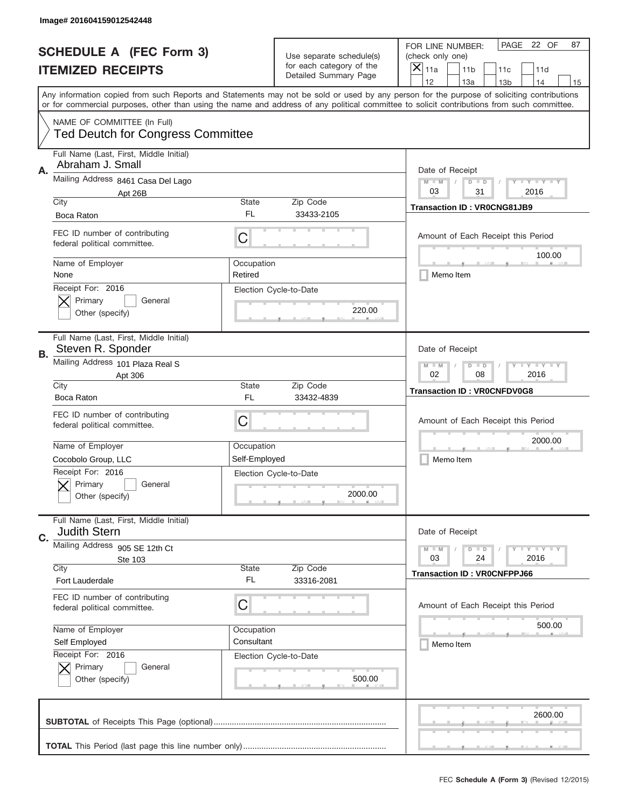|    | Image# 201604159012542448                                               |                       |                                                   |                                                                                                                                                                                                                                                                                                                                     |
|----|-------------------------------------------------------------------------|-----------------------|---------------------------------------------------|-------------------------------------------------------------------------------------------------------------------------------------------------------------------------------------------------------------------------------------------------------------------------------------------------------------------------------------|
|    | <b>SCHEDULE A (FEC Form 3)</b>                                          |                       | Use separate schedule(s)                          | PAGE 22 OF<br>87<br>FOR LINE NUMBER:<br>(check only one)                                                                                                                                                                                                                                                                            |
|    | <b>ITEMIZED RECEIPTS</b>                                                |                       | for each category of the<br>Detailed Summary Page | ×<br>11a<br>11 <sub>b</sub><br>11c<br>11d                                                                                                                                                                                                                                                                                           |
|    |                                                                         |                       |                                                   | 12<br>13a<br>14<br>13 <sub>b</sub><br>15<br>Any information copied from such Reports and Statements may not be sold or used by any person for the purpose of soliciting contributions<br>or for commercial purposes, other than using the name and address of any political committee to solicit contributions from such committee. |
|    | NAME OF COMMITTEE (In Full)<br><b>Ted Deutch for Congress Committee</b> |                       |                                                   |                                                                                                                                                                                                                                                                                                                                     |
| Α. | Full Name (Last, First, Middle Initial)<br>Abraham J. Small             |                       |                                                   | Date of Receipt                                                                                                                                                                                                                                                                                                                     |
|    | Mailing Address 8461 Casa Del Lago<br>Apt 26B                           |                       |                                                   | $M - M$<br><b>LYLYLY</b><br>$D$ $D$<br>03<br>31<br>2016                                                                                                                                                                                                                                                                             |
|    | City<br>Boca Raton                                                      | State<br>FL           | Zip Code<br>33433-2105                            | <b>Transaction ID: VR0CNG81JB9</b>                                                                                                                                                                                                                                                                                                  |
|    | FEC ID number of contributing<br>federal political committee.           | C                     |                                                   | Amount of Each Receipt this Period<br>100.00                                                                                                                                                                                                                                                                                        |
|    | Name of Employer<br>None                                                | Occupation<br>Retired |                                                   | Memo Item                                                                                                                                                                                                                                                                                                                           |
|    | Receipt For: 2016<br>Primary<br>General<br>Other (specify)              |                       | Election Cycle-to-Date<br>220.00                  |                                                                                                                                                                                                                                                                                                                                     |
| В. | Full Name (Last, First, Middle Initial)<br>Steven R. Sponder            |                       |                                                   | Date of Receipt                                                                                                                                                                                                                                                                                                                     |
|    | Mailing Address 101 Plaza Real S<br>Apt 306                             |                       |                                                   | <b>LY LY LY</b><br>$M - M$<br>$D$ $D$<br>02<br>08<br>2016                                                                                                                                                                                                                                                                           |
|    | City<br>Boca Raton                                                      | State<br>FL           | Zip Code<br>33432-4839                            | <b>Transaction ID: VROCNFDV0G8</b>                                                                                                                                                                                                                                                                                                  |
|    | FEC ID number of contributing                                           |                       |                                                   |                                                                                                                                                                                                                                                                                                                                     |
|    | federal political committee.                                            | C                     |                                                   | Amount of Each Receipt this Period                                                                                                                                                                                                                                                                                                  |
|    | Name of Employer                                                        | Occupation            |                                                   | 2000.00                                                                                                                                                                                                                                                                                                                             |
|    | Cocobolo Group, LLC                                                     | Self-Employed         |                                                   | Memo Item                                                                                                                                                                                                                                                                                                                           |
|    | Receipt For: 2016<br>General<br>Primary<br>Other (specify)              |                       | Election Cycle-to-Date<br>2000.00                 |                                                                                                                                                                                                                                                                                                                                     |
| C. | Full Name (Last, First, Middle Initial)<br><b>Judith Stern</b>          |                       |                                                   | Date of Receipt                                                                                                                                                                                                                                                                                                                     |
|    | Mailing Address 905 SE 12th Ct                                          |                       |                                                   | <b>LEY LEY LEY</b><br>$M - M$<br>$D$ $D$                                                                                                                                                                                                                                                                                            |
|    | Ste 103<br>City                                                         | State                 | Zip Code                                          | 2016<br>03<br>24<br><b>Transaction ID: VR0CNFPPJ66</b>                                                                                                                                                                                                                                                                              |
|    | Fort Lauderdale                                                         | FL                    | 33316-2081                                        |                                                                                                                                                                                                                                                                                                                                     |
|    | FEC ID number of contributing<br>federal political committee.           | C                     |                                                   | Amount of Each Receipt this Period                                                                                                                                                                                                                                                                                                  |
|    | Name of Employer                                                        | Occupation            |                                                   | 500.00                                                                                                                                                                                                                                                                                                                              |
|    | Self Employed                                                           | Consultant            |                                                   | Memo Item                                                                                                                                                                                                                                                                                                                           |
|    | Receipt For: 2016<br>Primary<br>General<br>Other (specify)              |                       | Election Cycle-to-Date<br>500.00                  |                                                                                                                                                                                                                                                                                                                                     |
|    |                                                                         |                       |                                                   | 2600.00                                                                                                                                                                                                                                                                                                                             |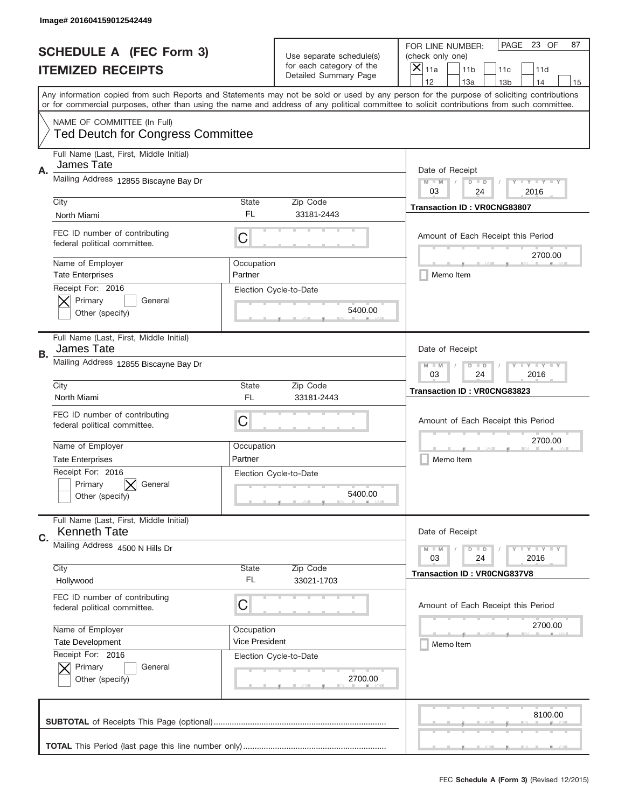|    | Image# 201604159012542449                                               |                                                           |                                                   |                                                                                                                                                                                                                                                                                         |
|----|-------------------------------------------------------------------------|-----------------------------------------------------------|---------------------------------------------------|-----------------------------------------------------------------------------------------------------------------------------------------------------------------------------------------------------------------------------------------------------------------------------------------|
|    | <b>SCHEDULE A (FEC Form 3)</b>                                          |                                                           | Use separate schedule(s)                          | PAGE 23 OF<br>87<br>FOR LINE NUMBER:<br>(check only one)                                                                                                                                                                                                                                |
|    | <b>ITEMIZED RECEIPTS</b>                                                |                                                           | for each category of the<br>Detailed Summary Page | $\boldsymbol{\times}$<br>11a<br>11 <sub>b</sub><br>11c<br>11d                                                                                                                                                                                                                           |
|    |                                                                         |                                                           |                                                   | 12<br>13a<br>14<br>13 <sub>b</sub><br>15                                                                                                                                                                                                                                                |
|    |                                                                         |                                                           |                                                   | Any information copied from such Reports and Statements may not be sold or used by any person for the purpose of soliciting contributions<br>or for commercial purposes, other than using the name and address of any political committee to solicit contributions from such committee. |
|    | NAME OF COMMITTEE (In Full)<br><b>Ted Deutch for Congress Committee</b> |                                                           |                                                   |                                                                                                                                                                                                                                                                                         |
| Α. | Full Name (Last, First, Middle Initial)<br>James Tate                   |                                                           |                                                   | Date of Receipt                                                                                                                                                                                                                                                                         |
|    | Mailing Address 12855 Biscayne Bay Dr                                   |                                                           |                                                   | <b>LYLYLY</b><br>$M - M$<br>$D$ $D$<br>03<br>24<br>2016                                                                                                                                                                                                                                 |
|    | City                                                                    | State                                                     | Zip Code                                          | <b>Transaction ID: VR0CNG83807</b>                                                                                                                                                                                                                                                      |
|    | North Miami                                                             | FL.                                                       | 33181-2443                                        |                                                                                                                                                                                                                                                                                         |
|    | FEC ID number of contributing<br>federal political committee.           | C                                                         |                                                   | Amount of Each Receipt this Period<br>2700.00                                                                                                                                                                                                                                           |
|    | Name of Employer<br><b>Tate Enterprises</b>                             | Occupation<br>Partner                                     |                                                   | Memo Item                                                                                                                                                                                                                                                                               |
|    | Receipt For: 2016<br>Primary<br>General<br>Other (specify)              |                                                           | Election Cycle-to-Date<br>5400.00                 |                                                                                                                                                                                                                                                                                         |
|    | Full Name (Last, First, Middle Initial)<br>James Tate                   |                                                           |                                                   | Date of Receipt                                                                                                                                                                                                                                                                         |
| В. | Mailing Address 12855 Biscayne Bay Dr                                   | <b>LY LY LY</b><br>$M - M$<br>$D$ $D$<br>03<br>24<br>2016 |                                                   |                                                                                                                                                                                                                                                                                         |
|    | City                                                                    | <b>State</b>                                              | Zip Code                                          | <b>Transaction ID: VR0CNG83823</b>                                                                                                                                                                                                                                                      |
|    | North Miami                                                             | FL.                                                       | 33181-2443                                        |                                                                                                                                                                                                                                                                                         |
|    | FEC ID number of contributing<br>federal political committee.           | C                                                         |                                                   | Amount of Each Receipt this Period                                                                                                                                                                                                                                                      |
|    | Name of Employer                                                        | Occupation                                                |                                                   | 2700.00                                                                                                                                                                                                                                                                                 |
|    | <b>Tate Enterprises</b>                                                 | Partner                                                   |                                                   | Memo Item                                                                                                                                                                                                                                                                               |
|    | Receipt For: 2016<br>Primary<br>General<br>Other (specify)              |                                                           | Election Cycle-to-Date<br>5400.00                 |                                                                                                                                                                                                                                                                                         |
| C. | Full Name (Last, First, Middle Initial)<br><b>Kenneth Tate</b>          |                                                           |                                                   | Date of Receipt                                                                                                                                                                                                                                                                         |
|    | Mailing Address 4500 N Hills Dr                                         |                                                           |                                                   | <b>LYLYLY</b><br>$M - M$<br>$D$ $D$<br>24<br>2016<br>03                                                                                                                                                                                                                                 |
|    | City<br>Hollywood                                                       | <b>State</b><br>FL.                                       | Zip Code<br>33021-1703                            | <b>Transaction ID: VR0CNG837V8</b>                                                                                                                                                                                                                                                      |
|    | FEC ID number of contributing<br>federal political committee.           | C                                                         |                                                   | Amount of Each Receipt this Period                                                                                                                                                                                                                                                      |
|    | Name of Employer                                                        | Occupation                                                |                                                   | 2700.00                                                                                                                                                                                                                                                                                 |
|    | <b>Tate Development</b>                                                 | <b>Vice President</b>                                     |                                                   | Memo Item                                                                                                                                                                                                                                                                               |
|    | Receipt For: 2016<br>Primary<br>General<br>Other (specify)              |                                                           | Election Cycle-to-Date<br>2700.00                 |                                                                                                                                                                                                                                                                                         |
|    |                                                                         |                                                           |                                                   | 8100.00                                                                                                                                                                                                                                                                                 |
|    |                                                                         |                                                           |                                                   |                                                                                                                                                                                                                                                                                         |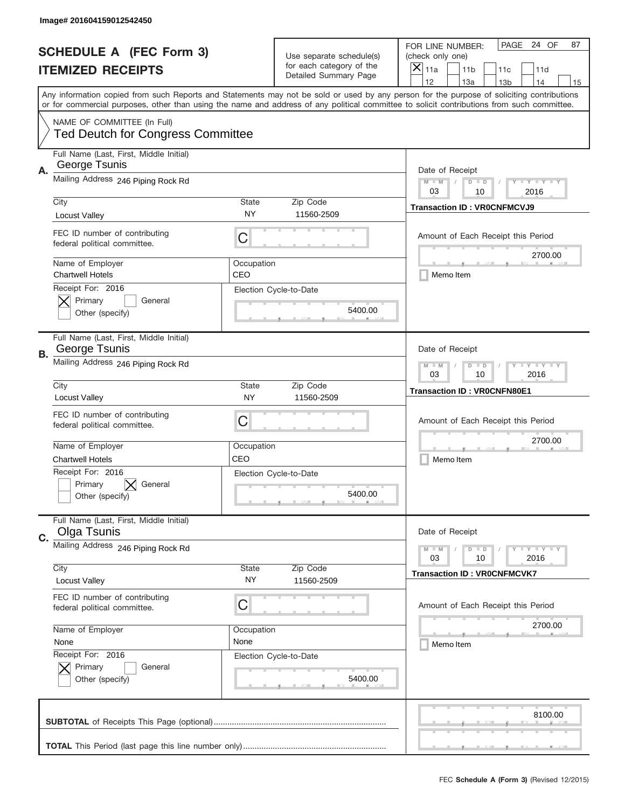|    | Image# 201604159012542450                                               |                                                             |                                                   |                                                                                                                                                                                                                                                                                                                                     |
|----|-------------------------------------------------------------------------|-------------------------------------------------------------|---------------------------------------------------|-------------------------------------------------------------------------------------------------------------------------------------------------------------------------------------------------------------------------------------------------------------------------------------------------------------------------------------|
|    | <b>SCHEDULE A (FEC Form 3)</b>                                          |                                                             | Use separate schedule(s)                          | PAGE 24 OF<br>87<br>FOR LINE NUMBER:<br>(check only one)                                                                                                                                                                                                                                                                            |
|    | <b>ITEMIZED RECEIPTS</b>                                                |                                                             | for each category of the<br>Detailed Summary Page | ×<br>11a<br>11 <sub>b</sub><br>11c<br>11d                                                                                                                                                                                                                                                                                           |
|    |                                                                         |                                                             |                                                   | 12<br>13a<br>14<br>13 <sub>b</sub><br>15<br>Any information copied from such Reports and Statements may not be sold or used by any person for the purpose of soliciting contributions<br>or for commercial purposes, other than using the name and address of any political committee to solicit contributions from such committee. |
|    |                                                                         |                                                             |                                                   |                                                                                                                                                                                                                                                                                                                                     |
|    | NAME OF COMMITTEE (In Full)<br><b>Ted Deutch for Congress Committee</b> |                                                             |                                                   |                                                                                                                                                                                                                                                                                                                                     |
| Α. | Full Name (Last, First, Middle Initial)<br>George Tsunis                |                                                             |                                                   | Date of Receipt                                                                                                                                                                                                                                                                                                                     |
|    | Mailing Address 246 Piping Rock Rd                                      |                                                             |                                                   | $M - M$<br><b>LEY LEY LEY</b><br>$D$ $D$<br>03<br>10<br>2016                                                                                                                                                                                                                                                                        |
|    | City<br>Locust Valley                                                   | State<br><b>NY</b>                                          | Zip Code<br>11560-2509                            | <b>Transaction ID: VROCNFMCVJ9</b>                                                                                                                                                                                                                                                                                                  |
|    | FEC ID number of contributing<br>federal political committee.           | C                                                           |                                                   | Amount of Each Receipt this Period                                                                                                                                                                                                                                                                                                  |
|    | Name of Employer<br><b>Chartwell Hotels</b>                             | Occupation<br>CEO                                           |                                                   | 2700.00<br>Memo Item                                                                                                                                                                                                                                                                                                                |
|    | Receipt For: 2016<br>Primary<br>General<br>Other (specify)              |                                                             | Election Cycle-to-Date<br>5400.00                 |                                                                                                                                                                                                                                                                                                                                     |
|    | Full Name (Last, First, Middle Initial)<br>George Tsunis                |                                                             |                                                   | Date of Receipt                                                                                                                                                                                                                                                                                                                     |
| В. | Mailing Address 246 Piping Rock Rd                                      | <b>LEYTEY LEY</b><br>$M - M$<br>$D$ $D$<br>03<br>10<br>2016 |                                                   |                                                                                                                                                                                                                                                                                                                                     |
|    | City<br><b>Locust Valley</b>                                            | State<br><b>NY</b>                                          | Zip Code<br>11560-2509                            | <b>Transaction ID: VROCNFN80E1</b>                                                                                                                                                                                                                                                                                                  |
|    | FEC ID number of contributing<br>federal political committee.           | C                                                           |                                                   | Amount of Each Receipt this Period                                                                                                                                                                                                                                                                                                  |
|    | Name of Employer                                                        | Occupation                                                  |                                                   | 2700.00                                                                                                                                                                                                                                                                                                                             |
|    | Chartwell Hotels                                                        | CEO                                                         |                                                   | Memo Item                                                                                                                                                                                                                                                                                                                           |
|    | Receipt For: 2016<br>General<br>Primary<br>Other (specify)              |                                                             | Election Cycle-to-Date<br>5400.00                 |                                                                                                                                                                                                                                                                                                                                     |
| C. | Full Name (Last, First, Middle Initial)<br>Olga Tsunis                  |                                                             |                                                   | Date of Receipt                                                                                                                                                                                                                                                                                                                     |
|    | Mailing Address 246 Piping Rock Rd                                      |                                                             |                                                   | <b>LYLYLY</b><br>$M - M$<br>$D$ $D$<br>2016<br>03<br>10                                                                                                                                                                                                                                                                             |
|    | City                                                                    | State                                                       | Zip Code                                          | <b>Transaction ID: VR0CNFMCVK7</b>                                                                                                                                                                                                                                                                                                  |
|    | Locust Valley                                                           | NY.                                                         | 11560-2509                                        |                                                                                                                                                                                                                                                                                                                                     |
|    | FEC ID number of contributing<br>federal political committee.           | C                                                           |                                                   | Amount of Each Receipt this Period                                                                                                                                                                                                                                                                                                  |
|    | Name of Employer                                                        | Occupation                                                  |                                                   | 2700.00                                                                                                                                                                                                                                                                                                                             |
|    | None                                                                    | None                                                        |                                                   | Memo Item                                                                                                                                                                                                                                                                                                                           |
|    | Receipt For: 2016<br>Primary<br>General<br>Other (specify)              |                                                             | Election Cycle-to-Date<br>5400.00                 |                                                                                                                                                                                                                                                                                                                                     |
|    |                                                                         |                                                             |                                                   | 8100.00                                                                                                                                                                                                                                                                                                                             |
|    |                                                                         |                                                             |                                                   |                                                                                                                                                                                                                                                                                                                                     |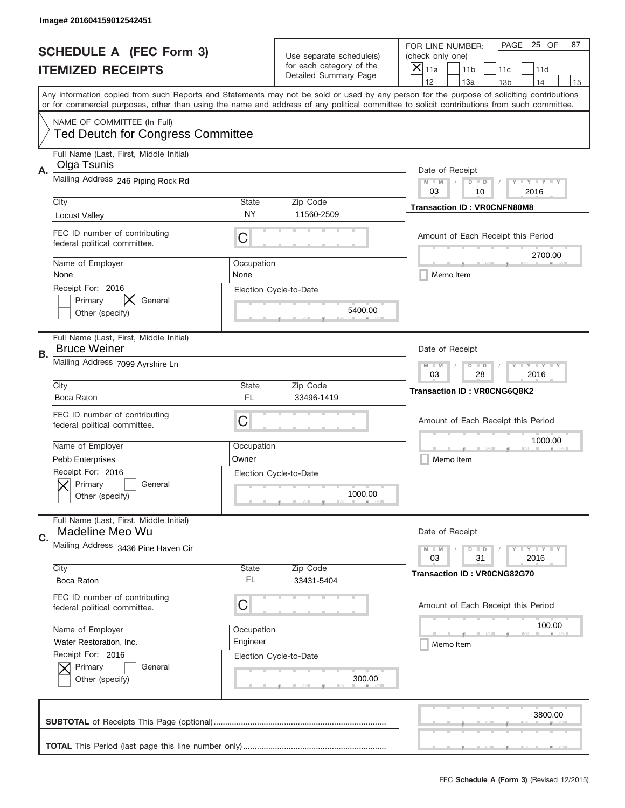|    | Image# 201604159012542451                                               |                    |                                                   |                                                                                                                                                                                                                                                                                         |
|----|-------------------------------------------------------------------------|--------------------|---------------------------------------------------|-----------------------------------------------------------------------------------------------------------------------------------------------------------------------------------------------------------------------------------------------------------------------------------------|
|    | <b>SCHEDULE A (FEC Form 3)</b>                                          |                    | Use separate schedule(s)                          | PAGE<br>25 OF<br>87<br>FOR LINE NUMBER:<br>(check only one)                                                                                                                                                                                                                             |
|    | <b>ITEMIZED RECEIPTS</b>                                                |                    | for each category of the<br>Detailed Summary Page | ×<br>11a<br>11 <sub>b</sub><br>11c<br>11d                                                                                                                                                                                                                                               |
|    |                                                                         |                    |                                                   | 12<br>13a<br>14<br>13 <sub>b</sub><br>15                                                                                                                                                                                                                                                |
|    |                                                                         |                    |                                                   | Any information copied from such Reports and Statements may not be sold or used by any person for the purpose of soliciting contributions<br>or for commercial purposes, other than using the name and address of any political committee to solicit contributions from such committee. |
|    | NAME OF COMMITTEE (In Full)<br><b>Ted Deutch for Congress Committee</b> |                    |                                                   |                                                                                                                                                                                                                                                                                         |
|    | Full Name (Last, First, Middle Initial)<br>Olga Tsunis                  |                    |                                                   |                                                                                                                                                                                                                                                                                         |
| А. | Mailing Address 246 Piping Rock Rd                                      |                    |                                                   | Date of Receipt<br>$M$ $M$<br>Y I Y I Y I Y<br>$D$ $D$<br>03<br>10<br>2016                                                                                                                                                                                                              |
|    | City                                                                    | State              | Zip Code                                          | <b>Transaction ID: VROCNFN80M8</b>                                                                                                                                                                                                                                                      |
|    | Locust Valley                                                           | <b>NY</b>          | 11560-2509                                        |                                                                                                                                                                                                                                                                                         |
|    | FEC ID number of contributing<br>federal political committee.           | C                  |                                                   | Amount of Each Receipt this Period<br>2700.00                                                                                                                                                                                                                                           |
|    | Name of Employer<br>None                                                | Occupation<br>None |                                                   | Memo Item                                                                                                                                                                                                                                                                               |
|    | Receipt For: 2016<br>General<br>Primary<br>Other (specify)              |                    | Election Cycle-to-Date<br>5400.00                 |                                                                                                                                                                                                                                                                                         |
|    | Full Name (Last, First, Middle Initial)<br><b>Bruce Weiner</b>          |                    |                                                   | Date of Receipt                                                                                                                                                                                                                                                                         |
| В. | Mailing Address 7099 Ayrshire Ln                                        |                    |                                                   | <b>LY LY LY</b><br>$M - M$<br>$D$ $D$<br>03<br>28<br>2016                                                                                                                                                                                                                               |
|    | City                                                                    | State              | Zip Code                                          | <b>Transaction ID: VR0CNG6Q8K2</b>                                                                                                                                                                                                                                                      |
|    | Boca Raton                                                              | <b>FL</b>          | 33496-1419                                        |                                                                                                                                                                                                                                                                                         |
|    | FEC ID number of contributing<br>federal political committee.           | C                  |                                                   | Amount of Each Receipt this Period                                                                                                                                                                                                                                                      |
|    | Name of Employer                                                        | Occupation         |                                                   | 1000.00                                                                                                                                                                                                                                                                                 |
|    | Pebb Enterprises                                                        | Owner              |                                                   | Memo Item                                                                                                                                                                                                                                                                               |
|    | Receipt For: 2016<br>General<br>Primary<br>Other (specify)              |                    | Election Cycle-to-Date<br>1000.00                 |                                                                                                                                                                                                                                                                                         |
| C. | Full Name (Last, First, Middle Initial)<br>Madeline Meo Wu              |                    |                                                   | Date of Receipt                                                                                                                                                                                                                                                                         |
|    | Mailing Address 3436 Pine Haven Cir                                     |                    |                                                   | $T$ $Y$ $Y$ $Y$ $Y$<br>$M - M$<br>$D$ $D$<br>2016<br>03<br>31                                                                                                                                                                                                                           |
|    | City                                                                    | State<br>FL        | Zip Code                                          | <b>Transaction ID: VR0CNG82G70</b>                                                                                                                                                                                                                                                      |
|    | Boca Raton                                                              |                    | 33431-5404                                        |                                                                                                                                                                                                                                                                                         |
|    | FEC ID number of contributing<br>federal political committee.           | C                  |                                                   | Amount of Each Receipt this Period                                                                                                                                                                                                                                                      |
|    | Name of Employer                                                        | Occupation         |                                                   | 100.00                                                                                                                                                                                                                                                                                  |
|    | Water Restoration, Inc.                                                 | Engineer           |                                                   | Memo Item                                                                                                                                                                                                                                                                               |
|    | Receipt For: 2016<br>Primary<br>General<br>Other (specify)              |                    | Election Cycle-to-Date<br>300.00                  |                                                                                                                                                                                                                                                                                         |
|    |                                                                         |                    |                                                   | 3800.00                                                                                                                                                                                                                                                                                 |
|    |                                                                         |                    |                                                   |                                                                                                                                                                                                                                                                                         |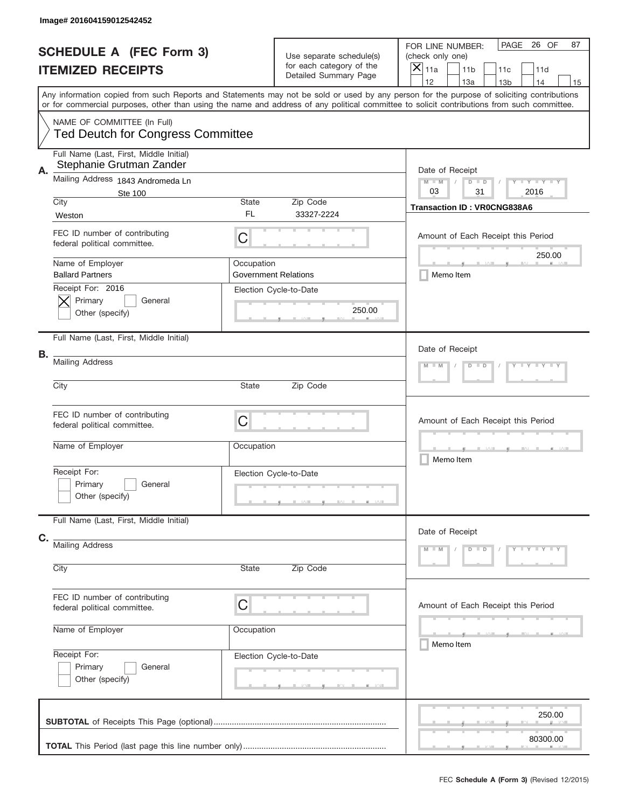|    | Image# 201604159012542452                                               |                       |                                                                               |                                                                                                                                                                                                                                                                                         |
|----|-------------------------------------------------------------------------|-----------------------|-------------------------------------------------------------------------------|-----------------------------------------------------------------------------------------------------------------------------------------------------------------------------------------------------------------------------------------------------------------------------------------|
|    | <b>SCHEDULE A (FEC Form 3)</b><br><b>ITEMIZED RECEIPTS</b>              |                       | Use separate schedule(s)<br>for each category of the<br>Detailed Summary Page | PAGE<br>26 OF<br>87<br>FOR LINE NUMBER:<br>(check only one)<br>$\overline{\mathsf{x}}$<br>11a<br>11 <sub>b</sub><br>11c<br>11d<br>12<br>13a<br>14<br>13 <sub>b</sub><br>15                                                                                                              |
|    |                                                                         |                       |                                                                               | Any information copied from such Reports and Statements may not be sold or used by any person for the purpose of soliciting contributions<br>or for commercial purposes, other than using the name and address of any political committee to solicit contributions from such committee. |
|    | NAME OF COMMITTEE (In Full)<br><b>Ted Deutch for Congress Committee</b> |                       |                                                                               |                                                                                                                                                                                                                                                                                         |
| Α. | Full Name (Last, First, Middle Initial)<br>Stephanie Grutman Zander     |                       |                                                                               | Date of Receipt                                                                                                                                                                                                                                                                         |
|    | Mailing Address 1843 Andromeda Ln<br><b>Ste 100</b>                     |                       |                                                                               | Y TY TY TY<br>$M$ M<br>$D$ $D$<br>03<br>31<br>2016                                                                                                                                                                                                                                      |
|    | City<br>Weston                                                          | State<br>FL           | Zip Code<br>33327-2224                                                        | <b>Transaction ID: VR0CNG838A6</b>                                                                                                                                                                                                                                                      |
|    | FEC ID number of contributing<br>federal political committee.           | C                     |                                                                               | Amount of Each Receipt this Period                                                                                                                                                                                                                                                      |
|    | Name of Employer<br><b>Ballard Partners</b>                             | Occupation            | <b>Government Relations</b>                                                   | 250.00<br>Memo Item                                                                                                                                                                                                                                                                     |
|    | Receipt For: 2016<br>Primary<br>General<br>Other (specify)              |                       | Election Cycle-to-Date<br>250.00                                              |                                                                                                                                                                                                                                                                                         |
|    | Full Name (Last, First, Middle Initial)                                 |                       |                                                                               | Date of Receipt                                                                                                                                                                                                                                                                         |
| В. | <b>Mailing Address</b>                                                  | Y TY TY TY<br>$D$ $D$ |                                                                               |                                                                                                                                                                                                                                                                                         |
|    | City                                                                    | State                 | Zip Code                                                                      |                                                                                                                                                                                                                                                                                         |
|    | FEC ID number of contributing<br>federal political committee.           | C                     |                                                                               | Amount of Each Receipt this Period                                                                                                                                                                                                                                                      |
|    | Name of Employer                                                        | Occupation            |                                                                               | Memo Item                                                                                                                                                                                                                                                                               |
|    | Receipt For:<br>Primary<br>General<br>Other (specify)                   |                       | Election Cycle-to-Date                                                        |                                                                                                                                                                                                                                                                                         |
| C. | Full Name (Last, First, Middle Initial)                                 |                       |                                                                               | Date of Receipt                                                                                                                                                                                                                                                                         |
|    | <b>Mailing Address</b><br>City                                          | State                 | Zip Code                                                                      | Y - Y - Y - Y<br>$M - M$<br>$D$ $D$                                                                                                                                                                                                                                                     |
|    |                                                                         |                       |                                                                               |                                                                                                                                                                                                                                                                                         |
|    | FEC ID number of contributing<br>federal political committee.           | C                     |                                                                               | Amount of Each Receipt this Period                                                                                                                                                                                                                                                      |
|    | Name of Employer                                                        | Occupation            |                                                                               | Memo Item                                                                                                                                                                                                                                                                               |
|    | Receipt For:<br>Primary<br>General<br>Other (specify)                   |                       | Election Cycle-to-Date                                                        |                                                                                                                                                                                                                                                                                         |
|    |                                                                         |                       |                                                                               | 250.00                                                                                                                                                                                                                                                                                  |
|    |                                                                         |                       |                                                                               | 80300.00                                                                                                                                                                                                                                                                                |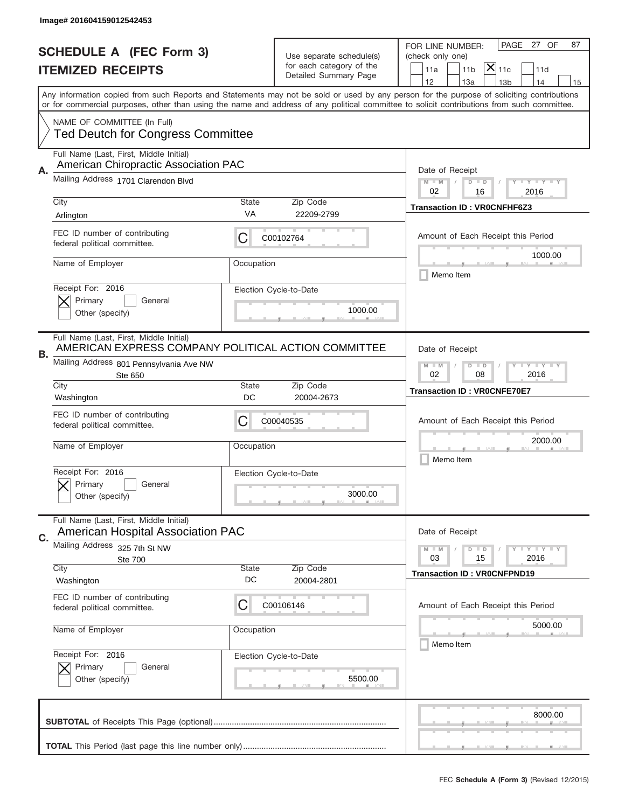|    | Image# 201604159012542453                                                                      |                                                             |                                                      |                                                                                                                                                                                                                                                                                         |
|----|------------------------------------------------------------------------------------------------|-------------------------------------------------------------|------------------------------------------------------|-----------------------------------------------------------------------------------------------------------------------------------------------------------------------------------------------------------------------------------------------------------------------------------------|
|    | <b>SCHEDULE A (FEC Form 3)</b>                                                                 |                                                             |                                                      | PAGE 27 OF<br>87<br>FOR LINE NUMBER:                                                                                                                                                                                                                                                    |
|    | <b>ITEMIZED RECEIPTS</b>                                                                       |                                                             | Use separate schedule(s)<br>for each category of the | (check only one)<br>$\mathsf{\bar{X}}\vert_{\mathsf{11c}}$<br>11a<br>11 <sub>b</sub><br>11d                                                                                                                                                                                             |
|    |                                                                                                |                                                             | Detailed Summary Page                                | 12<br>13a<br>14<br>13 <sub>b</sub><br>15                                                                                                                                                                                                                                                |
|    |                                                                                                |                                                             |                                                      | Any information copied from such Reports and Statements may not be sold or used by any person for the purpose of soliciting contributions<br>or for commercial purposes, other than using the name and address of any political committee to solicit contributions from such committee. |
|    | NAME OF COMMITTEE (In Full)                                                                    |                                                             |                                                      |                                                                                                                                                                                                                                                                                         |
|    | <b>Ted Deutch for Congress Committee</b>                                                       |                                                             |                                                      |                                                                                                                                                                                                                                                                                         |
|    | Full Name (Last, First, Middle Initial)<br>American Chiropractic Association PAC               |                                                             |                                                      |                                                                                                                                                                                                                                                                                         |
| Α. | Mailing Address 1701 Clarendon Blvd                                                            |                                                             |                                                      | Date of Receipt<br>$M - M$<br><b>LEY LEY LEY</b><br>$D$ $D$                                                                                                                                                                                                                             |
|    | City                                                                                           | State                                                       | Zip Code                                             | 02<br>16<br>2016                                                                                                                                                                                                                                                                        |
|    | Arlington                                                                                      | VA                                                          | 22209-2799                                           | <b>Transaction ID: VR0CNFHF6Z3</b>                                                                                                                                                                                                                                                      |
|    | FEC ID number of contributing<br>federal political committee.                                  | С                                                           | C00102764                                            | Amount of Each Receipt this Period                                                                                                                                                                                                                                                      |
|    | Name of Employer                                                                               | Occupation                                                  |                                                      | 1000.00<br>Memo Item                                                                                                                                                                                                                                                                    |
|    | Receipt For: 2016<br>Primary<br>General                                                        |                                                             | Election Cycle-to-Date                               |                                                                                                                                                                                                                                                                                         |
|    | Other (specify)                                                                                |                                                             | 1000.00                                              |                                                                                                                                                                                                                                                                                         |
| В. | Full Name (Last, First, Middle Initial)<br>AMERICAN EXPRESS COMPANY POLITICAL ACTION COMMITTEE |                                                             |                                                      | Date of Receipt                                                                                                                                                                                                                                                                         |
|    | Mailing Address 801 Pennsylvania Ave NW<br>Ste 650                                             | $M - M$<br>$D$ $D$<br><b>LEYTEY LEY</b><br>02<br>08<br>2016 |                                                      |                                                                                                                                                                                                                                                                                         |
|    | City<br>Washington                                                                             | <b>State</b><br>DC                                          | Zip Code<br>20004-2673                               | <b>Transaction ID: VROCNFE70E7</b>                                                                                                                                                                                                                                                      |
|    | FEC ID number of contributing<br>federal political committee.                                  | С                                                           | C00040535                                            | Amount of Each Receipt this Period                                                                                                                                                                                                                                                      |
|    | Name of Employer                                                                               | Occupation                                                  |                                                      | 2000.00<br>Memo Item                                                                                                                                                                                                                                                                    |
|    | Receipt For: 2016                                                                              |                                                             | Election Cycle-to-Date                               |                                                                                                                                                                                                                                                                                         |
|    | Primary<br>General<br>Other (specify)                                                          |                                                             | 3000.00                                              |                                                                                                                                                                                                                                                                                         |
| C. | Full Name (Last, First, Middle Initial)<br><b>American Hospital Association PAC</b>            |                                                             |                                                      | Date of Receipt                                                                                                                                                                                                                                                                         |
|    | Mailing Address 325 7th St NW                                                                  |                                                             |                                                      | <b>LEY LEY LEY</b><br>$M - M$<br>$D$ $D$<br>2016<br>03<br>15                                                                                                                                                                                                                            |
|    | Ste 700<br>City                                                                                | State                                                       | Zip Code                                             | <b>Transaction ID: VROCNFPND19</b>                                                                                                                                                                                                                                                      |
|    | Washington                                                                                     | DC                                                          | 20004-2801                                           |                                                                                                                                                                                                                                                                                         |
|    | FEC ID number of contributing<br>federal political committee.                                  | C                                                           | C00106146                                            | Amount of Each Receipt this Period                                                                                                                                                                                                                                                      |
|    | Name of Employer                                                                               | Occupation                                                  |                                                      | 5000.00<br>Memo Item                                                                                                                                                                                                                                                                    |
|    | Receipt For: 2016<br>Primary<br>General                                                        |                                                             | Election Cycle-to-Date                               |                                                                                                                                                                                                                                                                                         |
|    | Other (specify)                                                                                |                                                             | 5500.00                                              |                                                                                                                                                                                                                                                                                         |
|    |                                                                                                |                                                             |                                                      | 8000.00                                                                                                                                                                                                                                                                                 |
|    |                                                                                                |                                                             |                                                      |                                                                                                                                                                                                                                                                                         |
|    |                                                                                                |                                                             |                                                      |                                                                                                                                                                                                                                                                                         |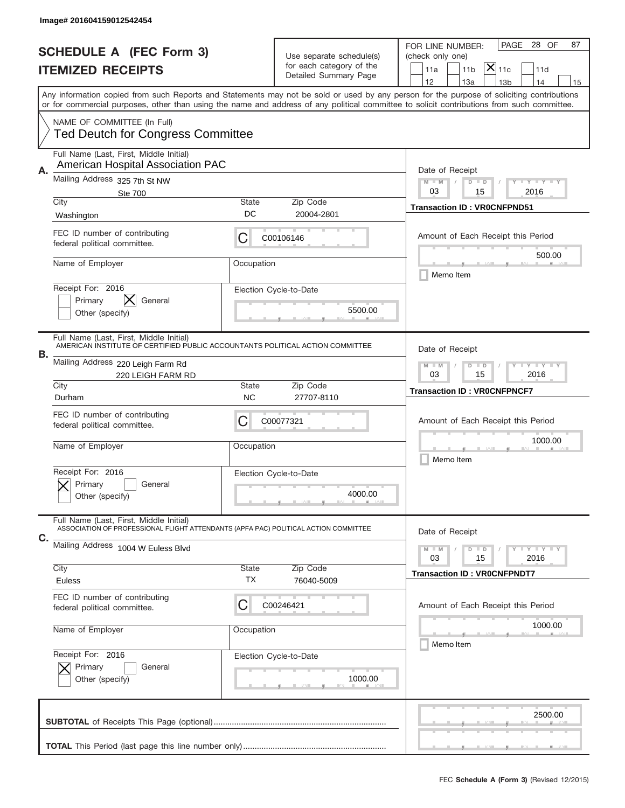|    | Image# 201604159012542454                                                                                                      |                                                         |                                                      |                                                                                                                                                                                                                                                                                         |
|----|--------------------------------------------------------------------------------------------------------------------------------|---------------------------------------------------------|------------------------------------------------------|-----------------------------------------------------------------------------------------------------------------------------------------------------------------------------------------------------------------------------------------------------------------------------------------|
|    | <b>SCHEDULE A (FEC Form 3)</b>                                                                                                 |                                                         |                                                      | PAGE<br>28 OF<br>87<br>FOR LINE NUMBER:                                                                                                                                                                                                                                                 |
|    | <b>ITEMIZED RECEIPTS</b>                                                                                                       |                                                         | Use separate schedule(s)<br>for each category of the | (check only one)<br>$ \mathsf{\overline{X}} _{\mathsf{11c}}$<br>11 <sub>b</sub><br>11a<br>11d                                                                                                                                                                                           |
|    |                                                                                                                                |                                                         | Detailed Summary Page                                | 12<br>14<br>13a<br>13 <sub>b</sub><br>15                                                                                                                                                                                                                                                |
|    |                                                                                                                                |                                                         |                                                      | Any information copied from such Reports and Statements may not be sold or used by any person for the purpose of soliciting contributions<br>or for commercial purposes, other than using the name and address of any political committee to solicit contributions from such committee. |
|    | NAME OF COMMITTEE (In Full)<br><b>Ted Deutch for Congress Committee</b>                                                        |                                                         |                                                      |                                                                                                                                                                                                                                                                                         |
| Α. | Full Name (Last, First, Middle Initial)<br>American Hospital Association PAC                                                   |                                                         |                                                      | Date of Receipt                                                                                                                                                                                                                                                                         |
|    | Mailing Address 325 7th St NW<br><b>Ste 700</b>                                                                                |                                                         |                                                      | $M - M$<br>Y I Y I Y I Y<br>$D$ $D$<br>03<br>15<br>2016                                                                                                                                                                                                                                 |
|    | City<br>Washington                                                                                                             | State<br>DC                                             | Zip Code<br>20004-2801                               | <b>Transaction ID: VR0CNFPND51</b>                                                                                                                                                                                                                                                      |
|    | FEC ID number of contributing<br>federal political committee.                                                                  | C                                                       | C00106146                                            | Amount of Each Receipt this Period<br>500.00                                                                                                                                                                                                                                            |
|    | Name of Employer                                                                                                               | Occupation                                              |                                                      | Memo Item                                                                                                                                                                                                                                                                               |
|    | Receipt For: 2016<br>Primary<br>General<br>Other (specify)                                                                     |                                                         | Election Cycle-to-Date<br>5500.00                    |                                                                                                                                                                                                                                                                                         |
| В. | Full Name (Last, First, Middle Initial)<br>AMERICAN INSTITUTE OF CERTIFIED PUBLIC ACCOUNTANTS POLITICAL ACTION COMMITTEE       |                                                         |                                                      | Date of Receipt                                                                                                                                                                                                                                                                         |
|    | Mailing Address 220 Leigh Farm Rd<br>220 LEIGH FARM RD                                                                         | <b>LYLYLY</b><br>$M - M$<br>$D$ $D$<br>03<br>15<br>2016 |                                                      |                                                                                                                                                                                                                                                                                         |
|    | City<br>Durham                                                                                                                 | State<br><b>NC</b>                                      | Zip Code<br>27707-8110                               | <b>Transaction ID: VROCNFPNCF7</b>                                                                                                                                                                                                                                                      |
|    | FEC ID number of contributing<br>federal political committee.                                                                  | C                                                       | C00077321                                            | Amount of Each Receipt this Period                                                                                                                                                                                                                                                      |
|    | Name of Employer                                                                                                               | Occupation                                              |                                                      | 1000.00<br>Memo Item                                                                                                                                                                                                                                                                    |
|    | Receipt For: 2016<br>Primary<br>General<br>Other (specify)                                                                     |                                                         | Election Cycle-to-Date<br>4000.00                    |                                                                                                                                                                                                                                                                                         |
| C. | Full Name (Last, First, Middle Initial)<br>ASSOCIATION OF PROFESSIONAL FLIGHT ATTENDANTS (APFA PAC) POLITICAL ACTION COMMITTEE |                                                         |                                                      | Date of Receipt                                                                                                                                                                                                                                                                         |
|    | Mailing Address 1004 W Euless Blvd                                                                                             |                                                         |                                                      | <b>TEY LY LY</b><br>$M - M$<br>$D$ $D$<br>2016<br>03<br>15                                                                                                                                                                                                                              |
|    | City<br>Euless                                                                                                                 | State<br>ТX                                             | Zip Code<br>76040-5009                               | <b>Transaction ID: VROCNFPNDT7</b>                                                                                                                                                                                                                                                      |
|    | FEC ID number of contributing<br>federal political committee.                                                                  | C                                                       | C00246421                                            | Amount of Each Receipt this Period                                                                                                                                                                                                                                                      |
|    | Name of Employer                                                                                                               | Occupation                                              |                                                      | 1000.00<br>Memo Item                                                                                                                                                                                                                                                                    |
|    | Receipt For: 2016<br>Primary<br>General<br>Other (specify)                                                                     |                                                         | Election Cycle-to-Date<br>1000.00                    |                                                                                                                                                                                                                                                                                         |
|    |                                                                                                                                |                                                         |                                                      | 2500.00                                                                                                                                                                                                                                                                                 |
|    |                                                                                                                                |                                                         |                                                      |                                                                                                                                                                                                                                                                                         |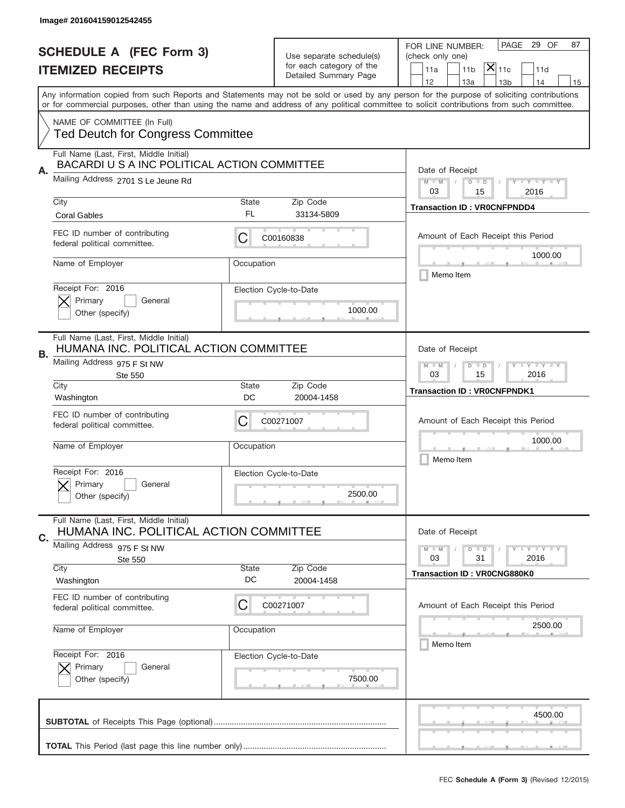ш

|    | Image# 201604159012542455                                                               |                                                             |                                                                               |                                                                                                                                                                                                                                                                                                                                     |
|----|-----------------------------------------------------------------------------------------|-------------------------------------------------------------|-------------------------------------------------------------------------------|-------------------------------------------------------------------------------------------------------------------------------------------------------------------------------------------------------------------------------------------------------------------------------------------------------------------------------------|
|    | <b>SCHEDULE A (FEC Form 3)</b><br><b>ITEMIZED RECEIPTS</b>                              |                                                             | Use separate schedule(s)<br>for each category of the<br>Detailed Summary Page | PAGE 29 OF<br>87<br>FOR LINE NUMBER:<br>(check only one)<br>$\mathsf{\bar{X}}\vert_{\mathsf{11c}}$<br>11a<br>11 <sub>b</sub><br>11d                                                                                                                                                                                                 |
|    |                                                                                         |                                                             |                                                                               | 12<br>13a<br>14<br>13 <sub>b</sub><br>15<br>Any information copied from such Reports and Statements may not be sold or used by any person for the purpose of soliciting contributions<br>or for commercial purposes, other than using the name and address of any political committee to solicit contributions from such committee. |
|    | NAME OF COMMITTEE (In Full)<br><b>Ted Deutch for Congress Committee</b>                 |                                                             |                                                                               |                                                                                                                                                                                                                                                                                                                                     |
| Α. | Full Name (Last, First, Middle Initial)<br>BACARDI U S A INC POLITICAL ACTION COMMITTEE |                                                             |                                                                               | Date of Receipt                                                                                                                                                                                                                                                                                                                     |
|    | Mailing Address 2701 S Le Jeune Rd                                                      |                                                             |                                                                               | $M - M$<br><b>LEY LEY LEY</b><br>$D$ $D$<br>03<br>15<br>2016                                                                                                                                                                                                                                                                        |
|    | City<br><b>Coral Gables</b>                                                             | State<br>FL                                                 | Zip Code<br>33134-5809                                                        | <b>Transaction ID: VR0CNFPNDD4</b>                                                                                                                                                                                                                                                                                                  |
|    | FEC ID number of contributing<br>federal political committee.                           | С                                                           | C00160838                                                                     | Amount of Each Receipt this Period                                                                                                                                                                                                                                                                                                  |
|    | Name of Employer                                                                        | Occupation                                                  |                                                                               | 1000.00<br>Memo Item                                                                                                                                                                                                                                                                                                                |
|    | Receipt For: 2016<br>Primary<br>General<br>Other (specify)                              |                                                             | Election Cycle-to-Date<br>1000.00                                             |                                                                                                                                                                                                                                                                                                                                     |
| В. | Full Name (Last, First, Middle Initial)<br>HUMANA INC. POLITICAL ACTION COMMITTEE       |                                                             |                                                                               | Date of Receipt                                                                                                                                                                                                                                                                                                                     |
|    | Mailing Address 975 F St NW<br><b>Ste 550</b>                                           | $M - M$<br><b>LEYTEY LEY</b><br>$D$ $D$<br>03<br>15<br>2016 |                                                                               |                                                                                                                                                                                                                                                                                                                                     |
|    | City<br>Washington                                                                      | State<br>DC                                                 | Zip Code<br>20004-1458                                                        | <b>Transaction ID: VROCNFPNDK1</b>                                                                                                                                                                                                                                                                                                  |
|    | FEC ID number of contributing<br>federal political committee.                           | С                                                           | C00271007                                                                     | Amount of Each Receipt this Period                                                                                                                                                                                                                                                                                                  |
|    |                                                                                         |                                                             |                                                                               | 1000.00                                                                                                                                                                                                                                                                                                                             |
|    | Name of Employer                                                                        | Occupation                                                  |                                                                               | Memo Item                                                                                                                                                                                                                                                                                                                           |
|    | Receipt For: 2016<br>Primary<br>General<br>Other (specify)                              |                                                             | Election Cycle-to-Date<br>2500.00                                             |                                                                                                                                                                                                                                                                                                                                     |
|    | Full Name (Last, First, Middle Initial)<br>HUMANA INC. POLITICAL ACTION COMMITTEE       |                                                             |                                                                               | Date of Receipt                                                                                                                                                                                                                                                                                                                     |
|    | Mailing Address 975 F St NW<br>Ste 550                                                  |                                                             |                                                                               | <b>LY LY LY</b><br>$M - M$<br>$D$ $D$<br>03<br>2016<br>31                                                                                                                                                                                                                                                                           |
|    | City<br>Washington                                                                      | State<br>DC                                                 | Zip Code<br>20004-1458                                                        | <b>Transaction ID: VR0CNG880K0</b>                                                                                                                                                                                                                                                                                                  |
|    | FEC ID number of contributing<br>federal political committee.                           | С                                                           | C00271007                                                                     | Amount of Each Receipt this Period                                                                                                                                                                                                                                                                                                  |
|    | Name of Employer                                                                        | Occupation                                                  |                                                                               | 2500.00<br>Memo Item                                                                                                                                                                                                                                                                                                                |
|    | Receipt For: 2016<br>Primary<br>General<br>Other (specify)                              |                                                             | Election Cycle-to-Date<br>7500.00                                             |                                                                                                                                                                                                                                                                                                                                     |
| C. |                                                                                         |                                                             |                                                                               | 4500.00                                                                                                                                                                                                                                                                                                                             |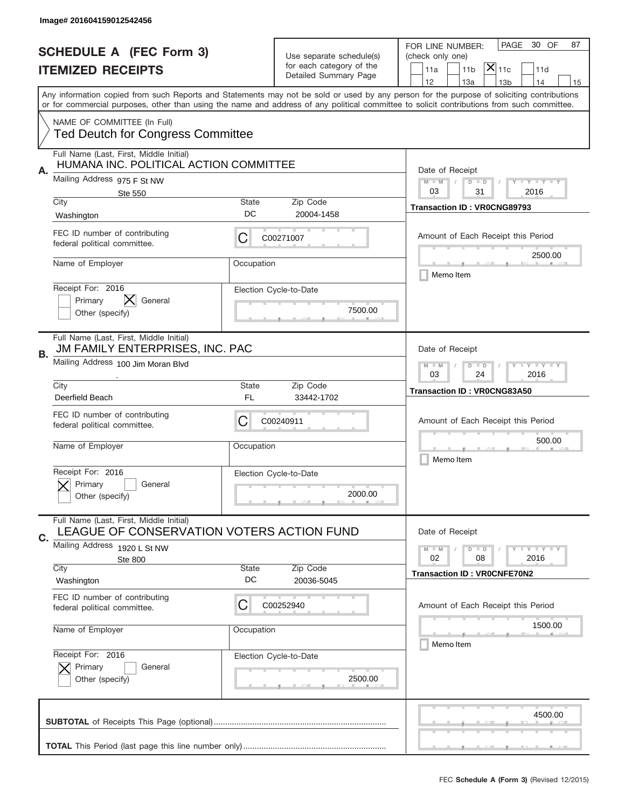|    | Image# 201604159012542456                                                            |                                                             |                                                      |                                                                                                                                                                                                                                                                                         |
|----|--------------------------------------------------------------------------------------|-------------------------------------------------------------|------------------------------------------------------|-----------------------------------------------------------------------------------------------------------------------------------------------------------------------------------------------------------------------------------------------------------------------------------------|
|    | <b>SCHEDULE A (FEC Form 3)</b>                                                       |                                                             |                                                      | PAGE<br>30 OF<br>87<br>FOR LINE NUMBER:                                                                                                                                                                                                                                                 |
|    | <b>ITEMIZED RECEIPTS</b>                                                             |                                                             | Use separate schedule(s)<br>for each category of the | (check only one)<br>$\mathsf{X} _{\mathsf{11c}}$<br>11a<br>11 <sub>b</sub><br>11d                                                                                                                                                                                                       |
|    |                                                                                      |                                                             | Detailed Summary Page                                | 12<br>14<br>13a<br>13 <sub>b</sub><br>15                                                                                                                                                                                                                                                |
|    |                                                                                      |                                                             |                                                      | Any information copied from such Reports and Statements may not be sold or used by any person for the purpose of soliciting contributions<br>or for commercial purposes, other than using the name and address of any political committee to solicit contributions from such committee. |
|    | NAME OF COMMITTEE (In Full)<br><b>Ted Deutch for Congress Committee</b>              |                                                             |                                                      |                                                                                                                                                                                                                                                                                         |
| Α. | Full Name (Last, First, Middle Initial)<br>HUMANA INC. POLITICAL ACTION COMMITTEE    |                                                             |                                                      | Date of Receipt                                                                                                                                                                                                                                                                         |
|    | Mailing Address 975 F St NW<br><b>Ste 550</b>                                        |                                                             |                                                      | $M - M$<br><b>LEY LEY LEY</b><br>$D$ $D$<br>03<br>31<br>2016                                                                                                                                                                                                                            |
|    | City<br>Washington                                                                   | State<br>DC                                                 | Zip Code<br>20004-1458                               | <b>Transaction ID: VR0CNG89793</b>                                                                                                                                                                                                                                                      |
|    | FEC ID number of contributing<br>federal political committee.                        | С                                                           | C00271007                                            | Amount of Each Receipt this Period<br>2500.00                                                                                                                                                                                                                                           |
|    | Name of Employer                                                                     | Occupation                                                  |                                                      | Memo Item                                                                                                                                                                                                                                                                               |
|    | Receipt For: 2016<br>IХ.<br>Primary<br>General<br>Other (specify)                    |                                                             | Election Cycle-to-Date<br>7500.00                    |                                                                                                                                                                                                                                                                                         |
| В. | Full Name (Last, First, Middle Initial)<br>JM FAMILY ENTERPRISES, INC. PAC           |                                                             |                                                      | Date of Receipt                                                                                                                                                                                                                                                                         |
|    | Mailing Address 100 Jim Moran Blvd                                                   | <b>LEYTEY LEY</b><br>$M - M$<br>$D$ $D$<br>03<br>24<br>2016 |                                                      |                                                                                                                                                                                                                                                                                         |
|    | City<br>Deerfield Beach                                                              | State<br>FL                                                 | Zip Code<br>33442-1702                               | <b>Transaction ID: VR0CNG83A50</b>                                                                                                                                                                                                                                                      |
|    | FEC ID number of contributing<br>federal political committee.                        | С                                                           | C00240911                                            | Amount of Each Receipt this Period                                                                                                                                                                                                                                                      |
|    | Name of Employer                                                                     | Occupation                                                  |                                                      | 500.00<br>Memo Item                                                                                                                                                                                                                                                                     |
|    |                                                                                      |                                                             |                                                      |                                                                                                                                                                                                                                                                                         |
|    | Receipt For: 2016<br>General<br>Primary<br>Other (specify)                           |                                                             | Election Cycle-to-Date<br>2000.00                    |                                                                                                                                                                                                                                                                                         |
| C. | Full Name (Last, First, Middle Initial)<br>LEAGUE OF CONSERVATION VOTERS ACTION FUND |                                                             |                                                      | Date of Receipt                                                                                                                                                                                                                                                                         |
|    | Mailing Address 1920 L St NW                                                         |                                                             |                                                      | <b>LY LY LY</b><br>$M - M$<br>$D$ $D$                                                                                                                                                                                                                                                   |
|    | Ste 800<br>City<br>Washington                                                        | State<br>DC                                                 | Zip Code<br>20036-5045                               | 02<br>2016<br>08<br><b>Transaction ID: VROCNFE70N2</b>                                                                                                                                                                                                                                  |
|    | FEC ID number of contributing<br>federal political committee.                        | С                                                           | C00252940                                            | Amount of Each Receipt this Period                                                                                                                                                                                                                                                      |
|    | Name of Employer                                                                     | Occupation                                                  |                                                      | 1500.00<br>Memo Item                                                                                                                                                                                                                                                                    |
|    | Receipt For: 2016<br>Primary<br>General<br>Other (specify)                           |                                                             | Election Cycle-to-Date<br>2500.00                    |                                                                                                                                                                                                                                                                                         |
|    |                                                                                      |                                                             |                                                      | 4500.00                                                                                                                                                                                                                                                                                 |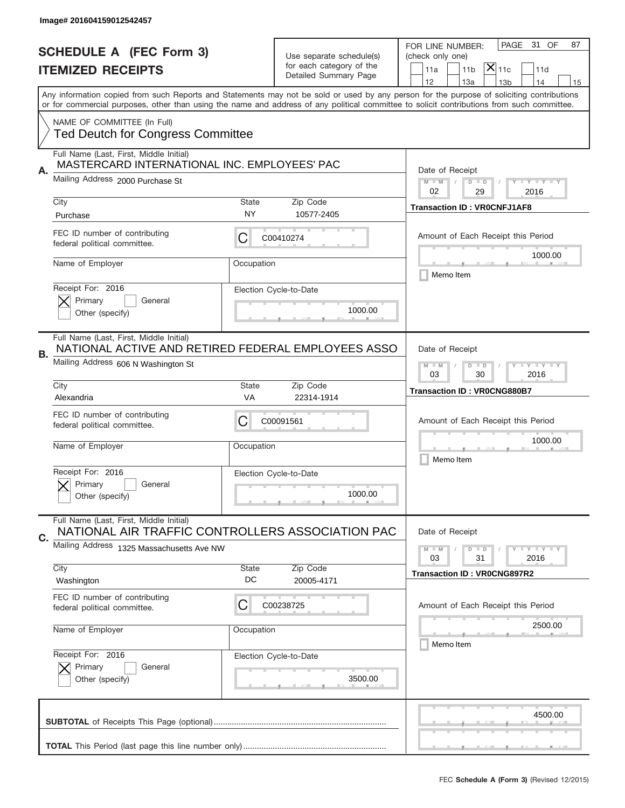|    | Image# 201604159012542457                                                                     |                                                             |                                   |                                                                                                                                                                                                                                                                                         |
|----|-----------------------------------------------------------------------------------------------|-------------------------------------------------------------|-----------------------------------|-----------------------------------------------------------------------------------------------------------------------------------------------------------------------------------------------------------------------------------------------------------------------------------------|
|    | <b>SCHEDULE A (FEC Form 3)</b>                                                                |                                                             | Use separate schedule(s)          | PAGE<br>31 OF<br>87<br>FOR LINE NUMBER:<br>(check only one)                                                                                                                                                                                                                             |
|    | <b>ITEMIZED RECEIPTS</b>                                                                      |                                                             | for each category of the          | $\mathsf{\bar{X}}\vert_{\mathsf{11c}}$<br>11a<br>11 <sub>b</sub><br>11d                                                                                                                                                                                                                 |
|    |                                                                                               |                                                             | Detailed Summary Page             | 12<br>13a<br>14<br>13 <sub>b</sub><br>15                                                                                                                                                                                                                                                |
|    |                                                                                               |                                                             |                                   | Any information copied from such Reports and Statements may not be sold or used by any person for the purpose of soliciting contributions<br>or for commercial purposes, other than using the name and address of any political committee to solicit contributions from such committee. |
|    | NAME OF COMMITTEE (In Full)                                                                   |                                                             |                                   |                                                                                                                                                                                                                                                                                         |
|    | <b>Ted Deutch for Congress Committee</b>                                                      |                                                             |                                   |                                                                                                                                                                                                                                                                                         |
|    | Full Name (Last, First, Middle Initial)<br>MASTERCARD INTERNATIONAL INC. EMPLOYEES' PAC       |                                                             |                                   |                                                                                                                                                                                                                                                                                         |
| Α. | Mailing Address 2000 Purchase St                                                              |                                                             |                                   | Date of Receipt<br>$M - M$<br><b>LEY LEY LEY</b><br>$D$ $D$                                                                                                                                                                                                                             |
|    | City                                                                                          | State                                                       | Zip Code                          | 02<br>29<br>2016                                                                                                                                                                                                                                                                        |
|    | Purchase                                                                                      | NY                                                          | 10577-2405                        | <b>Transaction ID: VR0CNFJ1AF8</b>                                                                                                                                                                                                                                                      |
|    | FEC ID number of contributing<br>federal political committee.                                 | С                                                           | C00410274                         | Amount of Each Receipt this Period                                                                                                                                                                                                                                                      |
|    | Name of Employer                                                                              | Occupation                                                  |                                   | 1000.00<br>Memo Item                                                                                                                                                                                                                                                                    |
|    | Receipt For: 2016<br>Primary<br>General                                                       |                                                             | Election Cycle-to-Date            |                                                                                                                                                                                                                                                                                         |
|    | Other (specify)                                                                               |                                                             | 1000.00                           |                                                                                                                                                                                                                                                                                         |
| В. | Full Name (Last, First, Middle Initial)<br>NATIONAL ACTIVE AND RETIRED FEDERAL EMPLOYEES ASSO |                                                             |                                   | Date of Receipt                                                                                                                                                                                                                                                                         |
|    | Mailing Address 606 N Washington St                                                           | $M - M$<br>$D$ $D$<br><b>LEYTEY LEY</b><br>03<br>30<br>2016 |                                   |                                                                                                                                                                                                                                                                                         |
|    | City<br>Alexandria                                                                            | State<br>VA                                                 | Zip Code<br>22314-1914            | <b>Transaction ID: VR0CNG880B7</b>                                                                                                                                                                                                                                                      |
|    |                                                                                               |                                                             |                                   |                                                                                                                                                                                                                                                                                         |
|    |                                                                                               |                                                             |                                   |                                                                                                                                                                                                                                                                                         |
|    | FEC ID number of contributing<br>federal political committee.                                 | С                                                           | C00091561                         | Amount of Each Receipt this Period                                                                                                                                                                                                                                                      |
|    | Name of Employer                                                                              | Occupation                                                  |                                   | 1000.00                                                                                                                                                                                                                                                                                 |
|    |                                                                                               |                                                             |                                   | Memo Item                                                                                                                                                                                                                                                                               |
|    | Receipt For: 2016                                                                             |                                                             | Election Cycle-to-Date            |                                                                                                                                                                                                                                                                                         |
|    | Primary<br>General<br>Other (specify)                                                         |                                                             | 1000.00                           |                                                                                                                                                                                                                                                                                         |
|    | Full Name (Last, First, Middle Initial)<br>NATIONAL AIR TRAFFIC CONTROLLERS ASSOCIATION PAC   |                                                             |                                   | Date of Receipt                                                                                                                                                                                                                                                                         |
| C. | Mailing Address 1325 Massachusetts Ave NW                                                     |                                                             |                                   | <b>LY LY LY</b><br>$M - M$<br>$D$ $D$<br>2016<br>03<br>31                                                                                                                                                                                                                               |
|    | City                                                                                          | <b>State</b>                                                | Zip Code                          | <b>Transaction ID: VR0CNG897R2</b>                                                                                                                                                                                                                                                      |
|    | Washington                                                                                    | DC                                                          | 20005-4171                        |                                                                                                                                                                                                                                                                                         |
|    | FEC ID number of contributing<br>federal political committee.                                 | C                                                           | C00238725                         | Amount of Each Receipt this Period                                                                                                                                                                                                                                                      |
|    | Name of Employer                                                                              | Occupation                                                  |                                   | 2500.00                                                                                                                                                                                                                                                                                 |
|    | Receipt For: 2016                                                                             |                                                             |                                   | Memo Item                                                                                                                                                                                                                                                                               |
|    | Primary<br>General<br>Other (specify)                                                         |                                                             | Election Cycle-to-Date<br>3500.00 |                                                                                                                                                                                                                                                                                         |
|    |                                                                                               |                                                             |                                   | 4500.00                                                                                                                                                                                                                                                                                 |
|    |                                                                                               |                                                             |                                   |                                                                                                                                                                                                                                                                                         |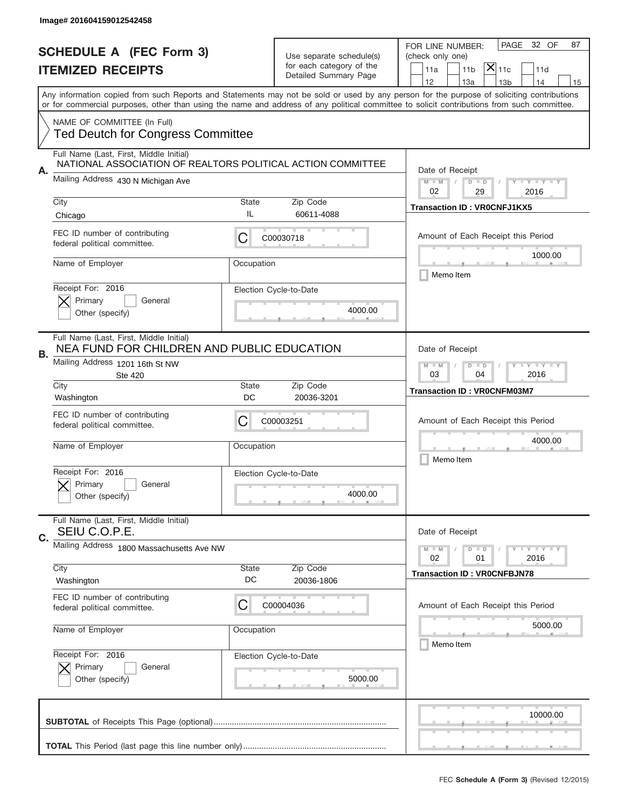|    | Image# 201604159012542458                                                                              |                                                           |                                                   |                                                                                                                                                                                                                                                                                                                                     |
|----|--------------------------------------------------------------------------------------------------------|-----------------------------------------------------------|---------------------------------------------------|-------------------------------------------------------------------------------------------------------------------------------------------------------------------------------------------------------------------------------------------------------------------------------------------------------------------------------------|
|    | <b>SCHEDULE A (FEC Form 3)</b>                                                                         |                                                           | Use separate schedule(s)                          | 32 OF<br>PAGE<br>87<br>FOR LINE NUMBER:<br>(check only one)                                                                                                                                                                                                                                                                         |
|    | <b>ITEMIZED RECEIPTS</b>                                                                               |                                                           | for each category of the<br>Detailed Summary Page | $ \mathsf{X} _{\mathsf{11c}}$<br>11 <sub>b</sub><br>11a<br>11d                                                                                                                                                                                                                                                                      |
|    |                                                                                                        |                                                           |                                                   | 12<br>13a<br>14<br>13 <sub>b</sub><br>15<br>Any information copied from such Reports and Statements may not be sold or used by any person for the purpose of soliciting contributions<br>or for commercial purposes, other than using the name and address of any political committee to solicit contributions from such committee. |
|    |                                                                                                        |                                                           |                                                   |                                                                                                                                                                                                                                                                                                                                     |
|    | NAME OF COMMITTEE (In Full)<br><b>Ted Deutch for Congress Committee</b>                                |                                                           |                                                   |                                                                                                                                                                                                                                                                                                                                     |
| Α. | Full Name (Last, First, Middle Initial)<br>NATIONAL ASSOCIATION OF REALTORS POLITICAL ACTION COMMITTEE |                                                           |                                                   | Date of Receipt                                                                                                                                                                                                                                                                                                                     |
|    | Mailing Address 430 N Michigan Ave                                                                     |                                                           |                                                   | $M - M$<br>$D$ $D$<br>Y FY FY FY<br>02<br>29<br>2016                                                                                                                                                                                                                                                                                |
|    | City<br>Chicago                                                                                        | State<br>IL                                               | Zip Code<br>60611-4088                            | <b>Transaction ID: VR0CNFJ1KX5</b>                                                                                                                                                                                                                                                                                                  |
|    | FEC ID number of contributing<br>federal political committee.                                          | C                                                         | C00030718                                         | Amount of Each Receipt this Period                                                                                                                                                                                                                                                                                                  |
|    | Name of Employer                                                                                       | Occupation                                                |                                                   | 1000.00<br>Memo Item                                                                                                                                                                                                                                                                                                                |
|    | Receipt For: 2016<br>Primary<br>General<br>Other (specify)                                             |                                                           | Election Cycle-to-Date<br>4000.00                 |                                                                                                                                                                                                                                                                                                                                     |
| В. | Full Name (Last, First, Middle Initial)<br>NEA FUND FOR CHILDREN AND PUBLIC EDUCATION                  |                                                           |                                                   | Date of Receipt                                                                                                                                                                                                                                                                                                                     |
|    | Mailing Address 1201 16th St NW<br><b>Ste 420</b>                                                      | <b>LY LY LY</b><br>$M - M$<br>$D$ $D$<br>03<br>04<br>2016 |                                                   |                                                                                                                                                                                                                                                                                                                                     |
|    | City<br>Washington                                                                                     | <b>State</b><br>DC                                        | Zip Code<br>20036-3201                            | <b>Transaction ID: VROCNFM03M7</b>                                                                                                                                                                                                                                                                                                  |
|    | FEC ID number of contributing<br>federal political committee.                                          | C                                                         | C00003251                                         | Amount of Each Receipt this Period                                                                                                                                                                                                                                                                                                  |
|    | Name of Employer                                                                                       | Occupation                                                |                                                   | 4000.00<br>Memo Item                                                                                                                                                                                                                                                                                                                |
|    | Receipt For: 2016<br>General<br>Primary<br>Other (specify)                                             |                                                           | Election Cycle-to-Date<br>4000.00                 |                                                                                                                                                                                                                                                                                                                                     |
| C. | Full Name (Last, First, Middle Initial)<br>SEIU C.O.P.E.                                               |                                                           |                                                   | Date of Receipt                                                                                                                                                                                                                                                                                                                     |
|    | Mailing Address 1800 Massachusetts Ave NW                                                              |                                                           |                                                   | <b>LEY LEY LEY</b><br>$M - M$<br>$D$ $D$<br>02<br>2016<br>01                                                                                                                                                                                                                                                                        |
|    | City<br>Washington                                                                                     | <b>State</b><br>DC                                        | Zip Code<br>20036-1806                            | <b>Transaction ID: VR0CNFBJN78</b>                                                                                                                                                                                                                                                                                                  |
|    | FEC ID number of contributing<br>federal political committee.                                          | C                                                         | C00004036                                         | Amount of Each Receipt this Period                                                                                                                                                                                                                                                                                                  |
|    | Name of Employer                                                                                       | Occupation                                                |                                                   | 5000.00<br>Memo Item                                                                                                                                                                                                                                                                                                                |
|    | Receipt For: 2016<br>Primary<br>General<br>Other (specify)                                             |                                                           | Election Cycle-to-Date<br>5000.00                 |                                                                                                                                                                                                                                                                                                                                     |
|    |                                                                                                        |                                                           |                                                   | 10000.00                                                                                                                                                                                                                                                                                                                            |
|    |                                                                                                        |                                                           |                                                   |                                                                                                                                                                                                                                                                                                                                     |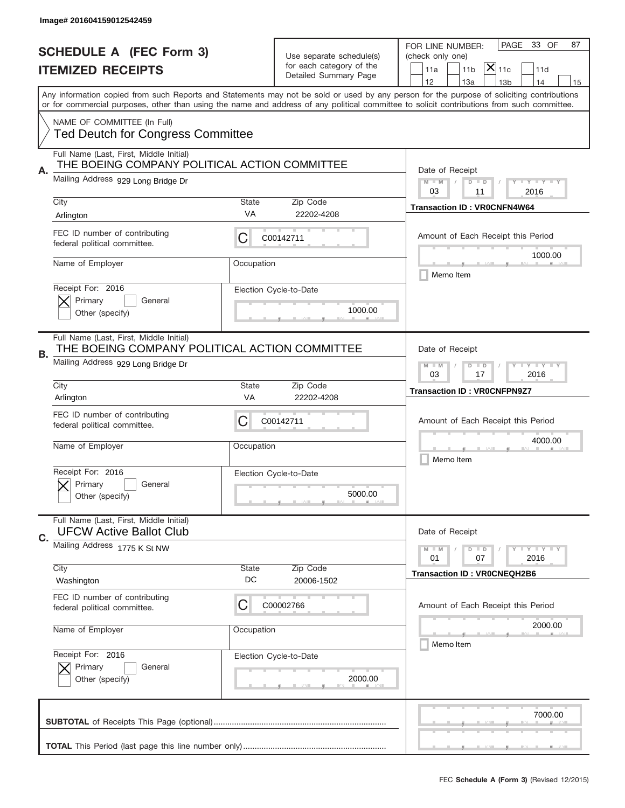|    | Image# 201604159012542459                                                                                                      |                                                              |                                                                               |                                                                                                                                                                                                                                                                                         |
|----|--------------------------------------------------------------------------------------------------------------------------------|--------------------------------------------------------------|-------------------------------------------------------------------------------|-----------------------------------------------------------------------------------------------------------------------------------------------------------------------------------------------------------------------------------------------------------------------------------------|
|    | <b>SCHEDULE A (FEC Form 3)</b><br><b>ITEMIZED RECEIPTS</b>                                                                     |                                                              | Use separate schedule(s)<br>for each category of the<br>Detailed Summary Page | 33 OF<br>PAGE<br>87<br>FOR LINE NUMBER:<br>(check only one)<br>$\mathsf{\bar{X}}\vert_{\mathsf{11c}}$<br>11a<br>11 <sub>b</sub><br>11d<br>12<br>13a<br>13 <sub>b</sub><br>14<br>15                                                                                                      |
|    |                                                                                                                                |                                                              |                                                                               | Any information copied from such Reports and Statements may not be sold or used by any person for the purpose of soliciting contributions<br>or for commercial purposes, other than using the name and address of any political committee to solicit contributions from such committee. |
|    | NAME OF COMMITTEE (In Full)<br><b>Ted Deutch for Congress Committee</b>                                                        |                                                              |                                                                               |                                                                                                                                                                                                                                                                                         |
| Α. | Full Name (Last, First, Middle Initial)<br>THE BOEING COMPANY POLITICAL ACTION COMMITTEE                                       |                                                              |                                                                               | Date of Receipt                                                                                                                                                                                                                                                                         |
|    | Mailing Address 929 Long Bridge Dr                                                                                             |                                                              |                                                                               | $M - M$<br><b>LEY LEY LEY</b><br>$D$ $D$<br>03<br>11<br>2016                                                                                                                                                                                                                            |
|    | City<br>Arlington                                                                                                              | State<br>VA                                                  | Zip Code<br>22202-4208                                                        | <b>Transaction ID: VR0CNFN4W64</b>                                                                                                                                                                                                                                                      |
|    | FEC ID number of contributing<br>federal political committee.                                                                  | С                                                            | C00142711                                                                     | Amount of Each Receipt this Period                                                                                                                                                                                                                                                      |
|    | Name of Employer                                                                                                               | Occupation                                                   |                                                                               | 1000.00<br>Memo Item                                                                                                                                                                                                                                                                    |
|    | Receipt For: 2016<br>Primary<br>General<br>Other (specify)                                                                     |                                                              | Election Cycle-to-Date<br>1000.00                                             |                                                                                                                                                                                                                                                                                         |
| В. | Full Name (Last, First, Middle Initial)<br>THE BOEING COMPANY POLITICAL ACTION COMMITTEE<br>Mailing Address 929 Long Bridge Dr |                                                              |                                                                               | Date of Receipt                                                                                                                                                                                                                                                                         |
|    |                                                                                                                                | $M - M$<br>$D$ $D$<br><b>LEYTEY LEY</b><br>03<br>17<br>2016  |                                                                               |                                                                                                                                                                                                                                                                                         |
|    | City<br>Arlington                                                                                                              | State<br>VA                                                  | Zip Code<br>22202-4208                                                        | <b>Transaction ID: VROCNFPN9Z7</b>                                                                                                                                                                                                                                                      |
|    | FEC ID number of contributing<br>federal political committee.                                                                  | С                                                            | C00142711                                                                     | Amount of Each Receipt this Period                                                                                                                                                                                                                                                      |
|    | Name of Employer                                                                                                               | Occupation                                                   |                                                                               | 4000.00<br>Memo Item                                                                                                                                                                                                                                                                    |
|    | Receipt For: 2016<br>Primary<br>General<br>Other (specify)                                                                     |                                                              | Election Cycle-to-Date<br>5000.00                                             |                                                                                                                                                                                                                                                                                         |
| C. | Full Name (Last, First, Middle Initial)<br><b>UFCW Active Ballot Club</b>                                                      |                                                              |                                                                               | Date of Receipt                                                                                                                                                                                                                                                                         |
|    | Mailing Address 1775 K St NW                                                                                                   | <b>LEY LEY LEY</b><br>$M - M$<br>$D$ $D$<br>2016<br>01<br>07 |                                                                               |                                                                                                                                                                                                                                                                                         |
|    | City<br>Washington                                                                                                             | State<br>DC                                                  | Zip Code<br>20006-1502                                                        | <b>Transaction ID: VR0CNEQH2B6</b>                                                                                                                                                                                                                                                      |
|    | FEC ID number of contributing<br>federal political committee.                                                                  | С                                                            | C00002766                                                                     | Amount of Each Receipt this Period                                                                                                                                                                                                                                                      |
|    | Name of Employer                                                                                                               | Occupation                                                   |                                                                               | 2000.00<br>Memo Item                                                                                                                                                                                                                                                                    |
|    | Receipt For: 2016<br>Primary<br>General<br>Other (specify)                                                                     |                                                              | Election Cycle-to-Date<br>2000.00                                             |                                                                                                                                                                                                                                                                                         |
|    |                                                                                                                                |                                                              |                                                                               |                                                                                                                                                                                                                                                                                         |
|    |                                                                                                                                |                                                              |                                                                               | 7000.00                                                                                                                                                                                                                                                                                 |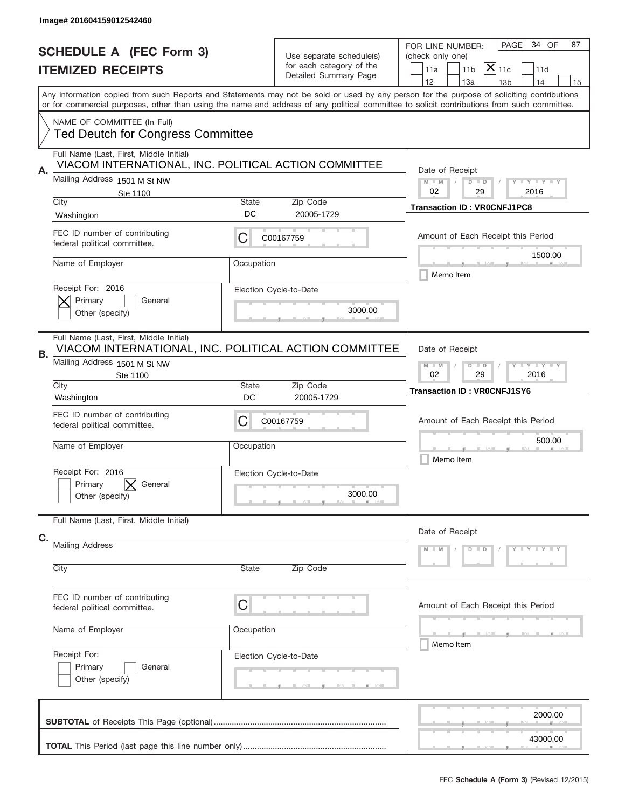|                                | Image# 201604159012542460                                                                        |                                                              |                                                   |                                                                                                                                                                                                                                                                                         |  |
|--------------------------------|--------------------------------------------------------------------------------------------------|--------------------------------------------------------------|---------------------------------------------------|-----------------------------------------------------------------------------------------------------------------------------------------------------------------------------------------------------------------------------------------------------------------------------------------|--|
| <b>SCHEDULE A (FEC Form 3)</b> |                                                                                                  |                                                              | Use separate schedule(s)                          | 34 OF<br>PAGE<br>87<br>FOR LINE NUMBER:<br>(check only one)                                                                                                                                                                                                                             |  |
|                                | <b>ITEMIZED RECEIPTS</b>                                                                         |                                                              | for each category of the<br>Detailed Summary Page | $\mathsf{\bar{X}}\vert_{\mathsf{11c}}$<br>11a<br>11 <sub>b</sub><br>11d<br>12<br>13a<br>14<br>13 <sub>b</sub><br>15                                                                                                                                                                     |  |
|                                |                                                                                                  |                                                              |                                                   | Any information copied from such Reports and Statements may not be sold or used by any person for the purpose of soliciting contributions<br>or for commercial purposes, other than using the name and address of any political committee to solicit contributions from such committee. |  |
|                                | NAME OF COMMITTEE (In Full)<br><b>Ted Deutch for Congress Committee</b>                          |                                                              |                                                   |                                                                                                                                                                                                                                                                                         |  |
| Α.                             | Full Name (Last, First, Middle Initial)<br>VIACOM INTERNATIONAL, INC. POLITICAL ACTION COMMITTEE | Date of Receipt                                              |                                                   |                                                                                                                                                                                                                                                                                         |  |
|                                | Mailing Address 1501 M St NW<br>Ste 1100<br>City                                                 | $M - M$<br><b>LEY LEY LEY</b><br>$D$ $D$<br>02<br>29<br>2016 |                                                   |                                                                                                                                                                                                                                                                                         |  |
|                                | Washington                                                                                       | Zip Code<br>State<br>DC<br>20005-1729                        |                                                   | <b>Transaction ID: VR0CNFJ1PC8</b>                                                                                                                                                                                                                                                      |  |
|                                | FEC ID number of contributing<br>federal political committee.                                    | С                                                            | C00167759                                         | Amount of Each Receipt this Period<br>1500.00                                                                                                                                                                                                                                           |  |
|                                | Name of Employer                                                                                 | Occupation                                                   |                                                   | Memo Item                                                                                                                                                                                                                                                                               |  |
|                                | Receipt For: 2016<br>Primary<br>General<br>Other (specify)                                       |                                                              | Election Cycle-to-Date<br>3000.00                 |                                                                                                                                                                                                                                                                                         |  |
| В.                             | Full Name (Last, First, Middle Initial)<br>VIACOM INTERNATIONAL, INC. POLITICAL ACTION COMMITTEE |                                                              |                                                   | Date of Receipt                                                                                                                                                                                                                                                                         |  |
|                                | Mailing Address 1501 M St NW<br>Ste 1100                                                         |                                                              |                                                   | $M - M$<br>$D$ $D$<br><b>LEYTEY LEY</b><br>02<br>29<br>2016                                                                                                                                                                                                                             |  |
|                                | City<br>Washington                                                                               | State<br>DC                                                  | Zip Code<br>20005-1729                            | <b>Transaction ID: VR0CNFJ1SY6</b>                                                                                                                                                                                                                                                      |  |
|                                | FEC ID number of contributing<br>federal political committee.                                    | С                                                            | C00167759                                         | Amount of Each Receipt this Period                                                                                                                                                                                                                                                      |  |
|                                | Name of Employer                                                                                 | Occupation                                                   |                                                   | 500.00<br>Memo Item                                                                                                                                                                                                                                                                     |  |
|                                | Receipt For: 2016<br>Primary<br>General<br>Other (specify)                                       |                                                              | Election Cycle-to-Date<br>3000.00                 |                                                                                                                                                                                                                                                                                         |  |
| C.                             | Full Name (Last, First, Middle Initial)                                                          | Date of Receipt                                              |                                                   |                                                                                                                                                                                                                                                                                         |  |
|                                | <b>Mailing Address</b>                                                                           |                                                              |                                                   | $Y - Y - Y - Y - Y$<br>$M - M$<br>$D$ $D$                                                                                                                                                                                                                                               |  |
|                                | City                                                                                             | State                                                        | Zip Code                                          |                                                                                                                                                                                                                                                                                         |  |
|                                | FEC ID number of contributing<br>federal political committee.                                    | C                                                            |                                                   | Amount of Each Receipt this Period                                                                                                                                                                                                                                                      |  |
|                                | Name of Employer                                                                                 | Occupation                                                   |                                                   | _____<br>Memo Item                                                                                                                                                                                                                                                                      |  |
|                                | Receipt For:<br>Primary<br>General<br>Other (specify)                                            |                                                              | Election Cycle-to-Date                            |                                                                                                                                                                                                                                                                                         |  |
|                                |                                                                                                  | 2000.00                                                      |                                                   |                                                                                                                                                                                                                                                                                         |  |
|                                |                                                                                                  |                                                              |                                                   | 43000.00                                                                                                                                                                                                                                                                                |  |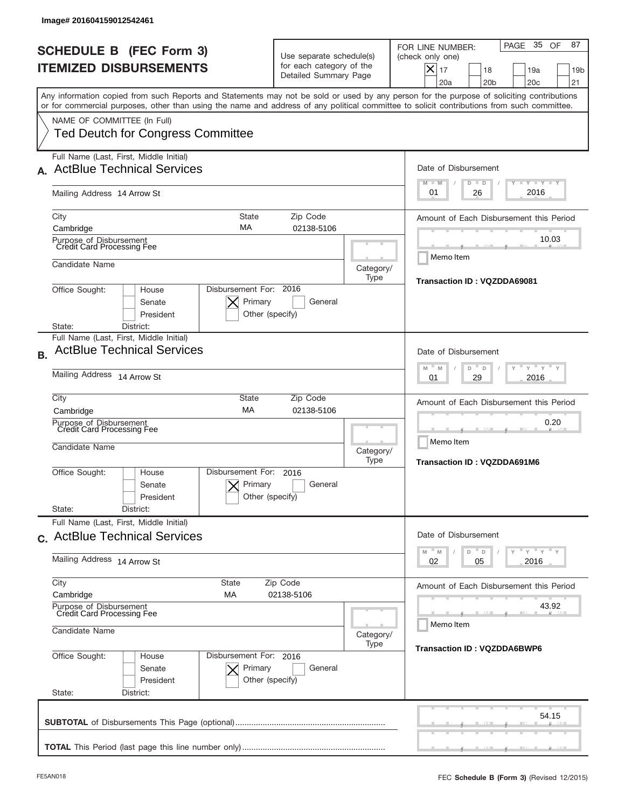|           | Image# 201604159012542461                                                                                                                                                                                                                                                                                              |                                                                                                                    |                                         |                                                                                                                                                                  |  |  |
|-----------|------------------------------------------------------------------------------------------------------------------------------------------------------------------------------------------------------------------------------------------------------------------------------------------------------------------------|--------------------------------------------------------------------------------------------------------------------|-----------------------------------------|------------------------------------------------------------------------------------------------------------------------------------------------------------------|--|--|
|           | <b>SCHEDULE B (FEC Form 3)</b><br><b>ITEMIZED DISBURSEMENTS</b>                                                                                                                                                                                                                                                        | Use separate schedule(s)<br>for each category of the<br>Detailed Summary Page                                      |                                         | 35 OF<br>87<br>PAGE<br>FOR LINE NUMBER:<br>(check only one)<br>$\times$<br>17<br>18<br>19a<br>19 <sub>b</sub><br>20 <sub>b</sub><br>20 <sub>c</sub><br>21<br>20a |  |  |
|           | Any information copied from such Reports and Statements may not be sold or used by any person for the purpose of soliciting contributions<br>or for commercial purposes, other than using the name and address of any political committee to solicit contributions from such committee.<br>NAME OF COMMITTEE (In Full) |                                                                                                                    |                                         |                                                                                                                                                                  |  |  |
|           | <b>Ted Deutch for Congress Committee</b>                                                                                                                                                                                                                                                                               |                                                                                                                    |                                         |                                                                                                                                                                  |  |  |
|           | Full Name (Last, First, Middle Initial)<br><b>ActBlue Technical Services</b>                                                                                                                                                                                                                                           | Date of Disbursement<br><b>TANK TANK</b><br>$M - M$<br>$D$ $D$                                                     |                                         |                                                                                                                                                                  |  |  |
|           | Mailing Address 14 Arrow St                                                                                                                                                                                                                                                                                            | 2016<br>01<br>26                                                                                                   |                                         |                                                                                                                                                                  |  |  |
|           | City<br><b>State</b><br>MA<br>Cambridge                                                                                                                                                                                                                                                                                | Zip Code<br>02138-5106                                                                                             |                                         | Amount of Each Disbursement this Period                                                                                                                          |  |  |
|           | Purpose of Disbursement<br>Credit Card Processing Fee                                                                                                                                                                                                                                                                  |                                                                                                                    | 10.03                                   |                                                                                                                                                                  |  |  |
|           | Candidate Name                                                                                                                                                                                                                                                                                                         | Memo Item<br><b>Transaction ID: VQZDDA69081</b>                                                                    |                                         |                                                                                                                                                                  |  |  |
|           | Disbursement For: 2016<br>Office Sought:<br>House<br>Primary<br>Senate<br>President<br>State:<br>District:                                                                                                                                                                                                             | General<br>Other (specify)                                                                                         |                                         |                                                                                                                                                                  |  |  |
| <b>B.</b> | Full Name (Last, First, Middle Initial)<br><b>ActBlue Technical Services</b>                                                                                                                                                                                                                                           | Date of Disbursement<br>$-\gamma + \gamma -$<br>M<br>M<br>D<br>D<br>2016<br>01<br>29                               |                                         |                                                                                                                                                                  |  |  |
|           | Mailing Address 14 Arrow St                                                                                                                                                                                                                                                                                            |                                                                                                                    |                                         |                                                                                                                                                                  |  |  |
|           | City<br>State<br>MA<br>Cambridge                                                                                                                                                                                                                                                                                       | Zip Code<br>02138-5106                                                                                             |                                         | Amount of Each Disbursement this Period                                                                                                                          |  |  |
|           | Purpose of Disbursement<br>Credit Card Processing Fee<br>Candidate Name                                                                                                                                                                                                                                                |                                                                                                                    | Category/                               | 0.20<br>Memo Item                                                                                                                                                |  |  |
|           | Disbursement For:<br>Office Sought:<br>House<br>Primary<br>Senate<br>President<br>State:<br>District:                                                                                                                                                                                                                  | 2016<br>General<br>Other (specify)                                                                                 | Type                                    | Transaction ID: VQZDDA691M6                                                                                                                                      |  |  |
|           | Full Name (Last, First, Middle Initial)<br>c. ActBlue Technical Services                                                                                                                                                                                                                                               | Date of Disbursement                                                                                               |                                         |                                                                                                                                                                  |  |  |
|           | Mailing Address 14 Arrow St                                                                                                                                                                                                                                                                                            | $\overline{Y}$ $\overline{Y}$ $\overline{Y}$ $\overline{Y}$ $\overline{Y}$<br>M<br>D<br>M<br>D<br>2016<br>02<br>05 |                                         |                                                                                                                                                                  |  |  |
|           | City<br>State<br>Cambridge<br>МA                                                                                                                                                                                                                                                                                       | Zip Code<br>02138-5106                                                                                             | Amount of Each Disbursement this Period |                                                                                                                                                                  |  |  |
|           | Purpose of Disbursement<br>Credit Card Processing Fee<br>Candidate Name                                                                                                                                                                                                                                                | Category/                                                                                                          | 43.92<br>Memo Item                      |                                                                                                                                                                  |  |  |
|           | Office Sought:<br>Disbursement For: 2016<br>House<br>Primary<br>Senate<br>President<br>State:<br>District:                                                                                                                                                                                                             | General<br>Other (specify)                                                                                         | Type                                    | <b>Transaction ID: VQZDDA6BWP6</b>                                                                                                                               |  |  |
|           |                                                                                                                                                                                                                                                                                                                        |                                                                                                                    |                                         | 54.15                                                                                                                                                            |  |  |
|           |                                                                                                                                                                                                                                                                                                                        |                                                                                                                    |                                         |                                                                                                                                                                  |  |  |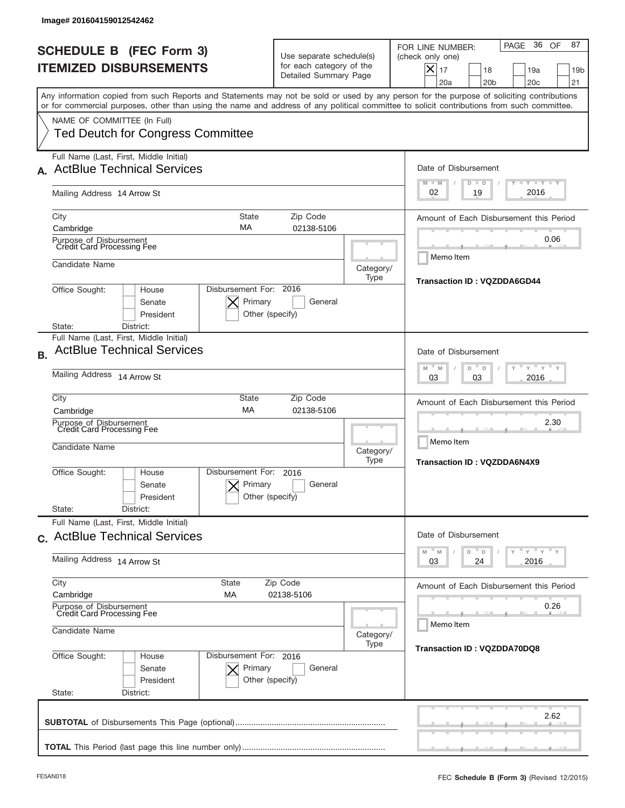| Image# 201604159012542462                                                                                                                                                                                                                                                                                              |                                                                                                                    |                                                         |                                                                                                                                                                  |  |  |
|------------------------------------------------------------------------------------------------------------------------------------------------------------------------------------------------------------------------------------------------------------------------------------------------------------------------|--------------------------------------------------------------------------------------------------------------------|---------------------------------------------------------|------------------------------------------------------------------------------------------------------------------------------------------------------------------|--|--|
| <b>SCHEDULE B (FEC Form 3)</b><br><b>ITEMIZED DISBURSEMENTS</b>                                                                                                                                                                                                                                                        | Use separate schedule(s)<br>for each category of the<br>Detailed Summary Page                                      |                                                         | 36 OF<br>87<br>PAGE<br>FOR LINE NUMBER:<br>(check only one)<br>$\times$<br>17<br>18<br>19a<br>19 <sub>b</sub><br>20 <sub>b</sub><br>20 <sub>c</sub><br>21<br>20a |  |  |
| Any information copied from such Reports and Statements may not be sold or used by any person for the purpose of soliciting contributions<br>or for commercial purposes, other than using the name and address of any political committee to solicit contributions from such committee.<br>NAME OF COMMITTEE (In Full) |                                                                                                                    |                                                         |                                                                                                                                                                  |  |  |
| <b>Ted Deutch for Congress Committee</b>                                                                                                                                                                                                                                                                               |                                                                                                                    |                                                         |                                                                                                                                                                  |  |  |
| Full Name (Last, First, Middle Initial)<br><b>ActBlue Technical Services</b>                                                                                                                                                                                                                                           | Date of Disbursement<br><b>TANK TANK</b><br>$M - M$<br>$D$ $D$                                                     |                                                         |                                                                                                                                                                  |  |  |
| Mailing Address 14 Arrow St                                                                                                                                                                                                                                                                                            | 2016<br>02<br>19                                                                                                   |                                                         |                                                                                                                                                                  |  |  |
| City<br><b>State</b><br>MA<br>Cambridge                                                                                                                                                                                                                                                                                | Zip Code<br>02138-5106                                                                                             |                                                         | Amount of Each Disbursement this Period                                                                                                                          |  |  |
| Purpose of Disbursement<br>Credit Card Processing Fee                                                                                                                                                                                                                                                                  |                                                                                                                    | 0.06<br>Memo Item                                       |                                                                                                                                                                  |  |  |
| Candidate Name                                                                                                                                                                                                                                                                                                         | Category/<br>Type                                                                                                  |                                                         |                                                                                                                                                                  |  |  |
| Disbursement For: 2016<br>Office Sought:<br>House<br>Senate<br>President<br>State:<br>District:                                                                                                                                                                                                                        | Primary<br>General<br>Other (specify)                                                                              |                                                         |                                                                                                                                                                  |  |  |
| Full Name (Last, First, Middle Initial)<br><b>ActBlue Technical Services</b><br><b>B.</b>                                                                                                                                                                                                                              | Date of Disbursement<br>$-\gamma + \gamma -$<br>M<br>M<br>D<br>D<br>2016<br>03<br>03                               |                                                         |                                                                                                                                                                  |  |  |
| Mailing Address 14 Arrow St                                                                                                                                                                                                                                                                                            |                                                                                                                    |                                                         |                                                                                                                                                                  |  |  |
| City<br>State<br>MA<br>Cambridge                                                                                                                                                                                                                                                                                       | Zip Code<br>02138-5106                                                                                             |                                                         | Amount of Each Disbursement this Period                                                                                                                          |  |  |
| Purpose of Disbursement<br>Credit Card Processing Fee<br>Candidate Name                                                                                                                                                                                                                                                | Category/<br>Type                                                                                                  | 2.30<br>Memo Item<br><b>Transaction ID: VQZDDA6N4X9</b> |                                                                                                                                                                  |  |  |
| Disbursement For:<br>Office Sought:<br>House<br>Senate<br>President<br>State:<br>District:                                                                                                                                                                                                                             | 2016<br>Primary<br>General<br>Other (specify)                                                                      |                                                         |                                                                                                                                                                  |  |  |
| Full Name (Last, First, Middle Initial)<br>c. ActBlue Technical Services                                                                                                                                                                                                                                               | Date of Disbursement                                                                                               |                                                         |                                                                                                                                                                  |  |  |
| Mailing Address 14 Arrow St                                                                                                                                                                                                                                                                                            | $\overline{Y}$ $\overline{Y}$ $\overline{Y}$ $\overline{Y}$ $\overline{Y}$<br>M<br>D<br>M<br>D<br>2016<br>03<br>24 |                                                         |                                                                                                                                                                  |  |  |
| City<br>State<br>Cambridge<br>МA                                                                                                                                                                                                                                                                                       | Zip Code<br>02138-5106                                                                                             |                                                         | Amount of Each Disbursement this Period                                                                                                                          |  |  |
| Purpose of Disbursement<br>Credit Card Processing Fee<br>Candidate Name                                                                                                                                                                                                                                                |                                                                                                                    |                                                         | 0.26<br>Memo Item                                                                                                                                                |  |  |
| Office Sought:<br>Disbursement For: 2016<br>House                                                                                                                                                                                                                                                                      |                                                                                                                    | Category/<br>Type                                       | Transaction ID: VQZDDA70DQ8                                                                                                                                      |  |  |
| Senate<br>President<br>State:<br>District:                                                                                                                                                                                                                                                                             | Primary<br>General<br>Other (specify)                                                                              |                                                         |                                                                                                                                                                  |  |  |
|                                                                                                                                                                                                                                                                                                                        |                                                                                                                    |                                                         | 2.62                                                                                                                                                             |  |  |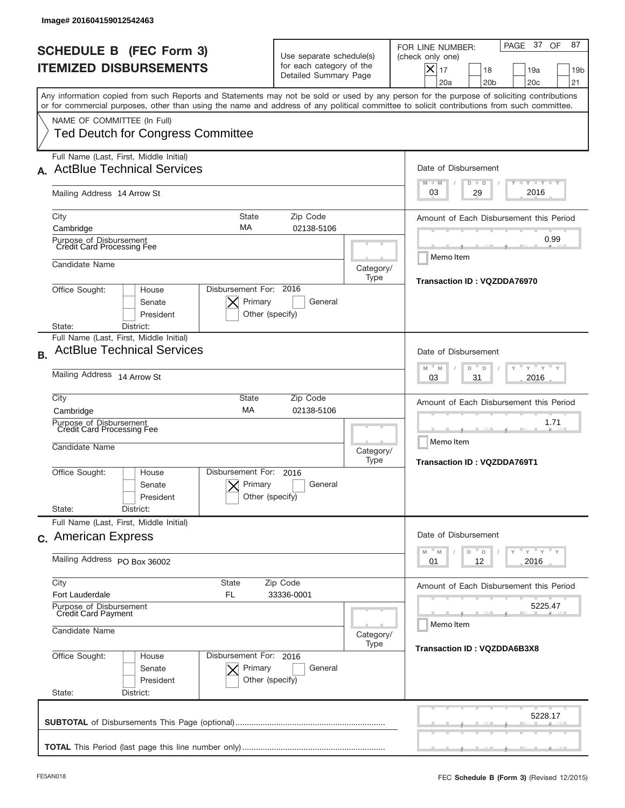|                          | Image# 201604159012542463                                                                         |                                                                                                                       |                   |                                                                                                                                                                                                                                                                                         |
|--------------------------|---------------------------------------------------------------------------------------------------|-----------------------------------------------------------------------------------------------------------------------|-------------------|-----------------------------------------------------------------------------------------------------------------------------------------------------------------------------------------------------------------------------------------------------------------------------------------|
|                          | <b>SCHEDULE B (FEC Form 3)</b><br><b>ITEMIZED DISBURSEMENTS</b>                                   | Use separate schedule(s)<br>for each category of the<br>Detailed Summary Page                                         |                   | PAGE 37 OF<br>87<br>FOR LINE NUMBER:<br>(check only one)<br>$X _{17}$<br>18<br>19a<br>19 <sub>b</sub><br>20 <sub>b</sub><br>20 <sub>c</sub><br>21<br>20a                                                                                                                                |
|                          | NAME OF COMMITTEE (In Full)                                                                       |                                                                                                                       |                   | Any information copied from such Reports and Statements may not be sold or used by any person for the purpose of soliciting contributions<br>or for commercial purposes, other than using the name and address of any political committee to solicit contributions from such committee. |
|                          | <b>Ted Deutch for Congress Committee</b>                                                          |                                                                                                                       |                   |                                                                                                                                                                                                                                                                                         |
|                          | Full Name (Last, First, Middle Initial)<br><b>ActBlue Technical Services</b>                      |                                                                                                                       |                   | Date of Disbursement<br><b>LYLYLY</b><br>$M - M$<br>$D$ $D$                                                                                                                                                                                                                             |
|                          | Mailing Address 14 Arrow St                                                                       |                                                                                                                       |                   | 2016<br>03<br>29                                                                                                                                                                                                                                                                        |
| City<br>Cambridge        | <b>State</b><br>MA                                                                                | Zip Code<br>02138-5106                                                                                                |                   | Amount of Each Disbursement this Period                                                                                                                                                                                                                                                 |
|                          | Purpose of Disbursement<br>Credit Card Processing Fee                                             |                                                                                                                       | 0.99<br>Memo Item |                                                                                                                                                                                                                                                                                         |
| Candidate Name           |                                                                                                   |                                                                                                                       | Category/<br>Type | Transaction ID: VQZDDA76970                                                                                                                                                                                                                                                             |
| Office Sought:<br>State: | Disbursement For: 2016<br>House<br>Primary<br>Senate<br>President<br>Other (specify)<br>District: |                                                                                                                       |                   |                                                                                                                                                                                                                                                                                         |
| <b>B.</b>                | Full Name (Last, First, Middle Initial)<br><b>ActBlue Technical Services</b>                      |                                                                                                                       |                   | Date of Disbursement                                                                                                                                                                                                                                                                    |
|                          | Mailing Address 14 Arrow St                                                                       | $Y$ $Y$ $Y$<br>$-M$<br>M<br>D<br>D<br>2016<br>03<br>31                                                                |                   |                                                                                                                                                                                                                                                                                         |
| City<br>Cambridge        | State<br>MA                                                                                       | Amount of Each Disbursement this Period                                                                               |                   |                                                                                                                                                                                                                                                                                         |
|                          | Purpose of Disbursement<br>Credit Card Processing Fee<br>Candidate Name                           |                                                                                                                       |                   | 1.71<br>Memo Item<br>Category/                                                                                                                                                                                                                                                          |
| Office Sought:<br>State: | Disbursement For:<br>House<br>Senate<br>President<br>District:                                    | 2016<br>Primary<br>General<br>Other (specify)                                                                         | Type              | Transaction ID: VQZDDA769T1                                                                                                                                                                                                                                                             |
|                          | Full Name (Last, First, Middle Initial)<br>c. American Express                                    |                                                                                                                       |                   | Date of Disbursement                                                                                                                                                                                                                                                                    |
|                          | Mailing Address PO Box 36002                                                                      | $\mathbb{F}$ $\mathsf{y}$ $\mathbb{F}$ $\mathsf{y}$ $\mathbb{F}$ $\mathsf{y}$<br>M<br>M<br>D<br>D<br>12<br>2016<br>01 |                   |                                                                                                                                                                                                                                                                                         |
| City<br>Fort Lauderdale  | State<br>FL                                                                                       | Amount of Each Disbursement this Period                                                                               |                   |                                                                                                                                                                                                                                                                                         |
|                          | Purpose of Disbursement<br>Credit Card Payment<br>Candidate Name                                  |                                                                                                                       |                   | 5225.47<br>Memo Item                                                                                                                                                                                                                                                                    |
| Office Sought:<br>State: | Disbursement For: 2016<br>House<br>Senate<br>President<br>District:                               | Primary<br>General<br>Other (specify)                                                                                 | Category/<br>Type | Transaction ID: VQZDDA6B3X8                                                                                                                                                                                                                                                             |
|                          |                                                                                                   |                                                                                                                       |                   | 5228.17                                                                                                                                                                                                                                                                                 |
|                          |                                                                                                   |                                                                                                                       |                   |                                                                                                                                                                                                                                                                                         |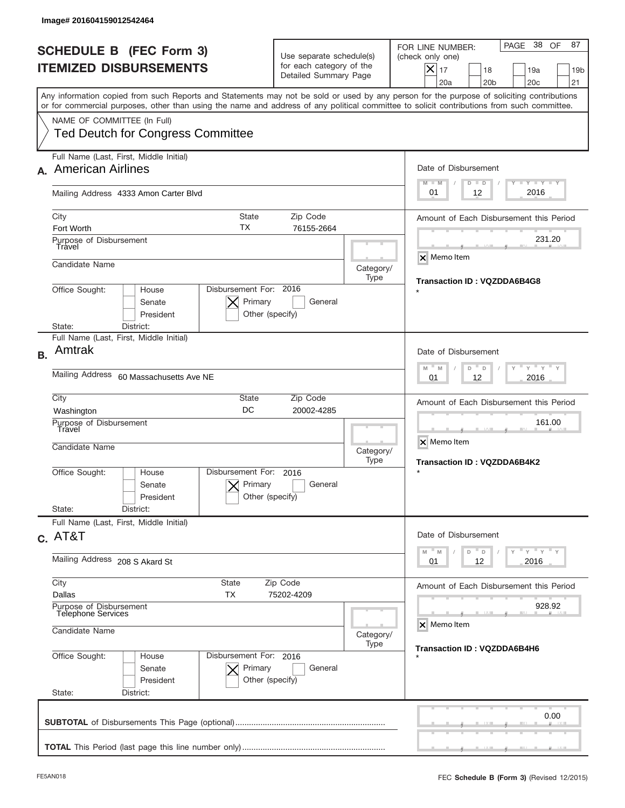|           | Image# 201604159012542464                                                                                                                                                                                                                                                               |                                                                               |                   |                                                                                                                                                             |  |
|-----------|-----------------------------------------------------------------------------------------------------------------------------------------------------------------------------------------------------------------------------------------------------------------------------------------|-------------------------------------------------------------------------------|-------------------|-------------------------------------------------------------------------------------------------------------------------------------------------------------|--|
|           | <b>SCHEDULE B (FEC Form 3)</b><br><b>ITEMIZED DISBURSEMENTS</b>                                                                                                                                                                                                                         | Use separate schedule(s)<br>for each category of the<br>Detailed Summary Page |                   | PAGE 38<br>87<br>OF<br>FOR LINE NUMBER:<br>(check only one)<br>$X _{17}$<br>18<br>19a<br>19 <sub>b</sub><br>20a<br>20 <sub>b</sub><br>20 <sub>c</sub><br>21 |  |
|           | Any information copied from such Reports and Statements may not be sold or used by any person for the purpose of soliciting contributions<br>or for commercial purposes, other than using the name and address of any political committee to solicit contributions from such committee. |                                                                               |                   |                                                                                                                                                             |  |
|           | NAME OF COMMITTEE (In Full)<br><b>Ted Deutch for Congress Committee</b>                                                                                                                                                                                                                 |                                                                               |                   |                                                                                                                                                             |  |
|           | Full Name (Last, First, Middle Initial)<br><b>American Airlines</b>                                                                                                                                                                                                                     |                                                                               |                   | Date of Disbursement<br>$T - Y$ $T - Y$<br>$M - M$<br>$D$ $D$                                                                                               |  |
|           | Mailing Address 4333 Amon Carter Blvd                                                                                                                                                                                                                                                   |                                                                               |                   | 2016<br>12<br>01                                                                                                                                            |  |
|           | City<br><b>State</b><br>TX<br>Fort Worth<br>Purpose of Disbursement                                                                                                                                                                                                                     | Amount of Each Disbursement this Period<br>231.20                             |                   |                                                                                                                                                             |  |
|           | Travel<br>Candidate Name                                                                                                                                                                                                                                                                |                                                                               | Category/<br>Type | <b>x</b> Memo Item                                                                                                                                          |  |
|           | Disbursement For: 2016<br>Office Sought:<br>House<br>Primary<br>Senate<br>President<br>Other (specify)<br>District:<br>State:                                                                                                                                                           | <b>Transaction ID: VQZDDA6B4G8</b>                                            |                   |                                                                                                                                                             |  |
| <b>B.</b> | Full Name (Last, First, Middle Initial)<br>Amtrak                                                                                                                                                                                                                                       |                                                                               |                   | Date of Disbursement                                                                                                                                        |  |
|           | Mailing Address<br>60 Massachusetts Ave NE                                                                                                                                                                                                                                              | $Y = Y$<br>M<br>$-M$<br>D<br>D<br>12<br>2016<br>01                            |                   |                                                                                                                                                             |  |
|           | City<br>State<br>DC<br>Washington<br>Purpose of Disbursement                                                                                                                                                                                                                            | Amount of Each Disbursement this Period<br>161.00                             |                   |                                                                                                                                                             |  |
|           | Travel<br>Candidate Name                                                                                                                                                                                                                                                                |                                                                               |                   | X Memo Item<br>Category/<br>Transaction ID: VQZDDA6B4K2                                                                                                     |  |
|           | Office Sought:<br>House<br>Senate<br>President                                                                                                                                                                                                                                          | Type<br>Disbursement For:<br>2016<br>Primary<br>General<br>Other (specify)    |                   |                                                                                                                                                             |  |
|           | State:<br>District:<br>Full Name (Last, First, Middle Initial)                                                                                                                                                                                                                          |                                                                               |                   |                                                                                                                                                             |  |
|           | $C.$ AT&T                                                                                                                                                                                                                                                                               |                                                                               |                   | Date of Disbursement<br>$-M$<br>≡ γ ≡ γ ≡ γ<br>M<br>D<br>D                                                                                                  |  |
|           | Mailing Address 208 S Akard St                                                                                                                                                                                                                                                          | 12<br>2016<br>01                                                              |                   |                                                                                                                                                             |  |
|           | City<br>State<br>Dallas<br>TX                                                                                                                                                                                                                                                           | Zip Code<br>75202-4209                                                        |                   | Amount of Each Disbursement this Period                                                                                                                     |  |
|           | Purpose of Disbursement<br><b>Telephone Services</b><br>Candidate Name                                                                                                                                                                                                                  | 928.92<br>X Memo Item                                                         |                   |                                                                                                                                                             |  |
|           | Category/<br>Type<br>Office Sought:<br>Disbursement For: 2016<br>House<br>Senate<br>Primary<br>General<br>President<br>Other (specify)                                                                                                                                                  |                                                                               |                   | <b>Transaction ID: VQZDDA6B4H6</b>                                                                                                                          |  |
|           | State:<br>District:                                                                                                                                                                                                                                                                     |                                                                               |                   | 0.00                                                                                                                                                        |  |
|           |                                                                                                                                                                                                                                                                                         |                                                                               |                   |                                                                                                                                                             |  |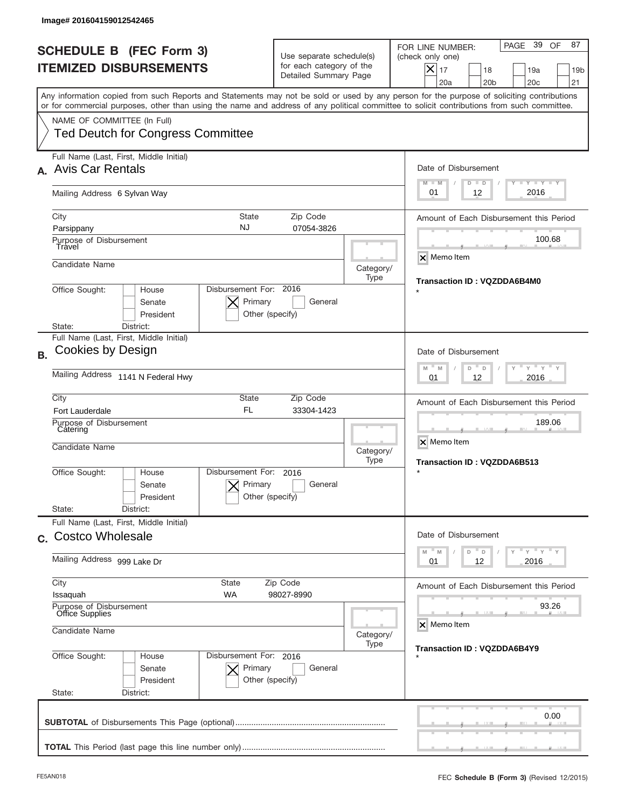|           | Image# 201604159012542465                                                                                                                                                                                                                                                               |                                                                                      |                                                   |                                                                                                                                                             |  |
|-----------|-----------------------------------------------------------------------------------------------------------------------------------------------------------------------------------------------------------------------------------------------------------------------------------------|--------------------------------------------------------------------------------------|---------------------------------------------------|-------------------------------------------------------------------------------------------------------------------------------------------------------------|--|
|           | <b>SCHEDULE B (FEC Form 3)</b><br><b>ITEMIZED DISBURSEMENTS</b>                                                                                                                                                                                                                         | Use separate schedule(s)<br>for each category of the<br>Detailed Summary Page        |                                                   | PAGE 39<br>87<br>OF<br>FOR LINE NUMBER:<br>(check only one)<br>$X _{17}$<br>18<br>19a<br>19 <sub>b</sub><br>20a<br>20 <sub>b</sub><br>20 <sub>c</sub><br>21 |  |
|           | Any information copied from such Reports and Statements may not be sold or used by any person for the purpose of soliciting contributions<br>or for commercial purposes, other than using the name and address of any political committee to solicit contributions from such committee. |                                                                                      |                                                   |                                                                                                                                                             |  |
|           | NAME OF COMMITTEE (In Full)<br><b>Ted Deutch for Congress Committee</b>                                                                                                                                                                                                                 |                                                                                      |                                                   |                                                                                                                                                             |  |
|           | Full Name (Last, First, Middle Initial)<br><b>Avis Car Rentals</b>                                                                                                                                                                                                                      |                                                                                      |                                                   | Date of Disbursement<br>$T - Y$ $T - Y$<br>$M - M$<br>$D$ $D$                                                                                               |  |
|           | Mailing Address 6 Sylvan Way                                                                                                                                                                                                                                                            |                                                                                      |                                                   | 2016<br>12<br>01                                                                                                                                            |  |
|           | <b>State</b><br>City<br><b>NJ</b><br>Parsippany<br>Purpose of Disbursement<br>Travel                                                                                                                                                                                                    | Amount of Each Disbursement this Period<br>100.68                                    |                                                   |                                                                                                                                                             |  |
|           | Candidate Name                                                                                                                                                                                                                                                                          |                                                                                      | Category/<br>Type                                 | X Memo Item<br><b>Transaction ID: VQZDDA6B4M0</b>                                                                                                           |  |
|           | Disbursement For: 2016<br>Office Sought:<br>House<br>Primary<br>Senate<br>President<br>Other (specify)<br>District:<br>State:                                                                                                                                                           |                                                                                      |                                                   |                                                                                                                                                             |  |
| <b>B.</b> | Full Name (Last, First, Middle Initial)<br>Cookies by Design                                                                                                                                                                                                                            |                                                                                      |                                                   | Date of Disbursement                                                                                                                                        |  |
|           | Mailing Address 1141 N Federal Hwy                                                                                                                                                                                                                                                      | $-$ M<br>$Y = Y$<br>M<br>D<br>D<br>12<br>2016<br>01                                  |                                                   |                                                                                                                                                             |  |
|           | City<br>State<br><b>FL</b><br><b>Fort Lauderdale</b>                                                                                                                                                                                                                                    | Amount of Each Disbursement this Period<br>189.06                                    |                                                   |                                                                                                                                                             |  |
|           | Purpose of Disbursement<br>Catering<br>Candidate Name                                                                                                                                                                                                                                   | Category/<br>Type                                                                    | X Memo Item<br><b>Transaction ID: VQZDDA6B513</b> |                                                                                                                                                             |  |
|           | Disbursement For:<br>Office Sought:<br>House<br>Primary<br>Senate<br>President                                                                                                                                                                                                          | 2016<br>General<br>Other (specify)                                                   |                                                   |                                                                                                                                                             |  |
|           | State:<br>District:<br>Full Name (Last, First, Middle Initial)<br>c. Costco Wholesale                                                                                                                                                                                                   |                                                                                      |                                                   | Date of Disbursement                                                                                                                                        |  |
|           | Mailing Address 999 Lake Dr                                                                                                                                                                                                                                                             | $-M$<br>$Y = Y + Y$<br>M<br>D<br>D<br>12<br>2016<br>01                               |                                                   |                                                                                                                                                             |  |
|           | City<br>State<br>WA<br>Issaquah                                                                                                                                                                                                                                                         | Zip Code<br>98027-8990                                                               |                                                   | Amount of Each Disbursement this Period                                                                                                                     |  |
|           | Purpose of Disbursement<br>Office Supplies<br>Candidate Name                                                                                                                                                                                                                            |                                                                                      | 93.26<br>X Memo Item                              |                                                                                                                                                             |  |
|           | Office Sought:<br>House<br>Senate<br>President                                                                                                                                                                                                                                          | Category/<br>Type<br>Disbursement For: 2016<br>Primary<br>General<br>Other (specify) |                                                   |                                                                                                                                                             |  |
|           | State:<br>District:                                                                                                                                                                                                                                                                     |                                                                                      |                                                   | 0.00                                                                                                                                                        |  |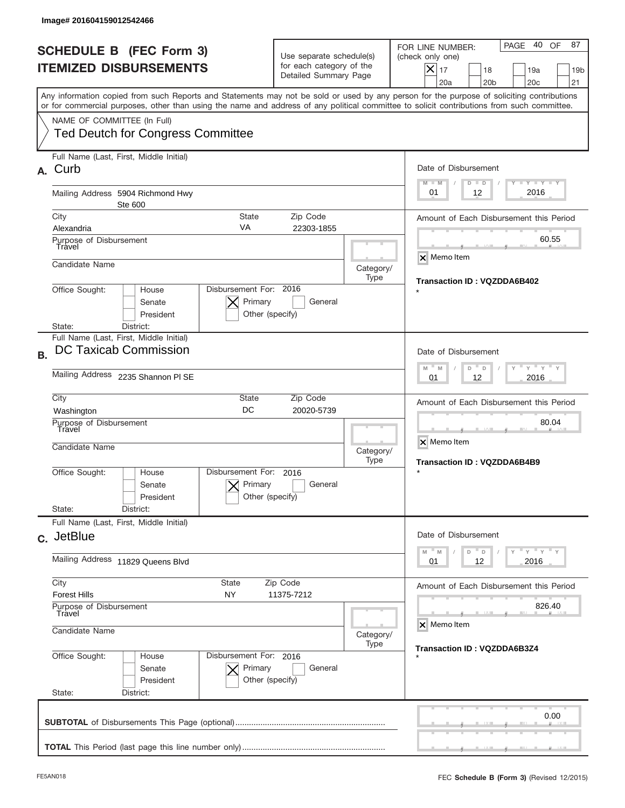|           | Image# 201604159012542466                                                                                                                                                                                                                                                                                              |                            |                                                                               |                   |                                                                                                                                                                       |
|-----------|------------------------------------------------------------------------------------------------------------------------------------------------------------------------------------------------------------------------------------------------------------------------------------------------------------------------|----------------------------|-------------------------------------------------------------------------------|-------------------|-----------------------------------------------------------------------------------------------------------------------------------------------------------------------|
|           | <b>SCHEDULE B (FEC Form 3)</b><br><b>ITEMIZED DISBURSEMENTS</b>                                                                                                                                                                                                                                                        |                            | Use separate schedule(s)<br>for each category of the<br>Detailed Summary Page |                   | 40 OF<br>87<br>PAGE<br>FOR LINE NUMBER:<br>(check only one)<br>$ \mathsf{X} _{17}$<br>18<br>19a<br>19 <sub>b</sub><br>20a<br>20 <sub>b</sub><br>20 <sub>c</sub><br>21 |
|           | Any information copied from such Reports and Statements may not be sold or used by any person for the purpose of soliciting contributions<br>or for commercial purposes, other than using the name and address of any political committee to solicit contributions from such committee.<br>NAME OF COMMITTEE (In Full) |                            |                                                                               |                   |                                                                                                                                                                       |
|           | <b>Ted Deutch for Congress Committee</b><br>Full Name (Last, First, Middle Initial)                                                                                                                                                                                                                                    |                            |                                                                               |                   |                                                                                                                                                                       |
| А.        | Curb                                                                                                                                                                                                                                                                                                                   |                            |                                                                               |                   | Date of Disbursement<br>Y TY TY TY<br>$M - M$<br>$D$ $D$                                                                                                              |
|           | Mailing Address 5904 Richmond Hwy<br>Ste 600                                                                                                                                                                                                                                                                           |                            |                                                                               |                   | 2016<br>12<br>01                                                                                                                                                      |
|           | City<br><b>State</b><br>VA<br>Alexandria                                                                                                                                                                                                                                                                               |                            | Zip Code<br>22303-1855                                                        |                   | Amount of Each Disbursement this Period                                                                                                                               |
|           | Purpose of Disbursement<br>Travel                                                                                                                                                                                                                                                                                      |                            |                                                                               |                   | 60.55<br>$\times$ Memo Item                                                                                                                                           |
|           | Candidate Name                                                                                                                                                                                                                                                                                                         |                            |                                                                               | Category/<br>Type | Transaction ID: VQZDDA6B402                                                                                                                                           |
|           | Disbursement For: 2016<br>Office Sought:<br>House<br>Primary<br>Senate<br>General<br>President<br>Other (specify)<br>District:<br>State:                                                                                                                                                                               |                            |                                                                               |                   |                                                                                                                                                                       |
| <b>B.</b> | Full Name (Last, First, Middle Initial)<br>DC Taxicab Commission                                                                                                                                                                                                                                                       |                            |                                                                               |                   | Date of Disbursement<br>$Y'$ $Y'$ $Y$<br>$M - M$<br>D<br>D                                                                                                            |
|           | Mailing Address 2235 Shannon PI SE                                                                                                                                                                                                                                                                                     | 2016<br>01<br>12           |                                                                               |                   |                                                                                                                                                                       |
|           | City<br>State<br>Zip Code<br>DC<br>20020-5739<br>Washington<br>Purpose of Disbursement<br>Travel<br>Candidate Name<br>Disbursement For:<br>Office Sought:<br>House<br>2016<br>Primary<br>General<br>Senate<br>President<br>Other (specify)                                                                             |                            |                                                                               |                   | Amount of Each Disbursement this Period<br>80.04                                                                                                                      |
|           |                                                                                                                                                                                                                                                                                                                        |                            |                                                                               | Category/<br>Type | X Memo Item<br>Transaction ID: VQZDDA6B4B9<br>$\star$                                                                                                                 |
|           |                                                                                                                                                                                                                                                                                                                        |                            |                                                                               |                   |                                                                                                                                                                       |
|           | State:<br>District:<br>Full Name (Last, First, Middle Initial)                                                                                                                                                                                                                                                         |                            |                                                                               |                   |                                                                                                                                                                       |
|           | c. JetBlue                                                                                                                                                                                                                                                                                                             |                            |                                                                               |                   | Date of Disbursement<br>$\gamma$ $\pi$ $\gamma$ $\pi$ $\gamma$ $\pi$ $\gamma$<br>M<br>M<br>D<br>D                                                                     |
|           | Mailing Address 11829 Queens Blvd                                                                                                                                                                                                                                                                                      | 12<br>2016<br>01           |                                                                               |                   |                                                                                                                                                                       |
|           | City<br>State<br>Zip Code<br><b>Forest Hills</b><br>NY<br>11375-7212                                                                                                                                                                                                                                                   |                            |                                                                               |                   | Amount of Each Disbursement this Period                                                                                                                               |
|           | Purpose of Disbursement<br>Travel                                                                                                                                                                                                                                                                                      |                            |                                                                               |                   | 826.40<br>X Memo Item                                                                                                                                                 |
|           | Candidate Name                                                                                                                                                                                                                                                                                                         |                            |                                                                               | Category/<br>Type | Transaction ID: VQZDDA6B3Z4                                                                                                                                           |
|           | Office Sought:<br>Disbursement For: 2016<br>House<br>Senate<br>President<br>State:<br>District:                                                                                                                                                                                                                        | Primary<br>Other (specify) | General                                                                       |                   |                                                                                                                                                                       |
|           |                                                                                                                                                                                                                                                                                                                        |                            |                                                                               |                   | 0.00                                                                                                                                                                  |
|           |                                                                                                                                                                                                                                                                                                                        |                            |                                                                               |                   |                                                                                                                                                                       |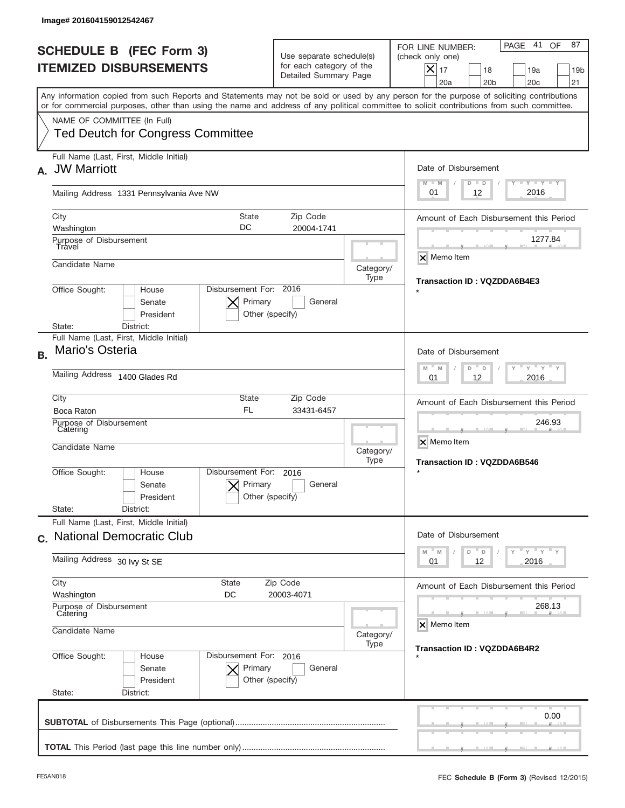|              | Image# 201604159012542467                                                                                                                                                 |                                                                                               |                                                                               |                                                             |                                                                                                                                                                |
|--------------|---------------------------------------------------------------------------------------------------------------------------------------------------------------------------|-----------------------------------------------------------------------------------------------|-------------------------------------------------------------------------------|-------------------------------------------------------------|----------------------------------------------------------------------------------------------------------------------------------------------------------------|
|              | <b>SCHEDULE B (FEC Form 3)</b><br><b>ITEMIZED DISBURSEMENTS</b>                                                                                                           |                                                                                               | Use separate schedule(s)<br>for each category of the<br>Detailed Summary Page |                                                             | 41<br>87<br>PAGE<br>OF<br>FOR LINE NUMBER:<br>(check only one)<br>$X _{17}$<br>18<br>19a<br>19 <sub>b</sub><br>20a<br>20 <sub>b</sub><br>20 <sub>c</sub><br>21 |
|              | or for commercial purposes, other than using the name and address of any political committee to solicit contributions from such committee.<br>NAME OF COMMITTEE (In Full) |                                                                                               |                                                                               |                                                             | Any information copied from such Reports and Statements may not be sold or used by any person for the purpose of soliciting contributions                      |
|              | <b>Ted Deutch for Congress Committee</b>                                                                                                                                  |                                                                                               |                                                                               |                                                             |                                                                                                                                                                |
| $\mathbf{A}$ | Full Name (Last, First, Middle Initial)<br><b>JW Marriott</b>                                                                                                             |                                                                                               |                                                                               |                                                             | Date of Disbursement<br>Y I Y I Y I Y                                                                                                                          |
|              | Mailing Address 1331 Pennsylvania Ave NW                                                                                                                                  | $M - M$<br>$D$ $D$<br>2016<br>01<br>12                                                        |                                                                               |                                                             |                                                                                                                                                                |
|              | City<br>Washington                                                                                                                                                        | State<br>DC                                                                                   | Zip Code<br>20004-1741                                                        |                                                             | Amount of Each Disbursement this Period                                                                                                                        |
|              | Purpose of Disbursement<br>Travel                                                                                                                                         |                                                                                               |                                                                               |                                                             | 1277.84<br>$\overline{\mathsf{x}}$ Memo Item                                                                                                                   |
|              | Candidate Name                                                                                                                                                            |                                                                                               |                                                                               | Category/<br>Type                                           | Transaction ID: VQZDDA6B4E3                                                                                                                                    |
|              | Disbursement For: 2016<br>Office Sought:<br>House<br>Primary<br>Senate<br>General<br>President<br>Other (specify)<br>District:<br>State:                                  |                                                                                               |                                                                               |                                                             |                                                                                                                                                                |
| <b>B.</b>    | Full Name (Last, First, Middle Initial)<br>Mario's Osteria                                                                                                                |                                                                                               |                                                                               | Date of Disbursement                                        |                                                                                                                                                                |
|              | Mailing Address 1400 Glades Rd                                                                                                                                            | $\cdots$ $\gamma$ $\cdots$ $\gamma$ $\cdots$ $\gamma$<br>M<br>M<br>D<br>D<br>2016<br>01<br>12 |                                                                               |                                                             |                                                                                                                                                                |
|              | City<br>Boca Raton                                                                                                                                                        | State<br><b>FL</b>                                                                            | Zip Code<br>33431-6457                                                        |                                                             | Amount of Each Disbursement this Period                                                                                                                        |
|              | Purpose of Disbursement<br>Catering<br>Candidate Name                                                                                                                     | Category/<br>Type                                                                             |                                                                               | 246.93<br>X Memo Item<br><b>Transaction ID: VQZDDA6B546</b> |                                                                                                                                                                |
|              | Office Sought:<br>House<br>Senate<br>President                                                                                                                            | Disbursement For:<br>Primary<br>Other (specify)                                               | 2016<br>General                                                               |                                                             | $\star$                                                                                                                                                        |
|              | State:<br>District:<br>Full Name (Last, First, Middle Initial)                                                                                                            |                                                                                               |                                                                               |                                                             |                                                                                                                                                                |
|              | Mailing Address 30 lvy St SE                                                                                                                                              | c. National Democratic Club                                                                   |                                                                               |                                                             | Date of Disbursement<br>$\gamma$ $\gamma$ $\gamma$ $\gamma$ $\gamma$<br>M<br>$\mathbb M$<br>D<br>D<br>2016<br>01<br>12                                         |
|              | City<br>State                                                                                                                                                             |                                                                                               | Zip Code                                                                      |                                                             | Amount of Each Disbursement this Period                                                                                                                        |
|              | Washington<br>DC<br>20003-4071<br>Purpose of Disbursement<br>Catering<br>Candidate Name<br>Category/<br>Type                                                              |                                                                                               |                                                                               |                                                             | 268.13                                                                                                                                                         |
|              |                                                                                                                                                                           |                                                                                               |                                                                               |                                                             | X Memo Item                                                                                                                                                    |
|              | Office Sought:<br>House<br>Senate<br>President<br>State:<br>District:                                                                                                     | Disbursement For: 2016<br>Primary<br>Other (specify)                                          | General                                                                       |                                                             | Transaction ID: VQZDDA6B4R2                                                                                                                                    |
|              |                                                                                                                                                                           |                                                                                               |                                                                               |                                                             | 0.00                                                                                                                                                           |
|              |                                                                                                                                                                           |                                                                                               |                                                                               |                                                             |                                                                                                                                                                |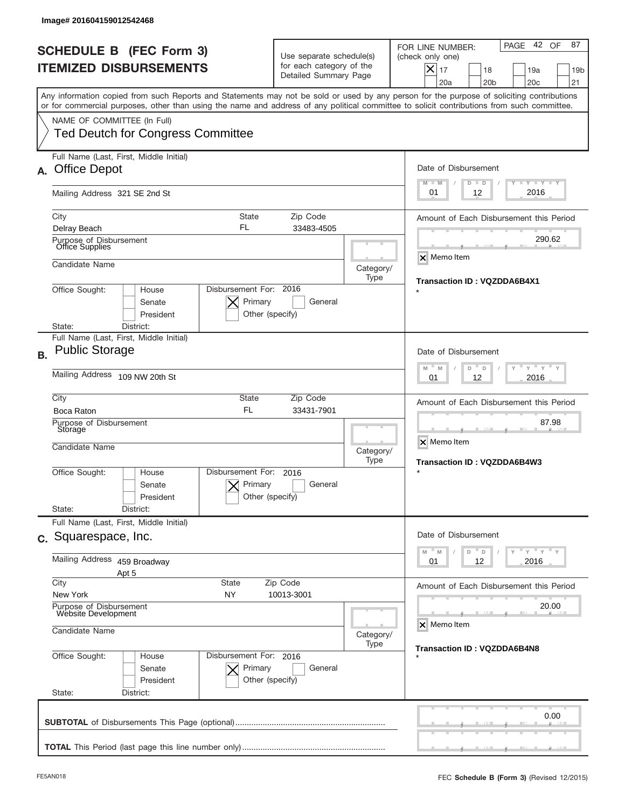|           | Image# 201604159012542468                                                                                                                                                                                                                                                               |                                                                               |                                                  |                                                                                                                                                             |
|-----------|-----------------------------------------------------------------------------------------------------------------------------------------------------------------------------------------------------------------------------------------------------------------------------------------|-------------------------------------------------------------------------------|--------------------------------------------------|-------------------------------------------------------------------------------------------------------------------------------------------------------------|
|           | <b>SCHEDULE B (FEC Form 3)</b><br><b>ITEMIZED DISBURSEMENTS</b>                                                                                                                                                                                                                         | Use separate schedule(s)<br>for each category of the<br>Detailed Summary Page |                                                  | 42 OF<br>87<br>PAGE<br>FOR LINE NUMBER:<br>(check only one)<br>$X _{17}$<br>18<br>19a<br>19 <sub>b</sub><br>20a<br>20 <sub>b</sub><br>20 <sub>c</sub><br>21 |
|           | Any information copied from such Reports and Statements may not be sold or used by any person for the purpose of soliciting contributions<br>or for commercial purposes, other than using the name and address of any political committee to solicit contributions from such committee. |                                                                               |                                                  |                                                                                                                                                             |
|           | NAME OF COMMITTEE (In Full)<br><b>Ted Deutch for Congress Committee</b>                                                                                                                                                                                                                 |                                                                               |                                                  |                                                                                                                                                             |
| А.        | Full Name (Last, First, Middle Initial)<br><b>Office Depot</b>                                                                                                                                                                                                                          |                                                                               |                                                  | Date of Disbursement                                                                                                                                        |
|           | Mailing Address 321 SE 2nd St                                                                                                                                                                                                                                                           |                                                                               |                                                  | $I - Y - I - Y - I - Y$<br>$M - M$<br>$D$ $D$<br>2016<br>12<br>01                                                                                           |
|           | State<br>City<br>FL<br>Delray Beach                                                                                                                                                                                                                                                     | Amount of Each Disbursement this Period<br>290.62                             |                                                  |                                                                                                                                                             |
|           | Purpose of Disbursement<br>Office Supplies<br>Candidate Name                                                                                                                                                                                                                            |                                                                               | Category/                                        | <b>X</b> Memo Item                                                                                                                                          |
|           | Disbursement For: 2016<br>Office Sought:<br>House<br>Primary<br>Senate<br>President<br>Other (specify)<br>State:<br>District:                                                                                                                                                           | <b>Transaction ID: VQZDDA6B4X1</b>                                            |                                                  |                                                                                                                                                             |
| <b>B.</b> | Full Name (Last, First, Middle Initial)<br><b>Public Storage</b>                                                                                                                                                                                                                        |                                                                               |                                                  | Date of Disbursement                                                                                                                                        |
|           | Mailing Address 109 NW 20th St                                                                                                                                                                                                                                                          | $-$ M<br>$Y = Y$<br>M<br>D<br>D<br>2016<br>01<br>12                           |                                                  |                                                                                                                                                             |
|           | City<br>State<br><b>FL</b><br>Boca Raton<br>Purpose of Disbursement                                                                                                                                                                                                                     |                                                                               | Amount of Each Disbursement this Period<br>87.98 |                                                                                                                                                             |
|           | Storage<br>Candidate Name                                                                                                                                                                                                                                                               | Category/<br>Type                                                             | X Memo Item<br>Transaction ID: VQZDDA6B4W3       |                                                                                                                                                             |
|           | Disbursement For:<br>Office Sought:<br>House<br>Primary<br>Senate<br>President<br>Other (specify)<br>State:<br>District:                                                                                                                                                                | $\star$                                                                       |                                                  |                                                                                                                                                             |
|           | Full Name (Last, First, Middle Initial)<br>c. Squarespace, Inc.                                                                                                                                                                                                                         |                                                                               |                                                  | Date of Disbursement                                                                                                                                        |
|           | Mailing Address 459 Broadway<br>Apt 5                                                                                                                                                                                                                                                   | ≡ γ ≡ γ ≡ γ<br>M<br>M<br>D<br>D<br>12<br>2016<br>01                           |                                                  |                                                                                                                                                             |
|           | City<br><b>State</b><br>New York<br>ΝY                                                                                                                                                                                                                                                  | Zip Code<br>10013-3001                                                        |                                                  | Amount of Each Disbursement this Period                                                                                                                     |
|           | Purpose of Disbursement<br>Website Development<br>Candidate Name                                                                                                                                                                                                                        | Category/<br>Type                                                             | 20.00<br>X Memo Item                             |                                                                                                                                                             |
|           | Office Sought:<br>Disbursement For: 2016<br>House<br>Senate<br>Primary<br>President<br>Other (specify)<br>State:<br>District:                                                                                                                                                           | Transaction ID: VQZDDA6B4N8                                                   |                                                  |                                                                                                                                                             |
|           |                                                                                                                                                                                                                                                                                         |                                                                               |                                                  | 0.00                                                                                                                                                        |
|           |                                                                                                                                                                                                                                                                                         |                                                                               |                                                  |                                                                                                                                                             |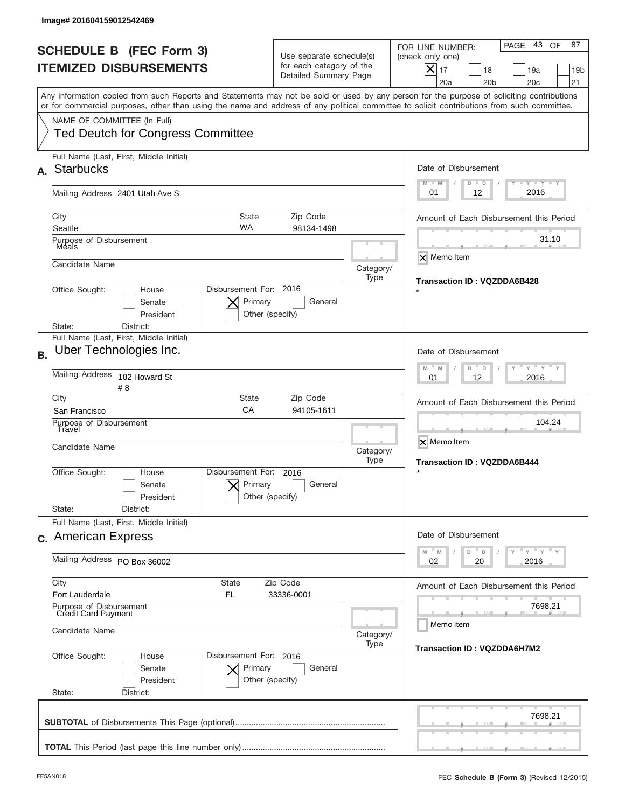|           | Image# 201604159012542469                                                                                                                                                                                                                                                               |                                                                               |                                       |                                                                                                                                                                       |
|-----------|-----------------------------------------------------------------------------------------------------------------------------------------------------------------------------------------------------------------------------------------------------------------------------------------|-------------------------------------------------------------------------------|---------------------------------------|-----------------------------------------------------------------------------------------------------------------------------------------------------------------------|
|           | <b>SCHEDULE B (FEC Form 3)</b><br><b>ITEMIZED DISBURSEMENTS</b>                                                                                                                                                                                                                         | Use separate schedule(s)<br>for each category of the<br>Detailed Summary Page |                                       | 43 OF<br>87<br>PAGE<br>FOR LINE NUMBER:<br>(check only one)<br>$ \mathsf{X} _{17}$<br>18<br>19a<br>19 <sub>b</sub><br>20a<br>20 <sub>b</sub><br>20 <sub>c</sub><br>21 |
|           | Any information copied from such Reports and Statements may not be sold or used by any person for the purpose of soliciting contributions<br>or for commercial purposes, other than using the name and address of any political committee to solicit contributions from such committee. |                                                                               |                                       |                                                                                                                                                                       |
|           | NAME OF COMMITTEE (In Full)<br><b>Ted Deutch for Congress Committee</b>                                                                                                                                                                                                                 |                                                                               |                                       |                                                                                                                                                                       |
|           | Full Name (Last, First, Middle Initial)<br><b>Starbucks</b>                                                                                                                                                                                                                             |                                                                               |                                       | Date of Disbursement                                                                                                                                                  |
|           | Mailing Address 2401 Utah Ave S                                                                                                                                                                                                                                                         |                                                                               |                                       | Y TY TY TY<br>$M - M$<br>$D$ $D$<br>2016<br>12<br>01                                                                                                                  |
|           | City<br><b>State</b><br><b>WA</b><br>Seattle                                                                                                                                                                                                                                            | Zip Code<br>98134-1498                                                        |                                       | Amount of Each Disbursement this Period                                                                                                                               |
|           | Purpose of Disbursement<br>Meals                                                                                                                                                                                                                                                        |                                                                               |                                       | 31.10<br>$\times$ Memo Item                                                                                                                                           |
|           | Candidate Name                                                                                                                                                                                                                                                                          |                                                                               | Category/<br>Type                     | Transaction ID: VQZDDA6B428                                                                                                                                           |
|           | Disbursement For: 2016<br>Office Sought:<br>House<br>Primary<br>Senate<br>President<br>Other (specify)<br>State:<br>District:                                                                                                                                                           |                                                                               |                                       |                                                                                                                                                                       |
| <b>B.</b> | Full Name (Last, First, Middle Initial)<br>Uber Technologies Inc.                                                                                                                                                                                                                       |                                                                               |                                       | Date of Disbursement<br>$Y'$ $Y'$ $Y$                                                                                                                                 |
|           | <b>Mailing Address</b><br>182 Howard St<br># 8                                                                                                                                                                                                                                          |                                                                               | $M - M$<br>D<br>D<br>12<br>2016<br>01 |                                                                                                                                                                       |
|           | City<br>State<br>CA<br>San Francisco                                                                                                                                                                                                                                                    | Zip Code<br>94105-1611                                                        |                                       | Amount of Each Disbursement this Period                                                                                                                               |
|           | Purpose of Disbursement<br>Travel<br>Candidate Name                                                                                                                                                                                                                                     |                                                                               | Category/<br>Type                     | 104.24<br>X Memo Item<br>Transaction ID: VQZDDA6B444                                                                                                                  |
|           | Disbursement For:<br>Office Sought:<br>House<br>Primary<br>Senate<br>President                                                                                                                                                                                                          | 2016<br>General<br>Other (specify)                                            |                                       | $\star$                                                                                                                                                               |
|           | State:<br>District:<br>Full Name (Last, First, Middle Initial)                                                                                                                                                                                                                          |                                                                               |                                       |                                                                                                                                                                       |
|           | c. American Express                                                                                                                                                                                                                                                                     |                                                                               |                                       | Date of Disbursement<br>$\mathbb{F}$ $\mathsf{y}$ $\mathbb{F}$ $\mathsf{y}$ $\mathbb{F}$ $\mathsf{y}$<br>M<br>D<br>M<br>D                                             |
|           | Mailing Address PO Box 36002                                                                                                                                                                                                                                                            | Zip Code                                                                      |                                       | 02<br>2016<br>20                                                                                                                                                      |
|           | City<br>State<br>Fort Lauderdale<br>FL                                                                                                                                                                                                                                                  | Amount of Each Disbursement this Period                                       |                                       |                                                                                                                                                                       |
|           | Purpose of Disbursement<br><b>Credit Card Payment</b><br>Candidate Name                                                                                                                                                                                                                 | Category/                                                                     | 7698.21<br>Memo Item                  |                                                                                                                                                                       |
|           | Office Sought:<br>Disbursement For: 2016<br>House<br>Primary<br>Senate<br>President<br>State:<br>District:                                                                                                                                                                              | General<br>Other (specify)                                                    | Type                                  | Transaction ID: VQZDDA6H7M2                                                                                                                                           |
|           |                                                                                                                                                                                                                                                                                         |                                                                               |                                       | 7698.21                                                                                                                                                               |
|           |                                                                                                                                                                                                                                                                                         |                                                                               |                                       |                                                                                                                                                                       |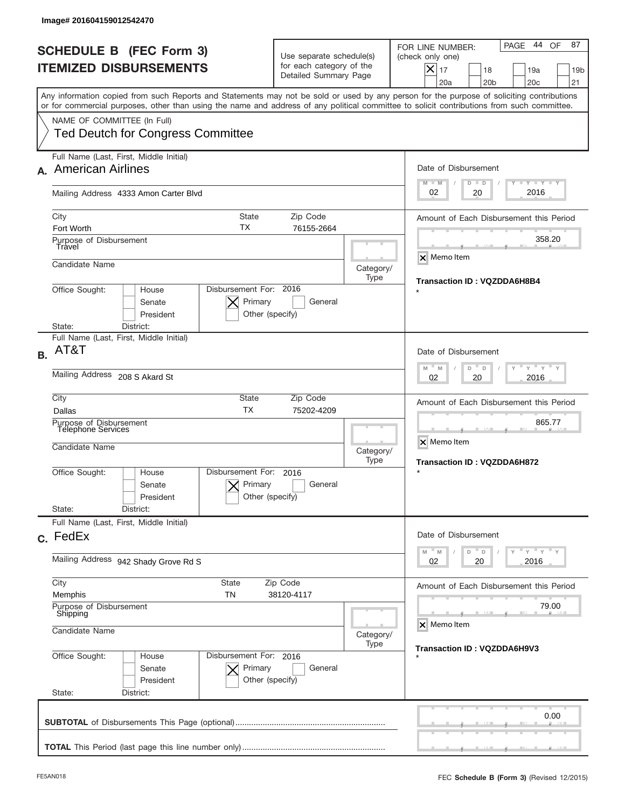|           | Image# 201604159012542470                                                                                                                                                                                                                                                               |                                                                                                                              |                      |                                                                                                                                                             |
|-----------|-----------------------------------------------------------------------------------------------------------------------------------------------------------------------------------------------------------------------------------------------------------------------------------------|------------------------------------------------------------------------------------------------------------------------------|----------------------|-------------------------------------------------------------------------------------------------------------------------------------------------------------|
|           | <b>SCHEDULE B (FEC Form 3)</b><br><b>ITEMIZED DISBURSEMENTS</b>                                                                                                                                                                                                                         | Use separate schedule(s)<br>for each category of the<br>Detailed Summary Page                                                |                      | 44 OF<br>87<br>PAGE<br>FOR LINE NUMBER:<br>(check only one)<br>$X _{17}$<br>18<br>19a<br>19 <sub>b</sub><br>20a<br>20 <sub>b</sub><br>20 <sub>c</sub><br>21 |
|           | Any information copied from such Reports and Statements may not be sold or used by any person for the purpose of soliciting contributions<br>or for commercial purposes, other than using the name and address of any political committee to solicit contributions from such committee. |                                                                                                                              |                      |                                                                                                                                                             |
|           | NAME OF COMMITTEE (In Full)<br><b>Ted Deutch for Congress Committee</b>                                                                                                                                                                                                                 |                                                                                                                              |                      |                                                                                                                                                             |
|           | Full Name (Last, First, Middle Initial)<br>A. American Airlines                                                                                                                                                                                                                         |                                                                                                                              |                      | Date of Disbursement<br>$T - Y$ $T - Y$<br>$M - M$<br>$D$ $D$                                                                                               |
|           | Mailing Address 4333 Amon Carter Blvd                                                                                                                                                                                                                                                   |                                                                                                                              |                      | 2016<br>02<br>20                                                                                                                                            |
|           | City<br><b>State</b><br>ТX<br>Fort Worth                                                                                                                                                                                                                                                | Amount of Each Disbursement this Period                                                                                      |                      |                                                                                                                                                             |
|           | Purpose of Disbursement<br>Travel<br>Candidate Name                                                                                                                                                                                                                                     |                                                                                                                              | Category/            | 358.20<br>X Memo Item                                                                                                                                       |
|           | Disbursement For: 2016<br>Office Sought:<br>House<br>Primary<br>Senate<br>President<br>Other (specify)<br>State:<br>District:                                                                                                                                                           | Transaction ID: VQZDDA6H8B4                                                                                                  |                      |                                                                                                                                                             |
| <b>B.</b> | Full Name (Last, First, Middle Initial)<br>AT&T                                                                                                                                                                                                                                         |                                                                                                                              |                      | Date of Disbursement<br>$\cdots$ $\gamma$ $\cdots$ $\gamma$ $\cdots$ $\gamma$<br>$M$ <sup><math>-</math></sup><br>$D =$<br>M<br>D                           |
|           | Mailing Address 208 S Akard St                                                                                                                                                                                                                                                          | 2016<br>02<br>20                                                                                                             |                      |                                                                                                                                                             |
|           | City<br>State<br>Zip Code<br><b>TX</b><br>Dallas<br>75202-4209<br>Purpose of Disbursement<br><b>Telephone Services</b><br>Candidate Name                                                                                                                                                |                                                                                                                              |                      | Amount of Each Disbursement this Period<br>865.77<br>X Memo Item                                                                                            |
|           | Disbursement For:<br>Office Sought:<br>House<br>Primary<br>Senate<br>President<br>State:<br>District:                                                                                                                                                                                   | 2016<br>General<br>Other (specify)                                                                                           | Type                 | Transaction ID: VQZDDA6H872                                                                                                                                 |
|           | Full Name (Last, First, Middle Initial)<br>c. FedEx                                                                                                                                                                                                                                     |                                                                                                                              |                      | Date of Disbursement                                                                                                                                        |
|           | Mailing Address 942 Shady Grove Rd S                                                                                                                                                                                                                                                    | $\overline{Y}$ $\overline{Y}$ $\overline{Y}$ $\overline{Y}$ $\overline{Y}$<br>M<br>$\mathbb M$<br>D<br>D<br>02<br>2016<br>20 |                      |                                                                                                                                                             |
|           | City<br>State<br>Memphis<br>TN                                                                                                                                                                                                                                                          | Zip Code<br>38120-4117                                                                                                       |                      | Amount of Each Disbursement this Period                                                                                                                     |
|           | Purpose of Disbursement<br>Shipping<br>Candidate Name                                                                                                                                                                                                                                   | Category/<br>Type                                                                                                            | 79.00<br>X Memo Item |                                                                                                                                                             |
|           | Office Sought:<br>Disbursement For: 2016<br>House<br>Senate<br>Primary<br>President<br>State:<br>District:                                                                                                                                                                              | General<br>Other (specify)                                                                                                   |                      | Transaction ID: VQZDDA6H9V3                                                                                                                                 |
|           |                                                                                                                                                                                                                                                                                         |                                                                                                                              |                      | 0.00                                                                                                                                                        |
|           |                                                                                                                                                                                                                                                                                         |                                                                                                                              |                      |                                                                                                                                                             |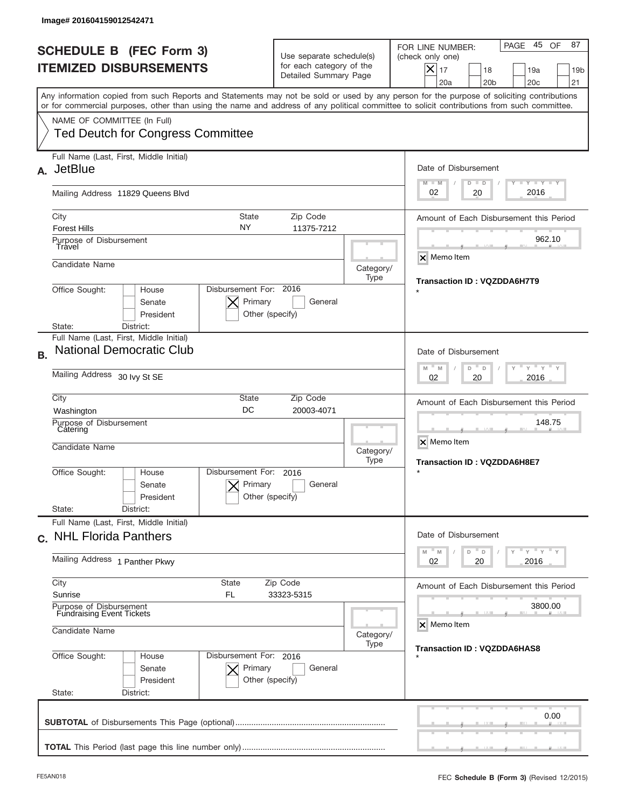| Image# 201604159012542471                                                                                                                                                                                                                                                               |                                                                                                                       |                   |                                                                                                                                                                       |  |  |
|-----------------------------------------------------------------------------------------------------------------------------------------------------------------------------------------------------------------------------------------------------------------------------------------|-----------------------------------------------------------------------------------------------------------------------|-------------------|-----------------------------------------------------------------------------------------------------------------------------------------------------------------------|--|--|
| <b>SCHEDULE B (FEC Form 3)</b><br><b>ITEMIZED DISBURSEMENTS</b>                                                                                                                                                                                                                         | Use separate schedule(s)<br>for each category of the<br>Detailed Summary Page                                         |                   | 45 OF<br>87<br>PAGE<br>FOR LINE NUMBER:<br>(check only one)<br>$ \mathsf{X} _{17}$<br>18<br>19a<br>19 <sub>b</sub><br>20a<br>20 <sub>b</sub><br>20 <sub>c</sub><br>21 |  |  |
| Any information copied from such Reports and Statements may not be sold or used by any person for the purpose of soliciting contributions<br>or for commercial purposes, other than using the name and address of any political committee to solicit contributions from such committee. |                                                                                                                       |                   |                                                                                                                                                                       |  |  |
| NAME OF COMMITTEE (In Full)<br><b>Ted Deutch for Congress Committee</b>                                                                                                                                                                                                                 |                                                                                                                       |                   |                                                                                                                                                                       |  |  |
| Full Name (Last, First, Middle Initial)<br><b>JetBlue</b><br>А.                                                                                                                                                                                                                         |                                                                                                                       |                   | Date of Disbursement<br><b>TANK TANK</b><br>$M - M$<br>$D$ $D$                                                                                                        |  |  |
| Mailing Address 11829 Queens Blvd                                                                                                                                                                                                                                                       |                                                                                                                       |                   |                                                                                                                                                                       |  |  |
| City<br><b>State</b><br>NY<br><b>Forest Hills</b>                                                                                                                                                                                                                                       | Zip Code<br>11375-7212                                                                                                |                   | Amount of Each Disbursement this Period                                                                                                                               |  |  |
| Purpose of Disbursement<br>Travel                                                                                                                                                                                                                                                       |                                                                                                                       |                   | 962.10<br>$\times$ Memo Item                                                                                                                                          |  |  |
| Candidate Name                                                                                                                                                                                                                                                                          |                                                                                                                       | Category/<br>Type | Transaction ID: VQZDDA6H7T9                                                                                                                                           |  |  |
| Disbursement For: 2016<br>Office Sought:<br>House<br>Primary<br>Senate<br>President<br>Other (specify)<br>District:<br>State:                                                                                                                                                           |                                                                                                                       |                   |                                                                                                                                                                       |  |  |
| Full Name (Last, First, Middle Initial)<br><b>National Democratic Club</b>                                                                                                                                                                                                              |                                                                                                                       |                   | Date of Disbursement                                                                                                                                                  |  |  |
| <b>B.</b><br>Mailing Address 30 lvy St SE                                                                                                                                                                                                                                               | $\cdots$ $\gamma$ $\cdots$ $\gamma$ $\cdots$ $\gamma$<br>$M - M$<br>D<br>D<br>2016<br>02<br>20                        |                   |                                                                                                                                                                       |  |  |
| City<br>State<br>DC<br>Washington                                                                                                                                                                                                                                                       | Amount of Each Disbursement this Period                                                                               |                   |                                                                                                                                                                       |  |  |
| Purpose of Disbursement<br>Catering<br>Candidate Name                                                                                                                                                                                                                                   |                                                                                                                       | Category/<br>Type | 148.75<br>X Memo Item<br>Transaction ID: VQZDDA6H8E7                                                                                                                  |  |  |
| Disbursement For:<br>Office Sought:<br>House<br>Primary<br>Senate<br>President<br>State:<br>District:                                                                                                                                                                                   | 2016<br>General<br>Other (specify)                                                                                    |                   | $\star$                                                                                                                                                               |  |  |
| Full Name (Last, First, Middle Initial)<br>c. NHL Florida Panthers                                                                                                                                                                                                                      |                                                                                                                       |                   | Date of Disbursement                                                                                                                                                  |  |  |
| Mailing Address 1 Panther Pkwy                                                                                                                                                                                                                                                          | $\mathbb{F}$ $\mathsf{y}$ $\mathbb{F}$ $\mathsf{y}$ $\mathbb{F}$ $\mathsf{y}$<br>D<br>M<br>M<br>D<br>02<br>2016<br>20 |                   |                                                                                                                                                                       |  |  |
| City<br>State<br>Sunrise<br>FL                                                                                                                                                                                                                                                          | Zip Code<br>33323-5315                                                                                                |                   | Amount of Each Disbursement this Period                                                                                                                               |  |  |
| Purpose of Disbursement<br><b>Fundraising Event Tickets</b>                                                                                                                                                                                                                             |                                                                                                                       |                   |                                                                                                                                                                       |  |  |
| Candidate Name                                                                                                                                                                                                                                                                          |                                                                                                                       |                   | <b>Transaction ID: VQZDDA6HAS8</b>                                                                                                                                    |  |  |
| Office Sought:<br>Disbursement For: 2016<br>House<br>Primary<br>Senate<br>President<br>State:<br>District:                                                                                                                                                                              | General<br>Other (specify)                                                                                            |                   |                                                                                                                                                                       |  |  |
|                                                                                                                                                                                                                                                                                         |                                                                                                                       |                   | 0.00                                                                                                                                                                  |  |  |
|                                                                                                                                                                                                                                                                                         |                                                                                                                       |                   |                                                                                                                                                                       |  |  |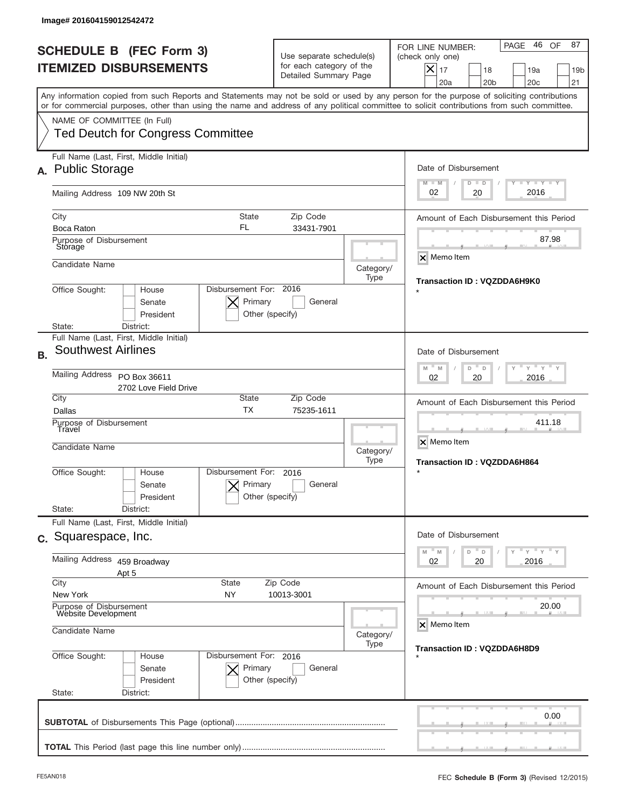|           | Image# 201604159012542472                                                                                                                                                                                                                                                                                              |                                                                                                     |                                                                               |                                                                                                                       |                                                                                                                                                                               |
|-----------|------------------------------------------------------------------------------------------------------------------------------------------------------------------------------------------------------------------------------------------------------------------------------------------------------------------------|-----------------------------------------------------------------------------------------------------|-------------------------------------------------------------------------------|-----------------------------------------------------------------------------------------------------------------------|-------------------------------------------------------------------------------------------------------------------------------------------------------------------------------|
|           | <b>SCHEDULE B (FEC Form 3)</b><br><b>ITEMIZED DISBURSEMENTS</b>                                                                                                                                                                                                                                                        |                                                                                                     | Use separate schedule(s)<br>for each category of the<br>Detailed Summary Page |                                                                                                                       | 46 OF<br>87<br>PAGE<br>FOR LINE NUMBER:<br>(check only one)<br>$\boldsymbol{\times}$<br>17<br>18<br>19a<br>19 <sub>b</sub><br>20a<br>20 <sub>b</sub><br>20 <sub>c</sub><br>21 |
|           | Any information copied from such Reports and Statements may not be sold or used by any person for the purpose of soliciting contributions<br>or for commercial purposes, other than using the name and address of any political committee to solicit contributions from such committee.<br>NAME OF COMMITTEE (In Full) |                                                                                                     |                                                                               |                                                                                                                       |                                                                                                                                                                               |
|           | <b>Ted Deutch for Congress Committee</b>                                                                                                                                                                                                                                                                               |                                                                                                     |                                                                               |                                                                                                                       |                                                                                                                                                                               |
| А.        | Full Name (Last, First, Middle Initial)<br><b>Public Storage</b>                                                                                                                                                                                                                                                       |                                                                                                     |                                                                               |                                                                                                                       | Date of Disbursement<br><b>TAYLY LY</b><br>$M - M$<br>$D$ $D$                                                                                                                 |
|           | Mailing Address 109 NW 20th St                                                                                                                                                                                                                                                                                         | 2016<br>02<br>20                                                                                    |                                                                               |                                                                                                                       |                                                                                                                                                                               |
|           | City<br>Boca Raton                                                                                                                                                                                                                                                                                                     | Amount of Each Disbursement this Period                                                             |                                                                               |                                                                                                                       |                                                                                                                                                                               |
|           | Purpose of Disbursement<br>Storage                                                                                                                                                                                                                                                                                     |                                                                                                     |                                                                               |                                                                                                                       | 87.98<br><b>x</b> Memo Item                                                                                                                                                   |
|           | Candidate Name                                                                                                                                                                                                                                                                                                         | Disbursement For: 2016                                                                              |                                                                               | Category/<br>Type                                                                                                     | Transaction ID: VQZDDA6H9K0                                                                                                                                                   |
|           | Office Sought:<br>House<br>Senate<br>President<br>State:<br>District:                                                                                                                                                                                                                                                  |                                                                                                     |                                                                               |                                                                                                                       |                                                                                                                                                                               |
| <b>B.</b> | Full Name (Last, First, Middle Initial)<br><b>Southwest Airlines</b>                                                                                                                                                                                                                                                   |                                                                                                     |                                                                               |                                                                                                                       | Date of Disbursement                                                                                                                                                          |
|           | Mailing Address PO Box 36611<br>2702 Love Field Drive                                                                                                                                                                                                                                                                  | $\cdots$ $\gamma$ $\cdots$ $\gamma$ $\cdots$ $\gamma$<br>$M - M$<br>D<br>$\Box$<br>2016<br>02<br>20 |                                                                               |                                                                                                                       |                                                                                                                                                                               |
|           | City<br>State<br>Zip Code<br><b>TX</b><br>75235-1611<br>Dallas<br>Purpose of Disbursement<br>Travel<br>Candidate Name<br>Category/<br>Type                                                                                                                                                                             |                                                                                                     |                                                                               |                                                                                                                       | Amount of Each Disbursement this Period                                                                                                                                       |
|           |                                                                                                                                                                                                                                                                                                                        |                                                                                                     |                                                                               |                                                                                                                       | 411.18<br>X Memo Item<br>Transaction ID: VQZDDA6H864                                                                                                                          |
|           | Office Sought:<br>House<br>Senate<br>President                                                                                                                                                                                                                                                                         | Disbursement For:<br>Primary<br>Other (specify)                                                     | 2016<br>General                                                               |                                                                                                                       | $\star$                                                                                                                                                                       |
|           | State:<br>District:<br>Full Name (Last, First, Middle Initial)                                                                                                                                                                                                                                                         |                                                                                                     |                                                                               |                                                                                                                       | Date of Disbursement                                                                                                                                                          |
|           | c. Squarespace, Inc.<br>Mailing Address 459 Broadway                                                                                                                                                                                                                                                                   |                                                                                                     |                                                                               | $\mathbb{F}$ $\mathsf{y}$ $\mathbb{F}$ $\mathsf{y}$ $\mathbb{F}$ $\mathsf{y}$<br>M<br>D<br>M<br>D<br>02<br>2016<br>20 |                                                                                                                                                                               |
|           | Apt 5<br>City<br><b>State</b>                                                                                                                                                                                                                                                                                          |                                                                                                     | Zip Code                                                                      |                                                                                                                       | Amount of Each Disbursement this Period                                                                                                                                       |
|           | New York<br>NY<br>10013-3001<br>Purpose of Disbursement<br>Website Development                                                                                                                                                                                                                                         |                                                                                                     |                                                                               |                                                                                                                       | 20.00                                                                                                                                                                         |
|           | Candidate Name<br>Category/                                                                                                                                                                                                                                                                                            |                                                                                                     |                                                                               |                                                                                                                       | X Memo Item                                                                                                                                                                   |
|           | Office Sought:<br>House<br>Senate<br>President<br>State:<br>District:                                                                                                                                                                                                                                                  | Disbursement For: 2016<br>Primary<br>Other (specify)                                                | General                                                                       | Type                                                                                                                  | Transaction ID: VQZDDA6H8D9                                                                                                                                                   |
|           |                                                                                                                                                                                                                                                                                                                        |                                                                                                     |                                                                               |                                                                                                                       | 0.00                                                                                                                                                                          |
|           |                                                                                                                                                                                                                                                                                                                        |                                                                                                     |                                                                               |                                                                                                                       |                                                                                                                                                                               |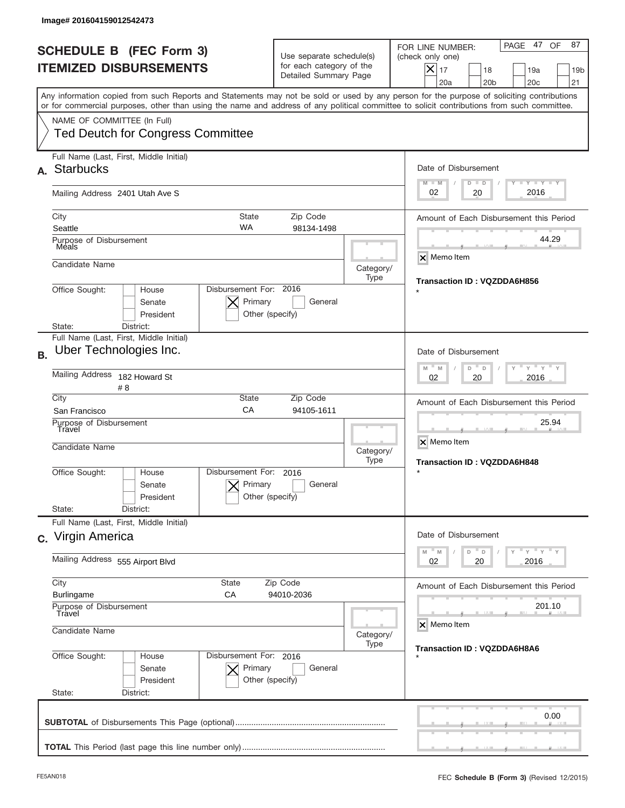|           | Image# 201604159012542473                                                                                                                  |                                                                 |                                                                               |                                                                                                                                                             |
|-----------|--------------------------------------------------------------------------------------------------------------------------------------------|-----------------------------------------------------------------|-------------------------------------------------------------------------------|-------------------------------------------------------------------------------------------------------------------------------------------------------------|
|           | <b>SCHEDULE B (FEC Form 3)</b><br><b>ITEMIZED DISBURSEMENTS</b>                                                                            |                                                                 | Use separate schedule(s)<br>for each category of the<br>Detailed Summary Page | PAGE 47<br>87<br>OF<br>FOR LINE NUMBER:<br>(check only one)<br>$X _{17}$<br>18<br>19a<br>19 <sub>b</sub><br>20a<br>20 <sub>b</sub><br>20 <sub>c</sub><br>21 |
|           | or for commercial purposes, other than using the name and address of any political committee to solicit contributions from such committee. |                                                                 |                                                                               | Any information copied from such Reports and Statements may not be sold or used by any person for the purpose of soliciting contributions                   |
|           | NAME OF COMMITTEE (In Full)<br><b>Ted Deutch for Congress Committee</b>                                                                    |                                                                 |                                                                               |                                                                                                                                                             |
| А.        | Full Name (Last, First, Middle Initial)<br><b>Starbucks</b>                                                                                |                                                                 |                                                                               | Date of Disbursement                                                                                                                                        |
|           | Mailing Address 2401 Utah Ave S                                                                                                            |                                                                 |                                                                               | $T - Y$ $T - Y$<br>$M - M$<br>$D$ $D$<br>2016<br>02<br>20                                                                                                   |
|           | City<br>Seattle                                                                                                                            | Amount of Each Disbursement this Period                         |                                                                               |                                                                                                                                                             |
|           | Purpose of Disbursement<br>Meals                                                                                                           |                                                                 |                                                                               | 44.29<br>X Memo Item                                                                                                                                        |
|           | Candidate Name                                                                                                                             |                                                                 | Category/<br>Type                                                             | Transaction ID: VQZDDA6H856                                                                                                                                 |
|           | Disbursement For: 2016<br>Office Sought:<br>House<br>Senate<br>President<br>District:<br>State:                                            |                                                                 |                                                                               |                                                                                                                                                             |
|           | Full Name (Last, First, Middle Initial)                                                                                                    |                                                                 |                                                                               |                                                                                                                                                             |
| <b>B.</b> | Uber Technologies Inc.                                                                                                                     | Date of Disbursement                                            |                                                                               |                                                                                                                                                             |
|           | <b>Mailing Address</b><br>182 Howard St<br># 8                                                                                             | $M - M$<br>$Y = Y$<br>D<br>D<br>2016<br>02<br>20                |                                                                               |                                                                                                                                                             |
|           | City<br>San Francisco                                                                                                                      | Amount of Each Disbursement this Period                         |                                                                               |                                                                                                                                                             |
|           | Purpose of Disbursement<br>Travel<br>Candidate Name                                                                                        |                                                                 |                                                                               | 25.94<br>X Memo Item<br>Category/<br><b>Transaction ID: VQZDDA6H848</b>                                                                                     |
|           | Office Sought:<br>House<br>Senate<br>President<br>State:<br>District:                                                                      | Disbursement For:<br>2016<br>Primary<br>Other (specify)         | General                                                                       |                                                                                                                                                             |
|           | Full Name (Last, First, Middle Initial)                                                                                                    |                                                                 |                                                                               |                                                                                                                                                             |
|           | c. Virgin America                                                                                                                          |                                                                 |                                                                               | Date of Disbursement                                                                                                                                        |
|           | Mailing Address 555 Airport Blvd                                                                                                           | ≡ γ ≡ γ ≡ γ<br>$M - M$<br>D<br>D<br>02<br>2016<br>20            |                                                                               |                                                                                                                                                             |
|           | City<br>State<br><b>Burlingame</b><br>СA                                                                                                   | Zip Code<br>94010-2036                                          |                                                                               | Amount of Each Disbursement this Period                                                                                                                     |
|           | Purpose of Disbursement<br>Travel<br>Candidate Name                                                                                        | Category/                                                       | 201.10<br>X Memo Item                                                         |                                                                                                                                                             |
|           |                                                                                                                                            | Transaction ID: VQZDDA6H8A6                                     |                                                                               |                                                                                                                                                             |
|           | Office Sought:<br>House<br>Senate<br>President<br>State:<br>District:                                                                      | Disbursement For: 2016<br>Primary<br>General<br>Other (specify) |                                                                               |                                                                                                                                                             |
|           |                                                                                                                                            |                                                                 |                                                                               | 0.00                                                                                                                                                        |
|           |                                                                                                                                            |                                                                 |                                                                               |                                                                                                                                                             |
|           |                                                                                                                                            |                                                                 |                                                                               |                                                                                                                                                             |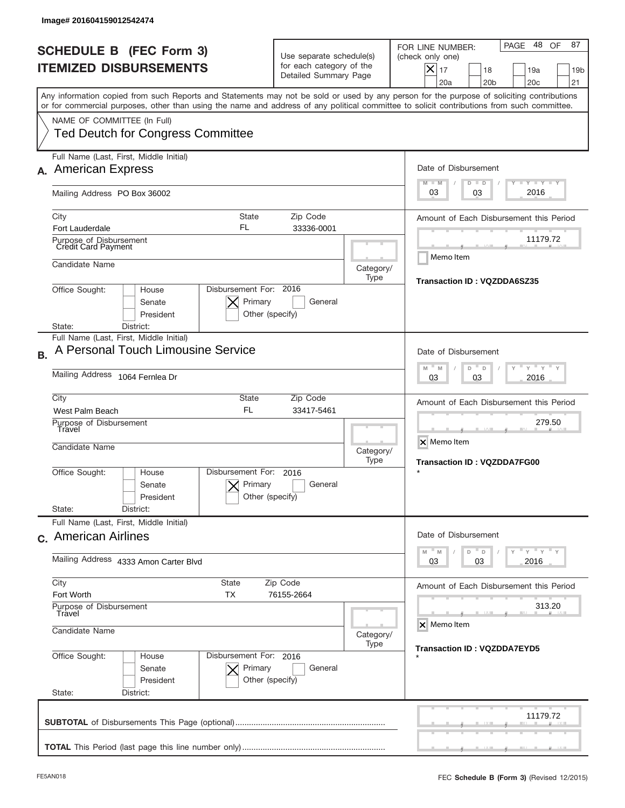|           | Image# 201604159012542474                                                                                                                                                                                                                                                               |                                                                                                         |           |                                                                                                                                                                |
|-----------|-----------------------------------------------------------------------------------------------------------------------------------------------------------------------------------------------------------------------------------------------------------------------------------------|---------------------------------------------------------------------------------------------------------|-----------|----------------------------------------------------------------------------------------------------------------------------------------------------------------|
|           | <b>SCHEDULE B (FEC Form 3)</b><br><b>ITEMIZED DISBURSEMENTS</b>                                                                                                                                                                                                                         | Use separate schedule(s)<br>for each category of the<br>Detailed Summary Page                           |           | 48<br>87<br>PAGE<br>OF<br>FOR LINE NUMBER:<br>(check only one)<br>$X _{17}$<br>19a<br>19 <sub>b</sub><br>18<br>20 <sub>b</sub><br>20 <sub>c</sub><br>21<br>20a |
|           | Any information copied from such Reports and Statements may not be sold or used by any person for the purpose of soliciting contributions<br>or for commercial purposes, other than using the name and address of any political committee to solicit contributions from such committee. |                                                                                                         |           |                                                                                                                                                                |
|           | NAME OF COMMITTEE (In Full)<br><b>Ted Deutch for Congress Committee</b>                                                                                                                                                                                                                 |                                                                                                         |           |                                                                                                                                                                |
|           | Full Name (Last, First, Middle Initial)<br><b>American Express</b>                                                                                                                                                                                                                      |                                                                                                         |           | Date of Disbursement<br><b>LEY LEY LEY</b><br>$M - M$<br>$D$ $D$                                                                                               |
|           | Mailing Address PO Box 36002                                                                                                                                                                                                                                                            |                                                                                                         |           | 2016<br>03<br>03                                                                                                                                               |
|           | <b>State</b><br>City<br>FL<br>Fort Lauderdale<br>Purpose of Disbursement<br>Credit Card Payment                                                                                                                                                                                         | Amount of Each Disbursement this Period<br>11179.72                                                     |           |                                                                                                                                                                |
|           | Candidate Name                                                                                                                                                                                                                                                                          |                                                                                                         | Category/ | Memo Item                                                                                                                                                      |
|           | Disbursement For: 2016<br>Office Sought:<br>House<br>Primary<br>Senate                                                                                                                                                                                                                  | Transaction ID: VQZDDA6SZ35                                                                             |           |                                                                                                                                                                |
|           | President<br>District:<br>State:<br>Full Name (Last, First, Middle Initial)                                                                                                                                                                                                             | Other (specify)                                                                                         |           |                                                                                                                                                                |
| <b>B.</b> | A Personal Touch Limousine Service                                                                                                                                                                                                                                                      |                                                                                                         |           | Date of Disbursement                                                                                                                                           |
|           | Mailing Address 1064 Fernlea Dr                                                                                                                                                                                                                                                         | $Y = Y$<br>M<br>$-M$<br>D<br>D<br>2016<br>03<br>03                                                      |           |                                                                                                                                                                |
|           | City<br>State<br><b>FL</b><br>West Palm Beach                                                                                                                                                                                                                                           | Amount of Each Disbursement this Period                                                                 |           |                                                                                                                                                                |
|           | Purpose of Disbursement<br>Travel<br>Candidate Name<br>Category/                                                                                                                                                                                                                        |                                                                                                         |           | 279.50<br>X Memo Item<br><b>Transaction ID: VQZDDA7FG00</b>                                                                                                    |
|           | Disbursement For:<br>Office Sought:<br>House<br>Primary<br>Senate<br>President                                                                                                                                                                                                          | 2016<br>General<br>Other (specify)                                                                      |           |                                                                                                                                                                |
|           | State:<br>District:<br>Full Name (Last, First, Middle Initial)                                                                                                                                                                                                                          |                                                                                                         |           |                                                                                                                                                                |
|           | c. American Airlines                                                                                                                                                                                                                                                                    |                                                                                                         |           | Date of Disbursement                                                                                                                                           |
|           | Mailing Address 4333 Amon Carter Blvd                                                                                                                                                                                                                                                   | $\vdash$ $\vdash$ $\vdash$ $\vdash$ $\vdash$ $\vdash$ $\vdash$<br>$M - M$<br>D<br>D<br>2016<br>03<br>03 |           |                                                                                                                                                                |
|           | City<br>State<br>Fort Worth<br>TX                                                                                                                                                                                                                                                       | Zip Code<br>76155-2664                                                                                  |           | Amount of Each Disbursement this Period                                                                                                                        |
|           | Purpose of Disbursement<br>Travel                                                                                                                                                                                                                                                       | 313.20<br>X Memo Item                                                                                   |           |                                                                                                                                                                |
|           | Candidate Name                                                                                                                                                                                                                                                                          | Category/<br><b>Transaction ID: VQZDDA7EYD5</b>                                                         |           |                                                                                                                                                                |
|           | Office Sought:<br>Disbursement For: 2016<br>House<br>Senate<br>Primary<br>President<br>Other (specify)<br>State:<br>District:                                                                                                                                                           |                                                                                                         |           |                                                                                                                                                                |
|           |                                                                                                                                                                                                                                                                                         |                                                                                                         |           | 11179.72                                                                                                                                                       |
|           |                                                                                                                                                                                                                                                                                         |                                                                                                         |           |                                                                                                                                                                |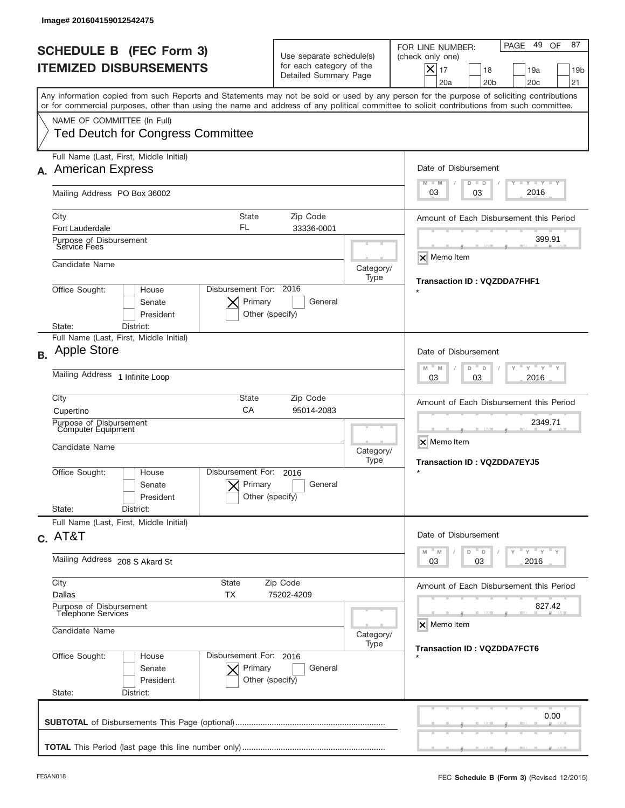|                | Image# 201604159012542475                                                                                                      |                                                                 |                                                 |                                                                               |                                                              |                                                                                                                                                                                                                                                                                         |
|----------------|--------------------------------------------------------------------------------------------------------------------------------|-----------------------------------------------------------------|-------------------------------------------------|-------------------------------------------------------------------------------|--------------------------------------------------------------|-----------------------------------------------------------------------------------------------------------------------------------------------------------------------------------------------------------------------------------------------------------------------------------------|
|                |                                                                                                                                | <b>SCHEDULE B (FEC Form 3)</b><br><b>ITEMIZED DISBURSEMENTS</b> |                                                 | Use separate schedule(s)<br>for each category of the<br>Detailed Summary Page |                                                              | 49 OF<br>87<br>PAGE<br>FOR LINE NUMBER:<br>(check only one)<br>$X _{17}$<br>18<br>19a<br>19 <sub>b</sub><br>20a<br>20 <sub>b</sub><br>20 <sub>c</sub><br>21                                                                                                                             |
|                |                                                                                                                                | NAME OF COMMITTEE (In Full)                                     |                                                 |                                                                               |                                                              | Any information copied from such Reports and Statements may not be sold or used by any person for the purpose of soliciting contributions<br>or for commercial purposes, other than using the name and address of any political committee to solicit contributions from such committee. |
|                |                                                                                                                                | <b>Ted Deutch for Congress Committee</b>                        |                                                 |                                                                               |                                                              |                                                                                                                                                                                                                                                                                         |
|                | <b>American Express</b>                                                                                                        | Full Name (Last, First, Middle Initial)                         |                                                 |                                                                               |                                                              | Date of Disbursement<br><b>TEY TEY TEY</b><br>$M - M$<br>$D$ $D$                                                                                                                                                                                                                        |
|                |                                                                                                                                | Mailing Address PO Box 36002                                    |                                                 |                                                                               |                                                              | 2016<br>03<br>03                                                                                                                                                                                                                                                                        |
| City           | Fort Lauderdale                                                                                                                |                                                                 | State<br>FL                                     | Zip Code<br>33336-0001                                                        |                                                              | Amount of Each Disbursement this Period                                                                                                                                                                                                                                                 |
|                | Purpose of Disbursement<br>Service Fees                                                                                        |                                                                 |                                                 |                                                                               |                                                              | 399.91<br>$\overline{\mathsf{x}}$ Memo Item                                                                                                                                                                                                                                             |
|                | Candidate Name                                                                                                                 |                                                                 |                                                 |                                                                               | Category/<br>Type                                            | <b>Transaction ID: VQZDDA7FHF1</b>                                                                                                                                                                                                                                                      |
| State:         | Disbursement For: 2016<br>Office Sought:<br>House<br>Primary<br>Senate<br>General<br>President<br>Other (specify)<br>District: |                                                                 |                                                 |                                                                               |                                                              |                                                                                                                                                                                                                                                                                         |
| <b>B.</b>      | <b>Apple Store</b>                                                                                                             | Full Name (Last, First, Middle Initial)                         |                                                 |                                                                               |                                                              | Date of Disbursement                                                                                                                                                                                                                                                                    |
|                | Mailing Address 1 Infinite Loop                                                                                                |                                                                 |                                                 |                                                                               |                                                              | $-\gamma + \gamma - \gamma$<br>$-M$<br>M<br>D<br>D<br>2016<br>03<br>03                                                                                                                                                                                                                  |
| City           | State<br>Zip Code<br>CA<br>95014-2083<br>Cupertino                                                                             |                                                                 |                                                 |                                                                               | Amount of Each Disbursement this Period                      |                                                                                                                                                                                                                                                                                         |
|                | Purpose of Disbursement<br>Computer Equipment<br>Candidate Name                                                                |                                                                 |                                                 | Category/<br>Type                                                             | 2349.71<br>X Memo Item<br><b>Transaction ID: VQZDDA7EYJ5</b> |                                                                                                                                                                                                                                                                                         |
| State:         | Office Sought:                                                                                                                 | House<br>Senate<br>President<br>District:                       | Disbursement For:<br>Primary<br>Other (specify) | 2016<br>General                                                               |                                                              | $\star$                                                                                                                                                                                                                                                                                 |
| $C.$ AT&T      |                                                                                                                                | Full Name (Last, First, Middle Initial)                         |                                                 |                                                                               |                                                              | Date of Disbursement                                                                                                                                                                                                                                                                    |
|                | Mailing Address 208 S Akard St                                                                                                 |                                                                 |                                                 |                                                                               |                                                              | $\overline{y}$ $\overline{y}$ $\overline{y}$ $\overline{y}$ $\overline{y}$<br>M<br>D<br>M<br>D<br>2016<br>03<br>03                                                                                                                                                                      |
| City<br>Dallas | State<br>Zip Code<br>TX<br>75202-4209                                                                                          |                                                                 |                                                 |                                                                               |                                                              | Amount of Each Disbursement this Period                                                                                                                                                                                                                                                 |
|                | Purpose of Disbursement<br><b>Telephone Services</b>                                                                           |                                                                 |                                                 | 827.42<br>X Memo Item                                                         |                                                              |                                                                                                                                                                                                                                                                                         |
|                | Candidate Name                                                                                                                 |                                                                 |                                                 | Category/<br>Type                                                             | <b>Transaction ID: VQZDDA7FCT6</b>                           |                                                                                                                                                                                                                                                                                         |
| State:         | Office Sought:<br>Disbursement For: 2016<br>House<br>Senate<br>Primary<br>General<br>President<br>Other (specify)<br>District: |                                                                 |                                                 |                                                                               |                                                              |                                                                                                                                                                                                                                                                                         |
|                |                                                                                                                                |                                                                 |                                                 |                                                                               |                                                              | 0.00                                                                                                                                                                                                                                                                                    |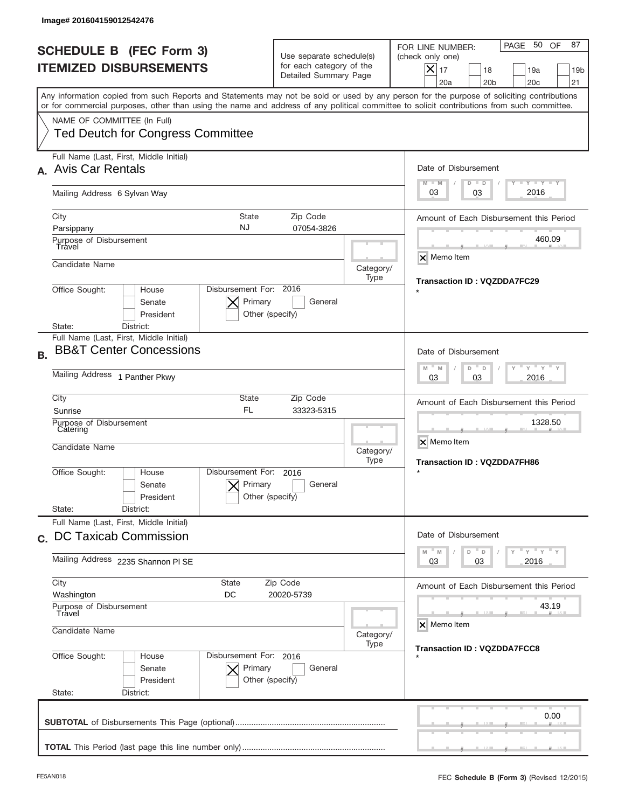|           | Image# 201604159012542476                                                                                                                                                                                                                                                                                              |                                                                      |                                                                               |                   |                                                                                                                                                          |
|-----------|------------------------------------------------------------------------------------------------------------------------------------------------------------------------------------------------------------------------------------------------------------------------------------------------------------------------|----------------------------------------------------------------------|-------------------------------------------------------------------------------|-------------------|----------------------------------------------------------------------------------------------------------------------------------------------------------|
|           | <b>SCHEDULE B (FEC Form 3)</b><br><b>ITEMIZED DISBURSEMENTS</b>                                                                                                                                                                                                                                                        |                                                                      | Use separate schedule(s)<br>for each category of the<br>Detailed Summary Page |                   | PAGE 50 OF<br>87<br>FOR LINE NUMBER:<br>(check only one)<br>$X _{17}$<br>18<br>19a<br>19 <sub>b</sub><br>20a<br>20 <sub>b</sub><br>20 <sub>c</sub><br>21 |
|           | Any information copied from such Reports and Statements may not be sold or used by any person for the purpose of soliciting contributions<br>or for commercial purposes, other than using the name and address of any political committee to solicit contributions from such committee.<br>NAME OF COMMITTEE (In Full) |                                                                      |                                                                               |                   |                                                                                                                                                          |
|           | <b>Ted Deutch for Congress Committee</b>                                                                                                                                                                                                                                                                               |                                                                      |                                                                               |                   |                                                                                                                                                          |
|           | Full Name (Last, First, Middle Initial)<br><b>Avis Car Rentals</b>                                                                                                                                                                                                                                                     |                                                                      |                                                                               |                   | Date of Disbursement<br><b>TEY TEY TEY</b><br>$M - M$<br>$D$ $D$                                                                                         |
|           | Mailing Address 6 Sylvan Way                                                                                                                                                                                                                                                                                           |                                                                      |                                                                               |                   | 2016<br>03<br>03                                                                                                                                         |
|           | State<br>City<br>NJ<br>Parsippany<br>Purpose of Disbursement                                                                                                                                                                                                                                                           |                                                                      | Amount of Each Disbursement this Period<br>460.09                             |                   |                                                                                                                                                          |
|           | Travel<br>Candidate Name                                                                                                                                                                                                                                                                                               |                                                                      |                                                                               | Category/<br>Type | $\overline{\mathsf{x}}$ Memo Item                                                                                                                        |
|           | Disbursement For: 2016<br>Office Sought:<br>House<br>Senate<br>President<br>District:<br>State:                                                                                                                                                                                                                        |                                                                      | <b>Transaction ID: VQZDDA7FC29</b>                                            |                   |                                                                                                                                                          |
| <b>B.</b> | Full Name (Last, First, Middle Initial)<br><b>BB&amp;T Center Concessions</b>                                                                                                                                                                                                                                          |                                                                      |                                                                               |                   | Date of Disbursement                                                                                                                                     |
|           | Mailing Address 1 Panther Pkwy                                                                                                                                                                                                                                                                                         | $-\gamma + \gamma - \gamma$<br>$M - M$<br>D<br>D<br>2016<br>03<br>03 |                                                                               |                   |                                                                                                                                                          |
|           | City<br>State<br>Zip Code<br><b>FL</b><br>33323-5315<br>Sunrise<br>Purpose of Disbursement<br>Catering<br>Candidate Name                                                                                                                                                                                               |                                                                      |                                                                               |                   | Amount of Each Disbursement this Period<br>1328.50                                                                                                       |
|           |                                                                                                                                                                                                                                                                                                                        |                                                                      |                                                                               | Category/<br>Type | X Memo Item<br><b>Transaction ID: VQZDDA7FH86</b>                                                                                                        |
|           | Office Sought:<br>House<br>Senate<br>President                                                                                                                                                                                                                                                                         | Disbursement For:<br>Primary<br>Other (specify)                      | 2016<br>General                                                               |                   | $\star$                                                                                                                                                  |
|           | State:<br>District:<br>Full Name (Last, First, Middle Initial)                                                                                                                                                                                                                                                         |                                                                      |                                                                               |                   |                                                                                                                                                          |
|           | c. DC Taxicab Commission<br>Mailing Address 2235 Shannon PI SE                                                                                                                                                                                                                                                         |                                                                      |                                                                               |                   | Date of Disbursement<br>$\gamma$ = $\gamma$ = $\gamma$ = $\gamma$<br>M<br>D<br>M<br>D<br>2016<br>03<br>03                                                |
|           | City<br>Zip Code<br>State<br>Washington<br>DC<br>20020-5739                                                                                                                                                                                                                                                            |                                                                      |                                                                               |                   | Amount of Each Disbursement this Period                                                                                                                  |
|           | Purpose of Disbursement<br>Travel<br>Candidate Name<br>Category/<br>Office Sought:<br>Disbursement For: 2016<br>House<br>Senate<br>Primary<br>General<br>President<br>Other (specify)                                                                                                                                  |                                                                      |                                                                               |                   | 43.19<br>X Memo Item                                                                                                                                     |
|           |                                                                                                                                                                                                                                                                                                                        |                                                                      |                                                                               | Type              | <b>Transaction ID: VQZDDA7FCC8</b>                                                                                                                       |
|           | State:<br>District:                                                                                                                                                                                                                                                                                                    |                                                                      |                                                                               |                   | 0.00                                                                                                                                                     |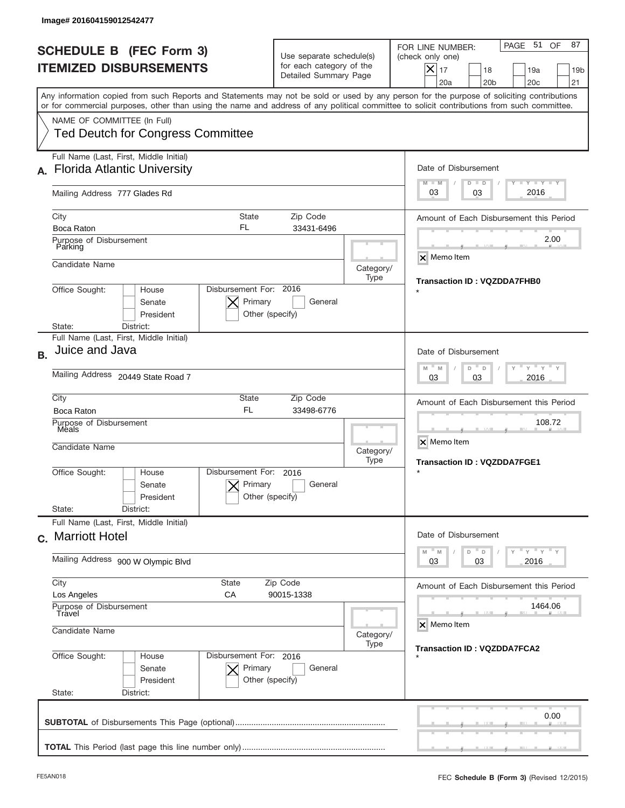| Image# 201604159012542477                                                                                                                                                                                                                                                                                                                                          |                                                                                                                              |                   |                                                                                                                                                              |  |  |
|--------------------------------------------------------------------------------------------------------------------------------------------------------------------------------------------------------------------------------------------------------------------------------------------------------------------------------------------------------------------|------------------------------------------------------------------------------------------------------------------------------|-------------------|--------------------------------------------------------------------------------------------------------------------------------------------------------------|--|--|
| <b>SCHEDULE B (FEC Form 3)</b><br><b>ITEMIZED DISBURSEMENTS</b>                                                                                                                                                                                                                                                                                                    | Use separate schedule(s)<br>for each category of the<br>Detailed Summary Page                                                |                   | PAGE 51<br>87<br>OF.<br>FOR LINE NUMBER:<br>(check only one)<br>$X _{17}$<br>18<br>19a<br>19 <sub>b</sub><br>20a<br>20 <sub>b</sub><br>20 <sub>c</sub><br>21 |  |  |
| Any information copied from such Reports and Statements may not be sold or used by any person for the purpose of soliciting contributions<br>or for commercial purposes, other than using the name and address of any political committee to solicit contributions from such committee.<br>NAME OF COMMITTEE (In Full)<br><b>Ted Deutch for Congress Committee</b> |                                                                                                                              |                   |                                                                                                                                                              |  |  |
| Full Name (Last, First, Middle Initial)<br><b>Florida Atlantic University</b>                                                                                                                                                                                                                                                                                      |                                                                                                                              |                   | Date of Disbursement<br>$T - Y$ $T - Y$<br>$M - M$<br>$D$ $D$                                                                                                |  |  |
| Mailing Address 777 Glades Rd                                                                                                                                                                                                                                                                                                                                      |                                                                                                                              |                   | 2016<br>03<br>03                                                                                                                                             |  |  |
| City<br><b>State</b><br>FL<br>Boca Raton<br>Purpose of Disbursement                                                                                                                                                                                                                                                                                                | Zip Code<br>33431-6496                                                                                                       |                   |                                                                                                                                                              |  |  |
| Parking<br>Candidate Name                                                                                                                                                                                                                                                                                                                                          |                                                                                                                              | Category/<br>Type | X Memo Item<br><b>Transaction ID: VQZDDA7FHB0</b>                                                                                                            |  |  |
| Office Sought:<br>House<br>Senate<br>President<br>State:<br>District:                                                                                                                                                                                                                                                                                              | Disbursement For: 2016<br>Primary<br>General<br>Other (specify)                                                              |                   |                                                                                                                                                              |  |  |
| Full Name (Last, First, Middle Initial)<br>Juice and Java<br><b>B.</b>                                                                                                                                                                                                                                                                                             |                                                                                                                              |                   | Date of Disbursement<br>$\cdots$ $\gamma$ $\cdots$ $\gamma$ $\cdots$ $\gamma$<br>$M$ <sup><math>-</math></sup><br>$D =$<br>M<br>D                            |  |  |
| Mailing Address 20449 State Road 7                                                                                                                                                                                                                                                                                                                                 | 2016<br>03<br>03                                                                                                             |                   |                                                                                                                                                              |  |  |
| City<br>State<br><b>FL</b><br>Boca Raton<br>Purpose of Disbursement<br>Meals                                                                                                                                                                                                                                                                                       | Zip Code<br>33498-6776                                                                                                       |                   | Amount of Each Disbursement this Period<br>108.72                                                                                                            |  |  |
| Candidate Name                                                                                                                                                                                                                                                                                                                                                     |                                                                                                                              | Category/<br>Type | X Memo Item<br><b>Transaction ID: VQZDDA7FGE1</b>                                                                                                            |  |  |
| Disbursement For:<br>Office Sought:<br>House<br>Primary<br>Senate<br>President<br>State:<br>District:                                                                                                                                                                                                                                                              | 2016<br>General<br>Other (specify)                                                                                           |                   |                                                                                                                                                              |  |  |
| Full Name (Last, First, Middle Initial)<br>c. Marriott Hotel                                                                                                                                                                                                                                                                                                       |                                                                                                                              |                   | Date of Disbursement                                                                                                                                         |  |  |
| Mailing Address 900 W Olympic Blvd                                                                                                                                                                                                                                                                                                                                 | $\overline{y}$ $\overline{y}$ $\overline{y}$ $\overline{y}$ $\overline{y}$<br>M<br>$\mathbb M$<br>D<br>D<br>2016<br>03<br>03 |                   |                                                                                                                                                              |  |  |
| City<br><b>State</b><br>Los Angeles<br>СA                                                                                                                                                                                                                                                                                                                          | Amount of Each Disbursement this Period                                                                                      |                   |                                                                                                                                                              |  |  |
| Purpose of Disbursement<br>Travel<br>Candidate Name<br>Category/                                                                                                                                                                                                                                                                                                   |                                                                                                                              |                   | 1464.06<br>X Memo Item                                                                                                                                       |  |  |
| Office Sought:<br>Disbursement For: 2016<br>House<br>Senate<br>Primary<br>President<br>State:<br>District:                                                                                                                                                                                                                                                         | General<br>Other (specify)                                                                                                   | Type              | <b>Transaction ID: VQZDDA7FCA2</b>                                                                                                                           |  |  |
|                                                                                                                                                                                                                                                                                                                                                                    |                                                                                                                              |                   | 0.00                                                                                                                                                         |  |  |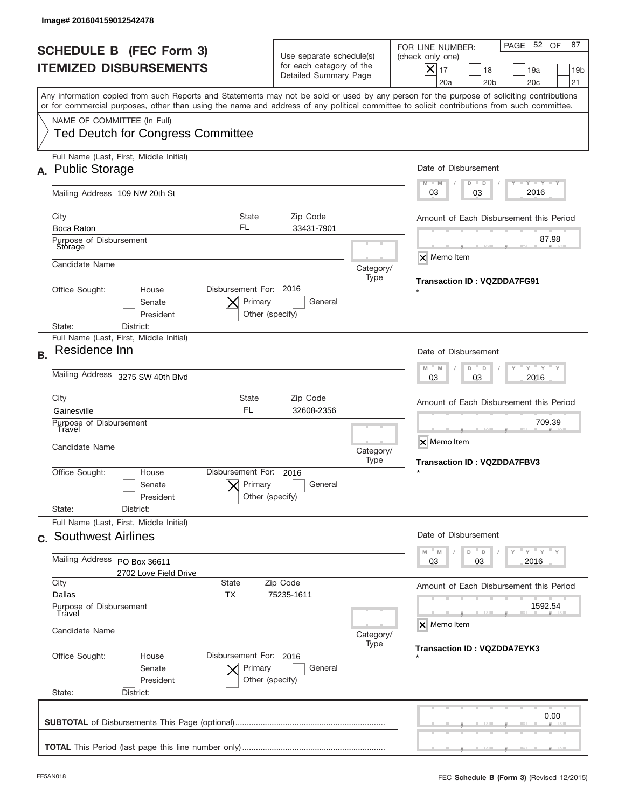|           | Image# 201604159012542478                                                                                                                                                                                                                                                               |                                                                               |                                                   |                                                                                                                                                               |
|-----------|-----------------------------------------------------------------------------------------------------------------------------------------------------------------------------------------------------------------------------------------------------------------------------------------|-------------------------------------------------------------------------------|---------------------------------------------------|---------------------------------------------------------------------------------------------------------------------------------------------------------------|
|           | <b>SCHEDULE B (FEC Form 3)</b><br><b>ITEMIZED DISBURSEMENTS</b>                                                                                                                                                                                                                         | Use separate schedule(s)<br>for each category of the<br>Detailed Summary Page |                                                   | PAGE 52 OF<br>87<br>FOR LINE NUMBER:<br>(check only one)<br>$\times$<br>17<br>18<br>19a<br>19 <sub>b</sub><br>20a<br>20 <sub>b</sub><br>20 <sub>c</sub><br>21 |
|           | Any information copied from such Reports and Statements may not be sold or used by any person for the purpose of soliciting contributions<br>or for commercial purposes, other than using the name and address of any political committee to solicit contributions from such committee. |                                                                               |                                                   |                                                                                                                                                               |
|           | NAME OF COMMITTEE (In Full)<br><b>Ted Deutch for Congress Committee</b>                                                                                                                                                                                                                 |                                                                               |                                                   |                                                                                                                                                               |
|           | Full Name (Last, First, Middle Initial)<br><b>Public Storage</b>                                                                                                                                                                                                                        |                                                                               |                                                   | Date of Disbursement                                                                                                                                          |
|           | Mailing Address 109 NW 20th St                                                                                                                                                                                                                                                          |                                                                               |                                                   | <b>LYLYLY</b><br>$M - M$<br>$D$ $D$<br>2016<br>03<br>03                                                                                                       |
|           | City<br>State<br><b>FL</b><br><b>Boca Raton</b><br>Purpose of Disbursement                                                                                                                                                                                                              | Amount of Each Disbursement this Period<br>87.98                              |                                                   |                                                                                                                                                               |
|           | Storage<br>Candidate Name                                                                                                                                                                                                                                                               |                                                                               | Category/                                         | $\times$ Memo Item                                                                                                                                            |
|           | Disbursement For: 2016<br>Office Sought:<br>House<br>Primary<br>Senate<br>President<br>Other (specify)<br>District:<br>State:                                                                                                                                                           | <b>Transaction ID: VQZDDA7FG91</b>                                            |                                                   |                                                                                                                                                               |
| <b>B.</b> | Full Name (Last, First, Middle Initial)<br>Residence Inn                                                                                                                                                                                                                                |                                                                               |                                                   | Date of Disbursement                                                                                                                                          |
|           | Mailing Address 3275 SW 40th Blvd                                                                                                                                                                                                                                                       | $M - M$<br>$Y = Y$<br>D<br>D<br>2016<br>03<br>03                              |                                                   |                                                                                                                                                               |
|           | City<br><b>State</b><br><b>FL</b><br>Gainesville<br>Purpose of Disbursement<br>Travel                                                                                                                                                                                                   |                                                                               | Amount of Each Disbursement this Period<br>709.39 |                                                                                                                                                               |
|           | Candidate Name<br>Category/                                                                                                                                                                                                                                                             |                                                                               |                                                   | X Memo Item<br><b>Transaction ID: VQZDDA7FBV3</b>                                                                                                             |
|           | Disbursement For:<br>Office Sought:<br>House<br>Primary<br>Senate<br>President<br>State:<br>District:                                                                                                                                                                                   | 2016<br>General<br>Other (specify)                                            |                                                   |                                                                                                                                                               |
|           | Full Name (Last, First, Middle Initial)<br>c. Southwest Airlines                                                                                                                                                                                                                        |                                                                               |                                                   | Date of Disbursement                                                                                                                                          |
|           | Mailing Address PO Box 36611<br>2702 Love Field Drive                                                                                                                                                                                                                                   | ≡ γ ≡ γ ≡ γ<br>$M - M$<br>D<br>D<br>03<br>2016<br>03                          |                                                   |                                                                                                                                                               |
|           | City<br><b>State</b><br>Zip Code<br>Dallas<br>ТX<br>75235-1611                                                                                                                                                                                                                          | Amount of Each Disbursement this Period                                       |                                                   |                                                                                                                                                               |
|           | Purpose of Disbursement<br>Travel<br>Candidate Name                                                                                                                                                                                                                                     | Category/                                                                     | 1592.54<br>X Memo Item                            |                                                                                                                                                               |
|           | Type<br>Office Sought:<br>Disbursement For: 2016<br>House<br>Senate<br>Primary<br>General<br>President<br>Other (specify)<br>State:<br>District:                                                                                                                                        |                                                                               |                                                   | <b>Transaction ID: VQZDDA7EYK3</b>                                                                                                                            |
|           |                                                                                                                                                                                                                                                                                         |                                                                               |                                                   | 0.00                                                                                                                                                          |
|           |                                                                                                                                                                                                                                                                                         |                                                                               |                                                   |                                                                                                                                                               |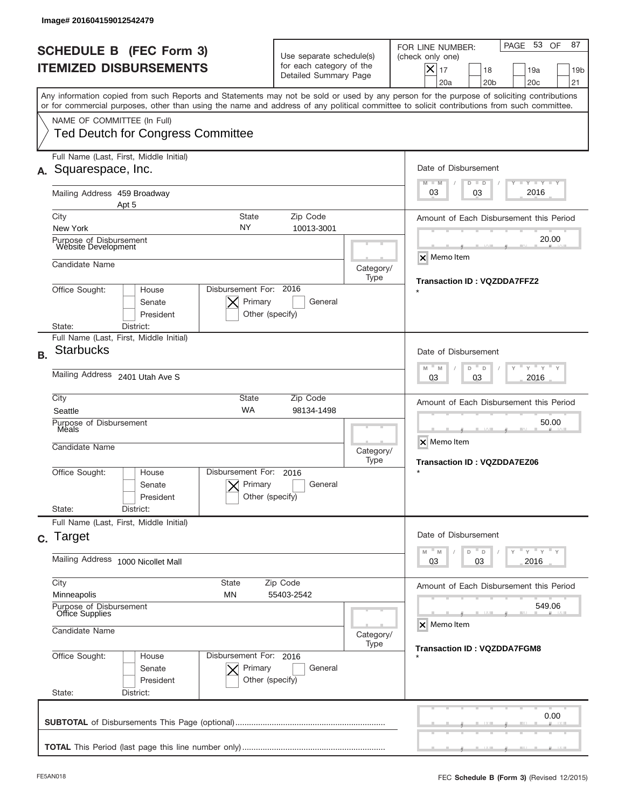| Use separate schedule(s)                                                                                                                 | PAGE 53 OF<br>87<br>FOR LINE NUMBER:                                                                                                                                                                                                                                                    |  |  |         |
|------------------------------------------------------------------------------------------------------------------------------------------|-----------------------------------------------------------------------------------------------------------------------------------------------------------------------------------------------------------------------------------------------------------------------------------------|--|--|---------|
| for each category of the<br>Detailed Summary Page                                                                                        | (check only one)<br>$ \boldsymbol{\times} $<br>17<br>18<br>19a<br>19 <sub>b</sub><br>20a<br>20 <sub>b</sub><br>20c<br>21                                                                                                                                                                |  |  |         |
|                                                                                                                                          | Any information copied from such Reports and Statements may not be sold or used by any person for the purpose of soliciting contributions<br>or for commercial purposes, other than using the name and address of any political committee to solicit contributions from such committee. |  |  |         |
|                                                                                                                                          |                                                                                                                                                                                                                                                                                         |  |  |         |
|                                                                                                                                          | Date of Disbursement<br><b>TAYLY LY</b><br>$M - M$<br>$D$ $D$                                                                                                                                                                                                                           |  |  |         |
|                                                                                                                                          | 2016<br>03<br>03                                                                                                                                                                                                                                                                        |  |  |         |
| City<br><b>State</b><br>Zip Code<br>NY<br>New York                                                                                       |                                                                                                                                                                                                                                                                                         |  |  |         |
|                                                                                                                                          | 20.00                                                                                                                                                                                                                                                                                   |  |  |         |
|                                                                                                                                          | X Memo Item<br>Category/<br><b>Transaction ID: VQZDDA7FFZ2</b>                                                                                                                                                                                                                          |  |  |         |
| Disbursement For: 2016<br>Office Sought:<br>House<br>Primary<br>Senate<br>General<br>President<br>Other (specify)<br>District:<br>State: |                                                                                                                                                                                                                                                                                         |  |  |         |
|                                                                                                                                          | Date of Disbursement<br>$\cdots$ $\gamma$ $\cdots$ $\gamma$ $\cdots$<br>M<br>M<br>D<br>D                                                                                                                                                                                                |  |  |         |
| Mailing Address 2401 Utah Ave S                                                                                                          |                                                                                                                                                                                                                                                                                         |  |  |         |
| City<br>State<br>Zip Code<br><b>WA</b><br>Seattle                                                                                        |                                                                                                                                                                                                                                                                                         |  |  |         |
| Purpose of Disbursement<br>Meals<br>Candidate Name                                                                                       |                                                                                                                                                                                                                                                                                         |  |  |         |
| 2016<br>General                                                                                                                          | <b>Transaction ID: VQZDDA7EZ06</b>                                                                                                                                                                                                                                                      |  |  |         |
|                                                                                                                                          |                                                                                                                                                                                                                                                                                         |  |  |         |
| Full Name (Last, First, Middle Initial)<br>c. Target                                                                                     |                                                                                                                                                                                                                                                                                         |  |  |         |
| Mailing Address 1000 Nicollet Mall                                                                                                       |                                                                                                                                                                                                                                                                                         |  |  |         |
| City<br><b>State</b><br>Minneapolis<br>ΜN                                                                                                |                                                                                                                                                                                                                                                                                         |  |  |         |
| Purpose of Disbursement<br>Office Supplies<br>Candidate Name<br>Category/<br>Type<br>Office Sought:<br>Disbursement For: 2016<br>House   |                                                                                                                                                                                                                                                                                         |  |  |         |
|                                                                                                                                          |                                                                                                                                                                                                                                                                                         |  |  | General |
|                                                                                                                                          | 0.00                                                                                                                                                                                                                                                                                    |  |  |         |
| <b>Ted Deutch for Congress Committee</b>                                                                                                 | 10013-3001<br>Type<br>98134-1498<br>Category/<br>Type<br>Disbursement For:<br>Primary<br>Other (specify)<br>Zip Code<br>55403-2542<br>Primary<br>Other (specify)                                                                                                                        |  |  |         |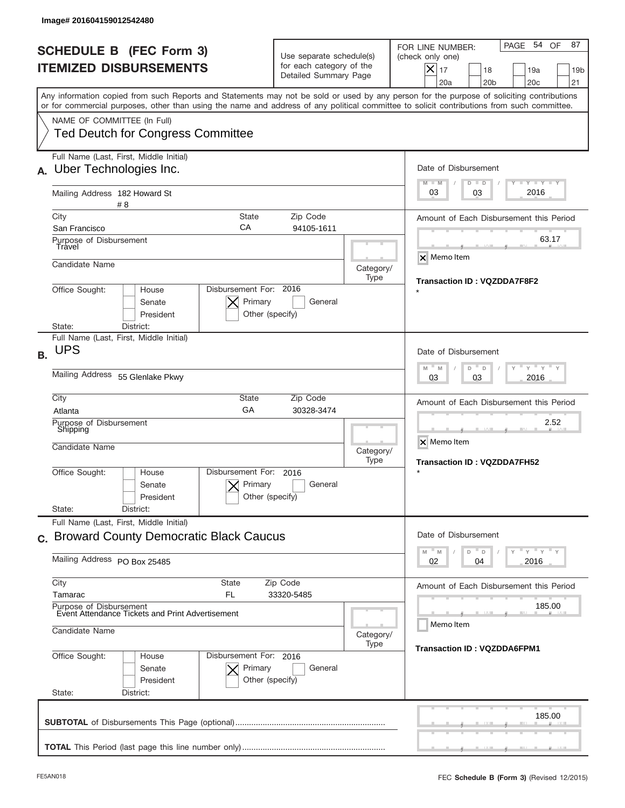|           | Image# 201604159012542480                                                                                                                                                                                                                                                                                              |                                                                               |                                    |                                                                                                                                                          |
|-----------|------------------------------------------------------------------------------------------------------------------------------------------------------------------------------------------------------------------------------------------------------------------------------------------------------------------------|-------------------------------------------------------------------------------|------------------------------------|----------------------------------------------------------------------------------------------------------------------------------------------------------|
|           | <b>SCHEDULE B (FEC Form 3)</b><br><b>ITEMIZED DISBURSEMENTS</b>                                                                                                                                                                                                                                                        | Use separate schedule(s)<br>for each category of the<br>Detailed Summary Page |                                    | PAGE 54 OF<br>87<br>FOR LINE NUMBER:<br>(check only one)<br>$X _{17}$<br>18<br>19a<br>19 <sub>b</sub><br>20a<br>20 <sub>b</sub><br>20 <sub>c</sub><br>21 |
|           | Any information copied from such Reports and Statements may not be sold or used by any person for the purpose of soliciting contributions<br>or for commercial purposes, other than using the name and address of any political committee to solicit contributions from such committee.<br>NAME OF COMMITTEE (In Full) |                                                                               |                                    |                                                                                                                                                          |
|           | <b>Ted Deutch for Congress Committee</b><br>Full Name (Last, First, Middle Initial)                                                                                                                                                                                                                                    |                                                                               |                                    |                                                                                                                                                          |
|           | Uber Technologies Inc.<br>Mailing Address 182 Howard St                                                                                                                                                                                                                                                                |                                                                               |                                    | Date of Disbursement<br><b>TEY TEY TEY</b><br>$M - M$<br>$D$ $D$<br>2016<br>03<br>03                                                                     |
|           | # 8<br>City<br>State<br>СA<br>San Francisco                                                                                                                                                                                                                                                                            | Zip Code<br>94105-1611                                                        |                                    | Amount of Each Disbursement this Period                                                                                                                  |
|           | Purpose of Disbursement<br>Travel<br>Candidate Name                                                                                                                                                                                                                                                                    |                                                                               | Category/<br>Type                  | 63.17<br>$\overline{\mathsf{x}}$ Memo Item                                                                                                               |
|           | Disbursement For: 2016<br>Office Sought:<br>House<br>Primary<br>Senate<br>President<br>Other (specify)<br>District:<br>State:                                                                                                                                                                                          |                                                                               | <b>Transaction ID: VQZDDA7F8F2</b> |                                                                                                                                                          |
| <b>B.</b> | Full Name (Last, First, Middle Initial)<br><b>UPS</b>                                                                                                                                                                                                                                                                  |                                                                               |                                    | Date of Disbursement<br>$\cdots$ $\gamma$ $\cdots$ $\gamma$ $\cdots$ $\gamma$<br>$M - M$<br>D<br>D                                                       |
|           | Mailing Address 55 Glenlake Pkwy                                                                                                                                                                                                                                                                                       | 2016<br>03<br>03                                                              |                                    |                                                                                                                                                          |
|           | City<br>State<br>Zip Code<br>GA<br>30328-3474<br>Atlanta<br>Purpose of Disbursement<br>Shipping<br>Candidate Name                                                                                                                                                                                                      |                                                                               |                                    | Amount of Each Disbursement this Period<br>2.52<br>X Memo Item<br><b>Transaction ID: VQZDDA7FH52</b>                                                     |
|           | Disbursement For:<br>Office Sought:<br>House<br>Primary<br>Senate<br>President<br>State:<br>District:                                                                                                                                                                                                                  | 2016<br>General<br>Other (specify)                                            |                                    | $\star$                                                                                                                                                  |
|           | Full Name (Last, First, Middle Initial)<br>c. Broward County Democratic Black Caucus                                                                                                                                                                                                                                   |                                                                               |                                    | Date of Disbursement<br>$\overline{Y}$ $\overline{Y}$ $\overline{Y}$ $\overline{Y}$ $\overline{Y}$<br>D<br>M<br>M<br>D                                   |
|           | Mailing Address PO Box 25485                                                                                                                                                                                                                                                                                           | 02<br>04<br>2016                                                              |                                    |                                                                                                                                                          |
|           | City<br>State<br>Tamarac<br>FL.<br>Purpose of Disbursement                                                                                                                                                                                                                                                             | Zip Code<br>33320-5485                                                        |                                    | Amount of Each Disbursement this Period<br>185.00                                                                                                        |
|           | Event Attendance Tickets and Print Advertisement<br>Candidate Name                                                                                                                                                                                                                                                     |                                                                               |                                    | Memo Item                                                                                                                                                |
|           | Office Sought:<br>Disbursement For: 2016<br>House<br>Primary<br>Senate<br>President<br>Other (specify)<br>State:<br>District:                                                                                                                                                                                          | <b>Transaction ID: VQZDDA6FPM1</b>                                            |                                    |                                                                                                                                                          |
|           |                                                                                                                                                                                                                                                                                                                        |                                                                               |                                    | 185.00                                                                                                                                                   |
|           |                                                                                                                                                                                                                                                                                                                        |                                                                               |                                    |                                                                                                                                                          |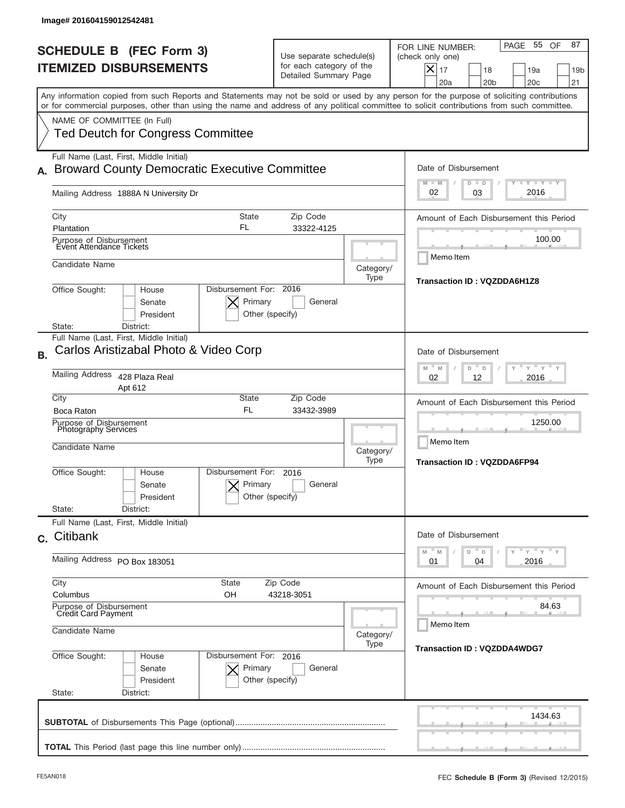| Image# 201604159012542481                                                                                                                                                                                                                                                                                                                                          |                                                                               |                   |                                                                                                                                                                     |
|--------------------------------------------------------------------------------------------------------------------------------------------------------------------------------------------------------------------------------------------------------------------------------------------------------------------------------------------------------------------|-------------------------------------------------------------------------------|-------------------|---------------------------------------------------------------------------------------------------------------------------------------------------------------------|
| <b>SCHEDULE B (FEC Form 3)</b><br><b>ITEMIZED DISBURSEMENTS</b>                                                                                                                                                                                                                                                                                                    | Use separate schedule(s)<br>for each category of the<br>Detailed Summary Page |                   | 55 OF<br>87<br>PAGE<br>FOR LINE NUMBER:<br>(check only one)<br>$ \boldsymbol{\times} $<br>17<br>18<br>19a<br>19 <sub>b</sub><br>20a<br>20 <sub>b</sub><br>20c<br>21 |
| Any information copied from such Reports and Statements may not be sold or used by any person for the purpose of soliciting contributions<br>or for commercial purposes, other than using the name and address of any political committee to solicit contributions from such committee.<br>NAME OF COMMITTEE (In Full)<br><b>Ted Deutch for Congress Committee</b> |                                                                               |                   |                                                                                                                                                                     |
| Full Name (Last, First, Middle Initial)<br><b>Broward County Democratic Executive Committee</b><br>Mailing Address 1888A N University Dr                                                                                                                                                                                                                           |                                                                               |                   | Date of Disbursement<br><b>TAYLY LY</b><br>$M - M$<br>$D$ $D$<br>2016<br>02<br>03                                                                                   |
| <b>State</b><br>City<br>FL<br>Plantation<br>Purpose of Disbursement<br>Event Attendance Tickets<br>Candidate Name<br>Disbursement For: 2016<br>Office Sought:<br>House<br>Primary<br>Senate<br>President<br>District:<br>State:                                                                                                                                    | Zip Code<br>33322-4125<br>General<br>Other (specify)                          | Category/<br>Type | Amount of Each Disbursement this Period<br>100.00<br>Memo Item<br><b>Transaction ID: VQZDDA6H1Z8</b>                                                                |
| Full Name (Last, First, Middle Initial)<br>Carlos Aristizabal Photo & Video Corp<br><b>B.</b><br>Mailing Address 428 Plaza Real<br>Apt 612<br>City<br><b>State</b><br><b>FL</b><br>Boca Raton<br>Purpose of Disbursement<br>Photography Services<br>Candidate Name                                                                                                 | Zip Code<br>33432-3989                                                        | Category/         | Date of Disbursement<br>" y " y "<br>M<br>M<br>D<br>D<br>2016<br>02<br>12<br>Amount of Each Disbursement this Period<br>1250.00<br>Memo Item                        |
| Disbursement For:<br>Office Sought:<br>House<br>Primary<br>Senate<br>President<br>State:<br>District:                                                                                                                                                                                                                                                              | 2016<br>General<br>Other (specify)                                            | Type              | <b>Transaction ID: VQZDDA6FP94</b>                                                                                                                                  |
| Full Name (Last, First, Middle Initial)<br>c. Citibank<br>Mailing Address PO Box 183051                                                                                                                                                                                                                                                                            |                                                                               |                   | Date of Disbursement<br>$Y$ $Y$ $Y$ $Y$<br>$-M$<br>$-$ D<br>M<br>D<br>2016<br>01<br>04                                                                              |
| City<br><b>State</b><br>Columbus<br>OH<br>Purpose of Disbursement<br>Credit Card Payment<br>Candidate Name                                                                                                                                                                                                                                                         | Zip Code<br>43218-3051                                                        | Category/<br>Type | Amount of Each Disbursement this Period<br>84.63<br>Memo Item<br><b>Transaction ID: VQZDDA4WDG7</b>                                                                 |
| Office Sought:<br>Disbursement For: 2016<br>House<br>Primary<br>Senate<br>President<br>State:<br>District:                                                                                                                                                                                                                                                         | General<br>Other (specify)                                                    |                   |                                                                                                                                                                     |
|                                                                                                                                                                                                                                                                                                                                                                    |                                                                               |                   | 1434.63                                                                                                                                                             |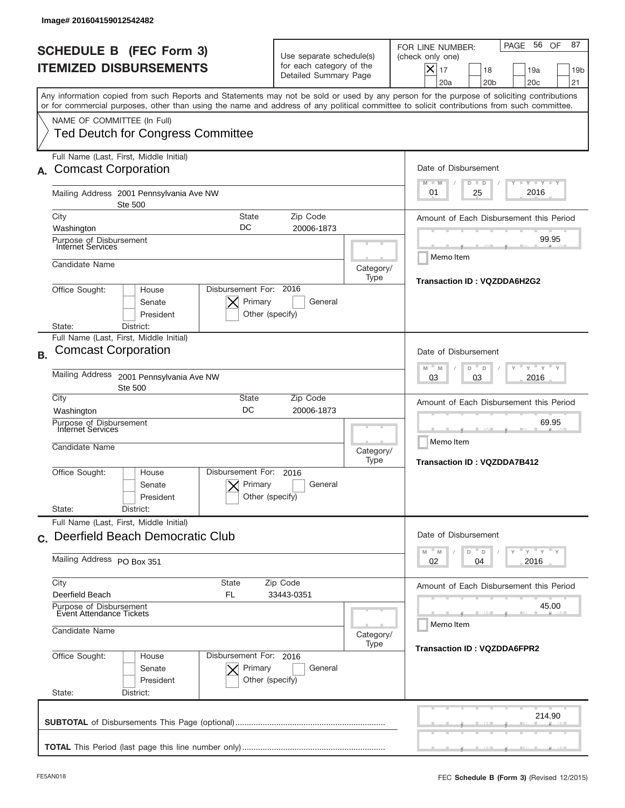|           | Image# 201604159012542482                                                                                                                                                                                                                                                                                              |                                                                                                                       |                   |                                                                                                                                                           |
|-----------|------------------------------------------------------------------------------------------------------------------------------------------------------------------------------------------------------------------------------------------------------------------------------------------------------------------------|-----------------------------------------------------------------------------------------------------------------------|-------------------|-----------------------------------------------------------------------------------------------------------------------------------------------------------|
|           | <b>SCHEDULE B (FEC Form 3)</b><br><b>ITEMIZED DISBURSEMENTS</b>                                                                                                                                                                                                                                                        | Use separate schedule(s)<br>for each category of the<br>Detailed Summary Page                                         |                   | 56 OF<br>87<br>PAGE<br>FOR LINE NUMBER:<br>(check only one)<br>X<br>17<br>19a<br>18<br>19 <sub>b</sub><br>20a<br>20 <sub>b</sub><br>20 <sub>c</sub><br>21 |
|           | Any information copied from such Reports and Statements may not be sold or used by any person for the purpose of soliciting contributions<br>or for commercial purposes, other than using the name and address of any political committee to solicit contributions from such committee.<br>NAME OF COMMITTEE (In Full) |                                                                                                                       |                   |                                                                                                                                                           |
|           | <b>Ted Deutch for Congress Committee</b><br>Full Name (Last, First, Middle Initial)                                                                                                                                                                                                                                    |                                                                                                                       |                   |                                                                                                                                                           |
|           | <b>Comcast Corporation</b>                                                                                                                                                                                                                                                                                             |                                                                                                                       |                   | Date of Disbursement<br><b>LYLYLY</b><br>$M - M$<br>$D$ $D$                                                                                               |
|           | Mailing Address 2001 Pennsylvania Ave NW<br><b>Ste 500</b><br><b>State</b>                                                                                                                                                                                                                                             |                                                                                                                       |                   | 2016<br>01<br>25                                                                                                                                          |
|           | City<br>DC<br>Washington                                                                                                                                                                                                                                                                                               | Zip Code<br>20006-1873                                                                                                |                   | Amount of Each Disbursement this Period                                                                                                                   |
|           | Purpose of Disbursement<br>Internet Services                                                                                                                                                                                                                                                                           |                                                                                                                       |                   | 99.95<br>Memo Item                                                                                                                                        |
|           | Candidate Name                                                                                                                                                                                                                                                                                                         |                                                                                                                       | Category/<br>Type | Transaction ID: VQZDDA6H2G2                                                                                                                               |
|           | Disbursement For: 2016<br>Office Sought:<br>House<br>Primary<br>Senate<br>President<br>Other (specify)<br>District:<br>State:                                                                                                                                                                                          |                                                                                                                       |                   |                                                                                                                                                           |
|           | Full Name (Last, First, Middle Initial)                                                                                                                                                                                                                                                                                |                                                                                                                       |                   |                                                                                                                                                           |
| <b>B.</b> | <b>Comcast Corporation</b>                                                                                                                                                                                                                                                                                             |                                                                                                                       |                   | Date of Disbursement<br>$Y$ $Y$ $Y$<br>$-$ M<br>M<br>D<br>D                                                                                               |
|           | <b>Mailing Address</b><br>2001 Pennsylvania Ave NW<br><b>Ste 500</b><br>City<br>State                                                                                                                                                                                                                                  | 2016<br>03<br>03                                                                                                      |                   |                                                                                                                                                           |
|           | DC<br>Washington                                                                                                                                                                                                                                                                                                       | Amount of Each Disbursement this Period                                                                               |                   |                                                                                                                                                           |
|           | Purpose of Disbursement<br>Internet Services<br>Candidate Name                                                                                                                                                                                                                                                         |                                                                                                                       | Category/<br>Type | 69.95<br>Memo Item<br><b>Transaction ID: VQZDDA7B412</b>                                                                                                  |
|           | Disbursement For:<br>Office Sought:<br>House<br>Senate<br>President<br>State:<br>District:                                                                                                                                                                                                                             | 2016<br>Primary<br>General<br>Other (specify)                                                                         |                   |                                                                                                                                                           |
|           | Full Name (Last, First, Middle Initial)<br>c. Deerfield Beach Democratic Club                                                                                                                                                                                                                                          |                                                                                                                       |                   | Date of Disbursement                                                                                                                                      |
|           | Mailing Address PO Box 351                                                                                                                                                                                                                                                                                             | $\mathbb{F}$ $\mathsf{y}$ $\mathbb{F}$ $\mathsf{y}$ $\mathbb{F}$ $\mathsf{y}$<br>D<br>M<br>M<br>D<br>02<br>2016<br>04 |                   |                                                                                                                                                           |
|           | City<br>State<br>Deerfield Beach<br>FL                                                                                                                                                                                                                                                                                 | Amount of Each Disbursement this Period                                                                               |                   |                                                                                                                                                           |
|           | Purpose of Disbursement<br><b>Event Attendance Tickets</b><br>Candidate Name                                                                                                                                                                                                                                           |                                                                                                                       |                   | 45.00<br>Memo Item                                                                                                                                        |
|           | Office Sought:<br>House<br>Senate                                                                                                                                                                                                                                                                                      | Disbursement For: 2016<br>Primary<br>General                                                                          | Category/<br>Type | <b>Transaction ID: VQZDDA6FPR2</b>                                                                                                                        |
|           | President<br>Other (specify)<br>State:<br>District:                                                                                                                                                                                                                                                                    |                                                                                                                       |                   |                                                                                                                                                           |
|           |                                                                                                                                                                                                                                                                                                                        |                                                                                                                       |                   | 214.90                                                                                                                                                    |
|           |                                                                                                                                                                                                                                                                                                                        |                                                                                                                       |                   |                                                                                                                                                           |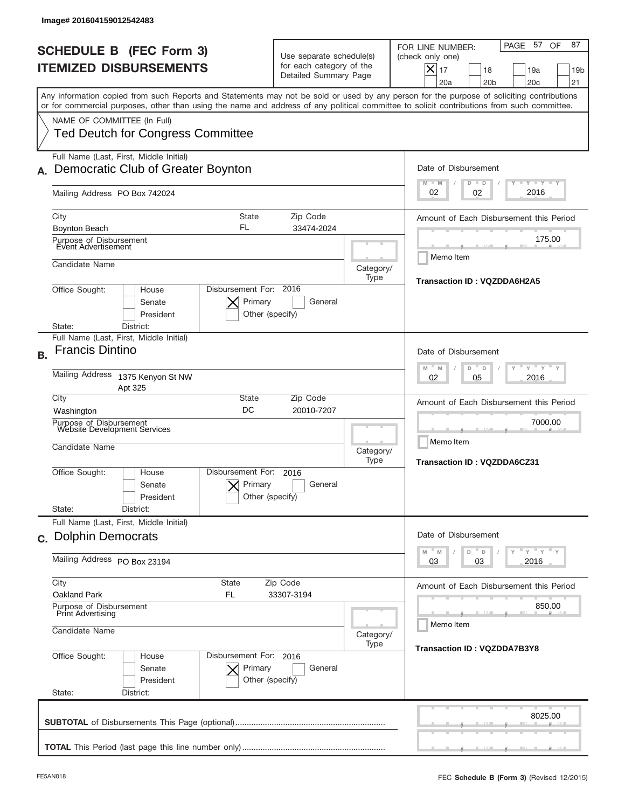|           | Image# 201604159012542483                                                                                                                                                                                                                                                                                              |                                                                               |                                                    |                                                                                                                                                               |  |
|-----------|------------------------------------------------------------------------------------------------------------------------------------------------------------------------------------------------------------------------------------------------------------------------------------------------------------------------|-------------------------------------------------------------------------------|----------------------------------------------------|---------------------------------------------------------------------------------------------------------------------------------------------------------------|--|
|           | <b>SCHEDULE B (FEC Form 3)</b><br><b>ITEMIZED DISBURSEMENTS</b>                                                                                                                                                                                                                                                        | Use separate schedule(s)<br>for each category of the<br>Detailed Summary Page |                                                    | PAGE 57 OF<br>87<br>FOR LINE NUMBER:<br>(check only one)<br>$\times$<br>17<br>18<br>19a<br>19 <sub>b</sub><br>20 <sub>b</sub><br>20 <sub>c</sub><br>21<br>20a |  |
|           | Any information copied from such Reports and Statements may not be sold or used by any person for the purpose of soliciting contributions<br>or for commercial purposes, other than using the name and address of any political committee to solicit contributions from such committee.<br>NAME OF COMMITTEE (In Full) |                                                                               |                                                    |                                                                                                                                                               |  |
|           | <b>Ted Deutch for Congress Committee</b>                                                                                                                                                                                                                                                                               |                                                                               |                                                    |                                                                                                                                                               |  |
|           | Full Name (Last, First, Middle Initial)<br>Democratic Club of Greater Boynton                                                                                                                                                                                                                                          |                                                                               |                                                    | Date of Disbursement<br><b>TAYLY LY</b><br>$M - M$<br>$D$ $D$                                                                                                 |  |
|           | Mailing Address PO Box 742024                                                                                                                                                                                                                                                                                          |                                                                               |                                                    | 2016<br>02<br>02                                                                                                                                              |  |
|           | City<br><b>State</b><br>FL<br>Boynton Beach                                                                                                                                                                                                                                                                            | Zip Code<br>33474-2024                                                        |                                                    | Amount of Each Disbursement this Period                                                                                                                       |  |
|           | Purpose of Disbursement<br>Event Advertisement                                                                                                                                                                                                                                                                         |                                                                               |                                                    | 175.00<br>Memo Item                                                                                                                                           |  |
|           | Candidate Name                                                                                                                                                                                                                                                                                                         |                                                                               | Category/<br>Type                                  | Transaction ID: VQZDDA6H2A5                                                                                                                                   |  |
|           | Disbursement For: 2016<br>Office Sought:<br>House<br>Primary<br>Senate<br>President<br>Other (specify)<br>District:<br>State:                                                                                                                                                                                          | General                                                                       |                                                    |                                                                                                                                                               |  |
| <b>B.</b> | Full Name (Last, First, Middle Initial)<br><b>Francis Dintino</b>                                                                                                                                                                                                                                                      |                                                                               |                                                    | Date of Disbursement<br>$-\gamma + \gamma -$<br>$-$ M<br>M<br>D<br>D                                                                                          |  |
|           | Mailing Address<br>1375 Kenyon St NW<br>Apt 325                                                                                                                                                                                                                                                                        |                                                                               | 2016<br>02<br>05                                   |                                                                                                                                                               |  |
|           | City<br>State<br>DC<br>Washington                                                                                                                                                                                                                                                                                      |                                                                               | Amount of Each Disbursement this Period<br>7000.00 |                                                                                                                                                               |  |
|           | Purpose of Disbursement<br>Website Development Services<br>Candidate Name                                                                                                                                                                                                                                              | Category/<br>Type                                                             |                                                    | Memo Item<br><b>Transaction ID: VQZDDA6CZ31</b>                                                                                                               |  |
|           | Disbursement For:<br>Office Sought:<br>House<br>Primary<br>Senate<br>Other (specify)<br>President                                                                                                                                                                                                                      | 2016<br>General                                                               |                                                    |                                                                                                                                                               |  |
|           | State:<br>District:<br>Full Name (Last, First, Middle Initial)                                                                                                                                                                                                                                                         |                                                                               |                                                    |                                                                                                                                                               |  |
|           | c. Dolphin Democrats                                                                                                                                                                                                                                                                                                   |                                                                               |                                                    | Date of Disbursement<br>$\overline{Y}$ $\overline{Y}$ $\overline{Y}$ $\overline{Y}$ $\overline{Y}$<br>M<br>D<br>M<br>D                                        |  |
|           | Mailing Address PO Box 23194                                                                                                                                                                                                                                                                                           | 2016<br>03<br>03                                                              |                                                    |                                                                                                                                                               |  |
|           | City<br>State<br>Oakland Park<br>FL                                                                                                                                                                                                                                                                                    | Zip Code<br>33307-3194                                                        |                                                    | Amount of Each Disbursement this Period                                                                                                                       |  |
|           | Purpose of Disbursement<br><b>Print Advertising</b><br>Candidate Name                                                                                                                                                                                                                                                  |                                                                               | Category/                                          | 850.00<br>Memo Item                                                                                                                                           |  |
|           | Office Sought:<br>Disbursement For: 2016<br>House<br>Senate<br>Primary<br>President<br>Other (specify)<br>State:<br>District:                                                                                                                                                                                          | General                                                                       | Type                                               | Transaction ID: VQZDDA7B3Y8                                                                                                                                   |  |
|           |                                                                                                                                                                                                                                                                                                                        |                                                                               |                                                    | 8025.00                                                                                                                                                       |  |
|           |                                                                                                                                                                                                                                                                                                                        |                                                                               |                                                    |                                                                                                                                                               |  |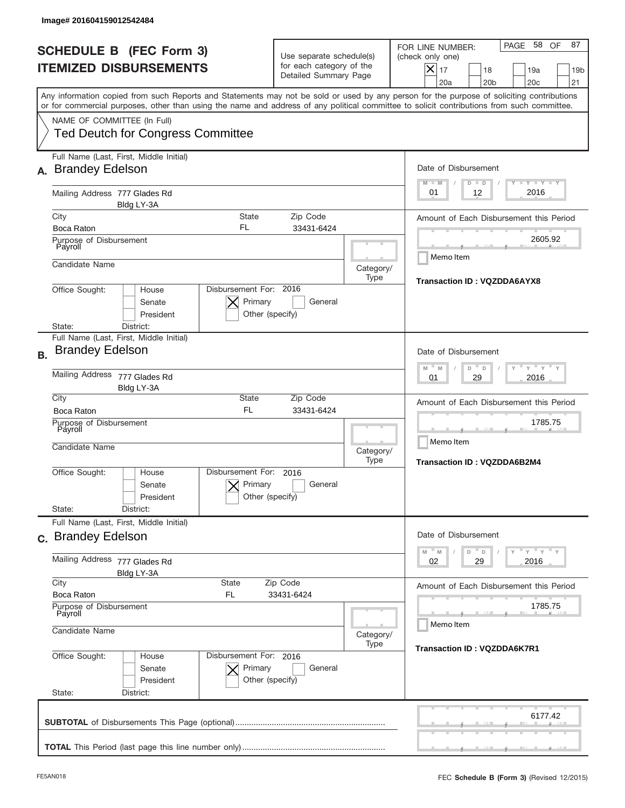|           | Image# 201604159012542484                                                                                                                                                                                                                                                                                              |                                                                               |                             |                                                                                                                                                                  |  |
|-----------|------------------------------------------------------------------------------------------------------------------------------------------------------------------------------------------------------------------------------------------------------------------------------------------------------------------------|-------------------------------------------------------------------------------|-----------------------------|------------------------------------------------------------------------------------------------------------------------------------------------------------------|--|
|           | <b>SCHEDULE B (FEC Form 3)</b><br><b>ITEMIZED DISBURSEMENTS</b>                                                                                                                                                                                                                                                        | Use separate schedule(s)<br>for each category of the<br>Detailed Summary Page |                             | 58 OF<br>87<br>PAGE<br>FOR LINE NUMBER:<br>(check only one)<br>$\times$<br>17<br>18<br>19a<br>19 <sub>b</sub><br>20a<br>20 <sub>b</sub><br>20 <sub>c</sub><br>21 |  |
|           | Any information copied from such Reports and Statements may not be sold or used by any person for the purpose of soliciting contributions<br>or for commercial purposes, other than using the name and address of any political committee to solicit contributions from such committee.<br>NAME OF COMMITTEE (In Full) |                                                                               |                             |                                                                                                                                                                  |  |
|           | <b>Ted Deutch for Congress Committee</b>                                                                                                                                                                                                                                                                               |                                                                               |                             |                                                                                                                                                                  |  |
| А.        | Full Name (Last, First, Middle Initial)<br><b>Brandey Edelson</b>                                                                                                                                                                                                                                                      |                                                                               |                             | Date of Disbursement<br>Y TY TY TY<br>$M - M$<br>$D$ $D$                                                                                                         |  |
|           | Mailing Address 777 Glades Rd<br>Bldg LY-3A                                                                                                                                                                                                                                                                            |                                                                               |                             | 2016<br>12<br>01                                                                                                                                                 |  |
|           | City<br><b>State</b><br>FL<br>Boca Raton                                                                                                                                                                                                                                                                               | Zip Code<br>33431-6424                                                        |                             | Amount of Each Disbursement this Period                                                                                                                          |  |
|           | Purpose of Disbursement<br>Payroll                                                                                                                                                                                                                                                                                     |                                                                               |                             | 2605.92<br>Memo Item                                                                                                                                             |  |
|           | Candidate Name                                                                                                                                                                                                                                                                                                         |                                                                               | Category/<br>Type           | <b>Transaction ID: VQZDDA6AYX8</b>                                                                                                                               |  |
|           | Disbursement For: 2016<br>Office Sought:<br>House<br>Primary<br>Senate<br>President<br>Other (specify)<br>District:<br>State:                                                                                                                                                                                          |                                                                               |                             |                                                                                                                                                                  |  |
| <b>B.</b> | Full Name (Last, First, Middle Initial)<br><b>Brandey Edelson</b>                                                                                                                                                                                                                                                      |                                                                               |                             | Date of Disbursement                                                                                                                                             |  |
|           | Mailing Address 777 Glades Rd<br>Bldg LY-3A                                                                                                                                                                                                                                                                            | $Y$ $Y$ $Y$<br>$-$ M<br>M<br>D<br>D<br>2016<br>01<br>29                       |                             |                                                                                                                                                                  |  |
|           | City<br>State<br><b>FL</b><br>Boca Raton                                                                                                                                                                                                                                                                               | Amount of Each Disbursement this Period                                       |                             |                                                                                                                                                                  |  |
|           | 33431-6424<br>Purpose of Disbursement<br>Payroll<br>Candidate Name<br>Category/                                                                                                                                                                                                                                        |                                                                               |                             | 1785.75<br>Memo Item                                                                                                                                             |  |
|           |                                                                                                                                                                                                                                                                                                                        |                                                                               |                             | <b>Transaction ID: VQZDDA6B2M4</b>                                                                                                                               |  |
|           | Disbursement For:<br>Office Sought:<br>House<br>Primary<br>Senate<br>President                                                                                                                                                                                                                                         | 2016<br>General<br>Other (specify)                                            |                             |                                                                                                                                                                  |  |
|           | State:<br>District:                                                                                                                                                                                                                                                                                                    |                                                                               |                             |                                                                                                                                                                  |  |
|           | Full Name (Last, First, Middle Initial)<br>c. Brandey Edelson                                                                                                                                                                                                                                                          |                                                                               |                             | Date of Disbursement<br>$\cdots$ $\vdots$ $\cdots$ $\vdots$                                                                                                      |  |
|           | Mailing Address 777 Glades Rd<br>Bldg LY-3A                                                                                                                                                                                                                                                                            | M<br>${\mathbb M}$<br>D<br>D<br>02<br>2016<br>29                              |                             |                                                                                                                                                                  |  |
|           | City<br>State<br>Boca Raton<br>FL                                                                                                                                                                                                                                                                                      | Zip Code<br>33431-6424                                                        |                             | Amount of Each Disbursement this Period                                                                                                                          |  |
|           | Purpose of Disbursement<br>Payroll                                                                                                                                                                                                                                                                                     |                                                                               |                             | 1785.75<br>Memo Item                                                                                                                                             |  |
|           | Candidate Name                                                                                                                                                                                                                                                                                                         | Category/<br>Type                                                             | Transaction ID: VQZDDA6K7R1 |                                                                                                                                                                  |  |
|           | Office Sought:<br>Disbursement For: 2016<br>House<br>Senate<br>Primary<br>President<br>Other (specify)<br>State:<br>District:                                                                                                                                                                                          |                                                                               |                             |                                                                                                                                                                  |  |
|           |                                                                                                                                                                                                                                                                                                                        |                                                                               |                             | 6177.42                                                                                                                                                          |  |
|           |                                                                                                                                                                                                                                                                                                                        |                                                                               |                             |                                                                                                                                                                  |  |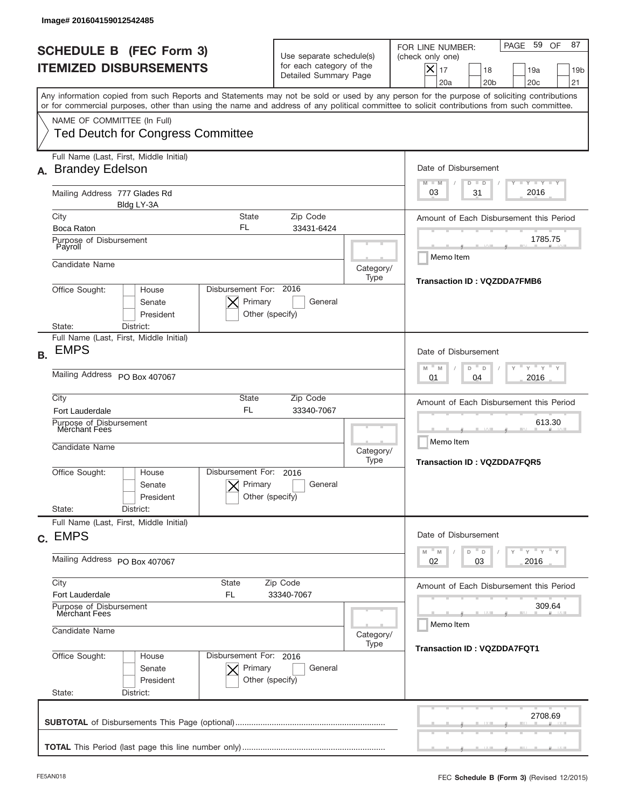|    | Image# 201604159012542485                                                                                                                                                                                                                                                                                              |                                                                               |                                    |                                                                                                                                                          |
|----|------------------------------------------------------------------------------------------------------------------------------------------------------------------------------------------------------------------------------------------------------------------------------------------------------------------------|-------------------------------------------------------------------------------|------------------------------------|----------------------------------------------------------------------------------------------------------------------------------------------------------|
|    | <b>SCHEDULE B (FEC Form 3)</b><br><b>ITEMIZED DISBURSEMENTS</b>                                                                                                                                                                                                                                                        | Use separate schedule(s)<br>for each category of the<br>Detailed Summary Page |                                    | PAGE 59 OF<br>87<br>FOR LINE NUMBER:<br>(check only one)<br>$X _{17}$<br>18<br>19a<br>19 <sub>b</sub><br>20a<br>20 <sub>b</sub><br>20 <sub>c</sub><br>21 |
|    | Any information copied from such Reports and Statements may not be sold or used by any person for the purpose of soliciting contributions<br>or for commercial purposes, other than using the name and address of any political committee to solicit contributions from such committee.<br>NAME OF COMMITTEE (In Full) |                                                                               |                                    |                                                                                                                                                          |
|    | <b>Ted Deutch for Congress Committee</b>                                                                                                                                                                                                                                                                               |                                                                               |                                    |                                                                                                                                                          |
|    | Full Name (Last, First, Middle Initial)<br>A. Brandey Edelson                                                                                                                                                                                                                                                          |                                                                               |                                    | Date of Disbursement<br>$T - Y$ $T - Y$<br>$M - M$<br>$D$ $D$                                                                                            |
|    | Mailing Address 777 Glades Rd<br>Bldg LY-3A                                                                                                                                                                                                                                                                            |                                                                               |                                    | 2016<br>03<br>31                                                                                                                                         |
|    | City<br><b>State</b><br>FL<br>Boca Raton                                                                                                                                                                                                                                                                               | Zip Code                                                                      |                                    | Amount of Each Disbursement this Period                                                                                                                  |
|    | Purpose of Disbursement<br>Payroll                                                                                                                                                                                                                                                                                     | 33431-6424                                                                    |                                    | 1785.75                                                                                                                                                  |
|    | Candidate Name                                                                                                                                                                                                                                                                                                         |                                                                               | Category/<br>Type                  | Memo Item<br><b>Transaction ID: VQZDDA7FMB6</b>                                                                                                          |
|    | Disbursement For: 2016<br>Office Sought:<br>House<br>Primary<br>Senate<br>President<br>Other (specify)<br>State:<br>District:                                                                                                                                                                                          |                                                                               |                                    |                                                                                                                                                          |
| В. | Full Name (Last, First, Middle Initial)<br><b>EMPS</b>                                                                                                                                                                                                                                                                 |                                                                               |                                    | Date of Disbursement<br>$\cdots$ $\vdots$ $\vdots$ $\vdots$                                                                                              |
|    | Mailing Address PO Box 407067                                                                                                                                                                                                                                                                                          | M<br>$D =$<br>M<br>D<br>2016<br>01<br>04                                      |                                    |                                                                                                                                                          |
|    | City<br>State<br><b>FL</b><br><b>Fort Lauderdale</b>                                                                                                                                                                                                                                                                   | Amount of Each Disbursement this Period                                       |                                    |                                                                                                                                                          |
|    | Purpose of Disbursement<br>Merchant Fees                                                                                                                                                                                                                                                                               |                                                                               | 613.30<br>Memo Item                |                                                                                                                                                          |
|    | Candidate Name                                                                                                                                                                                                                                                                                                         |                                                                               | <b>Transaction ID: VQZDDA7FQR5</b> |                                                                                                                                                          |
|    | Disbursement For:<br>Office Sought:<br>House<br>Primary<br>Senate<br>President                                                                                                                                                                                                                                         | 2016<br>General<br>Other (specify)                                            |                                    |                                                                                                                                                          |
|    | State:<br>District:                                                                                                                                                                                                                                                                                                    |                                                                               |                                    |                                                                                                                                                          |
|    | Full Name (Last, First, Middle Initial)<br>c. EMPS                                                                                                                                                                                                                                                                     |                                                                               |                                    | Date of Disbursement<br>$\mathsf{Y}$ $\mathsf{Y}$ $\mathsf{Y}$ $\mathsf{Y}$                                                                              |
|    | Mailing Address PO Box 407067                                                                                                                                                                                                                                                                                          | M<br>D<br>M<br>D<br>02<br>2016<br>03                                          |                                    |                                                                                                                                                          |
|    | City<br><b>State</b><br>Fort Lauderdale<br>FL                                                                                                                                                                                                                                                                          | Zip Code<br>33340-7067                                                        |                                    | Amount of Each Disbursement this Period                                                                                                                  |
|    | Purpose of Disbursement<br>Merchant Fees<br>Candidate Name                                                                                                                                                                                                                                                             | Category/                                                                     | 309.64<br>Memo Item                |                                                                                                                                                          |
|    | Office Sought:<br>Disbursement For: 2016<br>House<br>Primary<br>Senate<br>President<br>State:<br>District:                                                                                                                                                                                                             | General<br>Other (specify)                                                    | Type                               | <b>Transaction ID: VQZDDA7FQT1</b>                                                                                                                       |
|    |                                                                                                                                                                                                                                                                                                                        |                                                                               |                                    | 2708.69                                                                                                                                                  |
|    |                                                                                                                                                                                                                                                                                                                        |                                                                               |                                    |                                                                                                                                                          |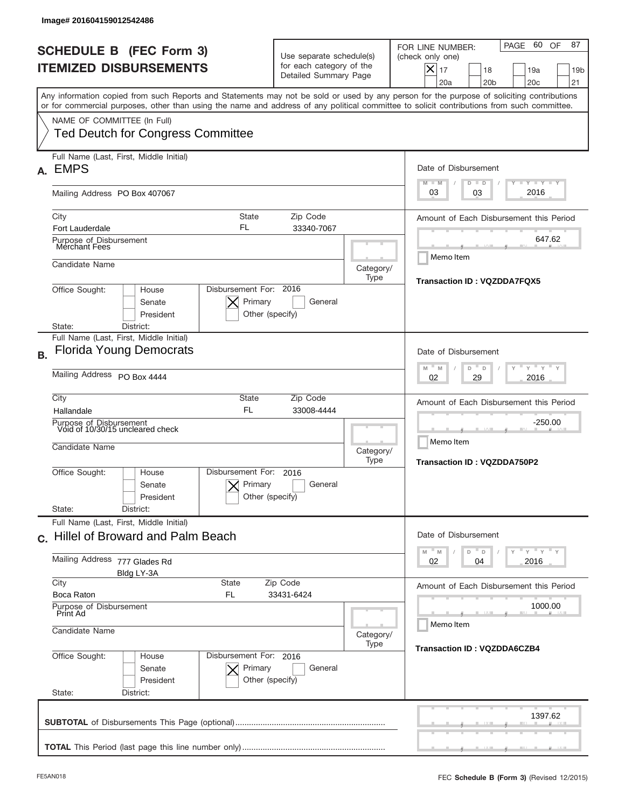|           | Image# 201604159012542486                                                                                                                                                                                                                                                               |                                                                               |                                                         |                                                                                                                                                                     |  |
|-----------|-----------------------------------------------------------------------------------------------------------------------------------------------------------------------------------------------------------------------------------------------------------------------------------------|-------------------------------------------------------------------------------|---------------------------------------------------------|---------------------------------------------------------------------------------------------------------------------------------------------------------------------|--|
|           | <b>SCHEDULE B (FEC Form 3)</b><br><b>ITEMIZED DISBURSEMENTS</b>                                                                                                                                                                                                                         | Use separate schedule(s)<br>for each category of the<br>Detailed Summary Page |                                                         | 60<br>87<br>PAGE<br>OF<br>FOR LINE NUMBER:<br>(check only one)<br>$\times$<br>17<br>19a<br>18<br>19 <sub>b</sub><br>20 <sub>b</sub><br>20 <sub>c</sub><br>21<br>20a |  |
|           | Any information copied from such Reports and Statements may not be sold or used by any person for the purpose of soliciting contributions<br>or for commercial purposes, other than using the name and address of any political committee to solicit contributions from such committee. |                                                                               |                                                         |                                                                                                                                                                     |  |
|           | NAME OF COMMITTEE (In Full)<br><b>Ted Deutch for Congress Committee</b>                                                                                                                                                                                                                 |                                                                               |                                                         |                                                                                                                                                                     |  |
| А.        | Full Name (Last, First, Middle Initial)<br><b>EMPS</b>                                                                                                                                                                                                                                  |                                                                               |                                                         | Date of Disbursement<br><b>LEY LEY LEY</b>                                                                                                                          |  |
|           | Mailing Address PO Box 407067                                                                                                                                                                                                                                                           |                                                                               |                                                         | $M - M$<br>$D$ $D$<br>2016<br>03<br>03                                                                                                                              |  |
|           | <b>State</b><br>City<br>FL<br>Fort Lauderdale                                                                                                                                                                                                                                           | Zip Code<br>33340-7067                                                        |                                                         | Amount of Each Disbursement this Period                                                                                                                             |  |
|           | Purpose of Disbursement<br>Merchant Fees                                                                                                                                                                                                                                                |                                                                               |                                                         | 647.62<br>Memo Item                                                                                                                                                 |  |
|           | Candidate Name                                                                                                                                                                                                                                                                          |                                                                               | Category/<br>Type                                       | Transaction ID: VQZDDA7FQX5                                                                                                                                         |  |
|           | Disbursement For: 2016<br>Office Sought:<br>House<br>Primary<br>Senate<br>President<br>Other (specify)<br>District:<br>State:                                                                                                                                                           |                                                                               |                                                         |                                                                                                                                                                     |  |
|           | Full Name (Last, First, Middle Initial)<br><b>Florida Young Democrats</b>                                                                                                                                                                                                               |                                                                               |                                                         | Date of Disbursement                                                                                                                                                |  |
| <b>B.</b> | Mailing Address PO Box 4444                                                                                                                                                                                                                                                             | $Y = Y$<br>M<br>$-M$<br>D<br>D<br>2016<br>02<br>29                            |                                                         |                                                                                                                                                                     |  |
|           | City<br>State<br>Zip Code<br><b>FL</b><br>33008-4444<br>Hallandale<br>Purpose of Disbursement<br>Void of 10/30/15 uncleared check                                                                                                                                                       |                                                                               |                                                         | Amount of Each Disbursement this Period<br>-250.00<br>Memo Item                                                                                                     |  |
|           | Candidate Name<br>Disbursement For:<br>Office Sought:<br>House                                                                                                                                                                                                                          | 2016                                                                          | Category/<br>Type                                       | Transaction ID: VQZDDA750P2                                                                                                                                         |  |
|           | Primary<br>Senate<br>President<br>State:<br>District:                                                                                                                                                                                                                                   | General<br>Other (specify)                                                    |                                                         |                                                                                                                                                                     |  |
|           | Full Name (Last, First, Middle Initial)<br>c. Hillel of Broward and Palm Beach                                                                                                                                                                                                          |                                                                               |                                                         | Date of Disbursement                                                                                                                                                |  |
|           | Mailing Address<br>777 Glades Rd<br>Bldg LY-3A                                                                                                                                                                                                                                          | ≡ γ ≡ γ ≡ γ<br>$M - M$<br>D<br>D<br>02<br>2016<br>04                          |                                                         |                                                                                                                                                                     |  |
|           | City<br>State<br>Boca Raton<br>FL                                                                                                                                                                                                                                                       | Zip Code<br>33431-6424                                                        |                                                         | Amount of Each Disbursement this Period                                                                                                                             |  |
|           | Purpose of Disbursement<br>Print Ad<br>Candidate Name                                                                                                                                                                                                                                   |                                                                               | 1000.00<br>Memo Item                                    |                                                                                                                                                                     |  |
|           | Office Sought:<br>Disbursement For: 2016<br>House<br>Senate<br>Primary<br>President<br>State:<br>District:                                                                                                                                                                              | General<br>Other (specify)                                                    | Category/<br>Type<br><b>Transaction ID: VQZDDA6CZB4</b> |                                                                                                                                                                     |  |
|           |                                                                                                                                                                                                                                                                                         |                                                                               |                                                         | 1397.62                                                                                                                                                             |  |
|           |                                                                                                                                                                                                                                                                                         |                                                                               |                                                         |                                                                                                                                                                     |  |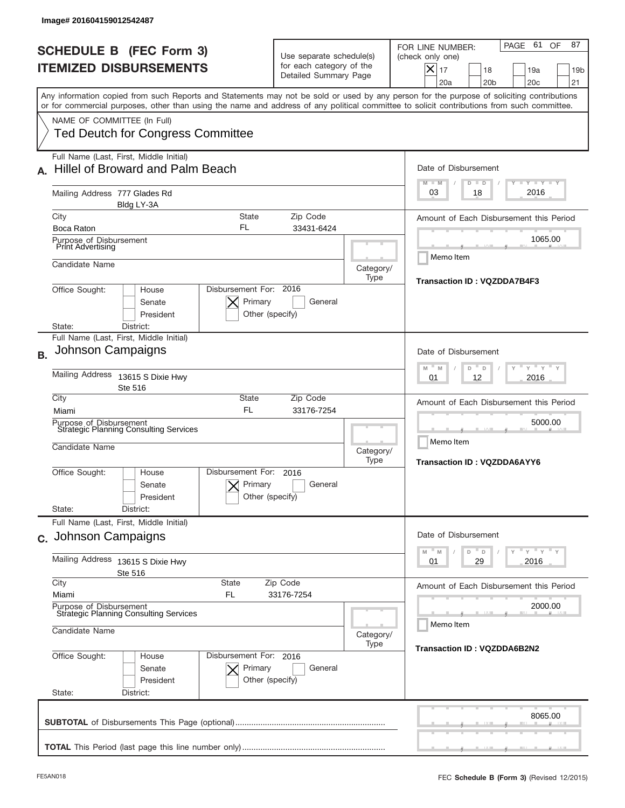|                | Image# 201604159012542487                                                                                                                                                 |                                                      |                                                                               |                                                 |                                                                                                                                                                  |
|----------------|---------------------------------------------------------------------------------------------------------------------------------------------------------------------------|------------------------------------------------------|-------------------------------------------------------------------------------|-------------------------------------------------|------------------------------------------------------------------------------------------------------------------------------------------------------------------|
|                | <b>SCHEDULE B (FEC Form 3)</b><br><b>ITEMIZED DISBURSEMENTS</b>                                                                                                           |                                                      | Use separate schedule(s)<br>for each category of the<br>Detailed Summary Page |                                                 | PAGE 61<br>87<br>OF<br>FOR LINE NUMBER:<br>(check only one)<br>$\times$<br>17<br>18<br>19a<br>19 <sub>b</sub><br>20 <sub>b</sub><br>20 <sub>c</sub><br>21<br>20a |
|                | or for commercial purposes, other than using the name and address of any political committee to solicit contributions from such committee.<br>NAME OF COMMITTEE (In Full) |                                                      |                                                                               |                                                 | Any information copied from such Reports and Statements may not be sold or used by any person for the purpose of soliciting contributions                        |
|                | <b>Ted Deutch for Congress Committee</b>                                                                                                                                  |                                                      |                                                                               |                                                 |                                                                                                                                                                  |
|                | Full Name (Last, First, Middle Initial)<br>Hillel of Broward and Palm Beach                                                                                               |                                                      |                                                                               |                                                 | Date of Disbursement<br><b>TAYLY LY</b><br>$M - M$<br>$D$ $D$                                                                                                    |
|                | Mailing Address 777 Glades Rd<br>Bldg LY-3A                                                                                                                               |                                                      |                                                                               |                                                 | 2016<br>03<br>18                                                                                                                                                 |
|                | City                                                                                                                                                                      | <b>State</b><br>FL                                   | Zip Code                                                                      |                                                 | Amount of Each Disbursement this Period                                                                                                                          |
|                | Boca Raton<br>Purpose of Disbursement<br>Print Advertising                                                                                                                |                                                      | 33431-6424                                                                    |                                                 | 1065.00<br>Memo Item                                                                                                                                             |
|                | Candidate Name                                                                                                                                                            |                                                      |                                                                               | Category/<br>Type                               | Transaction ID: VQZDDA7B4F3                                                                                                                                      |
|                | Office Sought:<br>House<br>Senate<br>President<br>District:<br>State:                                                                                                     | Disbursement For: 2016<br>Primary<br>Other (specify) | General                                                                       |                                                 |                                                                                                                                                                  |
| B <sub>1</sub> | Full Name (Last, First, Middle Initial)<br>Johnson Campaigns                                                                                                              |                                                      |                                                                               |                                                 | Date of Disbursement                                                                                                                                             |
|                | Mailing Address<br>13615 S Dixie Hwy<br>Ste 516                                                                                                                           |                                                      | $-\gamma + \gamma -$<br>M<br>M<br>D<br>D<br>2016<br>01<br>12                  |                                                 |                                                                                                                                                                  |
|                | City<br>Miami                                                                                                                                                             | State<br><b>FL</b>                                   | Zip Code<br>33176-7254                                                        |                                                 | Amount of Each Disbursement this Period<br>5000.00                                                                                                               |
|                | Purpose of Disbursement<br><b>Strategic Planning Consulting Services</b><br>Candidate Name                                                                                | Category/<br>Type                                    |                                                                               | Memo Item<br><b>Transaction ID: VQZDDA6AYY6</b> |                                                                                                                                                                  |
|                | Office Sought:<br>House<br>Senate<br>President                                                                                                                            | Disbursement For:<br>Primary<br>Other (specify)      | 2016<br>General                                                               |                                                 |                                                                                                                                                                  |
|                | State:<br>District:                                                                                                                                                       |                                                      |                                                                               |                                                 |                                                                                                                                                                  |
|                | Full Name (Last, First, Middle Initial)<br>c. Johnson Campaigns                                                                                                           |                                                      |                                                                               |                                                 | Date of Disbursement<br>$\mathsf{Y}$ $\mathsf{Y}$ $\mathsf{Y}$ $\mathsf{Y}$<br>M<br>D<br>M<br>D                                                                  |
|                | Mailing Address 13615 S Dixie Hwy<br>Ste 516                                                                                                                              |                                                      | 29<br>2016<br>01                                                              |                                                 |                                                                                                                                                                  |
|                | City<br>State                                                                                                                                                             |                                                      | Zip Code                                                                      |                                                 | Amount of Each Disbursement this Period                                                                                                                          |
|                | 33176-7254<br>Miami<br>FL<br>Purpose of Disbursement<br><b>Strategic Planning Consulting Services</b>                                                                     |                                                      |                                                                               |                                                 | 2000.00<br>Memo Item                                                                                                                                             |
|                | Candidate Name                                                                                                                                                            |                                                      |                                                                               | Category/<br>Type                               | Transaction ID: VQZDDA6B2N2                                                                                                                                      |
|                | Office Sought:<br>House<br>Senate<br>President<br>State:<br>District:                                                                                                     | Disbursement For: 2016<br>Primary<br>Other (specify) | General                                                                       |                                                 |                                                                                                                                                                  |
|                |                                                                                                                                                                           |                                                      |                                                                               |                                                 | 8065.00                                                                                                                                                          |
|                |                                                                                                                                                                           |                                                      |                                                                               |                                                 |                                                                                                                                                                  |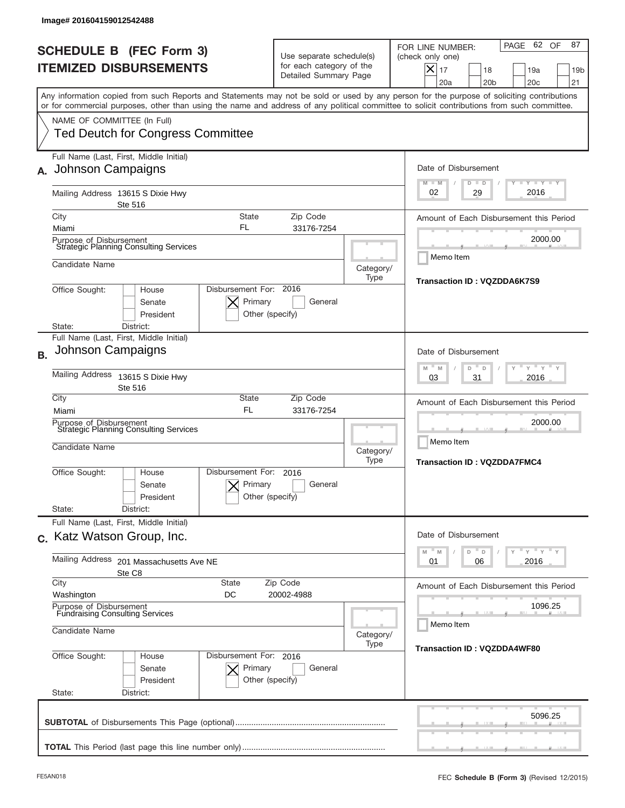|                | lmage#201604159012542488                                                                                                                                                  |                                                      |                                                                               |                   |                                                                                                                                                        |
|----------------|---------------------------------------------------------------------------------------------------------------------------------------------------------------------------|------------------------------------------------------|-------------------------------------------------------------------------------|-------------------|--------------------------------------------------------------------------------------------------------------------------------------------------------|
|                | <b>SCHEDULE B (FEC Form 3)</b><br><b>ITEMIZED DISBURSEMENTS</b>                                                                                                           |                                                      | Use separate schedule(s)<br>for each category of the<br>Detailed Summary Page |                   | PAGE 62 OF<br>87<br>FOR LINE NUMBER:<br>(check only one)<br>X<br>17<br>18<br>19a<br>19 <sub>b</sub><br>20 <sub>b</sub><br>20 <sub>c</sub><br>21<br>20a |
|                | or for commercial purposes, other than using the name and address of any political committee to solicit contributions from such committee.<br>NAME OF COMMITTEE (In Full) |                                                      |                                                                               |                   | Any information copied from such Reports and Statements may not be sold or used by any person for the purpose of soliciting contributions              |
|                | <b>Ted Deutch for Congress Committee</b><br>Full Name (Last, First, Middle Initial)<br>Johnson Campaigns                                                                  |                                                      |                                                                               |                   | Date of Disbursement<br>$T - Y$ $T - Y$<br>$M - M$<br>$D$ $D$                                                                                          |
|                | Mailing Address 13615 S Dixie Hwy<br>Ste 516<br>City                                                                                                                      | <b>State</b>                                         | Zip Code                                                                      |                   | 2016<br>29<br>02<br>Amount of Each Disbursement this Period                                                                                            |
|                | Miami<br>Purpose of Disbursement<br>Strategic Planning Consulting Services<br>Candidate Name                                                                              | FL                                                   | 33176-7254                                                                    | Category/         | 2000.00<br>Memo Item                                                                                                                                   |
|                | Office Sought:<br>House<br>Senate<br>President<br>District:<br>State:                                                                                                     | Disbursement For: 2016<br>Primary<br>Other (specify) | General                                                                       | Type              | Transaction ID: VQZDDA6K7S9                                                                                                                            |
| B <sub>1</sub> | Full Name (Last, First, Middle Initial)<br>Johnson Campaigns<br>Mailing Address<br>13615 S Dixie Hwy                                                                      |                                                      |                                                                               |                   | Date of Disbursement<br>$-\gamma + \gamma -$<br>$-M$<br>M<br>D<br>D                                                                                    |
|                | Ste 516<br>City<br>Miami<br>Purpose of Disbursement<br><b>Strategic Planning Consulting Services</b><br>Candidate Name                                                    | State<br><b>FL</b>                                   | Zip Code<br>33176-7254                                                        | Category/<br>Type | 2016<br>03<br>31<br>Amount of Each Disbursement this Period<br>2000.00<br>Memo Item                                                                    |
|                | Office Sought:<br>House<br>Senate<br>President<br>State:<br>District:                                                                                                     | Disbursement For:<br>Primary<br>Other (specify)      | 2016<br>General                                                               |                   | <b>Transaction ID: VQZDDA7FMC4</b>                                                                                                                     |
|                | Full Name (Last, First, Middle Initial)<br>c. Katz Watson Group, Inc.                                                                                                     |                                                      |                                                                               |                   | Date of Disbursement<br>$\mathsf{Y}$ $\mathsf{Y}$ $\mathsf{Y}$ $\mathsf{Y}$<br>D<br>M<br>M<br>D                                                        |
|                | Mailing Address<br>201 Massachusetts Ave NE<br>Ste C8<br>City<br>State                                                                                                    |                                                      | 2016<br>01<br>06<br>Amount of Each Disbursement this Period                   |                   |                                                                                                                                                        |
|                | Washington<br>Purpose of Disbursement<br><b>Fundraising Consulting Services</b><br>Candidate Name                                                                         | DC<br>20002-4988                                     |                                                                               | Category/<br>Type | 1096.25<br>Memo Item<br><b>Transaction ID: VQZDDA4WF80</b>                                                                                             |
|                | Office Sought:<br>House<br>Senate<br>President<br>State:<br>District:                                                                                                     | Disbursement For: 2016<br>Primary<br>Other (specify) | General                                                                       |                   |                                                                                                                                                        |
|                |                                                                                                                                                                           |                                                      |                                                                               |                   | 5096.25                                                                                                                                                |
|                |                                                                                                                                                                           |                                                      |                                                                               |                   |                                                                                                                                                        |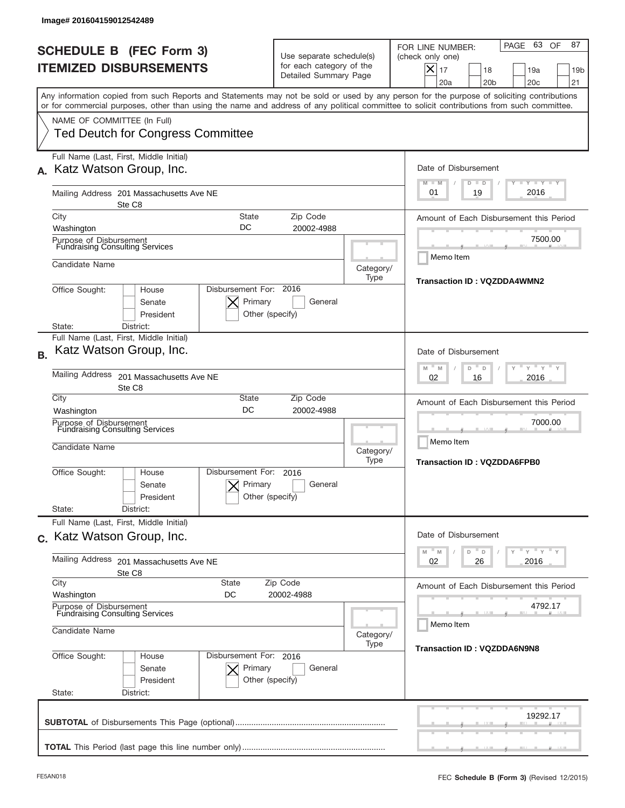| Image# 201604159012542489                                                                                                                                                                                                                                                                                                                         |                                                                                                                                  |                                                                                                                                                                                                                                |
|---------------------------------------------------------------------------------------------------------------------------------------------------------------------------------------------------------------------------------------------------------------------------------------------------------------------------------------------------|----------------------------------------------------------------------------------------------------------------------------------|--------------------------------------------------------------------------------------------------------------------------------------------------------------------------------------------------------------------------------|
| <b>SCHEDULE B (FEC Form 3)</b><br><b>ITEMIZED DISBURSEMENTS</b>                                                                                                                                                                                                                                                                                   | Use separate schedule(s)<br>for each category of the<br>Detailed Summary Page                                                    | PAGE 63 OF<br>87<br>FOR LINE NUMBER:<br>(check only one)<br>$X _{17}$<br>18<br>19a<br>19 <sub>b</sub><br>20a<br>20 <sub>b</sub><br>20 <sub>c</sub><br>21                                                                       |
| or for commercial purposes, other than using the name and address of any political committee to solicit contributions from such committee.<br>NAME OF COMMITTEE (In Full)<br><b>Ted Deutch for Congress Committee</b>                                                                                                                             |                                                                                                                                  | Any information copied from such Reports and Statements may not be sold or used by any person for the purpose of soliciting contributions                                                                                      |
| Full Name (Last, First, Middle Initial)<br>Katz Watson Group, Inc.<br>Mailing Address 201 Massachusetts Ave NE<br>Ste C8                                                                                                                                                                                                                          |                                                                                                                                  | Date of Disbursement<br><b>LYLYLY</b><br>$M - M$<br>$D$ $D$<br>2016<br>01<br>19                                                                                                                                                |
| City<br>Washington<br>Purpose of Disbursement<br>Fundraising Consulting Services<br>Candidate Name<br>Office Sought:<br>House<br>Senate<br>President<br>District:<br>State:                                                                                                                                                                       | Zip Code<br>State<br>DC<br>20002-4988<br>Category/<br>Type<br>Disbursement For: 2016<br>Primary<br>General<br>Other (specify)    | Amount of Each Disbursement this Period<br>7500.00<br>Memo Item<br>Transaction ID: VQZDDA4WMN2                                                                                                                                 |
| Full Name (Last, First, Middle Initial)<br>Katz Watson Group, Inc.<br><b>B.</b><br><b>Mailing Address</b><br>201 Massachusetts Ave NE<br>Ste C8<br>City<br>Washington<br>Purpose of Disbursement<br>Fundraising Consulting Services<br>Candidate Name<br>Office Sought:<br>House<br>Senate<br>President<br>State:<br>District:                    | Zip Code<br>State<br>DC<br>20002-4988<br>Category/<br>Type<br>Disbursement For:<br>2016<br>Primary<br>General<br>Other (specify) | Date of Disbursement<br>$-\gamma + \gamma -$<br>M<br>D<br>D<br>M<br>2016<br>02<br>16<br>Amount of Each Disbursement this Period<br>7000.00<br>Memo Item<br><b>Transaction ID: VQZDDA6FPB0</b>                                  |
| Full Name (Last, First, Middle Initial)<br>c. Katz Watson Group, Inc.<br><b>Mailing Address</b><br>201 Massachusetts Ave NE<br>Ste C8<br>City<br><b>State</b><br>Washington<br>DC<br>Purpose of Disbursement<br><b>Fundraising Consulting Services</b><br>Candidate Name<br>Office Sought:<br>House<br>Senate<br>President<br>State:<br>District: | Zip Code<br>20002-4988<br>Category/<br>Type<br>Disbursement For: 2016<br>Primary<br>General<br>Other (specify)                   | Date of Disbursement<br>$\cdots$ $\gamma$ $\cdots$ $\gamma$ $\cdots$ $\gamma$<br>D<br>M<br>M<br>D<br>2016<br>02<br>26<br>Amount of Each Disbursement this Period<br>4792.17<br>Memo Item<br><b>Transaction ID: VQZDDA6N9N8</b> |
|                                                                                                                                                                                                                                                                                                                                                   |                                                                                                                                  | 19292.17                                                                                                                                                                                                                       |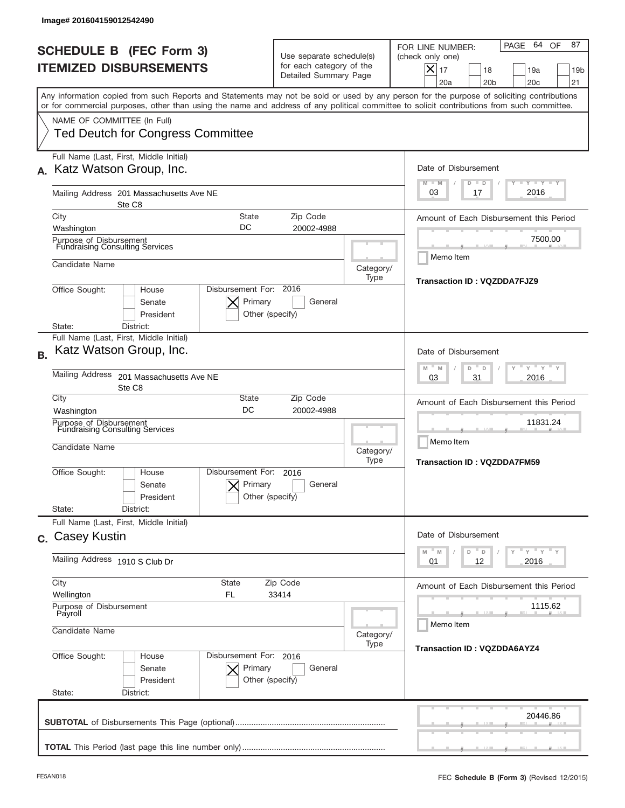|           | Image# 201604159012542490                                                                                                                                                                                                                                                                                              |                                                                               |                                                                                                        |                                                                                                                                                          |
|-----------|------------------------------------------------------------------------------------------------------------------------------------------------------------------------------------------------------------------------------------------------------------------------------------------------------------------------|-------------------------------------------------------------------------------|--------------------------------------------------------------------------------------------------------|----------------------------------------------------------------------------------------------------------------------------------------------------------|
|           | <b>SCHEDULE B (FEC Form 3)</b><br><b>ITEMIZED DISBURSEMENTS</b>                                                                                                                                                                                                                                                        | Use separate schedule(s)<br>for each category of the<br>Detailed Summary Page |                                                                                                        | PAGE 64 OF<br>87<br>FOR LINE NUMBER:<br>(check only one)<br>$X _{17}$<br>18<br>19a<br>19 <sub>b</sub><br>20a<br>20 <sub>b</sub><br>20 <sub>c</sub><br>21 |
|           | Any information copied from such Reports and Statements may not be sold or used by any person for the purpose of soliciting contributions<br>or for commercial purposes, other than using the name and address of any political committee to solicit contributions from such committee.<br>NAME OF COMMITTEE (In Full) |                                                                               |                                                                                                        |                                                                                                                                                          |
|           | <b>Ted Deutch for Congress Committee</b><br>Full Name (Last, First, Middle Initial)<br>Katz Watson Group, Inc.                                                                                                                                                                                                         |                                                                               |                                                                                                        | Date of Disbursement                                                                                                                                     |
|           | Mailing Address 201 Massachusetts Ave NE<br>Ste C8                                                                                                                                                                                                                                                                     |                                                                               |                                                                                                        | <b>LYLYLY</b><br>$M - M$<br>$D$ $D$<br>2016<br>03<br>17                                                                                                  |
|           | City<br>State<br>DC<br>Washington                                                                                                                                                                                                                                                                                      | Zip Code<br>20002-4988                                                        |                                                                                                        | Amount of Each Disbursement this Period<br>7500.00                                                                                                       |
|           | Purpose of Disbursement<br>Fundraising Consulting Services<br>Candidate Name                                                                                                                                                                                                                                           |                                                                               | Category/<br>Type                                                                                      | Memo Item                                                                                                                                                |
|           | Disbursement For: 2016<br>Office Sought:<br>House<br>Primary<br>Senate<br>President<br>District:<br>State:                                                                                                                                                                                                             | General<br>Other (specify)                                                    |                                                                                                        | Transaction ID: VQZDDA7FJZ9                                                                                                                              |
| <b>B.</b> | Full Name (Last, First, Middle Initial)<br>Katz Watson Group, Inc.                                                                                                                                                                                                                                                     |                                                                               |                                                                                                        | Date of Disbursement<br>" γ " γ "<br>M<br>M<br>D<br>D                                                                                                    |
|           | <b>Mailing Address</b><br>201 Massachusetts Ave NE<br>Ste C8<br>City<br>State                                                                                                                                                                                                                                          |                                                                               | 2016<br>03<br>31                                                                                       |                                                                                                                                                          |
|           | DC<br>Washington<br>Purpose of Disbursement<br>Fundraising Consulting Services<br>Candidate Name                                                                                                                                                                                                                       | Category/<br>Type                                                             | Amount of Each Disbursement this Period<br>11831.24<br>Memo Item<br><b>Transaction ID: VQZDDA7FM59</b> |                                                                                                                                                          |
|           | Disbursement For:<br>Office Sought:<br>House<br>Primary<br>Senate<br>President<br>State:<br>District:                                                                                                                                                                                                                  | 2016<br>General<br>Other (specify)                                            |                                                                                                        |                                                                                                                                                          |
|           | Full Name (Last, First, Middle Initial)<br>c. Casey Kustin                                                                                                                                                                                                                                                             |                                                                               |                                                                                                        | Date of Disbursement<br>$\gamma$ = $\gamma$ = $\gamma$ = $\gamma$<br>$-M$<br>M<br>D<br>D                                                                 |
|           | Mailing Address 1910 S Club Dr                                                                                                                                                                                                                                                                                         |                                                                               | 2016<br>01<br>12                                                                                       |                                                                                                                                                          |
|           | City<br>State<br>FL.<br>Wellington<br>Purpose of Disbursement<br>Payroll                                                                                                                                                                                                                                               |                                                                               | Amount of Each Disbursement this Period<br>1115.62                                                     |                                                                                                                                                          |
|           | Candidate Name                                                                                                                                                                                                                                                                                                         | Category/<br>Type                                                             | Memo Item<br><b>Transaction ID: VQZDDA6AYZ4</b>                                                        |                                                                                                                                                          |
|           | Office Sought:<br>Disbursement For: 2016<br>House<br>Senate<br>Primary<br>President<br>State:<br>District:                                                                                                                                                                                                             | General<br>Other (specify)                                                    |                                                                                                        |                                                                                                                                                          |
|           |                                                                                                                                                                                                                                                                                                                        |                                                                               |                                                                                                        | 20446.86                                                                                                                                                 |
|           |                                                                                                                                                                                                                                                                                                                        |                                                                               |                                                                                                        |                                                                                                                                                          |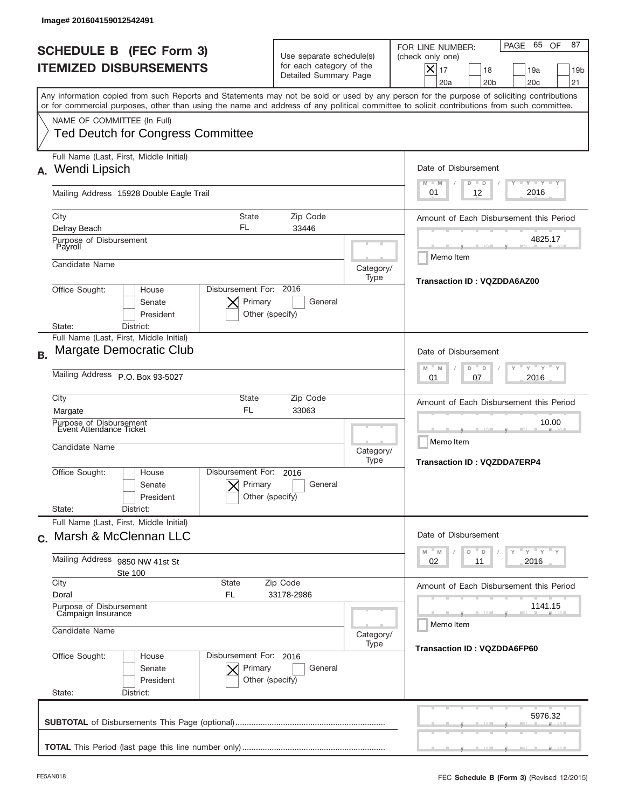| Image# 201604159012542491                                                                                                                                                                                                                                                                                              |                                                                               |                                                                                                         |                                                                                                                                                                              |  |  |  |
|------------------------------------------------------------------------------------------------------------------------------------------------------------------------------------------------------------------------------------------------------------------------------------------------------------------------|-------------------------------------------------------------------------------|---------------------------------------------------------------------------------------------------------|------------------------------------------------------------------------------------------------------------------------------------------------------------------------------|--|--|--|
| <b>SCHEDULE B (FEC Form 3)</b><br><b>ITEMIZED DISBURSEMENTS</b>                                                                                                                                                                                                                                                        | Use separate schedule(s)<br>for each category of the<br>Detailed Summary Page |                                                                                                         | PAGE 65 OF<br>87<br>FOR LINE NUMBER:<br>(check only one)<br>$ \boldsymbol{\times} $<br>17<br>18<br>19a<br>19 <sub>b</sub><br>20a<br>20 <sub>b</sub><br>20 <sub>c</sub><br>21 |  |  |  |
| Any information copied from such Reports and Statements may not be sold or used by any person for the purpose of soliciting contributions<br>or for commercial purposes, other than using the name and address of any political committee to solicit contributions from such committee.<br>NAME OF COMMITTEE (In Full) |                                                                               |                                                                                                         |                                                                                                                                                                              |  |  |  |
| <b>Ted Deutch for Congress Committee</b>                                                                                                                                                                                                                                                                               |                                                                               |                                                                                                         |                                                                                                                                                                              |  |  |  |
| Full Name (Last, First, Middle Initial)<br>Wendi Lipsich<br>А.                                                                                                                                                                                                                                                         |                                                                               |                                                                                                         | Date of Disbursement<br><b>TAYLY LY</b><br>$M - M$<br>$D$ $D$                                                                                                                |  |  |  |
| Mailing Address 15928 Double Eagle Trail                                                                                                                                                                                                                                                                               |                                                                               |                                                                                                         | 2016<br>01<br>12                                                                                                                                                             |  |  |  |
| City<br>Delray Beach                                                                                                                                                                                                                                                                                                   | <b>State</b><br>Zip Code<br>FL<br>33446                                       |                                                                                                         |                                                                                                                                                                              |  |  |  |
| Purpose of Disbursement<br>Payroll                                                                                                                                                                                                                                                                                     |                                                                               |                                                                                                         | 4825.17<br>Memo Item                                                                                                                                                         |  |  |  |
| Candidate Name                                                                                                                                                                                                                                                                                                         |                                                                               | Category/<br>Type                                                                                       | Transaction ID: VQZDDA6AZ00                                                                                                                                                  |  |  |  |
| Disbursement For: 2016<br>Office Sought:<br>House<br>Primary<br>Senate<br>President<br>Other (specify)<br>State:<br>District:                                                                                                                                                                                          |                                                                               |                                                                                                         |                                                                                                                                                                              |  |  |  |
| Full Name (Last, First, Middle Initial)<br>Margate Democratic Club<br><b>B.</b>                                                                                                                                                                                                                                        |                                                                               |                                                                                                         | Date of Disbursement                                                                                                                                                         |  |  |  |
| Mailing Address P.O. Box 93-5027                                                                                                                                                                                                                                                                                       |                                                                               | $\cdots$ $\gamma$ $\cdots$ $\gamma$ $\cdots$<br>M<br>M<br>D<br>D<br>2016<br>01<br>07                    |                                                                                                                                                                              |  |  |  |
| City<br>Margate                                                                                                                                                                                                                                                                                                        | State<br>Zip Code<br><b>FL</b><br>33063                                       |                                                                                                         | Amount of Each Disbursement this Period                                                                                                                                      |  |  |  |
| Purpose of Disbursement<br>Event Attendance Ticket<br>Candidate Name                                                                                                                                                                                                                                                   |                                                                               | Category/<br>Type                                                                                       | 10.00<br>Memo Item<br><b>Transaction ID: VQZDDA7ERP4</b>                                                                                                                     |  |  |  |
| Disbursement For:<br>Office Sought:<br>House<br>Senate<br>President<br>State:<br>District:                                                                                                                                                                                                                             | 2016<br>Primary<br>General<br>Other (specify)                                 |                                                                                                         |                                                                                                                                                                              |  |  |  |
| Full Name (Last, First, Middle Initial)<br>c. Marsh & McClennan LLC                                                                                                                                                                                                                                                    |                                                                               |                                                                                                         | Date of Disbursement                                                                                                                                                         |  |  |  |
| Mailing Address<br>9850 NW 41st St<br><b>Ste 100</b>                                                                                                                                                                                                                                                                   |                                                                               | $\cdots$ $\gamma$ $\cdots$ $\gamma$ $\cdots$ $\gamma$<br>M<br>D<br>$\mathsf D$<br>M<br>02<br>2016<br>11 |                                                                                                                                                                              |  |  |  |
| City<br>State<br>Doral<br>FL                                                                                                                                                                                                                                                                                           | Zip Code<br>33178-2986                                                        |                                                                                                         |                                                                                                                                                                              |  |  |  |
| Purpose of Disbursement<br>Campaign Insurance<br>Candidate Name                                                                                                                                                                                                                                                        | Category/                                                                     | 1141.15<br>Memo Item                                                                                    |                                                                                                                                                                              |  |  |  |
| Office Sought:<br>House<br>Senate<br>President<br>State:<br>District:                                                                                                                                                                                                                                                  | Disbursement For: 2016<br>Primary<br>General<br>Other (specify)               | Type                                                                                                    | Transaction ID: VQZDDA6FP60                                                                                                                                                  |  |  |  |
|                                                                                                                                                                                                                                                                                                                        |                                                                               |                                                                                                         | 5976.32                                                                                                                                                                      |  |  |  |
|                                                                                                                                                                                                                                                                                                                        |                                                                               |                                                                                                         |                                                                                                                                                                              |  |  |  |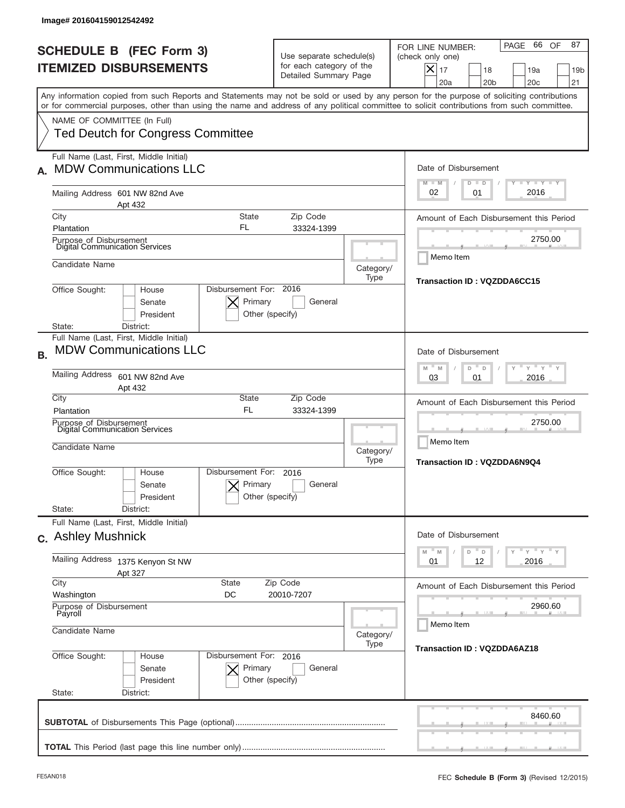|           | Image# 201604159012542492                                                                                                                                                                                                                                                                                              |                                                                               |                                          |                                                                                                                                                                     |
|-----------|------------------------------------------------------------------------------------------------------------------------------------------------------------------------------------------------------------------------------------------------------------------------------------------------------------------------|-------------------------------------------------------------------------------|------------------------------------------|---------------------------------------------------------------------------------------------------------------------------------------------------------------------|
|           | <b>SCHEDULE B (FEC Form 3)</b><br><b>ITEMIZED DISBURSEMENTS</b>                                                                                                                                                                                                                                                        | Use separate schedule(s)<br>for each category of the<br>Detailed Summary Page |                                          | 66 OF<br>87<br>PAGE<br>FOR LINE NUMBER:<br>(check only one)<br>$ \boldsymbol{\times} $<br>17<br>18<br>19a<br>19 <sub>b</sub><br>20a<br>20 <sub>b</sub><br>20c<br>21 |
|           | Any information copied from such Reports and Statements may not be sold or used by any person for the purpose of soliciting contributions<br>or for commercial purposes, other than using the name and address of any political committee to solicit contributions from such committee.<br>NAME OF COMMITTEE (In Full) |                                                                               |                                          |                                                                                                                                                                     |
|           | <b>Ted Deutch for Congress Committee</b><br>Full Name (Last, First, Middle Initial)<br><b>MDW Communications LLC</b>                                                                                                                                                                                                   |                                                                               |                                          | Date of Disbursement                                                                                                                                                |
|           | Mailing Address 601 NW 82nd Ave<br>Apt 432                                                                                                                                                                                                                                                                             | $T - Y$ $T - Y$<br>$M - M$<br>$D$ $D$<br>2016<br>02<br>01                     |                                          |                                                                                                                                                                     |
|           | City<br><b>State</b><br>FL<br>Plantation                                                                                                                                                                                                                                                                               | Amount of Each Disbursement this Period<br>2750.00                            |                                          |                                                                                                                                                                     |
|           | Purpose of Disbursement<br>Digital Communication Services<br>Candidate Name                                                                                                                                                                                                                                            |                                                                               | Category/<br>Type                        | Memo Item                                                                                                                                                           |
|           | Disbursement For: 2016<br>Office Sought:<br>House<br>Primary<br>Senate<br>President<br>Other (specify)<br>District:<br>State:                                                                                                                                                                                          | Transaction ID: VQZDDA6CC15                                                   |                                          |                                                                                                                                                                     |
| <b>B.</b> | Full Name (Last, First, Middle Initial)<br><b>MDW Communications LLC</b>                                                                                                                                                                                                                                               |                                                                               |                                          | Date of Disbursement<br>$\cdots$ $\gamma$ $\cdots$ $\gamma$ $\cdots$<br>M<br>M<br>D<br>D                                                                            |
|           | <b>Mailing Address</b><br>601 NW 82nd Ave<br>Apt 432                                                                                                                                                                                                                                                                   | 2016<br>03<br>01                                                              |                                          |                                                                                                                                                                     |
|           | City<br>State<br><b>FL</b><br>Plantation<br>Purpose of Disbursement<br>Digital Communication Services                                                                                                                                                                                                                  | Amount of Each Disbursement this Period<br>2750.00                            |                                          |                                                                                                                                                                     |
|           | Candidate Name                                                                                                                                                                                                                                                                                                         | Category/<br>Type                                                             | Memo Item<br>Transaction ID: VQZDDA6N9Q4 |                                                                                                                                                                     |
|           | Disbursement For:<br>Office Sought:<br>House<br>Senate<br>President<br>State:<br>District:                                                                                                                                                                                                                             | 2016<br>Primary<br>General<br>Other (specify)                                 |                                          |                                                                                                                                                                     |
|           | Full Name (Last, First, Middle Initial)<br>c. Ashley Mushnick                                                                                                                                                                                                                                                          |                                                                               |                                          | Date of Disbursement<br>$Y = Y + Y$<br>$-M$<br>D<br>M<br>D                                                                                                          |
|           | Mailing Address 1375 Kenyon St NW<br>Apt 327                                                                                                                                                                                                                                                                           | 2016<br>01<br>12                                                              |                                          |                                                                                                                                                                     |
|           | City<br><b>State</b><br>Washington<br>DC<br>Purpose of Disbursement                                                                                                                                                                                                                                                    | Amount of Each Disbursement this Period<br>2960.60                            |                                          |                                                                                                                                                                     |
|           | Payroll<br>Candidate Name                                                                                                                                                                                                                                                                                              | Memo Item<br><b>Transaction ID: VQZDDA6AZ18</b>                               |                                          |                                                                                                                                                                     |
|           | Office Sought:<br>Disbursement For: 2016<br>House<br>Senate<br>President<br>State:<br>District:                                                                                                                                                                                                                        | Primary<br>General<br>Other (specify)                                         | Type                                     |                                                                                                                                                                     |
|           |                                                                                                                                                                                                                                                                                                                        |                                                                               |                                          | 8460.60                                                                                                                                                             |
|           |                                                                                                                                                                                                                                                                                                                        |                                                                               |                                          |                                                                                                                                                                     |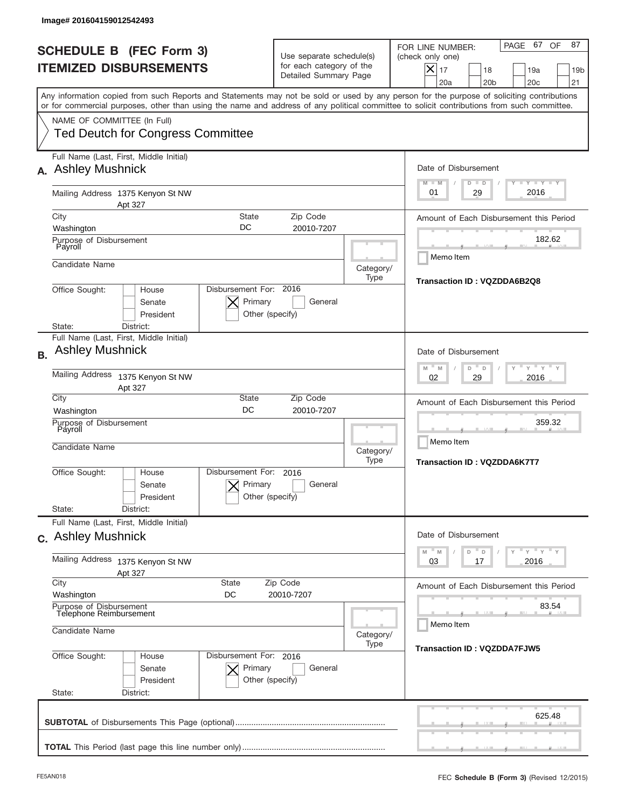|           | Image# 201604159012542493                                             |                                                      |                                                                                                                       |                     |                                                                                                                                                                                                                                                                                         |  |
|-----------|-----------------------------------------------------------------------|------------------------------------------------------|-----------------------------------------------------------------------------------------------------------------------|---------------------|-----------------------------------------------------------------------------------------------------------------------------------------------------------------------------------------------------------------------------------------------------------------------------------------|--|
|           | <b>SCHEDULE B (FEC Form 3)</b><br><b>ITEMIZED DISBURSEMENTS</b>       |                                                      | Use separate schedule(s)<br>for each category of the<br>Detailed Summary Page                                         |                     | PAGE 67 OF<br>87<br>FOR LINE NUMBER:<br>(check only one)<br>$X _{17}$<br>18<br>19a<br>19 <sub>b</sub><br>20a<br>20 <sub>b</sub><br>20 <sub>c</sub><br>21                                                                                                                                |  |
|           | NAME OF COMMITTEE (In Full)                                           |                                                      |                                                                                                                       |                     | Any information copied from such Reports and Statements may not be sold or used by any person for the purpose of soliciting contributions<br>or for commercial purposes, other than using the name and address of any political committee to solicit contributions from such committee. |  |
|           | <b>Ted Deutch for Congress Committee</b>                              |                                                      |                                                                                                                       |                     |                                                                                                                                                                                                                                                                                         |  |
|           | Full Name (Last, First, Middle Initial)<br><b>Ashley Mushnick</b>     |                                                      |                                                                                                                       |                     | Date of Disbursement<br>$\begin{array}{c c c c c c} \hline \textbf{I} & \textbf{Y} & \textbf{I} & \textbf{Y} & \textbf{I} & \textbf{Y} \\\hline \end{array}$<br>$M - M$<br>$D$ $D$                                                                                                      |  |
|           | Apt 327                                                               | Mailing Address 1375 Kenyon St NW                    |                                                                                                                       |                     |                                                                                                                                                                                                                                                                                         |  |
|           | City<br>Washington                                                    | Amount of Each Disbursement this Period              |                                                                                                                       |                     |                                                                                                                                                                                                                                                                                         |  |
|           | Purpose of Disbursement<br>Payroll                                    | DC                                                   | 20010-7207                                                                                                            |                     | 182.62                                                                                                                                                                                                                                                                                  |  |
|           | Candidate Name                                                        |                                                      |                                                                                                                       | Category/<br>Type   | Memo Item<br>Transaction ID: VQZDDA6B2Q8                                                                                                                                                                                                                                                |  |
|           | Office Sought:<br>House<br>Senate<br>President<br>District:<br>State: | Disbursement For: 2016<br>Primary<br>Other (specify) | General                                                                                                               |                     |                                                                                                                                                                                                                                                                                         |  |
| <b>B.</b> | Full Name (Last, First, Middle Initial)<br><b>Ashley Mushnick</b>     |                                                      |                                                                                                                       |                     | Date of Disbursement<br>$-\gamma + \gamma - \gamma$<br>$-M$<br>M                                                                                                                                                                                                                        |  |
|           | Mailing Address 1375 Kenyon St NW<br>Apt 327                          | D<br>D<br>2016<br>02<br>29                           |                                                                                                                       |                     |                                                                                                                                                                                                                                                                                         |  |
|           | City<br>Washington                                                    |                                                      | Amount of Each Disbursement this Period                                                                               |                     |                                                                                                                                                                                                                                                                                         |  |
|           | Purpose of Disbursement<br>Payroll<br>Candidate Name                  | Category/                                            |                                                                                                                       | 359.32<br>Memo Item |                                                                                                                                                                                                                                                                                         |  |
|           | Office Sought:<br>House<br>Senate<br>President<br>State:<br>District: | Disbursement For:<br>Primary<br>Other (specify)      | 2016<br>General                                                                                                       | Type                | <b>Transaction ID: VQZDDA6K7T7</b>                                                                                                                                                                                                                                                      |  |
|           | Full Name (Last, First, Middle Initial)<br>c. Ashley Mushnick         |                                                      |                                                                                                                       |                     | Date of Disbursement                                                                                                                                                                                                                                                                    |  |
|           | Mailing Address 1375 Kenyon St NW<br>Apt 327                          |                                                      | $\mathbb{F}$ $\mathsf{y}$ $\mathbb{F}$ $\mathsf{y}$ $\mathbb{F}$ $\mathsf{y}$<br>M<br>M<br>D<br>D<br>2016<br>03<br>17 |                     |                                                                                                                                                                                                                                                                                         |  |
|           | City<br>Washington                                                    | Amount of Each Disbursement this Period              |                                                                                                                       |                     |                                                                                                                                                                                                                                                                                         |  |
|           | Purpose of Disbursement<br>Telephone Reimbursement<br>Candidate Name  |                                                      |                                                                                                                       |                     | 83.54<br>Memo Item                                                                                                                                                                                                                                                                      |  |
|           | Office Sought:<br>House<br>Senate<br>President<br>State:<br>District: | Disbursement For: 2016<br>Primary<br>Other (specify) | General                                                                                                               | Type                | <b>Transaction ID: VQZDDA7FJW5</b>                                                                                                                                                                                                                                                      |  |
|           |                                                                       |                                                      |                                                                                                                       |                     | 625.48                                                                                                                                                                                                                                                                                  |  |
|           |                                                                       |                                                      |                                                                                                                       |                     |                                                                                                                                                                                                                                                                                         |  |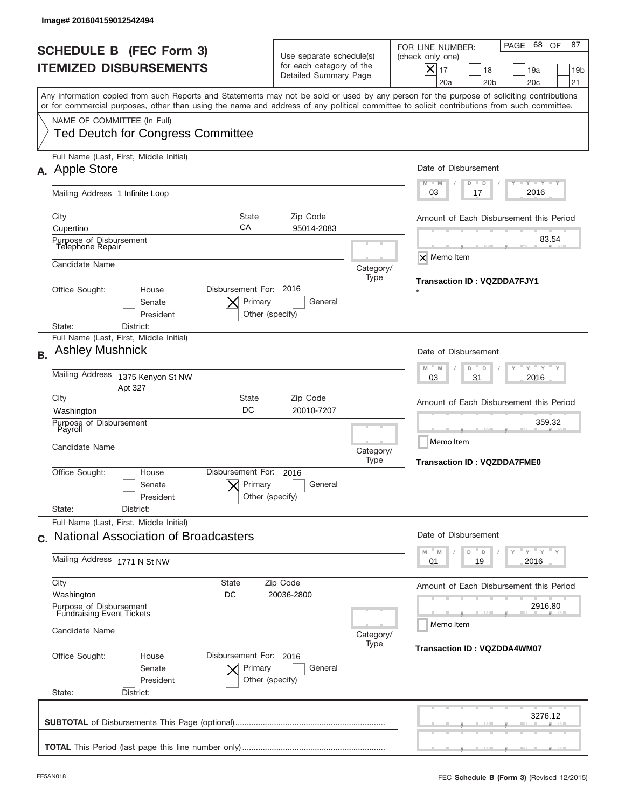| <b>SCHEDULE B (FEC Form 3)</b><br><b>ITEMIZED DISBURSEMENTS</b><br>Any information copied from such Reports and Statements may not be sold or used by any person for the purpose of soliciting contributions<br>or for commercial purposes, other than using the name and address of any political committee to solicit contributions from such committee.<br>NAME OF COMMITTEE (In Full)<br><b>Ted Deutch for Congress Committee</b><br>Full Name (Last, First, Middle Initial)<br>A. Apple Store<br>Mailing Address 1 Infinite Loop<br><b>State</b><br>City<br>СA<br>Cupertino<br>Purpose of Disbursement<br>Telephone Repair | Use separate schedule(s)<br>for each category of the<br>Detailed Summary Page                         |                                         | 68 OF<br>87<br>PAGE<br>FOR LINE NUMBER:<br>(check only one)<br>$\boldsymbol{\times}$<br>17<br>18<br>19a<br>19 <sub>b</sub><br>20a<br>20 <sub>b</sub><br>20 <sub>c</sub><br>21<br>Date of Disbursement |  |  |  |
|---------------------------------------------------------------------------------------------------------------------------------------------------------------------------------------------------------------------------------------------------------------------------------------------------------------------------------------------------------------------------------------------------------------------------------------------------------------------------------------------------------------------------------------------------------------------------------------------------------------------------------|-------------------------------------------------------------------------------------------------------|-----------------------------------------|-------------------------------------------------------------------------------------------------------------------------------------------------------------------------------------------------------|--|--|--|
|                                                                                                                                                                                                                                                                                                                                                                                                                                                                                                                                                                                                                                 |                                                                                                       |                                         |                                                                                                                                                                                                       |  |  |  |
|                                                                                                                                                                                                                                                                                                                                                                                                                                                                                                                                                                                                                                 |                                                                                                       |                                         |                                                                                                                                                                                                       |  |  |  |
|                                                                                                                                                                                                                                                                                                                                                                                                                                                                                                                                                                                                                                 |                                                                                                       |                                         |                                                                                                                                                                                                       |  |  |  |
|                                                                                                                                                                                                                                                                                                                                                                                                                                                                                                                                                                                                                                 |                                                                                                       |                                         | <b>TAYLY LY</b><br>$M - M$<br>$D$ $D$                                                                                                                                                                 |  |  |  |
|                                                                                                                                                                                                                                                                                                                                                                                                                                                                                                                                                                                                                                 |                                                                                                       |                                         |                                                                                                                                                                                                       |  |  |  |
|                                                                                                                                                                                                                                                                                                                                                                                                                                                                                                                                                                                                                                 | Zip Code<br>95014-2083                                                                                |                                         | Amount of Each Disbursement this Period                                                                                                                                                               |  |  |  |
|                                                                                                                                                                                                                                                                                                                                                                                                                                                                                                                                                                                                                                 | Candidate Name<br>Category/<br>Type                                                                   |                                         |                                                                                                                                                                                                       |  |  |  |
|                                                                                                                                                                                                                                                                                                                                                                                                                                                                                                                                                                                                                                 |                                                                                                       |                                         |                                                                                                                                                                                                       |  |  |  |
| Disbursement For: 2016<br>Office Sought:<br>House<br>Primary<br>Senate<br>President<br>Other (specify)<br>State:<br>District:                                                                                                                                                                                                                                                                                                                                                                                                                                                                                                   | <b>Transaction ID: VQZDDA7FJY1</b>                                                                    |                                         |                                                                                                                                                                                                       |  |  |  |
| Full Name (Last, First, Middle Initial)                                                                                                                                                                                                                                                                                                                                                                                                                                                                                                                                                                                         |                                                                                                       |                                         |                                                                                                                                                                                                       |  |  |  |
| <b>Ashley Mushnick</b><br><b>B.</b>                                                                                                                                                                                                                                                                                                                                                                                                                                                                                                                                                                                             | Date of Disbursement<br>$\cdots$ $\gamma$ $\cdots$ $\gamma$ $\cdots$<br>$M - M$<br>D<br>$\Box$        |                                         |                                                                                                                                                                                                       |  |  |  |
| Mailing Address<br>1375 Kenyon St NW<br>Apt 327                                                                                                                                                                                                                                                                                                                                                                                                                                                                                                                                                                                 | 2016<br>03<br>31                                                                                      |                                         |                                                                                                                                                                                                       |  |  |  |
| City<br>State<br>DC<br>Washington                                                                                                                                                                                                                                                                                                                                                                                                                                                                                                                                                                                               |                                                                                                       | Amount of Each Disbursement this Period |                                                                                                                                                                                                       |  |  |  |
| Purpose of Disbursement<br>Payroll<br>Candidate Name                                                                                                                                                                                                                                                                                                                                                                                                                                                                                                                                                                            |                                                                                                       | Category/<br>Type                       | 359.32<br>Memo Item<br><b>Transaction ID: VQZDDA7FME0</b>                                                                                                                                             |  |  |  |
| Disbursement For:<br>Office Sought:<br>House<br>Primary<br>Senate<br>President                                                                                                                                                                                                                                                                                                                                                                                                                                                                                                                                                  | 2016<br>General<br>Other (specify)                                                                    |                                         |                                                                                                                                                                                                       |  |  |  |
| State:<br>District:<br>Full Name (Last, First, Middle Initial)                                                                                                                                                                                                                                                                                                                                                                                                                                                                                                                                                                  |                                                                                                       |                                         |                                                                                                                                                                                                       |  |  |  |
| c. National Association of Broadcasters                                                                                                                                                                                                                                                                                                                                                                                                                                                                                                                                                                                         | Date of Disbursement<br>$\mathbb{F}$ $\mathsf{y}$ $\mathbb{F}$ $\mathsf{y}$ $\mathbb{F}$ $\mathsf{y}$ |                                         |                                                                                                                                                                                                       |  |  |  |
| Mailing Address 1771 N St NW                                                                                                                                                                                                                                                                                                                                                                                                                                                                                                                                                                                                    | D<br>M<br>M<br>D<br>2016<br>01<br>19                                                                  |                                         |                                                                                                                                                                                                       |  |  |  |
| City<br><b>State</b><br>Washington<br>DC                                                                                                                                                                                                                                                                                                                                                                                                                                                                                                                                                                                        | Zip Code<br>20036-2800                                                                                |                                         |                                                                                                                                                                                                       |  |  |  |
| Purpose of Disbursement<br>Fundraising Event Tickets                                                                                                                                                                                                                                                                                                                                                                                                                                                                                                                                                                            |                                                                                                       |                                         | 2916.80<br>Memo Item                                                                                                                                                                                  |  |  |  |
| Candidate Name                                                                                                                                                                                                                                                                                                                                                                                                                                                                                                                                                                                                                  | Category/<br>Type                                                                                     | <b>Transaction ID: VQZDDA4WM07</b>      |                                                                                                                                                                                                       |  |  |  |
| Office Sought:<br>Disbursement For: 2016<br>House<br>Primary<br>Senate<br>President<br>State:<br>District:                                                                                                                                                                                                                                                                                                                                                                                                                                                                                                                      | General<br>Other (specify)                                                                            |                                         |                                                                                                                                                                                                       |  |  |  |
|                                                                                                                                                                                                                                                                                                                                                                                                                                                                                                                                                                                                                                 |                                                                                                       |                                         | 3276.12                                                                                                                                                                                               |  |  |  |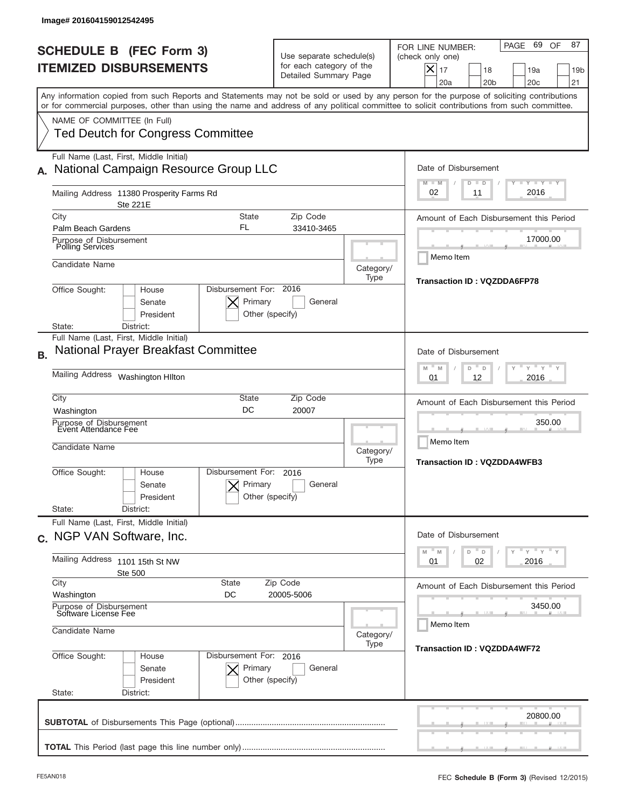|           | Image# 201604159012542495                                                                                                                                                                                                                                                                                              |                                                                               |                                          |                                                                                                                                                                   |
|-----------|------------------------------------------------------------------------------------------------------------------------------------------------------------------------------------------------------------------------------------------------------------------------------------------------------------------------|-------------------------------------------------------------------------------|------------------------------------------|-------------------------------------------------------------------------------------------------------------------------------------------------------------------|
|           | <b>SCHEDULE B (FEC Form 3)</b><br><b>ITEMIZED DISBURSEMENTS</b>                                                                                                                                                                                                                                                        | Use separate schedule(s)<br>for each category of the<br>Detailed Summary Page |                                          | PAGE 69<br>87<br>OF<br>FOR LINE NUMBER:<br>(check only one)<br>$\boldsymbol{\times}$<br>17<br>18<br>19a<br>19 <sub>b</sub><br>20a<br>20 <sub>b</sub><br>20c<br>21 |
|           | Any information copied from such Reports and Statements may not be sold or used by any person for the purpose of soliciting contributions<br>or for commercial purposes, other than using the name and address of any political committee to solicit contributions from such committee.<br>NAME OF COMMITTEE (In Full) |                                                                               |                                          |                                                                                                                                                                   |
|           | <b>Ted Deutch for Congress Committee</b>                                                                                                                                                                                                                                                                               |                                                                               |                                          |                                                                                                                                                                   |
|           | Full Name (Last, First, Middle Initial)<br>National Campaign Resource Group LLC                                                                                                                                                                                                                                        |                                                                               |                                          | Date of Disbursement<br>$T - Y$ $T - Y$<br>$M - M$<br>D .<br>D                                                                                                    |
|           | Mailing Address 11380 Prosperity Farms Rd<br>Ste 221E                                                                                                                                                                                                                                                                  |                                                                               |                                          | 2016<br>02<br>11                                                                                                                                                  |
|           | City<br>State<br>FL<br>Palm Beach Gardens                                                                                                                                                                                                                                                                              | Amount of Each Disbursement this Period                                       |                                          |                                                                                                                                                                   |
|           | Purpose of Disbursement<br>Polling Services                                                                                                                                                                                                                                                                            | 33410-3465                                                                    |                                          | 17000.00                                                                                                                                                          |
|           | Candidate Name                                                                                                                                                                                                                                                                                                         | Category/<br>Type                                                             | Memo Item<br>Transaction ID: VQZDDA6FP78 |                                                                                                                                                                   |
|           | Disbursement For: 2016<br>Office Sought:<br>House<br>Primary<br>Senate<br>President<br>Other (specify)<br>State:<br>District:                                                                                                                                                                                          |                                                                               |                                          |                                                                                                                                                                   |
| <b>B.</b> | Full Name (Last, First, Middle Initial)<br><b>National Prayer Breakfast Committee</b>                                                                                                                                                                                                                                  |                                                                               |                                          | Date of Disbursement                                                                                                                                              |
|           | Mailing Address Washington Hilton                                                                                                                                                                                                                                                                                      | " γ " γ "<br>M<br>M<br>D<br>D<br>2016<br>01<br>12                             |                                          |                                                                                                                                                                   |
|           | City<br>State<br>DC<br>Washington                                                                                                                                                                                                                                                                                      | Amount of Each Disbursement this Period                                       |                                          |                                                                                                                                                                   |
|           | Purpose of Disbursement<br>Event Attendance Fee<br>Candidate Name                                                                                                                                                                                                                                                      | Category/                                                                     |                                          | 350.00<br>Memo Item                                                                                                                                               |
|           | Disbursement For:<br>Office Sought:<br>House<br>Primary<br>Senate<br>President<br>State:<br>District:                                                                                                                                                                                                                  | 2016<br>General<br>Other (specify)                                            | Type                                     | <b>Transaction ID: VQZDDA4WFB3</b>                                                                                                                                |
|           | Full Name (Last, First, Middle Initial)<br>c. NGP VAN Software, Inc.                                                                                                                                                                                                                                                   |                                                                               |                                          | Date of Disbursement                                                                                                                                              |
|           | Mailing Address 1101 15th St NW<br><b>Ste 500</b>                                                                                                                                                                                                                                                                      | $Y = Y + Y$<br>$\mathbb M$<br>$\mathbb M$<br>D<br>$\Box$<br>2016<br>01<br>02  |                                          |                                                                                                                                                                   |
|           | City<br><b>State</b><br>Washington<br>DC                                                                                                                                                                                                                                                                               | Zip Code<br>20005-5006                                                        |                                          | Amount of Each Disbursement this Period                                                                                                                           |
|           | Purpose of Disbursement<br>Software License Fee                                                                                                                                                                                                                                                                        |                                                                               |                                          | 3450.00<br>Memo Item                                                                                                                                              |
|           | Candidate Name<br>Office Sought:<br>Disbursement For: 2016<br>House                                                                                                                                                                                                                                                    | <b>Transaction ID: VQZDDA4WF72</b>                                            |                                          |                                                                                                                                                                   |
|           | Senate<br>Primary<br>President<br>State:<br>District:                                                                                                                                                                                                                                                                  | General<br>Other (specify)                                                    |                                          |                                                                                                                                                                   |
|           |                                                                                                                                                                                                                                                                                                                        |                                                                               |                                          | 20800.00                                                                                                                                                          |
|           |                                                                                                                                                                                                                                                                                                                        |                                                                               |                                          |                                                                                                                                                                   |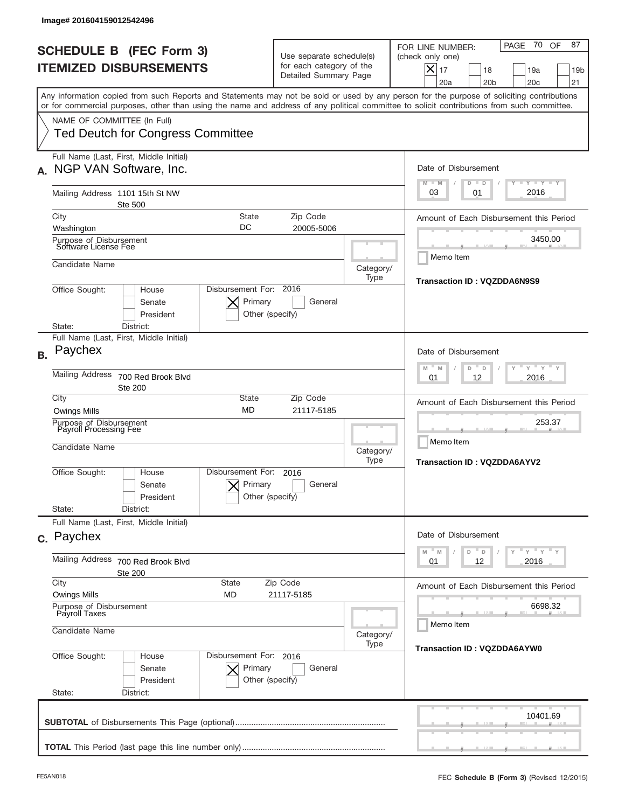| Image# 201604159012542496                                                                                                                                                                                                                                                                                                                                          |                                                                                                                                           |                      |                                                                                                                                                                               |  |  |
|--------------------------------------------------------------------------------------------------------------------------------------------------------------------------------------------------------------------------------------------------------------------------------------------------------------------------------------------------------------------|-------------------------------------------------------------------------------------------------------------------------------------------|----------------------|-------------------------------------------------------------------------------------------------------------------------------------------------------------------------------|--|--|
| <b>SCHEDULE B (FEC Form 3)</b><br><b>ITEMIZED DISBURSEMENTS</b>                                                                                                                                                                                                                                                                                                    | Use separate schedule(s)<br>for each category of the<br>Detailed Summary Page                                                             |                      | 70 OF<br>87<br>PAGE<br>FOR LINE NUMBER:<br>(check only one)<br>$\boldsymbol{\times}$<br>17<br>18<br>19a<br>19 <sub>b</sub><br>20a<br>20 <sub>b</sub><br>20 <sub>c</sub><br>21 |  |  |
| Any information copied from such Reports and Statements may not be sold or used by any person for the purpose of soliciting contributions<br>or for commercial purposes, other than using the name and address of any political committee to solicit contributions from such committee.<br>NAME OF COMMITTEE (In Full)<br><b>Ted Deutch for Congress Committee</b> |                                                                                                                                           |                      |                                                                                                                                                                               |  |  |
| Full Name (Last, First, Middle Initial)<br>NGP VAN Software, Inc.                                                                                                                                                                                                                                                                                                  |                                                                                                                                           |                      | Date of Disbursement<br>$T - Y$ $T - Y$<br>$M - M$<br>$D$ $D$                                                                                                                 |  |  |
| Mailing Address 1101 15th St NW<br>Ste 500                                                                                                                                                                                                                                                                                                                         | 2016<br>03<br>01                                                                                                                          |                      |                                                                                                                                                                               |  |  |
| City<br><b>State</b><br>DC<br>Washington<br>Purpose of Disbursement<br>Software License Fee                                                                                                                                                                                                                                                                        | Amount of Each Disbursement this Period<br>3450.00                                                                                        |                      |                                                                                                                                                                               |  |  |
| Candidate Name                                                                                                                                                                                                                                                                                                                                                     |                                                                                                                                           | Category/<br>Type    | Memo Item<br>Transaction ID: VQZDDA6N9S9                                                                                                                                      |  |  |
| Disbursement For: 2016<br>Office Sought:<br>House<br>Primary<br>General<br>Senate<br>President<br>Other (specify)<br>District:<br>State:                                                                                                                                                                                                                           |                                                                                                                                           |                      |                                                                                                                                                                               |  |  |
| Full Name (Last, First, Middle Initial)<br>Paychex<br><b>B.</b>                                                                                                                                                                                                                                                                                                    |                                                                                                                                           |                      | Date of Disbursement                                                                                                                                                          |  |  |
| <b>Mailing Address</b><br>700 Red Brook Blvd<br><b>Ste 200</b>                                                                                                                                                                                                                                                                                                     | $\cdots$ $\gamma$ $\cdots$ $\gamma$ $\cdots$<br>M<br>M<br>D<br>D<br>2016<br>01<br>12                                                      |                      |                                                                                                                                                                               |  |  |
| City<br>State<br><b>MD</b><br><b>Owings Mills</b>                                                                                                                                                                                                                                                                                                                  | Amount of Each Disbursement this Period                                                                                                   |                      |                                                                                                                                                                               |  |  |
| Purpose of Disbursement<br>Payroll Processing Fee<br>Candidate Name                                                                                                                                                                                                                                                                                                |                                                                                                                                           | Category/<br>Type    | 253.37<br>Memo Item<br><b>Transaction ID: VQZDDA6AYV2</b>                                                                                                                     |  |  |
| Disbursement For:<br>Office Sought:<br>House<br>Primary<br>Senate<br>President                                                                                                                                                                                                                                                                                     | 2016<br>General<br>Other (specify)                                                                                                        |                      |                                                                                                                                                                               |  |  |
| State:<br>District:<br>Full Name (Last, First, Middle Initial)                                                                                                                                                                                                                                                                                                     |                                                                                                                                           |                      |                                                                                                                                                                               |  |  |
| c. Paychex                                                                                                                                                                                                                                                                                                                                                         | Date of Disbursement<br>$\rightarrow$ $\rightarrow$ $\rightarrow$ $\rightarrow$ $\rightarrow$ $\rightarrow$<br>$\mathbb M$<br>M<br>D<br>D |                      |                                                                                                                                                                               |  |  |
| Mailing Address<br>700 Red Brook Blvd<br>Ste 200                                                                                                                                                                                                                                                                                                                   | 2016<br>01<br>12                                                                                                                          |                      |                                                                                                                                                                               |  |  |
| City<br><b>State</b><br><b>Owings Mills</b><br>MD                                                                                                                                                                                                                                                                                                                  | Zip Code<br>21117-5185                                                                                                                    |                      | Amount of Each Disbursement this Period                                                                                                                                       |  |  |
| Purpose of Disbursement<br>Payroll Taxes<br>Candidate Name                                                                                                                                                                                                                                                                                                         | Category/                                                                                                                                 | 6698.32<br>Memo Item |                                                                                                                                                                               |  |  |
| Office Sought:<br>Disbursement For: 2016<br>House<br>Primary<br>Senate<br>President<br>State:<br>District:                                                                                                                                                                                                                                                         | General<br>Other (specify)                                                                                                                | Type                 | <b>Transaction ID: VQZDDA6AYW0</b>                                                                                                                                            |  |  |
|                                                                                                                                                                                                                                                                                                                                                                    |                                                                                                                                           |                      | 10401.69                                                                                                                                                                      |  |  |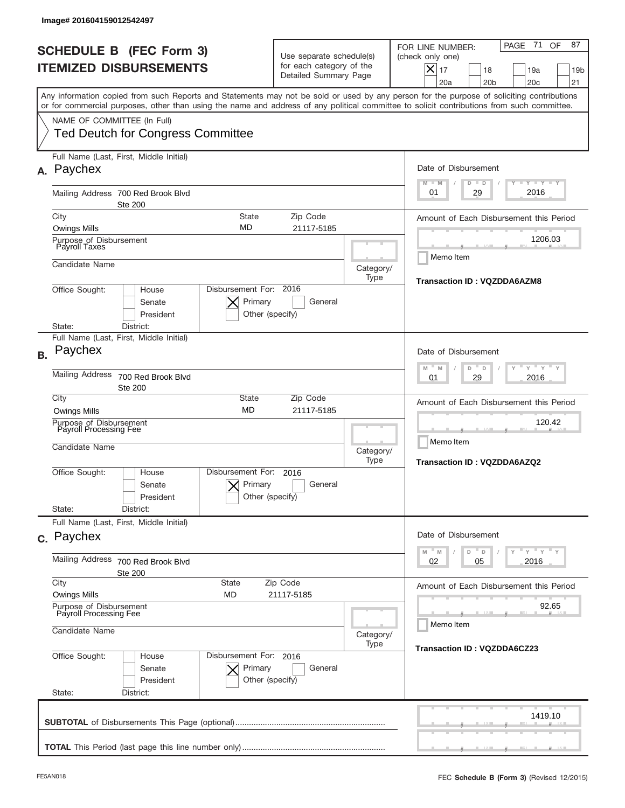|           | Image# 201604159012542497                                             |                                                                                                                       |                                                                                                          |                   |                                                                                                                                                                                                                                                                                         |  |
|-----------|-----------------------------------------------------------------------|-----------------------------------------------------------------------------------------------------------------------|----------------------------------------------------------------------------------------------------------|-------------------|-----------------------------------------------------------------------------------------------------------------------------------------------------------------------------------------------------------------------------------------------------------------------------------------|--|
|           | <b>SCHEDULE B (FEC Form 3)</b><br><b>ITEMIZED DISBURSEMENTS</b>       |                                                                                                                       | Use separate schedule(s)<br>for each category of the<br>Detailed Summary Page                            |                   | 87<br>71<br>OF<br>PAGE<br>FOR LINE NUMBER:<br>(check only one)<br>$X _{17}$<br>18<br>19a<br>19 <sub>b</sub><br>20a<br>20 <sub>b</sub><br>20 <sub>c</sub><br>21                                                                                                                          |  |
|           | NAME OF COMMITTEE (In Full)                                           |                                                                                                                       |                                                                                                          |                   | Any information copied from such Reports and Statements may not be sold or used by any person for the purpose of soliciting contributions<br>or for commercial purposes, other than using the name and address of any political committee to solicit contributions from such committee. |  |
|           | <b>Ted Deutch for Congress Committee</b>                              |                                                                                                                       |                                                                                                          |                   |                                                                                                                                                                                                                                                                                         |  |
| А.        | Full Name (Last, First, Middle Initial)<br>Paychex                    |                                                                                                                       |                                                                                                          |                   | Date of Disbursement<br><b>TEY TEY TEY</b><br>$M - M$<br>$D$ $D$                                                                                                                                                                                                                        |  |
|           | Mailing Address 700 Red Brook Blvd<br><b>Ste 200</b>                  |                                                                                                                       |                                                                                                          | 2016<br>29<br>01  |                                                                                                                                                                                                                                                                                         |  |
|           | City                                                                  | <b>State</b><br>Zip Code<br>MD<br><b>Owings Mills</b><br>21117-5185                                                   |                                                                                                          |                   |                                                                                                                                                                                                                                                                                         |  |
|           | Purpose of Disbursement<br>Payroll Taxes                              |                                                                                                                       |                                                                                                          | 1206.03           |                                                                                                                                                                                                                                                                                         |  |
|           | Candidate Name                                                        |                                                                                                                       |                                                                                                          | Category/<br>Type | Memo Item<br>Transaction ID: VQZDDA6AZM8                                                                                                                                                                                                                                                |  |
|           | Office Sought:<br>House<br>Senate<br>President<br>District:<br>State: | Disbursement For: 2016<br>Primary<br>Other (specify)                                                                  | General                                                                                                  |                   |                                                                                                                                                                                                                                                                                         |  |
| <b>B.</b> | Full Name (Last, First, Middle Initial)<br>Paychex                    |                                                                                                                       |                                                                                                          |                   | Date of Disbursement                                                                                                                                                                                                                                                                    |  |
|           | <b>Mailing Address</b><br>700 Red Brook Blvd<br><b>Ste 200</b>        |                                                                                                                       | $\mathbb{F}$ $\mathbb{Y}$ $\mathbb{F}$ $\mathbb{Y}$ $\mathbb{F}$<br>M<br>M<br>D<br>D<br>2016<br>01<br>29 |                   |                                                                                                                                                                                                                                                                                         |  |
|           | City<br><b>Owings Mills</b>                                           | State<br><b>MD</b>                                                                                                    | Zip Code<br>21117-5185                                                                                   |                   | Amount of Each Disbursement this Period                                                                                                                                                                                                                                                 |  |
|           | Purpose of Disbursement<br>Payroll Processing Fee                     |                                                                                                                       |                                                                                                          |                   | 120.42<br>Memo Item                                                                                                                                                                                                                                                                     |  |
|           | Candidate Name<br>Category/<br>Type                                   |                                                                                                                       |                                                                                                          |                   | <b>Transaction ID: VQZDDA6AZQ2</b>                                                                                                                                                                                                                                                      |  |
|           | Office Sought:<br>House<br>Senate<br>President                        | Disbursement For:<br>Primary<br>Other (specify)                                                                       | 2016<br>General                                                                                          |                   |                                                                                                                                                                                                                                                                                         |  |
|           | State:<br>District:                                                   |                                                                                                                       |                                                                                                          |                   |                                                                                                                                                                                                                                                                                         |  |
|           | Full Name (Last, First, Middle Initial)<br>c. Paychex                 |                                                                                                                       |                                                                                                          |                   | Date of Disbursement                                                                                                                                                                                                                                                                    |  |
|           | Mailing Address<br>700 Red Brook Blvd<br><b>Ste 200</b>               | $\mathbb{F}$ $\mathsf{y}$ $\mathbb{F}$ $\mathsf{y}$ $\mathbb{F}$ $\mathsf{y}$<br>M<br>D<br>M<br>D<br>02<br>2016<br>05 |                                                                                                          |                   |                                                                                                                                                                                                                                                                                         |  |
|           | City<br><b>Owings Mills</b>                                           | <b>State</b><br><b>MD</b>                                                                                             | Zip Code<br>21117-5185                                                                                   |                   | Amount of Each Disbursement this Period                                                                                                                                                                                                                                                 |  |
|           | Purpose of Disbursement<br>Payroll Processing Fee                     |                                                                                                                       |                                                                                                          |                   | 92.65<br>Memo Item                                                                                                                                                                                                                                                                      |  |
|           | Candidate Name                                                        | Category/<br>Type                                                                                                     | <b>Transaction ID: VQZDDA6CZ23</b>                                                                       |                   |                                                                                                                                                                                                                                                                                         |  |
|           | Office Sought:<br>House<br>Senate<br>President<br>State:<br>District: | Disbursement For: 2016<br>Primary<br>Other (specify)                                                                  | General                                                                                                  |                   |                                                                                                                                                                                                                                                                                         |  |
|           |                                                                       |                                                                                                                       |                                                                                                          |                   | 1419.10                                                                                                                                                                                                                                                                                 |  |
|           |                                                                       |                                                                                                                       |                                                                                                          |                   |                                                                                                                                                                                                                                                                                         |  |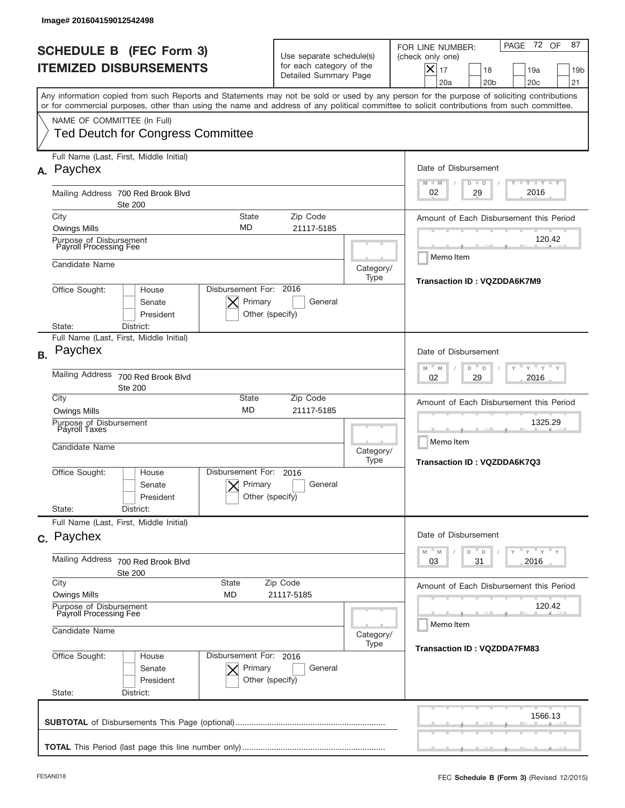|           | Image# 201604159012542498                                                                                                                                                                                                                                                                                              |                                                                                                               |                                                                               |                                                                                                                                                                                    |  |
|-----------|------------------------------------------------------------------------------------------------------------------------------------------------------------------------------------------------------------------------------------------------------------------------------------------------------------------------|---------------------------------------------------------------------------------------------------------------|-------------------------------------------------------------------------------|------------------------------------------------------------------------------------------------------------------------------------------------------------------------------------|--|
|           | <b>SCHEDULE B (FEC Form 3)</b><br><b>ITEMIZED DISBURSEMENTS</b>                                                                                                                                                                                                                                                        |                                                                                                               | Use separate schedule(s)<br>for each category of the<br>Detailed Summary Page | 72 OF<br>87<br>PAGE<br>FOR LINE NUMBER:<br>(check only one)<br>$X _{17}$<br>18<br>19a<br>19 <sub>b</sub><br>20a<br>20 <sub>b</sub><br>20 <sub>c</sub><br>21                        |  |
|           | Any information copied from such Reports and Statements may not be sold or used by any person for the purpose of soliciting contributions<br>or for commercial purposes, other than using the name and address of any political committee to solicit contributions from such committee.<br>NAME OF COMMITTEE (In Full) |                                                                                                               |                                                                               |                                                                                                                                                                                    |  |
|           | <b>Ted Deutch for Congress Committee</b>                                                                                                                                                                                                                                                                               |                                                                                                               |                                                                               |                                                                                                                                                                                    |  |
| А.        | Full Name (Last, First, Middle Initial)<br>Paychex                                                                                                                                                                                                                                                                     |                                                                                                               |                                                                               | Date of Disbursement<br>$\begin{array}{c c c c c c} \hline \textbf{I} & \textbf{Y} & \textbf{I} & \textbf{Y} & \textbf{I} & \textbf{Y} \\\hline \end{array}$<br>$M - M$<br>$D$ $D$ |  |
|           | Mailing Address 700 Red Brook Blvd<br><b>Ste 200</b>                                                                                                                                                                                                                                                                   |                                                                                                               | 2016<br>29<br>02                                                              |                                                                                                                                                                                    |  |
|           | City<br><b>State</b><br>MD<br><b>Owings Mills</b>                                                                                                                                                                                                                                                                      | Amount of Each Disbursement this Period                                                                       |                                                                               |                                                                                                                                                                                    |  |
|           | Purpose of Disbursement<br>Payroll Processing Fee                                                                                                                                                                                                                                                                      | 21117-5185                                                                                                    |                                                                               | 120.42                                                                                                                                                                             |  |
|           | Candidate Name                                                                                                                                                                                                                                                                                                         |                                                                                                               | Category/<br>Type                                                             | Memo Item<br>Transaction ID: VQZDDA6K7M9                                                                                                                                           |  |
|           | Disbursement For: 2016<br>Office Sought:<br>House<br>Primary<br>Senate<br>General<br>President<br>Other (specify)<br>District:<br>State:                                                                                                                                                                               |                                                                                                               |                                                                               |                                                                                                                                                                                    |  |
| <b>B.</b> | Full Name (Last, First, Middle Initial)<br>Paychex                                                                                                                                                                                                                                                                     |                                                                                                               |                                                                               | Date of Disbursement                                                                                                                                                               |  |
|           | <b>Mailing Address</b><br>700 Red Brook Blvd<br><b>Ste 200</b>                                                                                                                                                                                                                                                         | $\mathbb{F}$ $\mathbb{Y}$ $\mathbb{F}$ $\mathbb{Y}$ $\mathbb{F}$<br>M<br>M<br>D<br>D<br>2016<br>02<br>29      |                                                                               |                                                                                                                                                                                    |  |
|           | City<br><b>Owings Mills</b>                                                                                                                                                                                                                                                                                            | State<br>Zip Code<br><b>MD</b><br>21117-5185                                                                  |                                                                               | Amount of Each Disbursement this Period                                                                                                                                            |  |
|           | Purpose of Disbursement<br>Payroll Taxes                                                                                                                                                                                                                                                                               |                                                                                                               |                                                                               | 1325.29<br>Memo Item                                                                                                                                                               |  |
|           | Candidate Name                                                                                                                                                                                                                                                                                                         |                                                                                                               | Category/<br>Type                                                             | Transaction ID: VQZDDA6K7Q3                                                                                                                                                        |  |
|           | Disbursement For:<br>Office Sought:<br>House<br>Senate<br>President                                                                                                                                                                                                                                                    | 2016<br>Primary<br>General<br>Other (specify)                                                                 |                                                                               |                                                                                                                                                                                    |  |
|           | State:<br>District:                                                                                                                                                                                                                                                                                                    |                                                                                                               |                                                                               |                                                                                                                                                                                    |  |
|           | Full Name (Last, First, Middle Initial)<br>c. Paychex                                                                                                                                                                                                                                                                  |                                                                                                               |                                                                               | Date of Disbursement                                                                                                                                                               |  |
|           | Mailing Address<br>700 Red Brook Blvd<br><b>Ste 200</b>                                                                                                                                                                                                                                                                | $\rightarrow$ $\rightarrow$ $\rightarrow$ $\rightarrow$ $\rightarrow$<br>M<br>D<br>M<br>D<br>2016<br>03<br>31 |                                                                               |                                                                                                                                                                                    |  |
|           | City<br><b>State</b><br><b>Owings Mills</b><br><b>MD</b>                                                                                                                                                                                                                                                               | Zip Code<br>21117-5185                                                                                        |                                                                               | Amount of Each Disbursement this Period                                                                                                                                            |  |
|           | Purpose of Disbursement<br>Payroll Processing Fee                                                                                                                                                                                                                                                                      |                                                                                                               | 120.42<br>Memo Item                                                           |                                                                                                                                                                                    |  |
|           | Candidate Name                                                                                                                                                                                                                                                                                                         | Category/<br>Type                                                                                             | <b>Transaction ID: VQZDDA7FM83</b>                                            |                                                                                                                                                                                    |  |
|           | Office Sought:<br>House<br>Senate<br>President<br>State:<br>District:                                                                                                                                                                                                                                                  | Disbursement For: 2016<br>Primary<br>General<br>Other (specify)                                               |                                                                               |                                                                                                                                                                                    |  |
|           |                                                                                                                                                                                                                                                                                                                        |                                                                                                               |                                                                               | 1566.13                                                                                                                                                                            |  |
|           |                                                                                                                                                                                                                                                                                                                        |                                                                                                               |                                                                               |                                                                                                                                                                                    |  |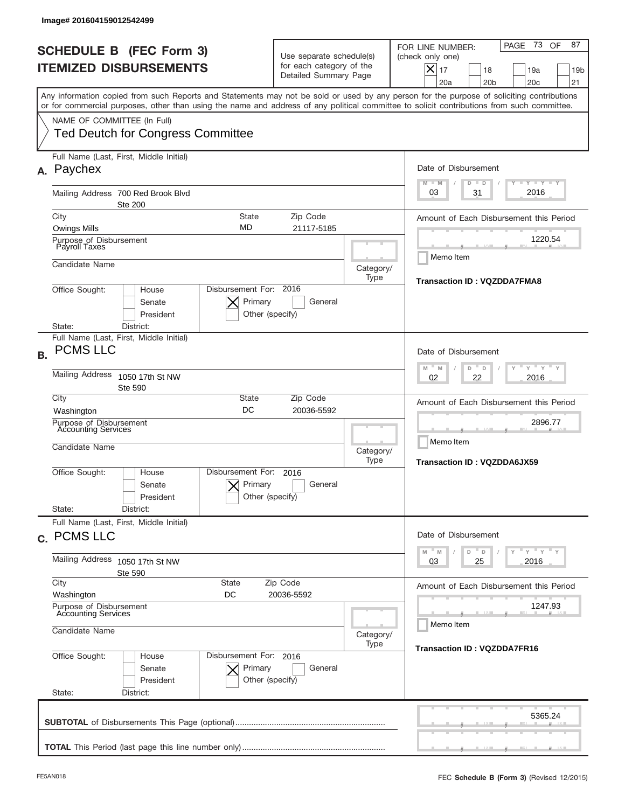|           | Image# 201604159012542499                                                                                                                                                                                                                                                                                              |                                                                               |                                    |                                                                                                                                                             |
|-----------|------------------------------------------------------------------------------------------------------------------------------------------------------------------------------------------------------------------------------------------------------------------------------------------------------------------------|-------------------------------------------------------------------------------|------------------------------------|-------------------------------------------------------------------------------------------------------------------------------------------------------------|
|           | <b>SCHEDULE B (FEC Form 3)</b><br><b>ITEMIZED DISBURSEMENTS</b>                                                                                                                                                                                                                                                        | Use separate schedule(s)<br>for each category of the<br>Detailed Summary Page |                                    | 73 OF<br>87<br>PAGE<br>FOR LINE NUMBER:<br>(check only one)<br>$X _{17}$<br>18<br>19a<br>19 <sub>b</sub><br>20a<br>20 <sub>b</sub><br>20 <sub>c</sub><br>21 |
|           | Any information copied from such Reports and Statements may not be sold or used by any person for the purpose of soliciting contributions<br>or for commercial purposes, other than using the name and address of any political committee to solicit contributions from such committee.<br>NAME OF COMMITTEE (In Full) |                                                                               |                                    |                                                                                                                                                             |
|           | <b>Ted Deutch for Congress Committee</b>                                                                                                                                                                                                                                                                               |                                                                               |                                    |                                                                                                                                                             |
| А.        | Full Name (Last, First, Middle Initial)<br>Paychex                                                                                                                                                                                                                                                                     |                                                                               |                                    | Date of Disbursement<br>$T - Y$ $T - Y$<br>$M - M$<br>$D$ $D$                                                                                               |
|           | Mailing Address 700 Red Brook Blvd<br><b>Ste 200</b>                                                                                                                                                                                                                                                                   |                                                                               |                                    | 2016<br>03<br>31                                                                                                                                            |
|           | City<br><b>State</b><br>MD<br><b>Owings Mills</b>                                                                                                                                                                                                                                                                      | Zip Code<br>21117-5185                                                        |                                    | Amount of Each Disbursement this Period                                                                                                                     |
|           | Purpose of Disbursement<br>Payroll Taxes                                                                                                                                                                                                                                                                               |                                                                               |                                    | 1220.54                                                                                                                                                     |
|           | Candidate Name                                                                                                                                                                                                                                                                                                         |                                                                               | Category/<br>Type                  | Memo Item<br><b>Transaction ID: VQZDDA7FMA8</b>                                                                                                             |
|           | Disbursement For: 2016<br>Office Sought:<br>House<br>Primary<br>Senate<br>President<br>State:<br>District:                                                                                                                                                                                                             | General<br>Other (specify)                                                    |                                    |                                                                                                                                                             |
| <b>B.</b> | Full Name (Last, First, Middle Initial)<br><b>PCMS LLC</b>                                                                                                                                                                                                                                                             |                                                                               |                                    | Date of Disbursement<br>$\cdots$ $\gamma$ $\cdots$ $\gamma$ $\cdots$                                                                                        |
|           | <b>Mailing Address</b><br>1050 17th St NW<br><b>Ste 590</b>                                                                                                                                                                                                                                                            | M<br>M<br>D<br>D<br>2016<br>02<br>22                                          |                                    |                                                                                                                                                             |
|           | City<br>State<br>DC<br>Washington                                                                                                                                                                                                                                                                                      | Zip Code<br>20036-5592                                                        |                                    | Amount of Each Disbursement this Period                                                                                                                     |
|           | Purpose of Disbursement<br>Accounting Services<br>Candidate Name                                                                                                                                                                                                                                                       |                                                                               |                                    | 2896.77<br>Memo Item                                                                                                                                        |
|           |                                                                                                                                                                                                                                                                                                                        |                                                                               | <b>Transaction ID: VQZDDA6JX59</b> |                                                                                                                                                             |
|           | Disbursement For:<br>Office Sought:<br>House<br>Primary<br>Senate<br>President                                                                                                                                                                                                                                         | 2016<br>General<br>Other (specify)                                            |                                    |                                                                                                                                                             |
|           | State:<br>District:<br>Full Name (Last, First, Middle Initial)                                                                                                                                                                                                                                                         |                                                                               |                                    |                                                                                                                                                             |
|           | c. PCMS LLC                                                                                                                                                                                                                                                                                                            |                                                                               |                                    | Date of Disbursement<br>$\rightarrow$ $\rightarrow$ $\rightarrow$ $\rightarrow$ $\rightarrow$ $\rightarrow$<br>M<br>$\mathbb M$<br>D<br>D                   |
|           | Mailing Address 1050 17th St NW<br>Ste 590                                                                                                                                                                                                                                                                             | 25<br>2016<br>03                                                              |                                    |                                                                                                                                                             |
|           | City<br><b>State</b><br>Washington<br>DC                                                                                                                                                                                                                                                                               | Zip Code<br>20036-5592                                                        |                                    | Amount of Each Disbursement this Period                                                                                                                     |
|           | Purpose of Disbursement<br><b>Accounting Services</b>                                                                                                                                                                                                                                                                  |                                                                               | 1247.93<br>Memo Item               |                                                                                                                                                             |
|           | Candidate Name<br>Disbursement For: 2016                                                                                                                                                                                                                                                                               | <b>Transaction ID: VQZDDA7FR16</b>                                            |                                    |                                                                                                                                                             |
|           | Office Sought:<br>House<br>Primary<br>Senate<br>President<br>State:<br>District:                                                                                                                                                                                                                                       | General<br>Other (specify)                                                    |                                    |                                                                                                                                                             |
|           |                                                                                                                                                                                                                                                                                                                        |                                                                               |                                    | 5365.24                                                                                                                                                     |
|           |                                                                                                                                                                                                                                                                                                                        |                                                                               |                                    |                                                                                                                                                             |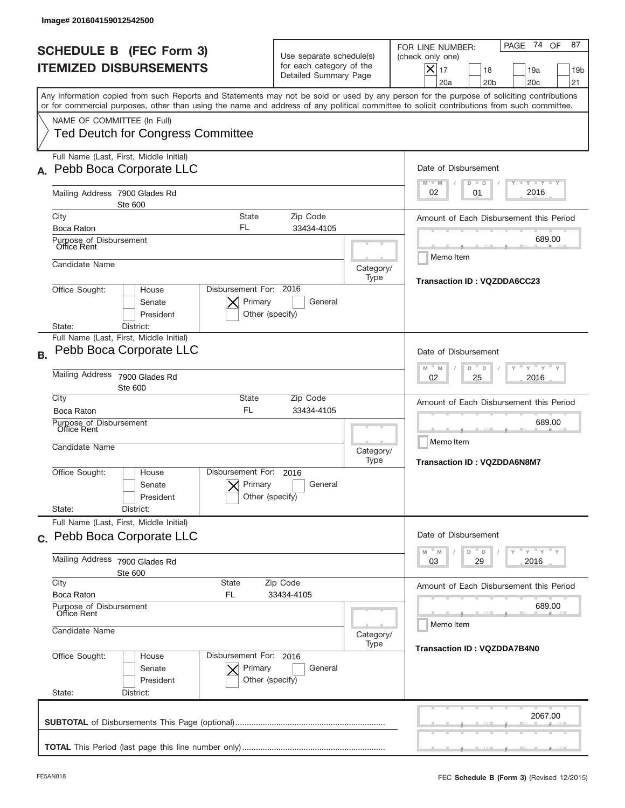| <b>SCHEDULE B (FEC Form 3)</b><br><b>ITEMIZED DISBURSEMENTS</b>                                                                                                                                                                                                                         | Use separate schedule(s)<br>for each category of the<br>Detailed Summary Page        |                     | 74 OF<br>87<br>PAGE<br>FOR LINE NUMBER:<br>(check only one)<br>$ \boldsymbol{\times} $<br>17<br>18<br>19a<br>19 <sub>b</sub><br>20a<br>20 <sub>b</sub><br>20c<br>21 |  |
|-----------------------------------------------------------------------------------------------------------------------------------------------------------------------------------------------------------------------------------------------------------------------------------------|--------------------------------------------------------------------------------------|---------------------|---------------------------------------------------------------------------------------------------------------------------------------------------------------------|--|
| Any information copied from such Reports and Statements may not be sold or used by any person for the purpose of soliciting contributions<br>or for commercial purposes, other than using the name and address of any political committee to solicit contributions from such committee. |                                                                                      |                     |                                                                                                                                                                     |  |
| NAME OF COMMITTEE (In Full)<br><b>Ted Deutch for Congress Committee</b>                                                                                                                                                                                                                 |                                                                                      |                     |                                                                                                                                                                     |  |
| Full Name (Last, First, Middle Initial)<br>Pebb Boca Corporate LLC                                                                                                                                                                                                                      |                                                                                      |                     | Date of Disbursement<br>$T - Y$ $T - Y$                                                                                                                             |  |
| Mailing Address 7900 Glades Rd<br>Ste 600                                                                                                                                                                                                                                               |                                                                                      |                     | $M - M$<br>$D$ $D$<br>2016<br>02<br>01                                                                                                                              |  |
| City<br>FL<br>Boca Raton                                                                                                                                                                                                                                                                | Zip Code<br>State<br>33434-4105                                                      |                     | Amount of Each Disbursement this Period                                                                                                                             |  |
| Purpose of Disbursement<br>Office Rent                                                                                                                                                                                                                                                  |                                                                                      |                     | 689.00                                                                                                                                                              |  |
| Candidate Name                                                                                                                                                                                                                                                                          |                                                                                      | Category/<br>Type   | Memo Item<br>Transaction ID: VQZDDA6CC23                                                                                                                            |  |
| Office Sought:<br>House<br>Senate<br>President<br>District:<br>State:                                                                                                                                                                                                                   | Disbursement For: 2016<br>Primary<br>General<br>Other (specify)                      |                     |                                                                                                                                                                     |  |
| Full Name (Last, First, Middle Initial)<br>Pebb Boca Corporate LLC<br><b>B.</b>                                                                                                                                                                                                         |                                                                                      |                     | Date of Disbursement                                                                                                                                                |  |
| <b>Mailing Address</b><br>7900 Glades Rd<br>Ste 600                                                                                                                                                                                                                                     | $\cdots$ $\gamma$ $\cdots$ $\gamma$ $\cdots$<br>M<br>M<br>D<br>D<br>2016<br>02<br>25 |                     |                                                                                                                                                                     |  |
| City<br>Boca Raton                                                                                                                                                                                                                                                                      | State<br>Zip Code<br><b>FL</b><br>33434-4105                                         |                     | Amount of Each Disbursement this Period                                                                                                                             |  |
| Purpose of Disbursement<br>Office Rent<br>Candidate Name                                                                                                                                                                                                                                | Category/                                                                            | 689.00<br>Memo Item |                                                                                                                                                                     |  |
| Disbursement For:<br>Office Sought:<br>House<br>Senate<br>President                                                                                                                                                                                                                     | 2016<br>Primary<br>General<br>Other (specify)                                        | Type                | <b>Transaction ID: VQZDDA6N8M7</b>                                                                                                                                  |  |
| State:<br>District:<br>Full Name (Last, First, Middle Initial)                                                                                                                                                                                                                          |                                                                                      |                     |                                                                                                                                                                     |  |
| c. Pebb Boca Corporate LLC                                                                                                                                                                                                                                                              |                                                                                      |                     | Date of Disbursement<br>$Y = Y + Y$<br>$M$ <sup><math>=</math></sup><br>M<br>D<br>$\Box$                                                                            |  |
| Mailing Address<br>7900 Glades Rd<br>Ste 600                                                                                                                                                                                                                                            | City<br><b>State</b><br>Zip Code<br>Boca Raton<br>33434-4105                         |                     |                                                                                                                                                                     |  |
| FL                                                                                                                                                                                                                                                                                      |                                                                                      |                     |                                                                                                                                                                     |  |
| Purpose of Disbursement<br>Office Rent<br>Candidate Name                                                                                                                                                                                                                                | 689.00<br>Memo Item                                                                  |                     |                                                                                                                                                                     |  |
| Office Sought:<br>House<br>Senate<br>President<br>State:<br>District:                                                                                                                                                                                                                   | Disbursement For: 2016<br>Primary<br>General<br>Other (specify)                      | Category/<br>Type   | <b>Transaction ID: VQZDDA7B4N0</b>                                                                                                                                  |  |
|                                                                                                                                                                                                                                                                                         |                                                                                      |                     | 2067.00                                                                                                                                                             |  |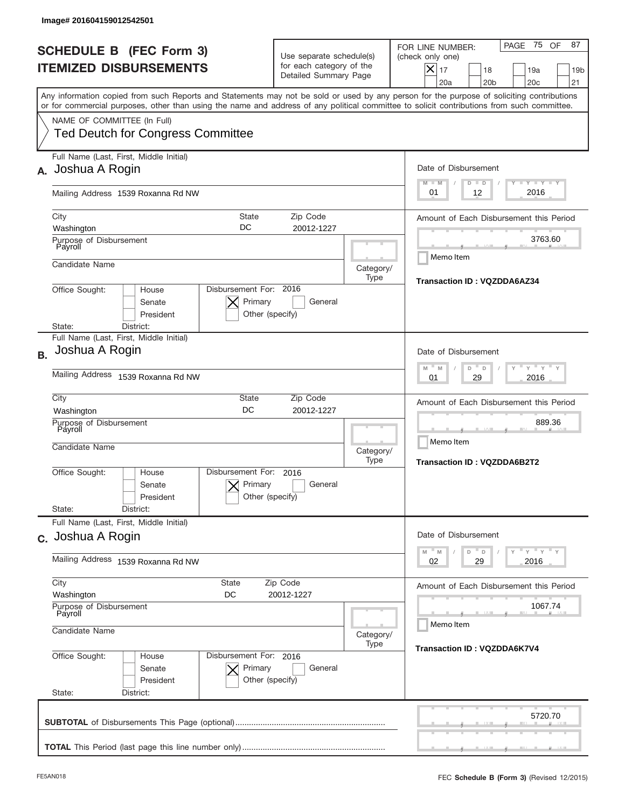|           | Image# 201604159012542501                                                                                                                                                                                                                                                                                              |                                                                               |                   |                                                                                                                                                          |
|-----------|------------------------------------------------------------------------------------------------------------------------------------------------------------------------------------------------------------------------------------------------------------------------------------------------------------------------|-------------------------------------------------------------------------------|-------------------|----------------------------------------------------------------------------------------------------------------------------------------------------------|
|           | <b>SCHEDULE B (FEC Form 3)</b><br><b>ITEMIZED DISBURSEMENTS</b>                                                                                                                                                                                                                                                        | Use separate schedule(s)<br>for each category of the<br>Detailed Summary Page |                   | PAGE 75 OF<br>87<br>FOR LINE NUMBER:<br>(check only one)<br>$X _{17}$<br>18<br>19a<br>19 <sub>b</sub><br>20a<br>20 <sub>b</sub><br>20 <sub>c</sub><br>21 |
|           | Any information copied from such Reports and Statements may not be sold or used by any person for the purpose of soliciting contributions<br>or for commercial purposes, other than using the name and address of any political committee to solicit contributions from such committee.<br>NAME OF COMMITTEE (In Full) |                                                                               |                   |                                                                                                                                                          |
|           | <b>Ted Deutch for Congress Committee</b><br>Full Name (Last, First, Middle Initial)                                                                                                                                                                                                                                    |                                                                               |                   |                                                                                                                                                          |
| А.        | Joshua A Rogin                                                                                                                                                                                                                                                                                                         |                                                                               |                   | Date of Disbursement<br>Y I Y I Y I Y<br>$M - M$<br>$D$ $D$                                                                                              |
|           | Mailing Address 1539 Roxanna Rd NW                                                                                                                                                                                                                                                                                     |                                                                               |                   | 2016<br>01<br>12                                                                                                                                         |
|           | City<br>State<br>DC<br>Washington                                                                                                                                                                                                                                                                                      | Zip Code<br>20012-1227                                                        |                   | Amount of Each Disbursement this Period                                                                                                                  |
|           | Purpose of Disbursement<br>Payroll                                                                                                                                                                                                                                                                                     |                                                                               |                   | 3763.60<br>Memo Item                                                                                                                                     |
|           | Candidate Name                                                                                                                                                                                                                                                                                                         |                                                                               | Category/<br>Type | Transaction ID: VQZDDA6AZ34                                                                                                                              |
|           | Disbursement For: 2016<br>Office Sought:<br>House<br>Primary<br>Senate<br>President<br>Other (specify)<br>District:<br>State:                                                                                                                                                                                          |                                                                               |                   |                                                                                                                                                          |
|           | Full Name (Last, First, Middle Initial)                                                                                                                                                                                                                                                                                |                                                                               |                   |                                                                                                                                                          |
| <b>B.</b> | Joshua A Rogin                                                                                                                                                                                                                                                                                                         |                                                                               |                   | Date of Disbursement<br>$\cdots$ $\gamma$ $\cdots$ $\gamma$ $\cdots$ $\gamma$<br>M<br>D<br>M<br>D                                                        |
|           | Mailing Address 1539 Roxanna Rd NW                                                                                                                                                                                                                                                                                     | 2016<br>01<br>29                                                              |                   |                                                                                                                                                          |
|           | City<br>State<br>DC<br>Washington                                                                                                                                                                                                                                                                                      | Amount of Each Disbursement this Period                                       |                   |                                                                                                                                                          |
|           | Purpose of Disbursement<br>Payroll<br>Candidate Name                                                                                                                                                                                                                                                                   |                                                                               |                   | 889.36<br>Memo Item<br><b>Transaction ID: VQZDDA6B2T2</b>                                                                                                |
|           | Disbursement For:<br>Office Sought:<br>House<br>Primary<br>Senate<br>President<br>State:<br>District:                                                                                                                                                                                                                  | 2016<br>General<br>Other (specify)                                            |                   |                                                                                                                                                          |
|           | Full Name (Last, First, Middle Initial)                                                                                                                                                                                                                                                                                |                                                                               |                   |                                                                                                                                                          |
|           | c. Joshua A Rogin                                                                                                                                                                                                                                                                                                      |                                                                               |                   | Date of Disbursement<br>$\overline{y}$ $\overline{y}$ $\overline{y}$ $\overline{y}$ $\overline{y}$<br>M<br>D<br>M<br>D                                   |
|           | Mailing Address 1539 Roxanna Rd NW                                                                                                                                                                                                                                                                                     | 02<br>2016<br>29                                                              |                   |                                                                                                                                                          |
|           | City<br>State<br>Washington<br>DC                                                                                                                                                                                                                                                                                      | Amount of Each Disbursement this Period                                       |                   |                                                                                                                                                          |
|           | Purpose of Disbursement<br>Payroll                                                                                                                                                                                                                                                                                     |                                                                               |                   | 1067.74<br>Memo Item                                                                                                                                     |
|           | Candidate Name<br>Category/<br>Type                                                                                                                                                                                                                                                                                    |                                                                               |                   | <b>Transaction ID: VQZDDA6K7V4</b>                                                                                                                       |
|           | Office Sought:<br>Disbursement For: 2016<br>House<br>Senate<br>Primary<br>President<br>State:<br>District:                                                                                                                                                                                                             | General<br>Other (specify)                                                    |                   |                                                                                                                                                          |
|           |                                                                                                                                                                                                                                                                                                                        |                                                                               |                   | 5720.70                                                                                                                                                  |
|           |                                                                                                                                                                                                                                                                                                                        |                                                                               |                   |                                                                                                                                                          |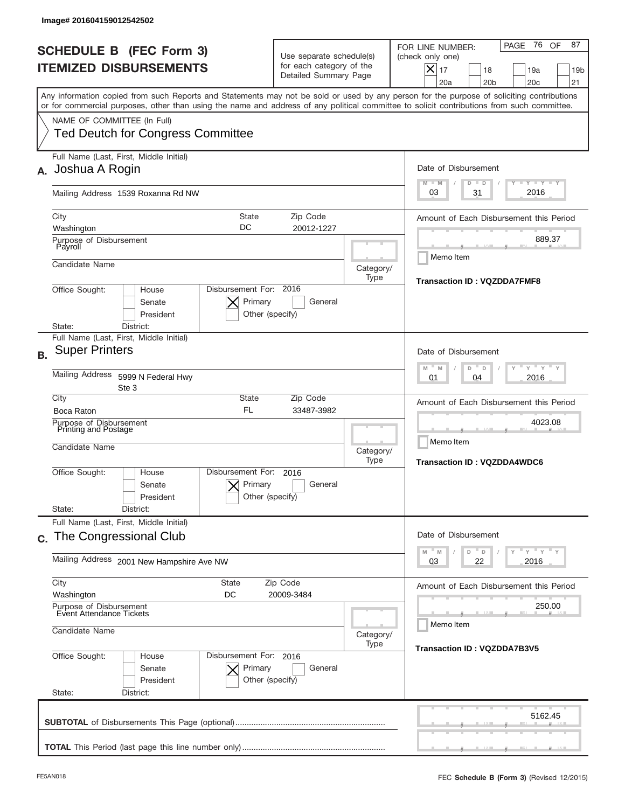|           | Image# 201604159012542502                                                                                                                                                                                                                                                               |                                                                                                                             |                   |                                                                                                                                                             |
|-----------|-----------------------------------------------------------------------------------------------------------------------------------------------------------------------------------------------------------------------------------------------------------------------------------------|-----------------------------------------------------------------------------------------------------------------------------|-------------------|-------------------------------------------------------------------------------------------------------------------------------------------------------------|
|           | <b>SCHEDULE B (FEC Form 3)</b><br><b>ITEMIZED DISBURSEMENTS</b>                                                                                                                                                                                                                         | Use separate schedule(s)<br>for each category of the<br>Detailed Summary Page                                               |                   | 76 OF<br>87<br>PAGE<br>FOR LINE NUMBER:<br>(check only one)<br>$X _{17}$<br>18<br>19a<br>19 <sub>b</sub><br>20a<br>20 <sub>b</sub><br>20 <sub>c</sub><br>21 |
|           | Any information copied from such Reports and Statements may not be sold or used by any person for the purpose of soliciting contributions<br>or for commercial purposes, other than using the name and address of any political committee to solicit contributions from such committee. |                                                                                                                             |                   |                                                                                                                                                             |
|           | NAME OF COMMITTEE (In Full)<br><b>Ted Deutch for Congress Committee</b>                                                                                                                                                                                                                 |                                                                                                                             |                   |                                                                                                                                                             |
| А.        | Full Name (Last, First, Middle Initial)<br>Joshua A Rogin                                                                                                                                                                                                                               |                                                                                                                             |                   | Date of Disbursement<br><b>TEY TEY TEY</b><br>$M - M$<br>$D$ $D$                                                                                            |
|           | Mailing Address 1539 Roxanna Rd NW                                                                                                                                                                                                                                                      |                                                                                                                             |                   | 2016<br>31<br>03                                                                                                                                            |
|           | City<br>State<br>DC<br>Washington                                                                                                                                                                                                                                                       | Zip Code<br>20012-1227                                                                                                      |                   | Amount of Each Disbursement this Period                                                                                                                     |
|           | Purpose of Disbursement<br>Payroll<br>Candidate Name                                                                                                                                                                                                                                    |                                                                                                                             |                   | 889.37<br>Memo Item                                                                                                                                         |
|           | Disbursement For: 2016<br>Office Sought:<br>House<br>Primary<br>Senate<br>President                                                                                                                                                                                                     | General<br>Other (specify)                                                                                                  | Category/<br>Type | <b>Transaction ID: VQZDDA7FMF8</b>                                                                                                                          |
| <b>B.</b> | District:<br>State:<br>Full Name (Last, First, Middle Initial)<br><b>Super Printers</b><br>Mailing Address 5999 N Federal Hwy                                                                                                                                                           |                                                                                                                             |                   | Date of Disbursement<br>$-\gamma + \gamma +$<br>M<br>M<br>D<br>D<br>2016<br>01<br>04                                                                        |
|           | Ste 3<br>City<br>State<br><b>FL</b><br>Boca Raton<br>Purpose of Disbursement<br>Printing and Postage<br>Candidate Name                                                                                                                                                                  | Zip Code<br>33487-3982                                                                                                      | Category/         | Amount of Each Disbursement this Period<br>4023.08<br>Memo Item                                                                                             |
|           | Disbursement For:<br>Office Sought:<br>House<br>Primary<br>Senate<br>President<br>State:<br>District:                                                                                                                                                                                   | 2016<br>General<br>Other (specify)                                                                                          | Type              | <b>Transaction ID: VQZDDA4WDC6</b>                                                                                                                          |
|           | Full Name (Last, First, Middle Initial)<br>c. The Congressional Club                                                                                                                                                                                                                    |                                                                                                                             |                   | Date of Disbursement                                                                                                                                        |
|           | Mailing Address 2001 New Hampshire Ave NW                                                                                                                                                                                                                                               | $\rightarrow$ $\rightarrow$ $\rightarrow$ $\rightarrow$ $\rightarrow$ $\rightarrow$<br>M<br>D<br>M<br>D<br>22<br>2016<br>03 |                   |                                                                                                                                                             |
|           | City<br><b>State</b><br>Zip Code<br>Washington<br>DC<br>Purpose of Disbursement<br>Event Attendance Tickets                                                                                                                                                                             | Amount of Each Disbursement this Period<br>250.00                                                                           |                   |                                                                                                                                                             |
|           | Candidate Name<br>Category/                                                                                                                                                                                                                                                             |                                                                                                                             |                   | Memo Item                                                                                                                                                   |
|           | Office Sought:<br>Disbursement For: 2016<br>House<br>Primary<br>Senate<br>President<br>State:<br>District:                                                                                                                                                                              | General<br>Other (specify)                                                                                                  | Type              | <b>Transaction ID: VQZDDA7B3V5</b>                                                                                                                          |
|           |                                                                                                                                                                                                                                                                                         |                                                                                                                             |                   | 5162.45                                                                                                                                                     |
|           |                                                                                                                                                                                                                                                                                         |                                                                                                                             |                   |                                                                                                                                                             |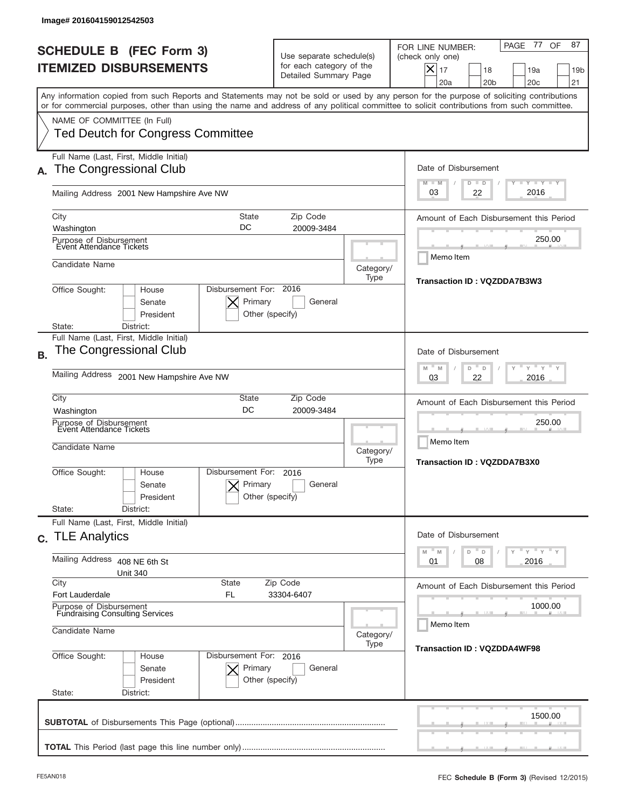|           | Image# 201604159012542503                                                                                                                                                                                                                                                                                              |                                                                               |                     |                                                                                                                                                                |
|-----------|------------------------------------------------------------------------------------------------------------------------------------------------------------------------------------------------------------------------------------------------------------------------------------------------------------------------|-------------------------------------------------------------------------------|---------------------|----------------------------------------------------------------------------------------------------------------------------------------------------------------|
|           | <b>SCHEDULE B (FEC Form 3)</b><br><b>ITEMIZED DISBURSEMENTS</b>                                                                                                                                                                                                                                                        | Use separate schedule(s)<br>for each category of the<br>Detailed Summary Page |                     | 77<br>87<br>PAGE<br>OF<br>FOR LINE NUMBER:<br>(check only one)<br>$X _{17}$<br>18<br>19a<br>19 <sub>b</sub><br>20 <sub>b</sub><br>20 <sub>c</sub><br>21<br>20a |
|           | Any information copied from such Reports and Statements may not be sold or used by any person for the purpose of soliciting contributions<br>or for commercial purposes, other than using the name and address of any political committee to solicit contributions from such committee.<br>NAME OF COMMITTEE (In Full) |                                                                               |                     |                                                                                                                                                                |
|           | <b>Ted Deutch for Congress Committee</b>                                                                                                                                                                                                                                                                               |                                                                               |                     |                                                                                                                                                                |
|           | Full Name (Last, First, Middle Initial)<br>The Congressional Club                                                                                                                                                                                                                                                      |                                                                               |                     | Date of Disbursement<br><b>TAN TANK TANK</b><br>$M - M$<br>$D$ $D$                                                                                             |
|           | Mailing Address 2001 New Hampshire Ave NW                                                                                                                                                                                                                                                                              |                                                                               |                     | 2016<br>03<br>22                                                                                                                                               |
|           | City<br><b>State</b><br>DC<br>Washington                                                                                                                                                                                                                                                                               | Zip Code<br>20009-3484                                                        |                     | Amount of Each Disbursement this Period                                                                                                                        |
|           | Purpose of Disbursement<br>Event Attendance Tickets                                                                                                                                                                                                                                                                    |                                                                               | 250.00<br>Memo Item |                                                                                                                                                                |
|           | Candidate Name                                                                                                                                                                                                                                                                                                         |                                                                               | Category/<br>Type   | Transaction ID: VQZDDA7B3W3                                                                                                                                    |
|           | Disbursement For: 2016<br>Office Sought:<br>House<br>Primary<br>Senate<br>President<br>Other (specify)<br>District:<br>State:                                                                                                                                                                                          |                                                                               |                     |                                                                                                                                                                |
| <b>B.</b> | Full Name (Last, First, Middle Initial)<br>The Congressional Club                                                                                                                                                                                                                                                      |                                                                               |                     | Date of Disbursement<br>$-M$<br>$Y = Y$<br>M<br>D<br>D                                                                                                         |
|           | Mailing Address<br>2001 New Hampshire Ave NW                                                                                                                                                                                                                                                                           | 2016<br>03<br>22                                                              |                     |                                                                                                                                                                |
|           | City<br>State<br>DC<br>Washington                                                                                                                                                                                                                                                                                      | Zip Code<br>20009-3484                                                        |                     | Amount of Each Disbursement this Period                                                                                                                        |
|           | Purpose of Disbursement<br>Event Attendance Tickets<br>Candidate Name                                                                                                                                                                                                                                                  |                                                                               | Category/<br>Type   | 250.00<br>Memo Item                                                                                                                                            |
|           | Disbursement For:<br>Office Sought:<br>House<br>Primary<br>Senate<br>President<br>State:<br>District:                                                                                                                                                                                                                  | 2016<br>General<br>Other (specify)                                            |                     | <b>Transaction ID: VQZDDA7B3X0</b>                                                                                                                             |
|           | Full Name (Last, First, Middle Initial)<br>c. TLE Analytics                                                                                                                                                                                                                                                            |                                                                               |                     | Date of Disbursement                                                                                                                                           |
|           | Mailing Address 408 NE 6th St<br><b>Unit 340</b>                                                                                                                                                                                                                                                                       | $-\gamma + \gamma + \gamma$<br>D<br>M<br>M<br>D<br>08<br>2016<br>01           |                     |                                                                                                                                                                |
|           | City<br><b>State</b><br>Zip Code<br>Fort Lauderdale<br>FL<br>33304-6407                                                                                                                                                                                                                                                | Amount of Each Disbursement this Period                                       |                     |                                                                                                                                                                |
|           | Purpose of Disbursement<br><b>Fundraising Consulting Services</b><br>Candidate Name<br>Category/                                                                                                                                                                                                                       |                                                                               |                     | 1000.00<br>Memo Item                                                                                                                                           |
|           | Office Sought:<br>Disbursement For: 2016<br>House<br>Primary<br>Senate<br>President<br>State:<br>District:                                                                                                                                                                                                             | General<br>Other (specify)                                                    | Type                | <b>Transaction ID: VQZDDA4WF98</b>                                                                                                                             |
|           |                                                                                                                                                                                                                                                                                                                        |                                                                               |                     | 1500.00                                                                                                                                                        |
|           |                                                                                                                                                                                                                                                                                                                        |                                                                               |                     |                                                                                                                                                                |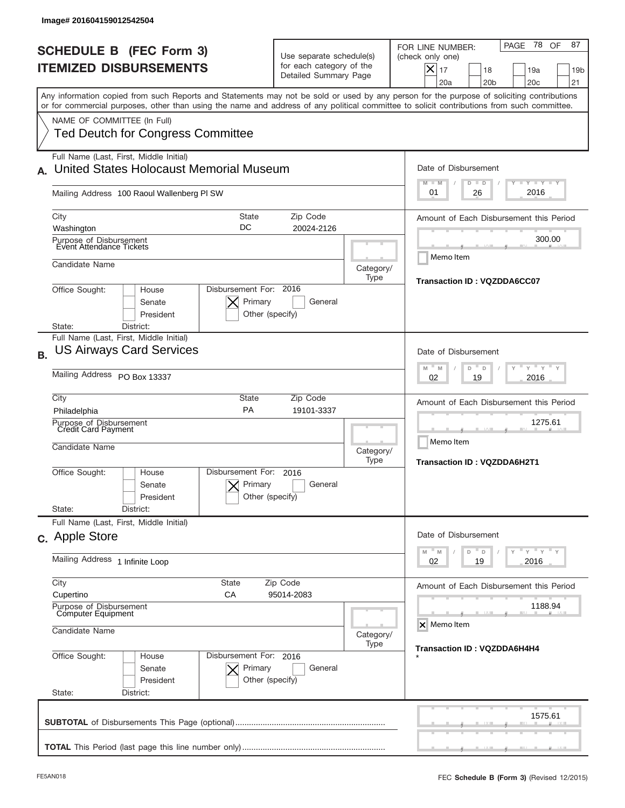| <b>SCHEDULE B (FEC Form 3)</b><br><b>ITEMIZED DISBURSEMENTS</b>                                                                                                                                                                                                                                                                                                    | Use separate schedule(s)<br>for each category of the<br>Detailed Summary Page |                   | 78 OF<br>87<br>PAGE<br>FOR LINE NUMBER:<br>(check only one)<br>$ \boldsymbol{\times} $<br>17<br>18<br>19a<br>19 <sub>b</sub><br>20a<br>20 <sub>b</sub><br>20 <sub>c</sub><br>21                                |
|--------------------------------------------------------------------------------------------------------------------------------------------------------------------------------------------------------------------------------------------------------------------------------------------------------------------------------------------------------------------|-------------------------------------------------------------------------------|-------------------|----------------------------------------------------------------------------------------------------------------------------------------------------------------------------------------------------------------|
| Any information copied from such Reports and Statements may not be sold or used by any person for the purpose of soliciting contributions<br>or for commercial purposes, other than using the name and address of any political committee to solicit contributions from such committee.<br>NAME OF COMMITTEE (In Full)<br><b>Ted Deutch for Congress Committee</b> |                                                                               |                   |                                                                                                                                                                                                                |
| Full Name (Last, First, Middle Initial)<br>United States Holocaust Memorial Museum<br>Mailing Address 100 Raoul Wallenberg PI SW                                                                                                                                                                                                                                   |                                                                               |                   | Date of Disbursement<br>$T - Y$ $T - Y$<br>$M - M$<br>$D$ $D$<br>2016<br>01<br>26                                                                                                                              |
| City<br><b>State</b><br>DC<br>Washington<br>Purpose of Disbursement<br>Event Attendance Tickets<br>Candidate Name<br>Disbursement For: 2016<br>Office Sought:<br>House<br>Primary<br>Senate<br>President<br>District:<br>State:                                                                                                                                    | Zip Code<br>20024-2126<br>General<br>Other (specify)                          | Category/<br>Type | Amount of Each Disbursement this Period<br>300.00<br>Memo Item<br>Transaction ID: VQZDDA6CC07                                                                                                                  |
| Full Name (Last, First, Middle Initial)<br><b>US Airways Card Services</b><br><b>B.</b><br>Mailing Address PO Box 13337<br>City<br><b>State</b><br>PA<br>Philadelphia<br>Purpose of Disbursement<br>Credit Card Payment<br>Candidate Name                                                                                                                          | Zip Code<br>19101-3337                                                        | Category/<br>Type | Date of Disbursement<br>$\cdots$ $\gamma$ $\cdots$ $\gamma$ $\cdots$<br>M<br>M<br>D<br>D<br>2016<br>02<br>19<br>Amount of Each Disbursement this Period<br>1275.61<br>Memo Item<br>Transaction ID: VQZDDA6H2T1 |
| Disbursement For:<br>Office Sought:<br>House<br>Primary<br>Senate<br>President<br>State:<br>District:<br>Full Name (Last, First, Middle Initial)<br>c. Apple Store                                                                                                                                                                                                 | 2016<br>General<br>Other (specify)                                            |                   | Date of Disbursement                                                                                                                                                                                           |
| Mailing Address 1 Infinite Loop<br>City<br><b>State</b><br>Cupertino<br>СA<br>Purpose of Disbursement<br>Computer Equipment<br>Candidate Name                                                                                                                                                                                                                      | Zip Code<br>95014-2083                                                        | Category/         | $\mathbb{F}$ $\mathsf{y}$ $\mathbb{F}$ $\mathsf{y}$ $\mathbb{F}$ $\mathsf{y}$<br>$-M$<br>M<br>D<br>D<br>02<br>2016<br>19<br>Amount of Each Disbursement this Period<br>1188.94<br>X Memo Item                  |
| Office Sought:<br>Disbursement For: 2016<br>House<br>Senate<br>Primary                                                                                                                                                                                                                                                                                             | General                                                                       | Type              | Transaction ID: VQZDDA6H4H4                                                                                                                                                                                    |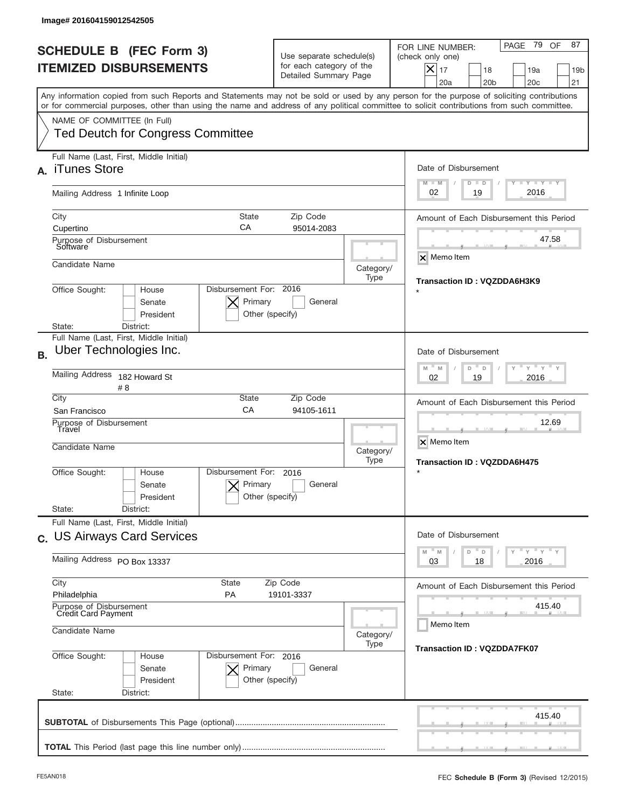| Image# 201604159012542505                                                                                                                                                                                                                                                                                              |                                                                                            |                     |                                                                                                                                                                    |  |
|------------------------------------------------------------------------------------------------------------------------------------------------------------------------------------------------------------------------------------------------------------------------------------------------------------------------|--------------------------------------------------------------------------------------------|---------------------|--------------------------------------------------------------------------------------------------------------------------------------------------------------------|--|
| <b>SCHEDULE B (FEC Form 3)</b><br><b>ITEMIZED DISBURSEMENTS</b>                                                                                                                                                                                                                                                        | Use separate schedule(s)<br>for each category of the<br>Detailed Summary Page              |                     | PAGE 79 OF<br>87<br>FOR LINE NUMBER:<br>(check only one)<br>$ \mathsf{X} _{17}$<br>18<br>19a<br>19 <sub>b</sub><br>20a<br>20 <sub>b</sub><br>20 <sub>c</sub><br>21 |  |
| Any information copied from such Reports and Statements may not be sold or used by any person for the purpose of soliciting contributions<br>or for commercial purposes, other than using the name and address of any political committee to solicit contributions from such committee.<br>NAME OF COMMITTEE (In Full) |                                                                                            |                     |                                                                                                                                                                    |  |
| <b>Ted Deutch for Congress Committee</b>                                                                                                                                                                                                                                                                               |                                                                                            |                     |                                                                                                                                                                    |  |
| Full Name (Last, First, Middle Initial)<br>iTunes Store<br>$\Delta$                                                                                                                                                                                                                                                    |                                                                                            |                     | Date of Disbursement<br><b>TAYLY LY</b><br>$M - M$<br>$D$ $D$                                                                                                      |  |
| Mailing Address 1 Infinite Loop                                                                                                                                                                                                                                                                                        |                                                                                            |                     | 2016<br>19<br>02                                                                                                                                                   |  |
| City<br><b>State</b><br>CA<br>Cupertino                                                                                                                                                                                                                                                                                | Zip Code<br>95014-2083                                                                     |                     | Amount of Each Disbursement this Period                                                                                                                            |  |
| Purpose of Disbursement<br>Software                                                                                                                                                                                                                                                                                    |                                                                                            |                     | 47.58<br>X Memo Item                                                                                                                                               |  |
| Candidate Name                                                                                                                                                                                                                                                                                                         |                                                                                            | Category/<br>Type   | Transaction ID: VQZDDA6H3K9                                                                                                                                        |  |
| Senate<br>President<br>District:<br>State:                                                                                                                                                                                                                                                                             | Disbursement For: 2016<br>Office Sought:<br>House<br>Primary<br>General<br>Other (specify) |                     |                                                                                                                                                                    |  |
| Full Name (Last, First, Middle Initial)<br>Uber Technologies Inc.<br><b>B.</b>                                                                                                                                                                                                                                         |                                                                                            |                     | Date of Disbursement<br>$\cdots$ $\gamma$ $\cdots$ $\gamma$ $\cdots$<br>$-$ M<br>M<br>D<br>D                                                                       |  |
| Mailing Address<br>182 Howard St<br># 8                                                                                                                                                                                                                                                                                | 2016<br>02<br>19                                                                           |                     |                                                                                                                                                                    |  |
| City<br>State<br>CA<br>San Francisco<br>Purpose of Disbursement                                                                                                                                                                                                                                                        | Zip Code<br>94105-1611                                                                     |                     | Amount of Each Disbursement this Period<br>12.69                                                                                                                   |  |
| Travel<br>Candidate Name                                                                                                                                                                                                                                                                                               |                                                                                            | Category/<br>Type   | X Memo Item<br><b>Transaction ID: VQZDDA6H475</b>                                                                                                                  |  |
| Disbursement For:<br>Office Sought:<br>House<br>Senate<br>President                                                                                                                                                                                                                                                    | 2016<br>Primary<br>General<br>Other (specify)                                              |                     | $\star$                                                                                                                                                            |  |
| State:<br>District:<br>Full Name (Last, First, Middle Initial)                                                                                                                                                                                                                                                         |                                                                                            |                     |                                                                                                                                                                    |  |
| c. US Airways Card Services                                                                                                                                                                                                                                                                                            |                                                                                            |                     | Date of Disbursement<br>$\overline{Y}$ $\overline{Y}$ $\overline{Y}$ $\overline{Y}$ $\overline{Y}$<br>M<br>D<br>M<br>D                                             |  |
| Mailing Address PO Box 13337                                                                                                                                                                                                                                                                                           | 2016<br>03<br>18                                                                           |                     |                                                                                                                                                                    |  |
| Philadelphia<br>PA                                                                                                                                                                                                                                                                                                     | City<br>State<br>Zip Code<br>19101-3337                                                    |                     |                                                                                                                                                                    |  |
| Purpose of Disbursement<br>Credit Card Payment<br>Candidate Name                                                                                                                                                                                                                                                       | Category/                                                                                  | 415.40<br>Memo Item |                                                                                                                                                                    |  |
| Office Sought:<br>Disbursement For: 2016<br>House<br>Senate<br>President<br>State:<br>District:                                                                                                                                                                                                                        | Primary<br>General<br>Other (specify)                                                      | Type                | <b>Transaction ID: VQZDDA7FK07</b>                                                                                                                                 |  |
|                                                                                                                                                                                                                                                                                                                        |                                                                                            |                     | 415.40                                                                                                                                                             |  |
|                                                                                                                                                                                                                                                                                                                        |                                                                                            |                     |                                                                                                                                                                    |  |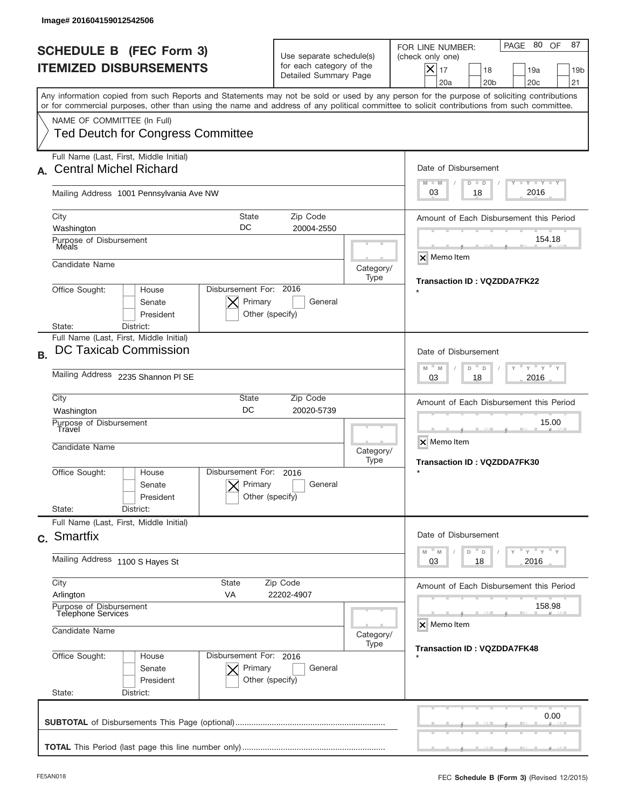|           | Image# 201604159012542506                                                                                                                                                 |                                                      |                                                                               |                   |                                                                                                                                                                    |
|-----------|---------------------------------------------------------------------------------------------------------------------------------------------------------------------------|------------------------------------------------------|-------------------------------------------------------------------------------|-------------------|--------------------------------------------------------------------------------------------------------------------------------------------------------------------|
|           | <b>SCHEDULE B (FEC Form 3)</b><br><b>ITEMIZED DISBURSEMENTS</b>                                                                                                           |                                                      | Use separate schedule(s)<br>for each category of the<br>Detailed Summary Page |                   | PAGE 80 OF<br>87<br>FOR LINE NUMBER:<br>(check only one)<br>$ \mathsf{X} _{17}$<br>18<br>19a<br>19 <sub>b</sub><br>20a<br>20 <sub>b</sub><br>20 <sub>c</sub><br>21 |
|           | or for commercial purposes, other than using the name and address of any political committee to solicit contributions from such committee.<br>NAME OF COMMITTEE (In Full) |                                                      |                                                                               |                   | Any information copied from such Reports and Statements may not be sold or used by any person for the purpose of soliciting contributions                          |
|           | <b>Ted Deutch for Congress Committee</b><br>Full Name (Last, First, Middle Initial)                                                                                       |                                                      |                                                                               |                   |                                                                                                                                                                    |
|           | <b>Central Michel Richard</b><br>Mailing Address 1001 Pennsylvania Ave NW                                                                                                 |                                                      |                                                                               |                   | Date of Disbursement<br><b>TAYLY LY</b><br>$M - M$<br>$D$ $D$<br>2016<br>03<br>18                                                                                  |
|           | City<br>Washington                                                                                                                                                        | <b>State</b><br>DC                                   | Zip Code<br>20004-2550                                                        |                   | Amount of Each Disbursement this Period                                                                                                                            |
|           | Purpose of Disbursement<br>Meals<br>Candidate Name                                                                                                                        | Category/                                            | 154.18<br>X Memo Item                                                         |                   |                                                                                                                                                                    |
|           | Office Sought:<br>House<br>Senate<br>President<br>District:<br>State:                                                                                                     | Disbursement For: 2016<br>Primary<br>Other (specify) | General                                                                       | Type              | Transaction ID: VQZDDA7FK22                                                                                                                                        |
| <b>B.</b> | Full Name (Last, First, Middle Initial)<br>DC Taxicab Commission                                                                                                          |                                                      |                                                                               |                   | Date of Disbursement<br>$\cdots$ $\gamma$ $\cdots$ $\gamma$ $\cdots$ $\gamma$<br>$M - M$<br>D<br>D                                                                 |
|           | Mailing Address 2235 Shannon PI SE<br>City<br>State<br>Zip Code                                                                                                           |                                                      |                                                                               |                   | 2016<br>03<br>18<br>Amount of Each Disbursement this Period                                                                                                        |
|           | DC<br>20020-5739<br>Washington<br>Purpose of Disbursement<br>Travel<br>Candidate Name                                                                                     |                                                      |                                                                               | Category/<br>Type | 15.00<br>X Memo Item<br><b>Transaction ID: VQZDDA7FK30</b>                                                                                                         |
|           | Office Sought:<br>House<br>Senate<br>President<br>State:<br>District:                                                                                                     | Disbursement For:<br>Primary<br>Other (specify)      | 2016<br>General                                                               |                   | $\star$                                                                                                                                                            |
|           | Full Name (Last, First, Middle Initial)<br>c. Smartfix                                                                                                                    |                                                      |                                                                               |                   | Date of Disbursement<br>$\overline{Y}$ $\overline{Y}$ $\overline{Y}$ $\overline{Y}$ $\overline{Y}$<br>M<br>M<br>D<br>D                                             |
|           | Mailing Address 1100 S Hayes St                                                                                                                                           |                                                      |                                                                               |                   | 03<br>2016<br>18                                                                                                                                                   |
|           | City<br>State<br>Zip Code<br>Arlington<br>VA<br>22202-4907<br>Purpose of Disbursement<br>Telephone Services                                                               |                                                      |                                                                               |                   | Amount of Each Disbursement this Period<br>158.98                                                                                                                  |
|           | Candidate Name                                                                                                                                                            | Disbursement For: 2016                               |                                                                               | Category/<br>Type | X Memo Item<br><b>Transaction ID: VQZDDA7FK48</b>                                                                                                                  |
|           | Office Sought:<br>House<br>Senate<br>President<br>State:<br>District:                                                                                                     | Primary<br>Other (specify)                           | General                                                                       |                   |                                                                                                                                                                    |
|           |                                                                                                                                                                           |                                                      |                                                                               |                   | 0.00                                                                                                                                                               |
|           |                                                                                                                                                                           |                                                      |                                                                               |                   |                                                                                                                                                                    |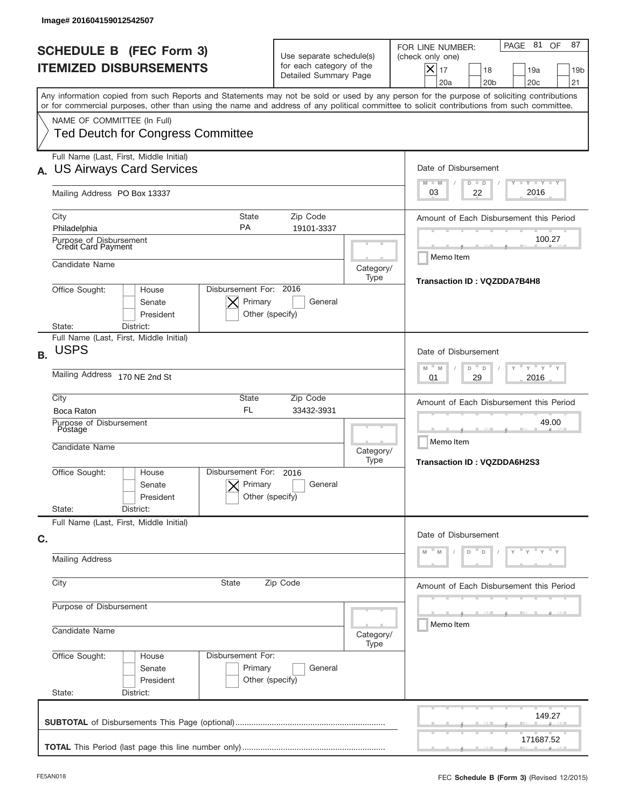| Image# 201604159012542507                                                                                                                                                                                                                                                               |                                                                                                   |                                                                                                                                                                       |  |  |  |
|-----------------------------------------------------------------------------------------------------------------------------------------------------------------------------------------------------------------------------------------------------------------------------------------|---------------------------------------------------------------------------------------------------|-----------------------------------------------------------------------------------------------------------------------------------------------------------------------|--|--|--|
| <b>SCHEDULE B (FEC Form 3)</b><br><b>ITEMIZED DISBURSEMENTS</b>                                                                                                                                                                                                                         | Use separate schedule(s)<br>for each category of the<br>Detailed Summary Page                     | PAGE 81<br>OF<br>87<br>FOR LINE NUMBER:<br>(check only one)<br>$ \mathsf{X} _{17}$<br>18<br>19a<br>19 <sub>b</sub><br>20a<br>20 <sub>b</sub><br>20 <sub>c</sub><br>21 |  |  |  |
| Any information copied from such Reports and Statements may not be sold or used by any person for the purpose of soliciting contributions<br>or for commercial purposes, other than using the name and address of any political committee to solicit contributions from such committee. |                                                                                                   |                                                                                                                                                                       |  |  |  |
| NAME OF COMMITTEE (In Full)<br><b>Ted Deutch for Congress Committee</b>                                                                                                                                                                                                                 |                                                                                                   |                                                                                                                                                                       |  |  |  |
| Full Name (Last, First, Middle Initial)<br><b>US Airways Card Services</b>                                                                                                                                                                                                              |                                                                                                   | Date of Disbursement                                                                                                                                                  |  |  |  |
| Mailing Address PO Box 13337                                                                                                                                                                                                                                                            |                                                                                                   | Y TY TY TY<br>$M - M$<br>$D$ $D$<br>2016<br>03<br>22                                                                                                                  |  |  |  |
| City<br><b>State</b><br><b>PA</b><br>Philadelphia                                                                                                                                                                                                                                       | Zip Code<br>19101-3337<br>Purpose of Disbursement<br>Credit Card Payment                          |                                                                                                                                                                       |  |  |  |
|                                                                                                                                                                                                                                                                                         |                                                                                                   |                                                                                                                                                                       |  |  |  |
| Candidate Name                                                                                                                                                                                                                                                                          | Category/<br>Type                                                                                 | Memo Item<br>Transaction ID: VQZDDA7B4H8                                                                                                                              |  |  |  |
| Senate<br>President<br>State:<br>District:                                                                                                                                                                                                                                              | Disbursement For: 2016<br>Office Sought:<br>House<br>Primary<br>General<br>Other (specify)        |                                                                                                                                                                       |  |  |  |
| Full Name (Last, First, Middle Initial)<br><b>USPS</b><br><b>B.</b>                                                                                                                                                                                                                     |                                                                                                   | Date of Disbursement                                                                                                                                                  |  |  |  |
| Mailing Address 170 NE 2nd St                                                                                                                                                                                                                                                           | $\cdots$ $\gamma$ $\cdots$ $\gamma$ $\cdots$ $\gamma$<br>$-$ M<br>M<br>D<br>D<br>2016<br>01<br>29 |                                                                                                                                                                       |  |  |  |
| City<br>State<br><b>FL</b><br>Boca Raton                                                                                                                                                                                                                                                | Zip Code<br>33432-3931                                                                            | Amount of Each Disbursement this Period                                                                                                                               |  |  |  |
| Purpose of Disbursement<br>Postage<br>Candidate Name                                                                                                                                                                                                                                    | Category/                                                                                         | 49.00<br>Memo Item                                                                                                                                                    |  |  |  |
| Disbursement For:<br>Office Sought:<br>House<br>Primary<br>Senate<br>President                                                                                                                                                                                                          | Type<br>2016<br>General<br>Other (specify)                                                        | Transaction ID: VQZDDA6H2S3                                                                                                                                           |  |  |  |
| State:<br>District:<br>Full Name (Last, First, Middle Initial)                                                                                                                                                                                                                          |                                                                                                   |                                                                                                                                                                       |  |  |  |
| C.                                                                                                                                                                                                                                                                                      |                                                                                                   | Date of Disbursement<br>$\mathbf{y}$                                                                                                                                  |  |  |  |
| <b>Mailing Address</b>                                                                                                                                                                                                                                                                  | D<br>D                                                                                            |                                                                                                                                                                       |  |  |  |
| City<br>State                                                                                                                                                                                                                                                                           | Amount of Each Disbursement this Period                                                           |                                                                                                                                                                       |  |  |  |
| Purpose of Disbursement<br>Candidate Name                                                                                                                                                                                                                                               | Category/                                                                                         | Memo Item                                                                                                                                                             |  |  |  |
| Office Sought:<br>Disbursement For:<br>House<br>Primary<br>Senate<br>President<br>State:<br>District:                                                                                                                                                                                   | Type<br>General<br>Other (specify)                                                                |                                                                                                                                                                       |  |  |  |
|                                                                                                                                                                                                                                                                                         |                                                                                                   | 149.27                                                                                                                                                                |  |  |  |
|                                                                                                                                                                                                                                                                                         |                                                                                                   | 171687.52                                                                                                                                                             |  |  |  |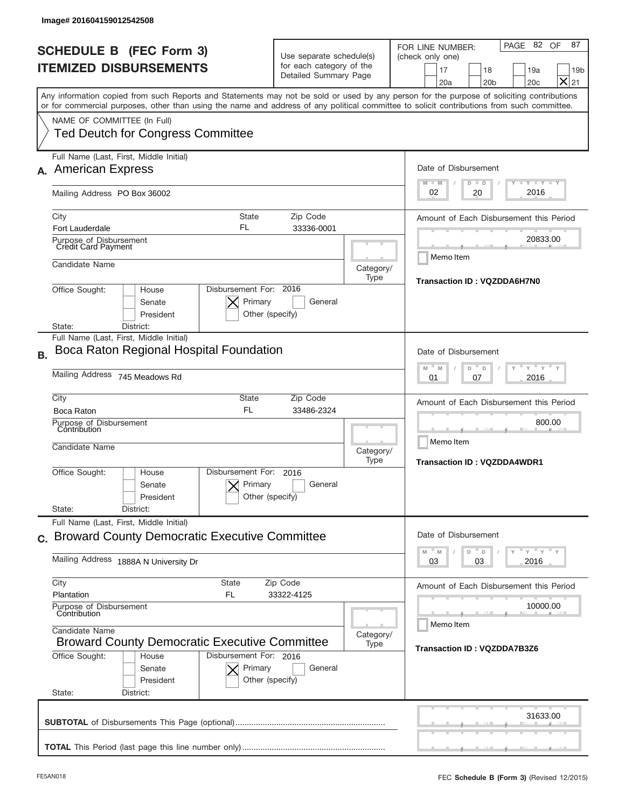| Image# 201604159012542508                                                                                                                                                                                                                                                                                                                                                                                    |                                                                               |                   |                                                                                                                                                                                                              |
|--------------------------------------------------------------------------------------------------------------------------------------------------------------------------------------------------------------------------------------------------------------------------------------------------------------------------------------------------------------------------------------------------------------|-------------------------------------------------------------------------------|-------------------|--------------------------------------------------------------------------------------------------------------------------------------------------------------------------------------------------------------|
| <b>SCHEDULE B (FEC Form 3)</b><br><b>ITEMIZED DISBURSEMENTS</b>                                                                                                                                                                                                                                                                                                                                              | Use separate schedule(s)<br>for each category of the<br>Detailed Summary Page |                   | PAGE 82 OF<br>87<br>FOR LINE NUMBER:<br>(check only one)<br>17<br>18<br>19a<br>19 <sub>b</sub><br>$\times$<br>20 <sub>b</sub><br>20 <sub>c</sub><br>21<br>20a                                                |
| Any information copied from such Reports and Statements may not be sold or used by any person for the purpose of soliciting contributions<br>or for commercial purposes, other than using the name and address of any political committee to solicit contributions from such committee.<br>NAME OF COMMITTEE (In Full)<br><b>Ted Deutch for Congress Committee</b>                                           |                                                                               |                   |                                                                                                                                                                                                              |
| Full Name (Last, First, Middle Initial)<br><b>American Express</b><br>Mailing Address PO Box 36002                                                                                                                                                                                                                                                                                                           |                                                                               |                   | Date of Disbursement<br>$T - Y$ $T - Y$<br>$M - M$<br>$D$ $D$<br>2016<br>02<br>20                                                                                                                            |
| <b>State</b><br>City<br>FL<br><b>Fort Lauderdale</b><br>Purpose of Disbursement<br>Credit Card Payment<br>Candidate Name<br>Disbursement For: 2016<br>Office Sought:<br>House<br>Primary<br>Senate<br>President<br>State:<br>District:                                                                                                                                                                       | Zip Code<br>33336-0001<br>General<br>Other (specify)                          | Category/<br>Type | Amount of Each Disbursement this Period<br>20833.00<br>Memo Item<br>Transaction ID: VQZDDA6H7N0                                                                                                              |
| Full Name (Last, First, Middle Initial)<br>Boca Raton Regional Hospital Foundation<br><b>B.</b><br>Mailing Address 745 Meadows Rd<br>City<br>State<br><b>FL</b><br>Boca Raton<br>Purpose of Disbursement<br>Contribution<br>Candidate Name<br>Disbursement For:<br>Office Sought:<br>House<br>Primary<br>Senate<br>President                                                                                 | Zip Code<br>33486-2324<br>2016<br>General<br>Other (specify)                  | Category/<br>Type | Date of Disbursement<br>$-\gamma + \gamma -$<br>M<br>M<br>D<br>D<br>2016<br>01<br>07<br>Amount of Each Disbursement this Period<br>800.00<br>Memo Item<br><b>Transaction ID: VQZDDA4WDR1</b>                 |
| State:<br>District:<br>Full Name (Last, First, Middle Initial)<br>c. Broward County Democratic Executive Committee<br>Mailing Address 1888A N University Dr<br>City<br>State<br>Plantation<br>FL<br>Purpose of Disbursement<br>Contribution<br>Candidate Name<br><b>Broward County Democratic Executive Committee</b><br>Disbursement For: 2016<br>Office Sought:<br>House<br>Senate<br>Primary<br>President | Zip Code<br>33322-4125<br>General<br>Other (specify)                          | Category/<br>Type | Date of Disbursement<br>$\gamma$ = $\gamma$ = $\gamma$ = $\gamma$<br>D<br>M<br>M<br>D<br>03<br>03<br>2016<br>Amount of Each Disbursement this Period<br>10000.00<br>Memo Item<br>Transaction ID: VQZDDA7B3Z6 |
| State:<br>District:                                                                                                                                                                                                                                                                                                                                                                                          |                                                                               |                   | 31633.00                                                                                                                                                                                                     |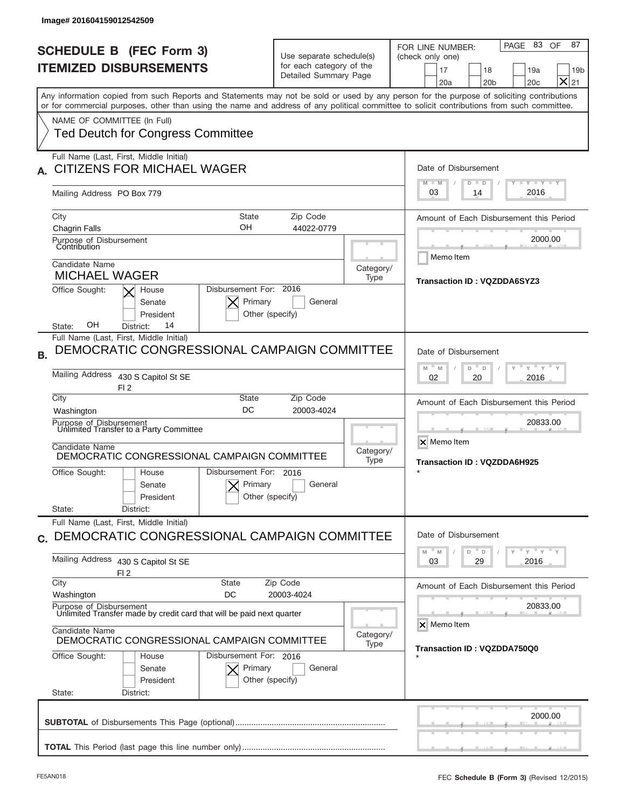| <b>SCHEDULE B (FEC Form 3)</b><br><b>ITEMIZED DISBURSEMENTS</b>                                                                                                                                                                                                                         | Use separate schedule(s)<br>for each category of the<br>Detailed Summary Page                 | PAGE 83 OF<br>87<br>FOR LINE NUMBER:<br>(check only one)<br>17<br>18<br>19a<br>$\times$<br>20a<br>20 <sub>b</sub><br>20c<br>21 |
|-----------------------------------------------------------------------------------------------------------------------------------------------------------------------------------------------------------------------------------------------------------------------------------------|-----------------------------------------------------------------------------------------------|--------------------------------------------------------------------------------------------------------------------------------|
| Any information copied from such Reports and Statements may not be sold or used by any person for the purpose of soliciting contributions<br>or for commercial purposes, other than using the name and address of any political committee to solicit contributions from such committee. |                                                                                               |                                                                                                                                |
| NAME OF COMMITTEE (In Full)<br><b>Ted Deutch for Congress Committee</b>                                                                                                                                                                                                                 |                                                                                               |                                                                                                                                |
| Full Name (Last, First, Middle Initial)<br><b>CITIZENS FOR MICHAEL WAGER</b>                                                                                                                                                                                                            |                                                                                               | Date of Disbursement<br>Y FY FY FY                                                                                             |
| Mailing Address PO Box 779                                                                                                                                                                                                                                                              |                                                                                               | $M - M$<br>$D$ $D$<br>2016<br>03<br>14                                                                                         |
| City<br>OН<br><b>Chagrin Falls</b><br>Purpose of Disbursement<br>Contribution                                                                                                                                                                                                           | State<br>Zip Code<br>44022-0779                                                               | Amount of Each Disbursement this Period<br>2000.00                                                                             |
| Candidate Name<br><b>MICHAEL WAGER</b>                                                                                                                                                                                                                                                  | Category/<br>Type                                                                             | Memo Item<br>Transaction ID: VQZDDA6SYZ3                                                                                       |
| Office Sought:<br>House<br>Senate<br>President<br>OН<br>14<br>District:<br>State:                                                                                                                                                                                                       | Disbursement For: 2016<br>Primary<br>General<br>Other (specify)                               |                                                                                                                                |
| Full Name (Last, First, Middle Initial)<br>DEMOCRATIC CONGRESSIONAL CAMPAIGN COMMITTEE<br><b>B.</b>                                                                                                                                                                                     |                                                                                               | Date of Disbursement                                                                                                           |
| Mailing Address<br>430 S Capitol St SE<br>FI <sub>2</sub>                                                                                                                                                                                                                               | $\cdots$ $\gamma$ $\cdots$ $\gamma$ $\cdots$ $\gamma$<br>M<br>M<br>D<br>D<br>2016<br>02<br>20 |                                                                                                                                |
|                                                                                                                                                                                                                                                                                         |                                                                                               |                                                                                                                                |
| City<br>Washington                                                                                                                                                                                                                                                                      | Zip Code<br>State<br>DC<br>20003-4024                                                         | Amount of Each Disbursement this Period                                                                                        |
| Purpose of Disbursement<br>Unlimited Transfer to a Party Committee<br>Candidate Name<br>DEMOCRATIC CONGRESSIONAL CAMPAIGN COMMITTEE                                                                                                                                                     | Category/                                                                                     | 20833.00<br>X Memo Item                                                                                                        |
| Office Sought:<br>House<br>Senate<br>President                                                                                                                                                                                                                                          | Type<br>Disbursement For: 2016<br>Primary<br>General<br>Other (specify)                       | Transaction ID: VQZDDA6H925                                                                                                    |
| State:<br>District:<br>Full Name (Last, First, Middle Initial)<br>DEMOCRATIC CONGRESSIONAL CAMPAIGN COMMITTEE                                                                                                                                                                           |                                                                                               | Date of Disbursement                                                                                                           |
| <b>Mailing Address</b><br>430 S Capitol St SE                                                                                                                                                                                                                                           |                                                                                               | $\rightarrow$ $\rightarrow$ $\rightarrow$ $\rightarrow$ $\rightarrow$<br>M<br>D<br>M<br>D<br>03<br>29<br>2016                  |
| FI2<br>City<br><b>State</b><br>Washington<br>DC                                                                                                                                                                                                                                         | Zip Code<br>20003-4024                                                                        |                                                                                                                                |
| Purpose of Disbursement<br>Unlimited Transfer made by credit card that will be paid next quarter                                                                                                                                                                                        |                                                                                               | 20833.00<br>X Memo Item                                                                                                        |
| Candidate Name<br>DEMOCRATIC CONGRESSIONAL CAMPAIGN COMMITTEE                                                                                                                                                                                                                           | Category/<br>Type                                                                             | Transaction ID : VQZDDA750Q0                                                                                                   |
| C.<br>Office Sought:<br>House<br>Senate<br>President<br>State:<br>District:                                                                                                                                                                                                             | Disbursement For: 2016<br>Primary<br>General<br>Other (specify)                               | Amount of Each Disbursement this Period                                                                                        |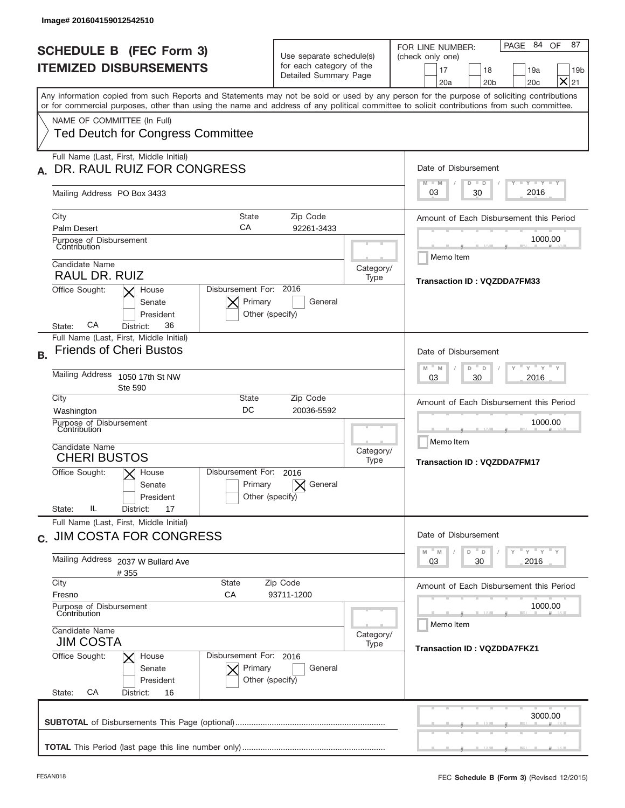| lmage# 201604159012542510                                                                                                                                                                                                                                                                                                                                          |                                                                               |                   |                                                                                                                                                                                                                           |
|--------------------------------------------------------------------------------------------------------------------------------------------------------------------------------------------------------------------------------------------------------------------------------------------------------------------------------------------------------------------|-------------------------------------------------------------------------------|-------------------|---------------------------------------------------------------------------------------------------------------------------------------------------------------------------------------------------------------------------|
| <b>SCHEDULE B (FEC Form 3)</b><br><b>ITEMIZED DISBURSEMENTS</b>                                                                                                                                                                                                                                                                                                    | Use separate schedule(s)<br>for each category of the<br>Detailed Summary Page |                   | PAGE 84 OF<br>87<br>FOR LINE NUMBER:<br>(check only one)<br>17<br>18<br>19a<br>19 <sub>b</sub><br>$\times$<br>20a<br>20 <sub>b</sub><br>20 <sub>c</sub><br>21                                                             |
| Any information copied from such Reports and Statements may not be sold or used by any person for the purpose of soliciting contributions<br>or for commercial purposes, other than using the name and address of any political committee to solicit contributions from such committee.<br>NAME OF COMMITTEE (In Full)<br><b>Ted Deutch for Congress Committee</b> |                                                                               |                   |                                                                                                                                                                                                                           |
| Full Name (Last, First, Middle Initial)<br>DR. RAUL RUIZ FOR CONGRESS<br>Mailing Address PO Box 3433                                                                                                                                                                                                                                                               |                                                                               |                   | Date of Disbursement<br>$T$ $Y$ $T$ $Y$ $T$ $Y$<br>$M - M$<br>$D$ $D$<br>2016<br>30<br>03                                                                                                                                 |
| <b>State</b><br>City<br>СA<br><b>Palm Desert</b><br>Purpose of Disbursement<br>Contribution<br>Candidate Name<br><b>RAUL DR. RUIZ</b><br>Disbursement For: 2016<br>Office Sought:<br>House<br>Primary<br>Senate<br>President<br>CА<br>36<br>District:<br>State:                                                                                                    | Zip Code<br>92261-3433<br>General<br>Other (specify)                          | Category/<br>Type | Amount of Each Disbursement this Period<br>1000.00<br>Memo Item<br><b>Transaction ID: VQZDDA7FM33</b>                                                                                                                     |
| Full Name (Last, First, Middle Initial)<br><b>Friends of Cheri Bustos</b><br><b>B.</b><br>Mailing Address<br>1050 17th St NW<br><b>Ste 590</b><br>City<br>State<br>DC<br>Washington<br>Purpose of Disbursement<br>Contribution<br>Candidate Name<br><b>CHERI BUSTOS</b><br>Disbursement For:<br>Office Sought:<br>$\times$ House<br>Primary<br>Senate<br>President | Zip Code<br>20036-5592<br>2016<br>General<br>Other (specify)                  | Category/<br>Type | Date of Disbursement<br>$\cdots$ $\gamma$ $\cdots$ $\gamma$ $\cdots$<br>$-$ M<br>M<br>D<br>D<br>2016<br>03<br>30<br>Amount of Each Disbursement this Period<br>1000.00<br>Memo Item<br><b>Transaction ID: VQZDDA7FM17</b> |
| IL<br>State:<br>17<br>District:<br>Full Name (Last, First, Middle Initial)<br>c. JIM COSTA FOR CONGRESS<br>Mailing Address<br>2037 W Bullard Ave<br>#355<br>City<br><b>State</b><br>Fresno<br>СA<br>Purpose of Disbursement<br>Contribution<br>Candidate Name<br>JIM COSTA<br>Office Sought:<br>Disbursement For: 2016<br>House<br>Primary<br>Senate<br>President  | Zip Code<br>93711-1200<br>General<br>Other (specify)                          | Category/<br>Type | Date of Disbursement<br>ү "ү "ү "ү<br>D<br>M<br>M<br>D<br>03<br>30<br>2016<br>Amount of Each Disbursement this Period<br>1000.00<br>Memo Item<br><b>Transaction ID: VQZDDA7FKZ1</b>                                       |
| СA<br>State:<br>District:<br>16                                                                                                                                                                                                                                                                                                                                    |                                                                               |                   | 3000.00                                                                                                                                                                                                                   |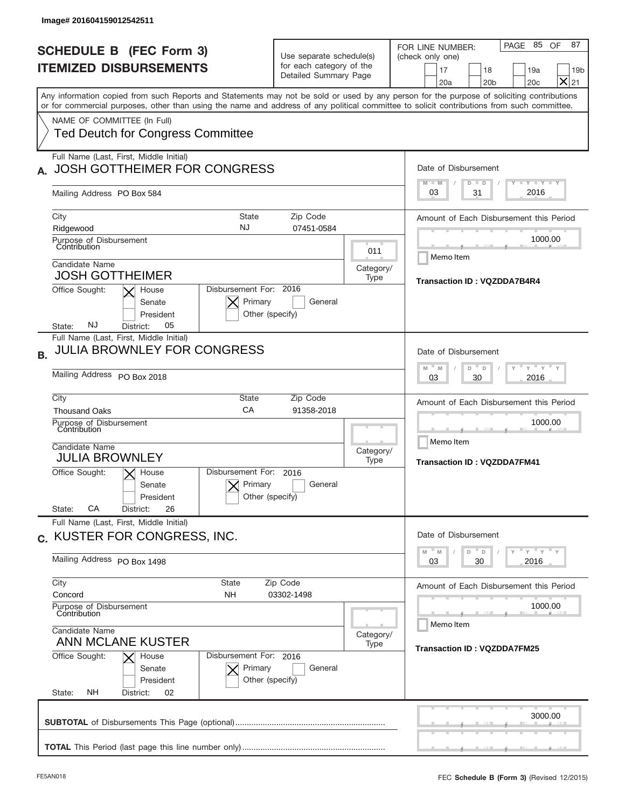| Image# 201604159012542511                                                                                                                                                                                                                                                                                                                                          |                                                                               |                          |                                                                                                                                                                                               |
|--------------------------------------------------------------------------------------------------------------------------------------------------------------------------------------------------------------------------------------------------------------------------------------------------------------------------------------------------------------------|-------------------------------------------------------------------------------|--------------------------|-----------------------------------------------------------------------------------------------------------------------------------------------------------------------------------------------|
| <b>SCHEDULE B (FEC Form 3)</b><br><b>ITEMIZED DISBURSEMENTS</b>                                                                                                                                                                                                                                                                                                    | Use separate schedule(s)<br>for each category of the<br>Detailed Summary Page |                          | PAGE 85 OF<br>87<br>FOR LINE NUMBER:<br>(check only one)<br>17<br>18<br>19a<br>19 <sub>b</sub><br>$\times$<br>20a<br>20 <sub>b</sub><br>20c<br>21                                             |
| Any information copied from such Reports and Statements may not be sold or used by any person for the purpose of soliciting contributions<br>or for commercial purposes, other than using the name and address of any political committee to solicit contributions from such committee.<br>NAME OF COMMITTEE (In Full)<br><b>Ted Deutch for Congress Committee</b> |                                                                               |                          |                                                                                                                                                                                               |
| Full Name (Last, First, Middle Initial)<br><b>JOSH GOTTHEIMER FOR CONGRESS</b><br>Mailing Address PO Box 584                                                                                                                                                                                                                                                       |                                                                               |                          | Date of Disbursement<br>$T$ $Y$ $Y$ $Y$ $Y$<br>$M - M$<br>$D$ $D$<br>2016<br>31<br>03                                                                                                         |
| <b>State</b><br>City<br>NJ<br>Ridgewood<br>Purpose of Disbursement<br>Contribution<br>Candidate Name<br><b>JOSH GOTTHEIMER</b><br>Disbursement For: 2016<br>Office Sought:<br>House<br>Primary<br>Senate<br>President<br>NJ<br>05<br>State:<br>District:                                                                                                           | Zip Code<br>07451-0584<br>General<br>Other (specify)                          | 011<br>Category/<br>Type | Amount of Each Disbursement this Period<br>1000.00<br>Memo Item<br>Transaction ID: VQZDDA7B4R4                                                                                                |
| Full Name (Last, First, Middle Initial)<br><b>JULIA BROWNLEY FOR CONGRESS</b><br><b>B.</b><br>Mailing Address PO Box 2018<br>City<br>State<br>CA<br><b>Thousand Oaks</b><br>Purpose of Disbursement<br>Contribution<br>Candidate Name<br><b>JULIA BROWNLEY</b><br>Disbursement For:<br>Office Sought:<br>$ \mathsf{X} $ House<br>Primary<br>Senate                 | Zip Code<br>91358-2018<br>2016<br>General<br>Other (specify)                  | Category/<br>Type        | Date of Disbursement<br>$-\gamma + \gamma -$<br>M<br>D<br>M<br>D<br>2016<br>03<br>30<br>Amount of Each Disbursement this Period<br>1000.00<br>Memo Item<br><b>Transaction ID: VQZDDA7FM41</b> |
| President<br>CA<br>26<br>State:<br>District:<br>Full Name (Last, First, Middle Initial)<br>c. KUSTER FOR CONGRESS, INC.<br>Mailing Address PO Box 1498                                                                                                                                                                                                             |                                                                               |                          | Date of Disbursement<br>ү "ү "ү "ү<br>$- M$<br>$\overline{D}$<br>D<br>M<br>03<br>30<br>2016                                                                                                   |
| City<br><b>State</b><br>Concord<br>NΗ<br>Purpose of Disbursement<br>Contribution<br>Candidate Name<br><b>ANN MCLANE KUSTER</b><br>Office Sought:<br>Disbursement For: 2016<br>House<br>Primary<br>Senate<br>President                                                                                                                                              | Zip Code<br>03302-1498<br>General<br>Other (specify)                          | Category/<br>Type        | Amount of Each Disbursement this Period<br>1000.00<br>Memo Item<br><b>Transaction ID: VQZDDA7FM25</b>                                                                                         |
| NΗ<br>State:<br>District:<br>02                                                                                                                                                                                                                                                                                                                                    |                                                                               |                          | 3000.00                                                                                                                                                                                       |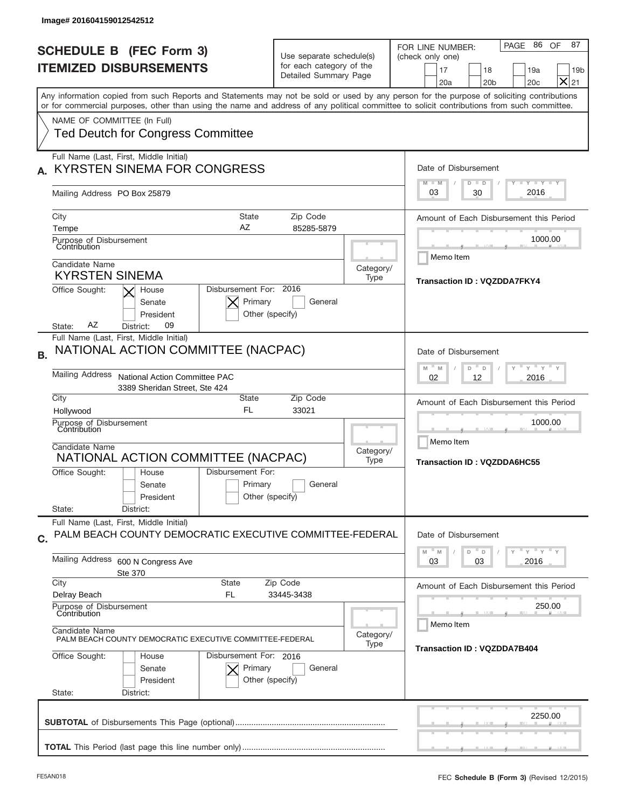|                                                                                                                                                                                                                                                                                         |                                                                                   | PAGE 86 OF<br>FOR LINE NUMBER:                                                                                                                                                                                                                                                                                                                                                                                                                                                      |
|-----------------------------------------------------------------------------------------------------------------------------------------------------------------------------------------------------------------------------------------------------------------------------------------|-----------------------------------------------------------------------------------|-------------------------------------------------------------------------------------------------------------------------------------------------------------------------------------------------------------------------------------------------------------------------------------------------------------------------------------------------------------------------------------------------------------------------------------------------------------------------------------|
| <b>SCHEDULE B (FEC Form 3)</b>                                                                                                                                                                                                                                                          | Use separate schedule(s)<br>for each category of the<br>Detailed Summary Page     | (check only one)                                                                                                                                                                                                                                                                                                                                                                                                                                                                    |
| <b>ITEMIZED DISBURSEMENTS</b>                                                                                                                                                                                                                                                           |                                                                                   | 17<br>18<br>19a<br>$\times$<br>20a<br>20 <sub>b</sub><br>20c                                                                                                                                                                                                                                                                                                                                                                                                                        |
| Any information copied from such Reports and Statements may not be sold or used by any person for the purpose of soliciting contributions<br>or for commercial purposes, other than using the name and address of any political committee to solicit contributions from such committee. |                                                                                   |                                                                                                                                                                                                                                                                                                                                                                                                                                                                                     |
| NAME OF COMMITTEE (In Full)                                                                                                                                                                                                                                                             |                                                                                   |                                                                                                                                                                                                                                                                                                                                                                                                                                                                                     |
| <b>Ted Deutch for Congress Committee</b>                                                                                                                                                                                                                                                |                                                                                   |                                                                                                                                                                                                                                                                                                                                                                                                                                                                                     |
| Full Name (Last, First, Middle Initial)                                                                                                                                                                                                                                                 |                                                                                   |                                                                                                                                                                                                                                                                                                                                                                                                                                                                                     |
| <b>KYRSTEN SINEMA FOR CONGRESS</b>                                                                                                                                                                                                                                                      | Date of Disbursement<br>$T$ $T$ $Y$ $T$ $T$ $Y$ $T$ $T$ $Y$<br>$M - M$<br>$D$ $D$ |                                                                                                                                                                                                                                                                                                                                                                                                                                                                                     |
| Mailing Address PO Box 25879                                                                                                                                                                                                                                                            |                                                                                   | 2016<br>03<br>30                                                                                                                                                                                                                                                                                                                                                                                                                                                                    |
| City<br>State                                                                                                                                                                                                                                                                           | Zip Code<br>85285-5879                                                            | Amount of Each Disbursement this Period                                                                                                                                                                                                                                                                                                                                                                                                                                             |
| AZ<br>Tempe                                                                                                                                                                                                                                                                             |                                                                                   |                                                                                                                                                                                                                                                                                                                                                                                                                                                                                     |
| Purpose of Disbursement<br>Contribution                                                                                                                                                                                                                                                 | 1000.00<br>Memo Item                                                              |                                                                                                                                                                                                                                                                                                                                                                                                                                                                                     |
| Candidate Name<br><b>KYRSTEN SINEMA</b>                                                                                                                                                                                                                                                 | Category/                                                                         |                                                                                                                                                                                                                                                                                                                                                                                                                                                                                     |
| Disbursement For: 2016<br>Office Sought:<br>House                                                                                                                                                                                                                                       | Transaction ID: VQZDDA7FKY4                                                       |                                                                                                                                                                                                                                                                                                                                                                                                                                                                                     |
| Primary<br>Senate                                                                                                                                                                                                                                                                       | General                                                                           |                                                                                                                                                                                                                                                                                                                                                                                                                                                                                     |
| President                                                                                                                                                                                                                                                                               | Other (specify)                                                                   |                                                                                                                                                                                                                                                                                                                                                                                                                                                                                     |
| ΑZ<br>09<br>State:<br>District:                                                                                                                                                                                                                                                         |                                                                                   |                                                                                                                                                                                                                                                                                                                                                                                                                                                                                     |
| Full Name (Last, First, Middle Initial)<br>NATIONAL ACTION COMMITTEE (NACPAC)                                                                                                                                                                                                           |                                                                                   | Date of Disbursement                                                                                                                                                                                                                                                                                                                                                                                                                                                                |
|                                                                                                                                                                                                                                                                                         | $\cdots$ $\gamma$ $\cdots$ $\gamma$ $\cdots$ $\gamma$<br>M<br>M<br>D<br>D         |                                                                                                                                                                                                                                                                                                                                                                                                                                                                                     |
| <b>Mailing Address</b><br>National Action Committee PAC<br>3389 Sheridan Street, Ste 424                                                                                                                                                                                                | 2016<br>02<br>12                                                                  |                                                                                                                                                                                                                                                                                                                                                                                                                                                                                     |
| City<br>State                                                                                                                                                                                                                                                                           | Zip Code<br>33021                                                                 | Amount of Each Disbursement this Period                                                                                                                                                                                                                                                                                                                                                                                                                                             |
| FL.<br>Hollywood                                                                                                                                                                                                                                                                        | 1000.00                                                                           |                                                                                                                                                                                                                                                                                                                                                                                                                                                                                     |
| Purpose of Disbursement<br>Contribution                                                                                                                                                                                                                                                 |                                                                                   |                                                                                                                                                                                                                                                                                                                                                                                                                                                                                     |
| Candidate Name                                                                                                                                                                                                                                                                          | Category/                                                                         | Memo Item                                                                                                                                                                                                                                                                                                                                                                                                                                                                           |
| NATIONAL ACTION COMMITTEE (NACPAC)                                                                                                                                                                                                                                                      | Type                                                                              | Transaction ID: VQZDDA6HC55                                                                                                                                                                                                                                                                                                                                                                                                                                                         |
| Disbursement For:<br>Office Sought:<br>House                                                                                                                                                                                                                                            |                                                                                   |                                                                                                                                                                                                                                                                                                                                                                                                                                                                                     |
| Primary<br>Senate                                                                                                                                                                                                                                                                       | General                                                                           |                                                                                                                                                                                                                                                                                                                                                                                                                                                                                     |
| President                                                                                                                                                                                                                                                                               | Other (specify)                                                                   |                                                                                                                                                                                                                                                                                                                                                                                                                                                                                     |
| State:<br>District:<br>Full Name (Last, First, Middle Initial)                                                                                                                                                                                                                          |                                                                                   |                                                                                                                                                                                                                                                                                                                                                                                                                                                                                     |
| PALM BEACH COUNTY DEMOCRATIC EXECUTIVE COMMITTEE-FEDERAL                                                                                                                                                                                                                                |                                                                                   | Date of Disbursement                                                                                                                                                                                                                                                                                                                                                                                                                                                                |
| Mailing Address<br>600 N Congress Ave<br>Ste 370                                                                                                                                                                                                                                        |                                                                                   | $\frac{1}{\sqrt{1-\frac{1}{\sqrt{1-\frac{1}{\sqrt{1-\frac{1}{\sqrt{1-\frac{1}{\sqrt{1-\frac{1}{\sqrt{1-\frac{1}{\sqrt{1-\frac{1}{\sqrt{1-\frac{1}{\sqrt{1-\frac{1}{\sqrt{1-\frac{1}{\sqrt{1-\frac{1}{\sqrt{1-\frac{1}{\sqrt{1-\frac{1}{\sqrt{1-\frac{1}{\sqrt{1-\frac{1}{\sqrt{1-\frac{1}{\sqrt{1-\frac{1}{\sqrt{1-\frac{1}{\sqrt{1-\frac{1}{\sqrt{1-\frac{1}{\sqrt{1-\frac{1}{\sqrt{1-\frac{1}{\sqrt{1-\frac{1}{\sqrt{1-\frac{1$<br>M<br>$\mathbb M$<br>D<br>D<br>2016<br>03<br>03 |
| City<br><b>State</b>                                                                                                                                                                                                                                                                    | Zip Code                                                                          | Amount of Each Disbursement this Period                                                                                                                                                                                                                                                                                                                                                                                                                                             |
| Delray Beach<br>FL                                                                                                                                                                                                                                                                      | 33445-3438                                                                        |                                                                                                                                                                                                                                                                                                                                                                                                                                                                                     |
| Purpose of Disbursement<br>Contribution                                                                                                                                                                                                                                                 | 250.00<br>Memo Item                                                               |                                                                                                                                                                                                                                                                                                                                                                                                                                                                                     |
| Candidate Name<br>PALM BEACH COUNTY DEMOCRATIC EXECUTIVE COMMITTEE-FEDERAL                                                                                                                                                                                                              | Category/<br>Transaction ID: VQZDDA7B404                                          |                                                                                                                                                                                                                                                                                                                                                                                                                                                                                     |
| Office Sought:<br>Disbursement For: 2016<br>House                                                                                                                                                                                                                                       |                                                                                   |                                                                                                                                                                                                                                                                                                                                                                                                                                                                                     |
| Primary<br>Senate                                                                                                                                                                                                                                                                       | General                                                                           |                                                                                                                                                                                                                                                                                                                                                                                                                                                                                     |
| President                                                                                                                                                                                                                                                                               | Other (specify)                                                                   |                                                                                                                                                                                                                                                                                                                                                                                                                                                                                     |
| State:<br>District:                                                                                                                                                                                                                                                                     |                                                                                   |                                                                                                                                                                                                                                                                                                                                                                                                                                                                                     |
|                                                                                                                                                                                                                                                                                         |                                                                                   |                                                                                                                                                                                                                                                                                                                                                                                                                                                                                     |
|                                                                                                                                                                                                                                                                                         |                                                                                   | 2250.00                                                                                                                                                                                                                                                                                                                                                                                                                                                                             |